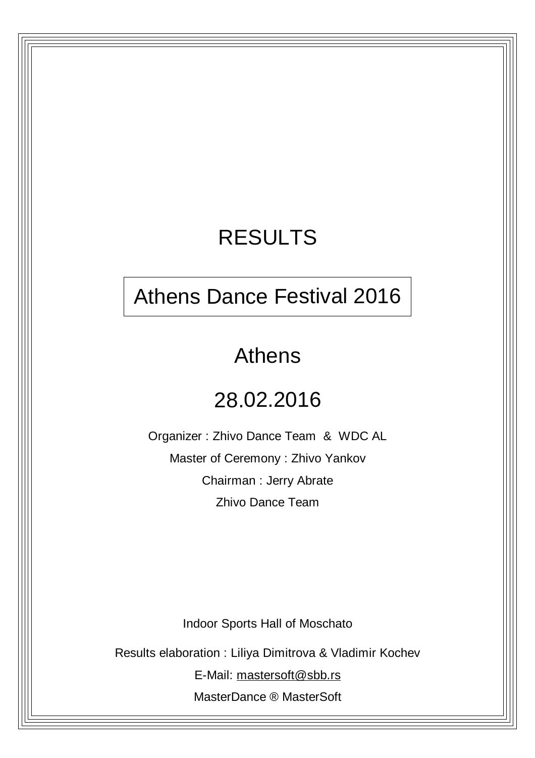## RESULTS

## Athens Dance Festival 2016

## Athens

## 28.02.2016

Organizer : Zhivo Dance Team & WDC AL Master of Ceremony : Zhivo Yankov Chairman : Jerry Abrate Zhivo Dance Team

Indoor Sports Hall of Moschato

Results elaboration : Liliya Dimitrova & Vladimir Kochev

E-Mail: [mastersoft@sbb.rs](mailto:mastersoft@sbb.rs)

MasterDance ® MasterSoft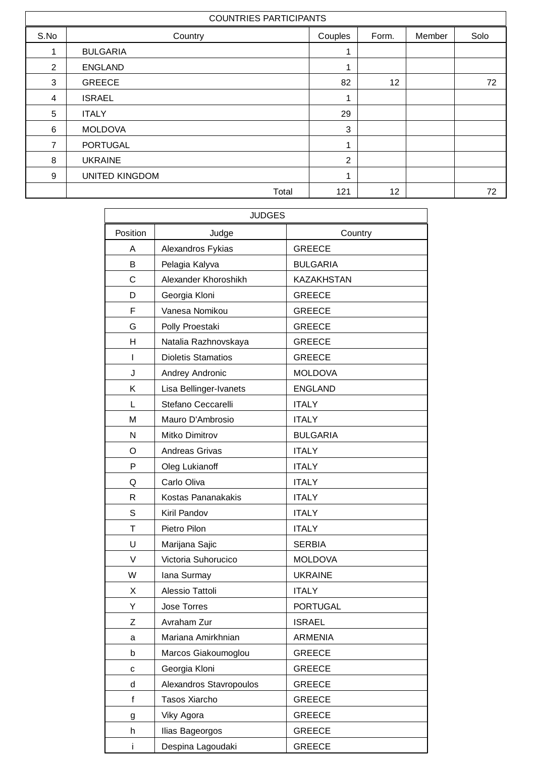|      | <b>COUNTRIES PARTICIPANTS</b> |                |       |        |      |
|------|-------------------------------|----------------|-------|--------|------|
| S.No | Country                       | Couples        | Form. | Member | Solo |
| 1    | <b>BULGARIA</b>               | 1              |       |        |      |
| 2    | <b>ENGLAND</b>                | 1              |       |        |      |
| 3    | <b>GREECE</b>                 | 82             | 12    |        | 72   |
| 4    | <b>ISRAEL</b>                 | 1              |       |        |      |
| 5    | <b>ITALY</b>                  | 29             |       |        |      |
| 6    | <b>MOLDOVA</b>                | 3              |       |        |      |
| 7    | <b>PORTUGAL</b>               | 1              |       |        |      |
| 8    | <b>UKRAINE</b>                | $\overline{2}$ |       |        |      |
| 9    | <b>UNITED KINGDOM</b>         | 1              |       |        |      |
|      | Total                         | 121            | 12    |        | 72   |

|          | <b>JUDGES</b>             |                   |
|----------|---------------------------|-------------------|
| Position | Judge                     | Country           |
| A        | Alexandros Fykias         | <b>GREECE</b>     |
| B        | Pelagia Kalyva            | <b>BULGARIA</b>   |
| C        | Alexander Khoroshikh      | <b>KAZAKHSTAN</b> |
| D        | Georgia Kloni             | <b>GREECE</b>     |
| F        | Vanesa Nomikou            | <b>GREECE</b>     |
| G        | Polly Proestaki           | <b>GREECE</b>     |
| H        | Natalia Razhnovskaya      | <b>GREECE</b>     |
| T        | <b>Dioletis Stamatios</b> | <b>GREECE</b>     |
| J        | Andrey Andronic           | <b>MOLDOVA</b>    |
| Κ        | Lisa Bellinger-Ivanets    | <b>ENGLAND</b>    |
| L        | Stefano Ceccarelli        | <b>ITALY</b>      |
| M        | Mauro D'Ambrosio          | <b>ITALY</b>      |
| N        | Mitko Dimitrov            | <b>BULGARIA</b>   |
| O        | <b>Andreas Grivas</b>     | <b>ITALY</b>      |
| P        | Oleg Lukianoff            | <b>ITALY</b>      |
| Q        | Carlo Oliva               | <b>ITALY</b>      |
| R        | Kostas Pananakakis        | <b>ITALY</b>      |
| S        | Kiril Pandov              | <b>ITALY</b>      |
| T        | Pietro Pilon              | <b>ITALY</b>      |
| U        | Marijana Sajic            | <b>SERBIA</b>     |
| V        | Victoria Suhorucico       | <b>MOLDOVA</b>    |
| W        | lana Surmay               | <b>UKRAINE</b>    |
| X        | Alessio Tattoli           | <b>ITALY</b>      |
| Y        | <b>Jose Torres</b>        | <b>PORTUGAL</b>   |
| Ζ        | Avraham Zur               | <b>ISRAEL</b>     |
| a        | Mariana Amirkhnian        | <b>ARMENIA</b>    |
| b        | Marcos Giakoumoglou       | <b>GREECE</b>     |
| с        | Georgia Kloni             | <b>GREECE</b>     |
| d        | Alexandros Stavropoulos   | <b>GREECE</b>     |
| f        | Tasos Xiarcho             | <b>GREECE</b>     |
| g        | Viky Agora                | <b>GREECE</b>     |
| h        | Ilias Bageorgos           | <b>GREECE</b>     |
| Ť        | Despina Lagoudaki         | <b>GREECE</b>     |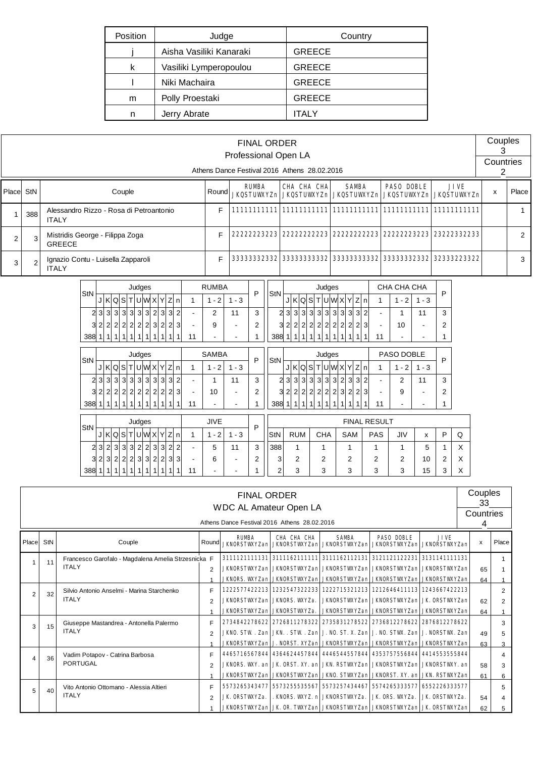| Position | Judge                   | Country       |
|----------|-------------------------|---------------|
|          | Aisha Vasiliki Kanaraki | <b>GREECE</b> |
| k        | Vasiliki Lymperopoulou  | <b>GREECE</b> |
|          | Niki Machaira           | <b>GREECE</b> |
| m        | Polly Proestaki         | <b>GREECE</b> |
| n        | Jerry Abrate            | <b>ITALY</b>  |

|        |                                                                                                  |                                                         |       | <b>FINAL ORDER</b><br>Professional Open LA |             |                                                                        |             |             | Couples<br>Countries |               |  |  |  |  |  |
|--------|--------------------------------------------------------------------------------------------------|---------------------------------------------------------|-------|--------------------------------------------|-------------|------------------------------------------------------------------------|-------------|-------------|----------------------|---------------|--|--|--|--|--|
|        | Athens Dance Festival 2016 Athens 28.02.2016<br><b>PASO DOBLE</b><br><b>JIVE</b><br><b>RUMBA</b> |                                                         |       |                                            |             |                                                                        |             |             |                      |               |  |  |  |  |  |
| Placel | StN                                                                                              | Couple                                                  | Round |                                            | CHA CHA CHA | <b>SAMBA</b><br>JKQSTUWYZn JKQSTUWYZn JKQSTUWYZn JKQSTUWYZn JKQSTUWYZn |             |             | x                    | Place         |  |  |  |  |  |
|        | 388                                                                                              | Alessandro Rizzo - Rosa di Petroantonio<br><b>ITALY</b> | Е     |                                            |             |                                                                        |             |             |                      |               |  |  |  |  |  |
|        | 3                                                                                                | Mistridis George - Filippa Zoga<br><b>GREECE</b>        |       | 22222223223                                | 22222222223 | 22222222223                                                            | 22222223223 | 23222332233 |                      | $\mathcal{P}$ |  |  |  |  |  |
| 3      | $\overline{2}$                                                                                   | Ignazio Contu - Luisella Zapparoli<br><b>ITALY</b>      |       | 33333332332                                | 33333333332 | 333333333332                                                           | 33333332332 | 32333223322 |                      | 3             |  |  |  |  |  |

|               |           |              |                |                |                |                | Judges         |                |                |                        |                |                | <b>RUMBA</b>             |                          | P              |                |   |                |                |                |                |                | Judges         |                |                |                |                |                          | CHA CHA CHA              |         |   |   |
|---------------|-----------|--------------|----------------|----------------|----------------|----------------|----------------|----------------|----------------|------------------------|----------------|----------------|--------------------------|--------------------------|----------------|----------------|---|----------------|----------------|----------------|----------------|----------------|----------------|----------------|----------------|----------------|----------------|--------------------------|--------------------------|---------|---|---|
| StN           |           |              |                |                |                |                |                |                |                | J K Q S T U W X Y Z    | n              | 1              | $1 - 2$                  | $1 - 3$                  |                | StN            | J |                | K Q S          |                | T              |                | U W X Y        |                |                | Z              | l n            | 1                        | $1 - 2$                  | $1 - 3$ | P |   |
| 2             |           | 3 3          |                | 3 3            | 3 <sup>1</sup> | 3 <sup>1</sup> | 3 <sup>1</sup> | $\overline{2}$ | 3              | 3                      | $\overline{2}$ | ۰              | 2                        | 11                       | 3              | $\overline{a}$ | 3 | 3              | 3              | 3              | 3              | 3              | 3              | 3              | 3              | 3              | $\overline{2}$ | ٠                        | 1                        | 11      | 3 |   |
|               | 32222     |              |                |                | $\overline{2}$ | $\overline{2}$ | $\overline{2}$ | $\overline{3}$ | $\overline{2}$ | 2                      | 3              | ÷              | 9                        | $\blacksquare$           | $\overline{2}$ | 3              | 2 | $\overline{2}$ | $\overline{2}$ | $\overline{2}$ | $\overline{2}$ | $\overline{2}$ | $\overline{2}$ | $\overline{2}$ | $\overline{2}$ | $\overline{2}$ | 3              | $\blacksquare$           | 10                       |         | 2 |   |
| 388           |           |              | 11             | 1              | 1              | 1              | 1              |                |                |                        |                | 11             | $\overline{\phantom{a}}$ | $\overline{\phantom{a}}$ | 1              | 388            |   | 1              | 1              | 1              | 1              | 1              | 1              | 1              | 1              | 1              |                | 11                       | ٠                        |         |   |   |
|               |           |              |                |                |                |                | Judges         |                |                |                        |                |                | <b>SAMBA</b>             |                          |                |                |   |                |                |                |                |                | Judges         |                |                |                |                |                          | PASO DOBLE               |         |   |   |
| StN           |           |              |                |                |                |                |                |                |                | J K Q S T U W X Y Z  n |                | 1              | $1 - 2$                  | $1 - 3$                  | P              | StN            | J |                | K Q S          |                | T              |                | UWXY           |                |                | Z              | l n            | 1                        | $1 - 2$                  | $1 - 3$ | P |   |
|               | 2 3 3 3 3 |              |                |                | 3 <sup>l</sup> | 3 <sup>l</sup> | $\overline{3}$ | $\overline{3}$ | $\overline{3}$ | $\vert$ 3              | 2              | $\blacksquare$ | 1                        | 11                       | 3              | 2              | 3 | 3              | 3              | 3              | 3              | 3              | 3              | $\overline{2}$ | 3              | 3              | $\overline{2}$ | $\overline{\phantom{0}}$ | 2                        | 11      | 3 |   |
| з             |           | 2 2          |                | 2 2            | $\overline{2}$ | $\overline{2}$ | $\overline{2}$ | $\overline{2}$ | $\overline{2}$ | $\overline{2}$         | 3              | ۰              | 10                       | $\overline{\phantom{0}}$ | $\overline{2}$ | 3              | 2 | $\overline{2}$ | $\overline{2}$ | $\overline{2}$ | $\overline{2}$ | $\overline{2}$ | $\overline{2}$ | 3              | $\overline{2}$ | $\overline{2}$ | 3              | ٠                        | 9                        |         | 2 |   |
| 388           |           | $\mathbf{1}$ | 1              | $\mathbf{1}$   | 1              | 1              | 1              | 1              | 1              | 1                      | 1              | 11             | ۰                        | $\overline{\phantom{a}}$ | 1              | 388            |   | $\mathbf{1}$   | 1              | 1              | 1              | 1              | 1              | 1              | 1              | 1              | 1              | 11                       | $\overline{\phantom{a}}$ |         |   |   |
|               |           |              |                |                |                |                | Judges         |                |                |                        |                |                | <b>JIVE</b>              |                          |                |                |   |                |                |                |                |                |                |                |                |                |                | <b>FINAL RESULT</b>      |                          |         |   |   |
| <b>StN</b>    |           |              |                |                |                |                |                |                |                | JKQSTUWXYZn            |                | 1              | $1 - 2$                  | $1 - 3$                  | P              | StN            |   |                | <b>RUM</b>     |                |                | <b>CHA</b>     |                |                | SAM            |                |                | PAS                      | JIV                      | X       | P | Q |
| 2             |           | 3 2 3        |                | 3 <sup>1</sup> | 3 <sup>l</sup> | $\overline{2}$ | $\overline{2}$ | 3 <sup>1</sup> | 3 <sup>1</sup> | $\overline{2}$         | $\overline{2}$ | ٠              | 5                        | 11                       | 3              | 388            |   | 1              |                |                |                | 1              |                |                | 1              |                |                | 1                        | 1                        | 5       | 1 | X |
| 3             |           | 2 3          | 2 <sup>1</sup> | $\overline{2}$ | $\overline{2}$ | 3              | $\overline{3}$ | $\overline{2}$ | $\overline{2}$ | $\overline{3}$         | 3              | ٠              | 6                        | $\blacksquare$           | $\overline{2}$ | 3              |   | $\overline{2}$ |                |                |                | $\mathfrak{p}$ |                |                | $\overline{2}$ |                |                | 2                        | $\mathfrak{p}$           | 10      | 2 | X |
| 388 1 1 1 1 1 |           |              |                |                | 1              | 1 <sup>1</sup> | 1              | $\mathbf{1}$   | 1              |                        |                | 11             | $\overline{\phantom{a}}$ | $\overline{\phantom{0}}$ | 1              | 2              |   | 3              |                |                |                | 3              |                |                | 3              |                |                | 3                        | 3                        | 15      | 3 | X |

|                |                                                                                                                                                                                                                                                                                                                           |                                                                                                         |                | <b>FINAL ORDER</b><br><b>WDC AL Amateur Open LA</b><br>Athens Dance Festival 2016 Athens 28.02.2016 |                                                                                       |                                                  |  |               | Couples<br>33<br>Countries |   |  |  |  |  |  |  |
|----------------|---------------------------------------------------------------------------------------------------------------------------------------------------------------------------------------------------------------------------------------------------------------------------------------------------------------------------|---------------------------------------------------------------------------------------------------------|----------------|-----------------------------------------------------------------------------------------------------|---------------------------------------------------------------------------------------|--------------------------------------------------|--|---------------|----------------------------|---|--|--|--|--|--|--|
| Place          | <b>SAMBA</b><br><b>PASO DOBLE</b><br><b>RUMBA</b><br>CHA CHA CHA<br><b>JIVE</b><br>StN<br>Couple<br>Round<br><b>JKNORSTWXYZan JKNORSTWXYZan JKNORSTWXYZan JKNORSTWXYZan JKNORSTWXYZan</b><br>3111121111131 3111162111111 3111162112131 3121121122231 3131141111131<br>Francesco Garofalo - Magdalena Amelia Strzesnicka F |                                                                                                         |                |                                                                                                     |                                                                                       |                                                  |  |               |                            |   |  |  |  |  |  |  |
|                | 11                                                                                                                                                                                                                                                                                                                        |                                                                                                         |                |                                                                                                     | 1                                                                                     |                                                  |  |               |                            |   |  |  |  |  |  |  |
|                |                                                                                                                                                                                                                                                                                                                           | <b>ITALY</b><br>JKNORSTWXYZan JKNORSTWXYZan JKNORSTWXYZan JKNORSTWXYZan JKNORSTWXYZan<br>$\mathfrak{p}$ |                |                                                                                                     |                                                                                       |                                                  |  |               |                            |   |  |  |  |  |  |  |
|                |                                                                                                                                                                                                                                                                                                                           |                                                                                                         |                |                                                                                                     | JKNORS. VKYZan JKNORSTVKYZan JKNORSTVKYZan JKNORSTVKYZan JKNORSTVKYZan                |                                                  |  |               | 64                         |   |  |  |  |  |  |  |
| $\overline{2}$ | 32                                                                                                                                                                                                                                                                                                                        | Silvio Antonio Anselmi - Marina Starchenko                                                              | F              |                                                                                                     | 1222577422213 1232547322233 1222715321213 1212646411113 1243667422213                 |                                                  |  |               |                            | 2 |  |  |  |  |  |  |
|                |                                                                                                                                                                                                                                                                                                                           | <b>ITALY</b>                                                                                            | $\overline{2}$ |                                                                                                     | <b>JKNORSTWXYZan JKNORS. WXYZa.</b>                                                   | <b>JKNORSTWYZan JKNORSTWYZan JK ORSTWYZan</b>    |  |               | 62                         | 2 |  |  |  |  |  |  |
|                |                                                                                                                                                                                                                                                                                                                           |                                                                                                         |                |                                                                                                     | <b>JKNORSTWYZan JKNORSTWYZa.</b>                                                      | JKNORSTWXYZan  JKNORSTWXYZan  JKNORSTWXYZan      |  |               | 64                         |   |  |  |  |  |  |  |
| 3              | 15                                                                                                                                                                                                                                                                                                                        | Giuseppe Mastandrea - Antonella Palermo                                                                 | F              |                                                                                                     | 2734842278622 2726811278322 2735831278522 2736812278622 2876812278622                 |                                                  |  |               |                            | 3 |  |  |  |  |  |  |
|                |                                                                                                                                                                                                                                                                                                                           | <b>ITALY</b>                                                                                            | $\mathcal{P}$  |                                                                                                     | JKNO, STW , Zan  JKN. , STW , Zan  J. NO, ST, X. Zan  J. NO, STW. Zan  J. NORSTW. Zan |                                                  |  |               | 49                         | 5 |  |  |  |  |  |  |
|                |                                                                                                                                                                                                                                                                                                                           |                                                                                                         |                |                                                                                                     | JKNORSTWYZan J. NORST, XYZan JKNORSTWYZan JKNORSTWYZan JKNORSTWYZan                   |                                                  |  |               | 63                         | 3 |  |  |  |  |  |  |
| 4              | 36                                                                                                                                                                                                                                                                                                                        | Vadim Potapov - Catrina Barbosa                                                                         | F              |                                                                                                     | 4465716567844 4364624457844 4446544557844 4353757556844 4414553555844                 |                                                  |  |               |                            | 4 |  |  |  |  |  |  |
|                |                                                                                                                                                                                                                                                                                                                           | <b>PORTUGAL</b>                                                                                         | $\overline{2}$ |                                                                                                     | <b>JKNORS. WXY. an JK. ORST. XY. an JKN. RSTWXYZan JKNORSTWXYZan JKNORSTWXY. an</b>   |                                                  |  |               | 58                         | 3 |  |  |  |  |  |  |
|                |                                                                                                                                                                                                                                                                                                                           |                                                                                                         |                |                                                                                                     | <b>JKNORSTWAYZan JKNORSTWAYZan JKNO. STWAYZan JKNORST. XY. an JKN. RSTWAYZan</b>      |                                                  |  |               | 61                         | 6 |  |  |  |  |  |  |
| 5              | 40                                                                                                                                                                                                                                                                                                                        | Vito Antonio Ottomano - Alessia Altieri                                                                 | F              |                                                                                                     | 5573265343477 5573255535567 5573257434467 5574265333577 6552226333577                 |                                                  |  |               |                            | 5 |  |  |  |  |  |  |
|                |                                                                                                                                                                                                                                                                                                                           | <b>ITALY</b>                                                                                            | $\mathfrak{p}$ | <b>JK ORSTWYZa.</b>                                                                                 |                                                                                       | . KNORS. VKYZ. n JKNORSTVKYZa.   JK. ORS. VKYZa. |  | JK ORSTVKYZa. | 54                         | 4 |  |  |  |  |  |  |
|                |                                                                                                                                                                                                                                                                                                                           |                                                                                                         |                |                                                                                                     | JKNORSTWYZan JK OR TWYZan JKNORSTWYZan JKNORSTWYZan JK ORSTWYZan                      |                                                  |  |               | 62                         | 5 |  |  |  |  |  |  |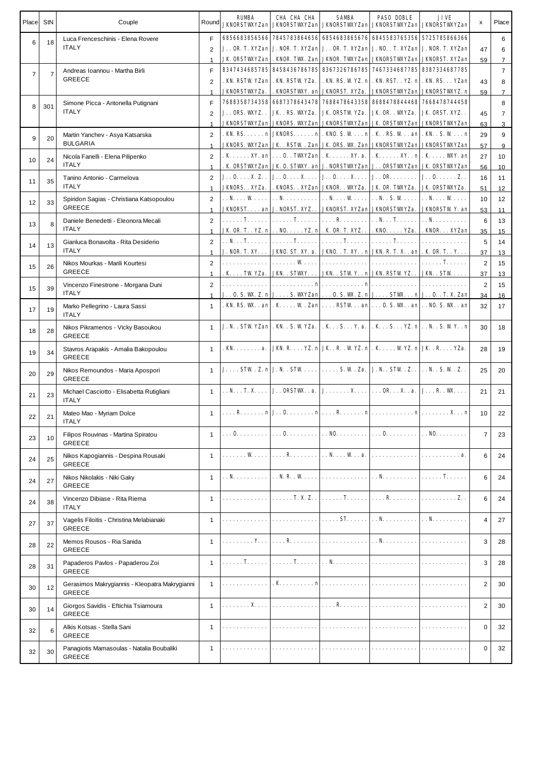| Place StN      |                | Couple                                                          | Round                          | <b>RUMBA</b>                             | CHA CHA CHA<br><b>JKNORSTWXYZan JKNORSTWXYZan JKNORSTWXYZan JKNORSTWXYZan JKNORSTWXYZan</b>                                                                                                                                                          | <b>SAMBA</b> | <b>PASO DOBLE</b>    | JIVE        | х              | Place               |
|----------------|----------------|-----------------------------------------------------------------|--------------------------------|------------------------------------------|------------------------------------------------------------------------------------------------------------------------------------------------------------------------------------------------------------------------------------------------------|--------------|----------------------|-------------|----------------|---------------------|
| 6              | 18             | Luca Frenceschinis - Elena Rovere                               | F.                             |                                          | 6856683856566  7845783864656  6854683865676  6845583765356  5725785866366                                                                                                                                                                            |              |                      |             |                | 6                   |
|                |                | <b>ITALY</b>                                                    | 2                              |                                          | J. . OR. T. XYZan J. NOR. T. XYZan J. . OR. T. XYZan J. NO. . T. XYZan J. NOR. T. XYZan                                                                                                                                                              |              |                      |             | 47             | 6                   |
|                |                |                                                                 | $\mathbf{1}$                   |                                          | <b>JK ORSTWYZan . KNOR, TWL. Zan JKNOR, TWYZan JKNORSTWYZan JKNORST. XYZan</b>                                                                                                                                                                       |              |                      |             | 59             | $\overline{7}$      |
| $\overline{7}$ | $\overline{7}$ | Andreas Ioannou - Martha Birli<br><b>GREECE</b>                 | F                              |                                          | 8347434685785 8458436786785 8367326786785 7467334687785 8387334687785<br>. KN. RSTW YZan   . KN. RSTW YZa.   . KN. RS. W YZ. n   . KN. RST. . YZ. n   . KN. RS. YZan                                                                                 |              |                      |             |                | $\overline{7}$      |
|                |                |                                                                 | 2<br>$\mathbf{1}$              |                                          | JKNORSTWYZa.   . KNORSTWY. an JKNORST. XYZa.   JKNORSTWYZAn   JKNORSTWYZ. n                                                                                                                                                                          |              |                      |             | 43<br>59       | 8<br>$\overline{7}$ |
|                |                | Simone Picca - Antonella Putignani                              | F                              |                                          | 7688358734358  6687378643478  7688478643358  8688478844468  7668478744458                                                                                                                                                                            |              |                      |             |                | 8                   |
| 8              | 301            | <b>ITALY</b>                                                    | 2                              |                                          | J. . ORS. VKYZ. .   JK. . RS. VKYZa.   JK. ORSTW YZa.   JK. OR. . VKYZa.   JK. ORST. XYZ. .                                                                                                                                                          |              |                      |             | 45             | 7                   |
|                |                |                                                                 | $\mathbf{1}$                   |                                          | JKNORSTVKYZan JKNORS. VKYZan JKNORSTVKYZan JK. ORSTVKYZan JKNORSTVKYZan                                                                                                                                                                              |              |                      |             | 63             | 3                   |
| 9              | 20             | Martin Yanchev - Asya Katsarska                                 | $\overline{2}$                 |                                          | . KN. RS. n  JKNORS. n  . KNO. S. W n  . K . RS. W an  . KN. . S. W n                                                                                                                                                                                |              |                      |             | 29             | 9                   |
|                |                | <b>BULGARIA</b>                                                 | $\mathbf{1}$                   |                                          | JKNORS. VKYZan  JK . RSTW . Zan  JK. ORS. VK. Zan  JKNORSTVKYZan  JKNORSTVKYZan                                                                                                                                                                      |              |                      |             | 57             | 9                   |
| 10             | 24             | Nicola Fanelli - Elena Pilipenko                                | 2                              |                                          | . K XY. an 0. . TWYZan . K XY. a.   . K XY. . n . K WY. an                                                                                                                                                                                           |              |                      |             | 27             | 10                  |
|                |                | <b>ITALY</b>                                                    | $\mathbf{1}$                   |                                          | . K. ORSTVKYZan J.K. O. STVKY. an J. NORSTVKYZan J. . ORSTVKYZan J.K. ORSTVKYZan                                                                                                                                                                     |              |                      |             | 56             | 10                  |
| 11             | 35             | Tanino Antonio - Carmelova<br><b>ITALY</b>                      | $\overline{2}$<br>$\mathbf{1}$ |                                          | $J_{1} \cdot 0 \ldots X Z_{n}$ . $J_{1} \cdot 0 \ldots X \ldots J_{n} \cdot 0 \ldots X \ldots J_{n} \cdot 0 R \ldots \ldots I J_{n} \cdot 0 \ldots Z_{n}$<br>JKNORS. . XYZa.   . KNORS. . XYZan   JKNOR. . VKYZa.   JK. OR. TVKYZa.   JK. ORSTVKYZa. |              |                      |             | 16             | 11                  |
|                |                | Spiridon Sagias - Christiana Katsopoulou                        | 2                              |                                          | . . N. W. $  \dots N$ . N. W.   N. . S. W.   N. W.                                                                                                                                                                                                   |              |                      |             | 51<br>10       | 12<br>12            |
| 12             | 33             | <b>GREECE</b>                                                   | $\mathbf{1}$                   |                                          | JKNORST. an J. NORST. XYZ. .   JKNORST. XYZan JKNORSTWXYZa.   JKNORSTWY. an                                                                                                                                                                          |              |                      |             | 53             | 11                  |
|                |                | Daniele Benedetti - Eleonora Mecali                             | $\overline{2}$                 |                                          |                                                                                                                                                                                                                                                      |              |                      | . . N.      | 6              | 13                  |
| 13             | 8              | <b>ITALY</b>                                                    | $\mathbf{1}$                   |                                          | JK OR. T. . YZ. n   NO. YZ. n   . K. OR. T. XYZ. .   . KNO. YZa.   . KNOR XYZan                                                                                                                                                                      |              |                      |             | 35             | 15                  |
| 14             | 13             | Gianluca Bonavolta - Rita Desiderio                             | $\overline{2}$                 |                                          | $\ldots$ N $\ldots$ T $\ldots$ $\ldots$ $\ldots$ T $\ldots$ $\ldots$ $\ldots$ $\ldots$ T $\ldots$ $\ldots$ $\ldots$ $\ldots$ $\ldots$ $\ldots$                                                                                                       |              |                      |             | 5              | 14                  |
|                |                | <b>ITALY</b>                                                    | $\mathbf{1}$                   |                                          | <b>J. NOR. T. XY.   JKNO. ST. XY. a.   JKNO. . T. XY. . n  JKN. R. T. X. . an  . K. OR. T. . Y.</b>                                                                                                                                                  |              |                      |             | 37             | 13                  |
| 15             | 26             | Nikos Mourkas - Marili Kourtesi                                 | $\overline{2}$                 |                                          |                                                                                                                                                                                                                                                      |              |                      |             | 2              | 15                  |
|                |                | <b>GREECE</b>                                                   | $\mathbf{1}$                   |                                          | . K TW YZa.   JKN. . STWXY.   JKN. . STW Y. . n  JKN. RSTW YZ. .   JKN. . STW                                                                                                                                                                        |              |                      |             | 37             | 13                  |
| 15             | 39             | Vincenzo Finestrone - Morgana Duni<br><b>ITALY</b>              | $\overline{2}$                 |                                          |                                                                                                                                                                                                                                                      |              |                      |             | 2              | 15                  |
|                |                |                                                                 | $\mathbf{1}$<br>$\mathbf{1}$   |                                          | J. . O. S. W. Z. n J. S. WAYZan O. S. W. Z. n J. STW. n J. . O. . T. X. Zan<br>. KN. RS. WK. . an   . K. W. Zan   RSTW. . an   O. S. WK. . an   NO. S. WK. . an                                                                                      |              |                      |             | 34<br>32       | 16<br>17            |
| 17             | 19             | Marko Pellegrino - Laura Sassi<br><b>ITALY</b>                  |                                |                                          |                                                                                                                                                                                                                                                      |              |                      |             |                |                     |
| 18             | 28             | Nikos Pikramenos - Vicky Basoukou<br><b>GREECE</b>              | $\mathbf{1}$                   |                                          | J. N. . STW YZan  . KN. . S. W YZa.   . K. . S. Y. a.   . K. . S. YZ. n  N. . S. W Y. . n                                                                                                                                                            |              |                      |             | 30             | 18                  |
| 19             | 34             | Stavros Arapakis - Amalia Bakopoulou<br><b>GREECE</b>           | $\mathbf{1}$                   |                                          | . KN. a. JKN. R. YZ. n JK. R. . WYZ. n . K. WYZ. n JK. R YZa.                                                                                                                                                                                        |              |                      |             | 28             | 19                  |
| 20             | 29             | Nikos Remoundos - Maria Apospori<br><b>GREECE</b>               | $\mathbf{1}$                   |                                          | $J_{\cdot} \ldots$ STW. Z. n $J_{\cdot} \ldots$ STW. $\ldots$ . $\ldots$ S. W. Za. $J_{\cdot} \ldots$ STW. Z. $\ldots$ N. . S. W. Z. .                                                                                                               |              |                      |             | 25             | 20                  |
| 21             | 23             | Michael Casciotto - Elisabetta Rutigliani<br><b>ITALY</b>       | $\mathbf{1}$                   |                                          | $\vert \ldots \mathbb{N} \ldots \mathbb{I}.$ $\mathbb{X} \ldots \vert$ J. $\ldots$ ORSTWL. $a. \vert J \ldots \mathbb{N} \ldots \mathbb{N} \ldots \mathbb{N}$ . $\ldots$ $\mathbb{N} \ldots \mathbb{N}$ . $\ldots$                                   |              |                      |             | 21             | 21                  |
| 22             | 21             | Mateo Mao - Myriam Dolce<br><b>ITALY</b>                        | 1                              |                                          | $\left  \ldots \mathbf{R} \ldots \ldots \mathbf{n} \right $ J. $\mathbf{0} \ldots \ldots \mathbf{n} \ldots \mathbf{R} \ldots \mathbf{n} \ldots \mathbf{n} \ldots \ldots \mathbf{n} \ldots \mathbf{n}$                                                |              |                      |             | 10             | 22                  |
| 23             | 10             | Filipos Rouvinas - Martina Spiratou<br><b>GREECE</b>            | $\mathbf{1}$                   |                                          |                                                                                                                                                                                                                                                      |              |                      |             | $\overline{7}$ | 23                  |
| 24             | 25             | Nikos Kapogiannis - Despina Rousaki<br><b>GREECE</b>            | $\mathbf{1}$                   |                                          | . W. $  \ldots R$                                                                                                                                                                                                                                    |              | $$ N. $$ W. . a. $ $ | . <b>a.</b> | 6              | 24                  |
| 24             | 27             | Nikos Nikolakis - Niki Gaky<br><b>GREECE</b>                    | $\mathbf{1}$                   |                                          | $\ldots$ N. $\vert \ldots$ N. R. W.                                                                                                                                                                                                                  | .            |                      |             | 6              | 24                  |
| 24             | 38             | Vincenzo Dibiase - Rita Riema<br><b>ITALY</b>                   | $\mathbf{1}$                   | .                                        | $\ldots$ . T. X. Z. .                                                                                                                                                                                                                                |              |                      |             | 6              | 24                  |
| 27             | 37             | Vagelis Filoitis - Christina Melabianaki<br><b>GREECE</b>       | $\mathbf{1}$                   |                                          | .                                                                                                                                                                                                                                                    |              |                      |             | 4              | 27                  |
| 28             | 22             | Memos Rousos - Ria Sanida<br><b>GREECE</b>                      | $\mathbf{1}$                   | $  \dots \dots \dots Y$                  | <b>R</b>                                                                                                                                                                                                                                             | .            | $\ldots$ N. $\vert$  |             | 3              | 28                  |
| 28             | 31             | Papaderos Pavlos - Papaderou Zoi<br><b>GREECE</b>               | $\mathbf{1}$                   | $  \dots \dots \textbf{T} \dots \dots  $ | . T.                                                                                                                                                                                                                                                 |              |                      | . <b>.</b>  | 3              | 28                  |
| 30             | 12             | Gerasimos Makrygiannis - Kleopatra Makrygianni<br><b>GREECE</b> | $\mathbf{1}$                   |                                          |                                                                                                                                                                                                                                                      | . <b>K n</b> | .                    |             | 2              | 30                  |
| 30             | 14             | Giorgos Savidis - Eftichia Tsiamoura<br><b>GREECE</b>           | $\mathbf{1}$                   | . <b>X</b> .                             | .                                                                                                                                                                                                                                                    |              |                      |             | 2              | 30                  |
| 32             | 6              | Alkis Kotsas - Stella Sani<br><b>GREECE</b>                     | $\mathbf{1}$                   |                                          |                                                                                                                                                                                                                                                      | .            | .                    |             | 0              | 32                  |
| 32             | 30             | Panagiotis Mamasoulas - Natalia Boubaliki<br><b>GREECE</b>      | $\mathbf{1}$                   |                                          |                                                                                                                                                                                                                                                      |              |                      |             | 0              | 32                  |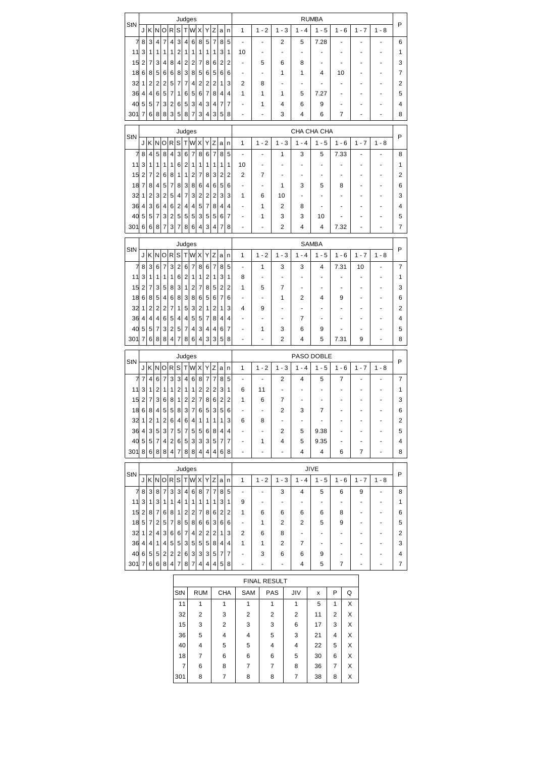|             |                   |                |                         |                         |                              |                |                              | Judges                    |                           |                 |                |                         |              |                                |                |                          |                     | <b>RUMBA</b>           |                |        |                |         |                |
|-------------|-------------------|----------------|-------------------------|-------------------------|------------------------------|----------------|------------------------------|---------------------------|---------------------------|-----------------|----------------|-------------------------|--------------|--------------------------------|----------------|--------------------------|---------------------|------------------------|----------------|--------|----------------|---------|----------------|
| StN         | J                 | K              | N                       | O                       | R                            | S              | т                            | W                         | X                         | Υ               | Ζ              | a                       | n            | 1                              | $1 - 2$        | $1 - 3$                  | $1 - 4$             | $1 - 5$                | $1 - 6$        |        | $1 - 7$        | $1 - 8$ | P              |
| 7           | 8                 | 3              | $\overline{4}$          | 7                       | $\overline{4}$               | 3              | 4                            | 6                         | 8                         | 5               | $\overline{7}$ | 8                       | 5            | $\ddot{\phantom{0}}$           |                | 2                        | 5                   | 7.28                   |                |        |                |         | 6              |
| 11          | 3                 | 1              | 1                       | 1                       | 1                            | $\overline{2}$ | 1                            | 1                         | 1                         | 1               | 1              | 3                       | 1            | 10                             |                | $\overline{\phantom{a}}$ | ٠                   |                        |                |        |                |         | 1              |
| 15          | $\overline{2}$    | 7              | 3                       | 4                       | 8                            | $\overline{4}$ | $\overline{\mathbf{c}}$      | 2                         | 7                         | 8               | 6              | 2                       | 2            | ä,                             | 5              | 6                        | 8                   |                        |                |        |                |         | 3              |
| 186         |                   | 8              | 5                       | 6                       | 6                            | 8              | 3                            | 8                         | 5                         | 6               | 5              | 6                       | 6            |                                |                | 1                        | 1                   | 4                      | 10             |        |                |         | 7              |
| $32$ 1      |                   | $\overline{2}$ | $\overline{2}$          | $\overline{\mathbf{c}}$ | 5                            | 7              | 7                            | 4                         | $\mathbf{2}$              | 2               | $\overline{2}$ | 1                       | 3            | 2                              | 8              | ٠                        | ٠                   |                        | ä,             |        | ÷              |         | 2              |
| 36 4        |                   | 4              | 6                       | 5                       | 7                            | 1              | 6                            | 5                         | 6                         | $\overline{7}$  | 8              | 4                       | 4            | 1                              | 1              | 1                        | 5                   | 7.27                   | ä,             |        |                |         | 5              |
| $40\vert 5$ |                   | 5              | $\overline{7}$          | 3                       | $\overline{\mathbf{c}}$      | 6              | 5                            | 3                         | 4                         | 3               | 4              | 7                       | 7            |                                | 1              | 4                        | 6                   | 9                      |                |        |                |         | 4              |
| 301         | 7                 | 6              | 8                       | 8                       | 3                            | 5              | 8                            | $\overline{7}$            | 3                         | 4               | 3              | 5                       | 8            |                                |                | 3                        | 4                   | 6                      | 7              |        |                |         | 8              |
|             |                   |                |                         |                         |                              |                |                              | Judges                    |                           |                 |                |                         |              |                                |                |                          |                     | CHA CHA CHA            |                |        |                |         |                |
| StN         |                   | J K N          |                         | O R                     |                              | S              | Т                            | W                         | X                         | Y               | Ζ              | a                       | $\mathsf{n}$ | 1                              | $1 - 2$        | $1 - 3$                  | $1 - 4$             | $1 - 5$                | $1 - 6$        |        | $1 - 7$        | $1 - 8$ | P              |
| 7           | 8                 | $\overline{4}$ | 5                       | 8                       | $\overline{4}$               | 3              |                              | $\overline{7}$            | 8                         | 6               | $\overline{7}$ | 8                       |              | $\overline{a}$                 | ä,             | 1                        | 3                   |                        | 7.33           |        | ä,             |         | 8              |
| 11          | 3                 | 1              | 1                       | 1                       | 1                            | 6              | 6<br>$\overline{\mathbf{c}}$ | 1                         | 1                         | 1               | 1              | 1                       | 5<br>1       | 10                             |                |                          |                     | 5                      |                |        |                |         | 1              |
| 15 2        |                   | 7              | $\overline{2}$          | 6                       | 8                            | 1              | 1                            | $\overline{2}$            | 7                         | 8               | 3              | $\overline{\mathbf{c}}$ | 2            | 2                              | 7              | ٠                        | ٠                   | ٠                      | ä,             |        | ÷              |         | 2              |
| $18$ 7      |                   | 8              | 4                       | 5                       | 7                            | 8              | 3                            | 8                         | 6                         | $\vert 4 \vert$ | 6              | 5                       | 6            | ٠                              | ٠              | 1                        | 3                   | 5                      | 8              |        | ٠              |         | 6              |
| $32$ 1      |                   | $\overline{c}$ | 3                       | $\overline{2}$          | 5                            | 4              | 7                            | 3                         | $\overline{\mathbf{c}}$   | $\mathbf{2}$    | $\overline{c}$ | 3                       | 3            | 1                              | 6              | 10                       |                     |                        |                |        |                |         | 3              |
| 36 4        |                   | 3              | 6                       | 4                       | 6                            | $\overline{2}$ | 4                            | 4                         | 5                         | $\overline{7}$  | 8              | 4                       | 4            | $\blacksquare$                 | 1              | 2                        | 8                   | ä,                     | ä,             |        |                |         | 4              |
| 40          | 5                 | 5              | $\overline{7}$          | 3                       | 2                            | 5              | 5                            | 5                         | 3                         | 5               | 5              | 6                       | 7            | ٠                              | 1              | 3                        | 3                   | 10                     |                |        |                |         | 5              |
| 301         | 6                 | 6              | 8                       | $\overline{7}$          | 3                            | 7              | 8                            | 6                         | 4                         | $\mathbf{3}$    | 4              | 7                       | 8            |                                | ÷,             | 2                        | 4                   | 4                      | 7.32           |        |                |         | 7              |
|             |                   |                |                         |                         |                              |                |                              |                           |                           |                 |                |                         |              |                                |                |                          |                     |                        |                |        |                |         |                |
| StN         |                   |                |                         |                         |                              |                |                              | Judges                    |                           |                 |                |                         |              |                                |                |                          |                     | <b>SAMBA</b>           |                |        |                |         | P              |
|             | J                 | K N O          |                         |                         | $\mathsf R$                  | S              | Τ                            | W X Y                     |                           |                 | Z              | a                       | n            | 1                              | $1 - 2$        | $1 - 3$                  | $1 - 4$             | $1 - 5$                | $1 - 6$        |        | $1 - 7$        | $1 - 8$ |                |
| 7           | 8                 | 3              | 6                       | $\overline{7}$          | 3                            | $\overline{2}$ | 6                            | $\overline{7}$            | 8                         | 6               | 7              | 8                       | 5            | $\blacksquare$                 | 1              | 3                        | 3                   | 4                      | 7.31           |        | 10             |         | 7              |
| 11          | 3                 | 1              | 1                       | 1                       | 1                            | 6              | $\overline{\mathbf{c}}$      | 1                         | 1                         | $\mathbf{2}$    | 1              | 3                       | 1            | 8                              |                |                          | ٠                   |                        |                |        |                |         | 1              |
| $15$ 2      |                   | 7              | 3                       | 5                       | 8                            | 3              | 1                            | $\overline{2}$            | 7                         | 8 <sup>2</sup>  | 5              | 2                       | 2            | 1                              | 5              | $\overline{7}$           |                     |                        |                |        |                |         | 3              |
| 18 6        |                   | 8              | 5                       | 4                       | 6                            | 8              | 3                            | 8                         | 6                         | 5               | 6              | $\overline{7}$          | 6            |                                |                | 1                        | 2                   | 4                      | 9              |        |                |         | 6              |
| $32$ 1      |                   | 2              | $\overline{\mathbf{c}}$ | $\overline{2}$          | 7                            | 1              | 5                            | 3                         | 2                         | 1               | 2              | 1                       | 3            | 4                              | 9              |                          |                     |                        |                |        |                |         | 2              |
| 36 4        |                   | 4              | 4                       | 6                       | 5                            | 4              | 4                            | 5                         | 5                         | 7               | 8              | 4                       | 4            |                                |                | $\overline{\phantom{a}}$ | 7                   |                        |                |        |                |         | 4              |
| 40          | 5                 | 5              | $\overline{7}$          | 3                       | 2                            | 5              | 7                            | 4                         | 3                         | 4               | 4              | 6                       | 7            | $\blacksquare$                 | 1              | 3                        | 6                   | 9                      |                |        |                |         | 5              |
| 301         | 7                 | 6              | 8                       | 8                       | 4                            | 7              | 8                            | 6                         | 4                         | 3 <sup>2</sup>  | 3              | 5                       | 8            | ٠                              | ٠              | 2                        | 4                   | 5                      | 7.31           |        | 9              | ä,      | 8              |
|             |                   |                |                         |                         |                              |                |                              | Judges                    |                           |                 |                |                         |              |                                |                |                          |                     |                        |                |        |                |         |                |
|             |                   |                |                         |                         |                              |                |                              |                           |                           |                 |                |                         |              |                                |                |                          |                     |                        |                |        |                |         |                |
| StN         |                   |                |                         |                         |                              |                |                              |                           |                           |                 |                |                         |              |                                |                |                          |                     | PASO DOBLE             |                |        |                |         | P              |
|             | J                 | K N            |                         | O                       | R                            | S              | Τ                            | W                         | Χ                         | Υ               | Ζ              | a                       | n            | 1                              | $1 - 2$        | $1 - 3$                  | $1 - 4$             | $1 - 5$                | $1 - 6$        |        | $1 - 7$        | $1 - 8$ |                |
| 7           | $\overline{7}$    | 4              | 6                       | $\overline{7}$          | 3                            | 3              | 4                            | 6                         | 8                         | $\overline{7}$  | $\overline{7}$ | 8                       | 5            | $\qquad \qquad \blacksquare$   |                | 2                        | 4                   | 5                      | 7<br>ä,        |        |                |         | 7              |
| 11          | 3                 | 1              | $\overline{2}$          | 1                       | 1                            | 2              | 1                            | 1                         | 2                         | 2               | 2              | 3                       | 1            | 6                              | 11             | ÷,                       |                     |                        | ä,             |        |                |         | 1              |
| 15          | $\overline{2}$    | 7              | 3                       | 6                       | 8                            | 1              | 2                            | 2                         | 7                         | 8               | 6              | 2                       | 2            | 1                              | 6<br>÷,        | 7                        |                     | 7                      |                |        |                |         | 3              |
| 18          | 6                 | 8              | 4                       | 5                       | 5                            | 8<br>4         | 3                            | $\overline{7}$<br>4       | 6                         | 5               | 3              | 5<br>1                  | 6            | 6                              |                | 2                        | 3<br>٠              | $\blacksquare$         |                |        |                |         | 6              |
| 32 1        | 4                 | 2              | $\mathbf{1}$<br>5       | $\mathbf{2}$<br>3       | 6<br>7                       |                | 6<br>7                       |                           | 1                         | 1               | 1              | 4                       | 3<br>4       |                                | 8              | 2                        |                     |                        |                |        |                |         | 2              |
| 36          |                   | 3              |                         | 4                       |                              | 5              |                              | 5 <sup>5</sup>            | 5 <sup>5</sup>            |                 | 6 8            | 7                       |              | $\frac{1}{2}$                  | 1              | 4                        | 5<br>5              | 9.38                   | ٠              |        |                |         | 5<br>4         |
| 301 8       | 40 5              |                | 5 7<br>6 8              | 8                       | $\overline{\mathbf{c}}$<br>4 | 6<br>7         | 5<br>8                       | 3<br>8 <sup>1</sup>       | 3 <sup>2</sup><br>$\vert$ | 4 <sup>1</sup>  | 3 5<br>4       | 6                       | 7<br>8       | $\frac{1}{2}$                  |                | ÷.                       | $\overline{4}$      | 9.35<br>$\overline{4}$ | 6              |        | $\overline{7}$ | -       | 8              |
|             |                   |                |                         |                         |                              |                |                              |                           |                           |                 |                |                         |              |                                |                |                          |                     |                        |                |        |                |         |                |
| StN         |                   |                |                         |                         |                              |                |                              | Judges                    |                           |                 |                |                         |              |                                |                |                          |                     | JIVE                   |                |        |                |         | P              |
|             |                   |                |                         |                         |                              |                |                              | J K N O R S T W X Y Z a n |                           |                 |                |                         |              | 1                              | $1 - 2$        | $1 - 3$                  | $1 - 4$             | $1 - 5$                | $1 - 6$        |        | $1 - 7$        | $1 - 8$ |                |
|             | 7 8 3             |                | 8 <sup>1</sup>          | $\overline{7}$          | 3                            | 3              | $\overline{4}$               | 6                         | 8 <sup>2</sup>            |                 | 7 7            |                         | 8 5          | $\blacksquare$                 | ÷,             | 3                        | 4                   | 5                      | 6              |        | 9              |         | 8              |
|             | 11 3              | 1              | 3                       | $\overline{1}$          | 1                            | 4              | 1                            | 1                         | 1                         | 1               | 1              | 3 1                     |              | 9                              | $\blacksquare$ |                          | ۰                   |                        | $\frac{1}{2}$  |        |                |         | 1              |
|             | $15$ 2 8 7 6      |                |                         |                         | 8                            | 1              | $\overline{\mathbf{c}}$      | $\mathbf{2}$              | 7                         |                 | 8 6 2 2        |                         |              | 1                              | 6              | 6                        | 6                   | 6                      | 8              |        |                |         | 6              |
|             | $18\vert 5 \vert$ | 7              | $\vert$ 2               | 5                       | 7                            | 8              | 5                            | 8                         | 6                         |                 | 6 3 6          |                         | 6            | ۰                              | 1              | 2                        | 2                   | 5                      | 9              |        |                |         | 5              |
| 32 1        |                   |                | 2 4                     | 3                       | 6                            | 6              | $\overline{7}$               | $\vert 4 \vert$           | 2                         |                 | 2 2            | $\mathbf{1}$            | 3            | 2                              | 6              | 8                        | ٠                   |                        |                |        |                |         | 2              |
|             | 36   4   4   1    |                |                         | $\overline{4}$          | 5                            | 5              | 3                            | 5 <sup>5</sup>            | 5 <sup>2</sup>            |                 | 5 8            | $\overline{4}$          | 4            | 1                              | 1              | 2                        | 7                   |                        |                |        |                |         | 3              |
|             | 40 6 5 5          |                |                         | $\overline{2}$          | $\overline{\mathbf{c}}$      | 2              | 6                            | $\lvert 3 \rvert$         | 3 <sup>2</sup>            |                 | 3 5            | 7                       | 7            |                                | 3              | 6                        | 6                   | 9                      |                |        |                |         | 4              |
| 301 7       |                   |                | 6 6                     | 8                       | 4                            | 7              | 8                            | 7                         | $\vert$                   | $\vert$         | 4              | 5                       | 8            |                                |                |                          | 4                   | 5                      | $\overline{7}$ |        |                |         | $\overline{7}$ |
|             |                   |                |                         |                         |                              |                |                              |                           |                           |                 |                |                         |              |                                |                |                          |                     |                        |                |        |                |         |                |
|             |                   |                |                         |                         |                              | StN            |                              |                           | <b>RUM</b>                |                 |                |                         | <b>CHA</b>   | SAM                            | FINAL RESULT   | PAS                      | JIV                 | x                      | P              | Q      |                |         |                |
|             |                   |                |                         |                         |                              |                |                              |                           |                           |                 |                |                         |              |                                |                |                          |                     |                        |                |        |                |         |                |
|             |                   |                |                         |                         |                              | 11             |                              |                           | 1<br>2                    |                 |                |                         | $\mathbf{1}$ | $\mathbf{1}$<br>$\overline{2}$ |                | $\mathbf{1}$             | $\mathbf{1}$        | 5                      | 1<br>2         | Χ      |                |         |                |
|             |                   |                |                         |                         |                              |                | 32<br>15                     |                           | 3                         |                 |                | 3<br>2                  |              | 3                              |                | $\overline{c}$<br>3      | $\overline{c}$<br>6 | 11<br>17               | 3              | Χ<br>Χ |                |         |                |
|             |                   |                |                         |                         |                              |                | 36                           |                           | 5                         |                 |                | 4                       |              | 4                              |                | 5                        | 3                   | 21                     | 4              | Χ      |                |         |                |
|             |                   |                |                         |                         |                              |                | 40                           |                           | 4                         |                 |                | 5                       |              | 5                              |                | 4                        | 4                   | 22                     | 5              | Χ      |                |         |                |
|             |                   |                |                         |                         |                              |                | 18                           |                           | $\overline{7}$            |                 |                | 6                       |              | 6                              |                | 6                        | 5                   | 30                     | 6              | X      |                |         |                |
|             |                   |                |                         |                         |                              |                | $\overline{7}$               |                           | 6                         |                 |                | 8                       |              | 7                              |                | 7                        | 8                   | 36                     | 7              | X      |                |         |                |
|             |                   |                |                         |                         |                              | 301            |                              |                           | 8                         |                 |                | 7                       |              | 8                              |                | 8                        | $\overline{7}$      | 38                     | 8              | X      |                |         |                |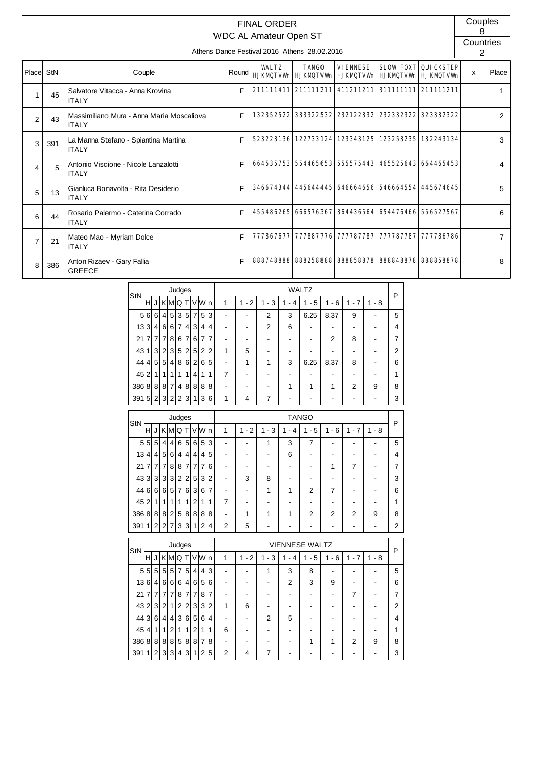|                |     |                                                           |       | <b>FINAL ORDER</b><br><b>WDC AL Amateur Open ST</b> |                                                         |                 |                               |           | Couples        |                |
|----------------|-----|-----------------------------------------------------------|-------|-----------------------------------------------------|---------------------------------------------------------|-----------------|-------------------------------|-----------|----------------|----------------|
|                |     |                                                           |       |                                                     | Athens Dance Festival 2016 Athens 28,02,2016            |                 |                               |           | Countries<br>2 |                |
| Place StN      |     | Couple                                                    | Round | <b>WALTZ</b>                                        | <b>TANGO</b><br>HJKMQTVVM HJKMQTVVM HJKMQTVVM HJKMQTVVM | <b>VIENNESE</b> | <b>SLOW FOXT QUICKSTEP</b>    |           | x              | Place          |
| $\mathbf{1}$   | 45  | Salvatore Vitacca - Anna Krovina<br><b>ITAIY</b>          | F     |                                                     | 211111411 211111211 411211211 311111111 211111211       |                 |                               |           |                | $\mathbf{1}$   |
| 2              | 43  | Massimiliano Mura - Anna Maria Moscaliova<br><b>ITALY</b> | F     |                                                     | 132352522 333322532 232122332 2323323232                |                 |                               | 323332322 |                | 2              |
| 3              | 391 | La Manna Stefano - Spiantina Martina<br><b>ITALY</b>      | F     |                                                     | 523223136 122733124 123343125 123253235 132243134       |                 |                               |           |                | 3              |
| 4              | 5   | Antonio Viscione - Nicole Lanzalotti<br><b>ITALY</b>      | F     |                                                     | 664535753 554465653 555575443 465525643 664465453       |                 |                               |           |                | 4              |
| 5              | 13  | Gianluca Bonavolta - Rita Desiderio<br><b>ITALY</b>       | F     |                                                     | 346674344 445644445 646664656 546664554 445674645       |                 |                               |           |                | 5              |
| 6              | 44  | Rosario Palermo - Caterina Corrado<br><b>ITALY</b>        | F     |                                                     | 455486265 666576367 364436564 654476466 556527567       |                 |                               |           |                | 6              |
| $\overline{7}$ | 21  | Mateo Mao - Myriam Dolce<br><b>ITALY</b>                  | F     |                                                     | 777867677 777887776 777787787 777787787                 |                 |                               | 777786786 |                | $\overline{7}$ |
| 8              | 386 | Anton Rizaev - Gary Fallia<br><b>GREECE</b>               | F     |                                                     | 888748888 888258888                                     |                 | 888858878 888848878 888858878 |           |                | 8              |

| StN |                |                |                |                | Judges         |                |                |                 |   |   |                                       |           |          | <b>WALTZ</b>                       |                                    |                          |         | Р |
|-----|----------------|----------------|----------------|----------------|----------------|----------------|----------------|-----------------|---|---|---------------------------------------|-----------|----------|------------------------------------|------------------------------------|--------------------------|---------|---|
|     | H              | J              |                | <b>KMQ</b>     |                | т              |                | VW <sub>n</sub> |   | 1 | $\overline{2}$<br>1<br>$\blacksquare$ | $-3$<br>1 | 1<br>- 4 | 5<br>1<br>$\overline{\phantom{a}}$ | 6<br>1<br>$\overline{\phantom{a}}$ | 1<br>7<br>$\blacksquare$ | $1 - 8$ |   |
| 5   | 6              | 6 <sup>1</sup> | 4 <sup>1</sup> |                | 5 3            | 5              | $\overline{7}$ | 5               | 3 |   |                                       | 2         | 3        | 6.25                               | 8.37                               | 9                        |         | 5 |
| 13  | 3              | 4              | 6              | 6              | $\overline{7}$ | 4              | 3              | 4               | 4 | - | ۰                                     | 2         | 6        |                                    |                                    |                          |         | 4 |
| 21  | $\overline{7}$ | 7 <sub>1</sub> | 7 <sup>1</sup> | 8              | 6              | 7              | 6              | 7               | 7 |   |                                       |           |          |                                    | 2                                  | 8                        |         | 7 |
| 43  | 1              | 3 <sub>l</sub> | $\overline{2}$ | 3              | 5              | $\overline{2}$ | 5              | $\overline{2}$  | 2 | 1 | 5                                     |           |          |                                    |                                    |                          |         | 2 |
| 44  | 4              | 5              | 5 <sup>1</sup> | $\overline{4}$ | 8              | 6              | 2              | 6               | 5 | - | 1                                     | 1         | 3        | 6.25                               | 8.37                               | 8                        |         | 6 |
| 45  | 2              | $\mathbf{1}$   | 1 <sub>1</sub> | 1              | 1              | 1              | 4              | 1               | 1 | 7 |                                       |           |          |                                    |                                    |                          |         | 1 |
| 386 | 8 <sup>1</sup> | 8 <sup>1</sup> | 8              | $\overline{7}$ | 4              | 8              | 8 <sup>1</sup> | 8 <sup>1</sup>  | 8 | - |                                       |           | 1        | 4                                  |                                    | $\overline{2}$           | 9       | 8 |
| 391 | 5              | $\overline{2}$ | 3              | 2              | $\overline{2}$ | 3              | 1              | 3               | 6 | 1 | 4                                     | 7         |          |                                    |                                    |                          |         | 3 |
|     |                |                |                |                |                |                |                |                 |   |   |                                       |           |          |                                    |                                    |                          |         |   |

|     |                |                |                | Judges        |                |                |                |                |   |   |           |          |                               | <b>TANGO</b>                       |                          |                                               |         |                |
|-----|----------------|----------------|----------------|---------------|----------------|----------------|----------------|----------------|---|---|-----------|----------|-------------------------------|------------------------------------|--------------------------|-----------------------------------------------|---------|----------------|
| StN | н              | J              |                | KMQT          |                |                |                | VW             | n | 1 | $-2$<br>1 | - 3<br>1 | 4<br>$\overline{\phantom{a}}$ | 5<br>1<br>$\overline{\phantom{a}}$ | 6<br>1<br>$\blacksquare$ | $\mathbf{1}$<br>7<br>$\overline{\phantom{a}}$ | $1 - 8$ | P              |
| 5   | 5              | 5              | 4              | $\frac{4}{ }$ | 6 <sup>1</sup> | 5 <sup>1</sup> | $6 \mid$       | 5              | 3 |   |           | 1        | 3                             | 7                                  |                          |                                               |         | 5              |
| 13  | 4              | $\vert$        | 5 <sup>1</sup> | 6             | $\frac{4}{ }$  | $\vert$        | 4              | 4              | 5 | - |           |          | 6                             |                                    |                          |                                               |         | 4              |
| 21  | 7              | $\overline{7}$ | 7              | 8             | 8              | 71             | 7              | 7              | 6 | - |           |          |                               |                                    |                          |                                               |         | 7              |
| 43  | 3              | 3 <sup>1</sup> | 3              | 3             | $\overline{2}$ | $\overline{2}$ | 5 <sup>1</sup> | 3              | 2 | ٠ | 3         | 8        |                               |                                    |                          |                                               |         | 3              |
| 44  | 6              | $6 \mid$       | 6              | 5             | $\overline{7}$ | $6 \mid$       | 3              | 6              | 7 | ٠ |           | 1        | 1                             | 2                                  | 7                        |                                               |         | 6              |
| 45  | $\overline{2}$ | 1              | 1              | 1             | $\mathbf{1}$   | 1 <sub>1</sub> | 2              | 1              | 1 | 7 |           |          |                               |                                    |                          |                                               |         | 1              |
| 386 | 8              | 8              | 8              | 2             | 5              | 8 <sup>1</sup> | 8 <sup>1</sup> | 8              | 8 | - | 1         | 1        |                               | 2                                  | $\overline{2}$           | $\overline{2}$                                | 9       | 8              |
| 391 | 1              | $\overline{2}$ | $\overline{2}$ | 7             | 3              | 3              | 1              | $\overline{2}$ | 4 | 2 | 5         |          |                               |                                    |                          |                                               |         | $\overline{2}$ |
|     |                |                |                |               |                |                |                |                |   |   |           |          |                               |                                    |                          |                                               |         |                |

| StN |                 |                   |                |                | Judges         |                |                |                 |   |   |           |         |                | <b>VIENNESE WALTZ</b> |         |                |          | P |
|-----|-----------------|-------------------|----------------|----------------|----------------|----------------|----------------|-----------------|---|---|-----------|---------|----------------|-----------------------|---------|----------------|----------|---|
|     | н               |                   |                |                |                |                |                | J K M Q T V W n |   | 1 | $-2$<br>1 | $1 - 3$ | 1 - 4          | - 5<br>1              | $1 - 6$ | $1 - 7$        | - 8<br>1 |   |
| 5   | 5 <sup>1</sup>  | 5 <sup>1</sup>    | 5 <sup>1</sup> | 5              | $\overline{7}$ | 5 <sup>1</sup> | $\vert$        | 4               | 3 |   |           |         | 3              | 8                     |         |                |          | 5 |
| 13  | 6               | $\overline{4}$    | 6              | 6              | 6              | $\frac{4}{ }$  | 6              | 5               | 6 |   |           |         | $\mathfrak{p}$ | 3                     | 9       |                |          | 6 |
| 21  | $\overline{7}$  | $\overline{7}$    | 7              | $\overline{7}$ | 8              | $\overline{7}$ | $\overline{7}$ | 8               | 7 |   |           |         |                |                       |         | 7              |          |   |
| 43  | 2 <sup>1</sup>  | $\lvert 3 \rvert$ | 2              | 1              | $\overline{2}$ | 2 <sub>1</sub> | $\overline{3}$ | 3               | 2 | 1 | 6         |         |                |                       |         |                |          | 2 |
| 44  | 3 <sup>1</sup>  | $6 \mid$          | 4              | $\overline{4}$ | 3              | 6 <sup>1</sup> | 5 <sup>5</sup> | 6               | 4 |   |           | 2       | 5              |                       |         |                |          |   |
| 45  | $\vert 4 \vert$ | $\mathbf{1}$      | $\mathbf{1}$   | $\overline{2}$ | $\mathbf{1}$   | 1              | $\overline{2}$ | 1               | 1 | 6 |           |         |                |                       |         |                |          |   |
| 386 | 8               | 8 <sup>1</sup>    | 8              | 8              | 5              | 8              | 8              | $\overline{7}$  | 8 |   |           |         |                |                       |         | $\overline{2}$ | 9        | 8 |
| 391 | 1 <sup>1</sup>  | 2 <sub>1</sub>    | 3              | 3              | 4              | 3              | 1              | 2               | 5 | 2 | 4         | 7       |                |                       |         |                |          | 3 |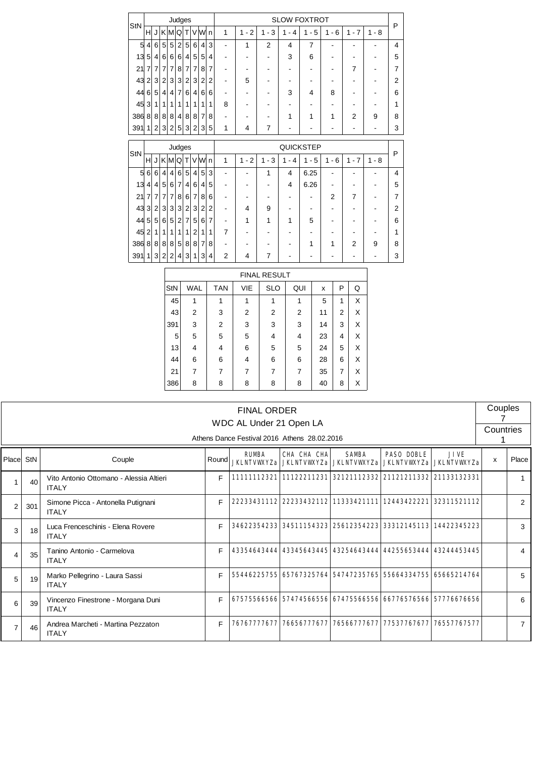| StN   |                |                |                |                         |                | Judges         |                |                |                |                |         |                          |         | <b>SLOW FOXTROT</b> |                |                                       |         | P              |
|-------|----------------|----------------|----------------|-------------------------|----------------|----------------|----------------|----------------|----------------|----------------|---------|--------------------------|---------|---------------------|----------------|---------------------------------------|---------|----------------|
|       | н              | $\mathsf{U}$   | K M Q          |                         |                | T              |                | VWn            |                | 1              | $1 - 2$ | $1 - 3$                  | $1 - 4$ | $1 - 5$             | $1 - 6$        | $1 - 7$                               | $1 - 8$ |                |
| 5     | 4              | 6              | 5              | 5                       | $\overline{2}$ | 5              | 6              | 4              | 3              | ۰              | 1       | $\overline{2}$           | 4       | 7                   |                |                                       |         | 4              |
| 13    | 5              | $\overline{4}$ | 6              | 6                       | 6              | $\overline{4}$ | 5              | 5              | 4              |                |         | $\overline{\phantom{0}}$ | 3       | 6                   |                |                                       |         | 5              |
| 21    | 7              | 7              | 7              | 7                       | 8              | $\overline{7}$ | $\overline{7}$ | 8              | 7              |                |         |                          |         |                     |                | $\overline{7}$                        |         | $\overline{7}$ |
| 43    | 2              | 3              | $\overline{2}$ | 3                       | 3              | $\overline{2}$ | 3              | $\overline{2}$ | $\overline{2}$ |                | 5       |                          |         |                     |                |                                       |         | $\overline{2}$ |
| 44    | 6              | 5              | $\overline{4}$ | $\overline{\mathbf{4}}$ | $\overline{7}$ | 6              | 4              | 6              | 6              |                |         |                          | 3       | 4                   | 8              |                                       |         | 6              |
| 45    | 3              | 1              | 1              | 1                       | 1              | 1              | 1              | 1              | 1              | 8              |         |                          |         |                     |                |                                       |         | 1              |
| 386   | 8              | 8 <sup>1</sup> | 8              | 8                       | $\overline{4}$ | 8              | 8              | $\overline{7}$ | 8              |                |         |                          | 1       | 1                   | 1              | 2                                     | 9       | 8              |
| 391   | 1              | 2              | 3              | $\overline{2}$          | 5              | 3              | $\overline{2}$ | 3              | 5              | 1              | 4       | 7                        |         |                     |                |                                       |         | 3              |
|       |                |                |                |                         |                |                |                |                |                |                |         |                          |         |                     |                |                                       |         |                |
|       |                |                |                |                         |                |                |                |                |                |                |         |                          |         |                     |                |                                       |         |                |
|       |                |                |                |                         |                | Judges         |                |                |                |                |         |                          |         | QUICKSTEP           |                |                                       |         | P              |
| StN   | H              |                | J K MQ         |                         |                | T              |                | VW             | $\overline{n}$ | 1              | $1 - 2$ | $1 - 3$                  | $1 - 4$ | $1 - 5$             | $1 - 6$        | $\overline{7}$<br>1<br>$\blacksquare$ | $1 - 8$ |                |
| 5     | 6              | 6              | $\overline{4}$ | 4                       | 6              | 5              | 4              | 5              | 3              |                | ۰       | 1                        | 4       | 6.25                |                |                                       |         | 4              |
| 13    | 4              | $\overline{4}$ | 5              | 6                       | $\overline{7}$ | $\overline{4}$ | 6              | 4              | 5              |                |         |                          | 4       | 6.26                |                |                                       |         | 5              |
| 21    | 7              | 7              | 7              | 7                       | 8              | 6              | $\overline{7}$ | 8              | 6              |                |         |                          |         |                     | $\overline{2}$ | 7                                     |         | $\overline{7}$ |
| 43    | 3              | 2              | 3              | 3                       | 3              | $\overline{2}$ | 3              | 2              | $\overline{2}$ |                | 4       | 9                        |         |                     |                |                                       |         | $\overline{2}$ |
| 44    | 5              | 5              | 6              | 5                       | $\overline{2}$ | 7              | 5              | 6              | $\overline{7}$ |                | 1       | 1                        | 1       | 5                   |                |                                       |         | 6              |
| 45    | $\overline{2}$ | 1              | 1              | 1                       | 1              | 1              | $\overline{2}$ | 1              | 1              | 7              |         |                          |         |                     |                |                                       |         | 1              |
| 386 8 |                | 8 <sup>1</sup> | 8              | 8                       | 5              | 8              | 8              | 7              | 8              |                |         | ۰                        |         | 1                   | 1              | $\overline{2}$                        | 9       | 8              |
| 391   | 1              | 3              | $\overline{2}$ | 2                       | 4              | 3              | 1              | 3              | 4              | $\overline{2}$ | 4       | 7                        |         |                     |                |                                       |         | 3              |

|            |            |                |     | <b>FINAL RESULT</b> |     |    |   |   |
|------------|------------|----------------|-----|---------------------|-----|----|---|---|
| <b>StN</b> | <b>WAL</b> | <b>TAN</b>     | VIE | <b>SLO</b>          | QUI | x  | P | Q |
| 45         | 1          |                | 1   |                     | 1   | 5  | 1 | X |
| 43         | 2          | 3              | 2   | $\overline{2}$      | 2   | 11 | 2 | X |
| 391        | 3          | $\overline{2}$ | 3   | 3                   | 3   | 14 | 3 | X |
| 5          | 5          | 5              | 5   | 4                   | 4   | 23 | 4 | X |
| 13         | 4          | 4              | 6   | 5                   | 5   | 24 | 5 | X |
| 44         | 6          | 6              | 4   | 6                   | 6   | 28 | 6 | X |
| 21         | 7          | 7              | 7   | 7                   | 7   | 35 | 7 | X |
| 386        | 8          | 8              | 8   | 8                   | 8   | 40 | 8 | X |

|                |     |                                                         |       | <b>FINAL ORDER</b><br>WDC AL Under 21 Open LA |                                             |                                                                         |                                                   |             | Couples   |                |
|----------------|-----|---------------------------------------------------------|-------|-----------------------------------------------|---------------------------------------------|-------------------------------------------------------------------------|---------------------------------------------------|-------------|-----------|----------------|
|                |     |                                                         |       | Athens Dance Festival 2016 Athens 28.02.2016  |                                             |                                                                         |                                                   |             | Countries |                |
| Place          | StN | Couple                                                  | Round | <b>RUMBA</b>                                  | CHA CHA CHA<br><b>JKLNIVWYZa JKLNIVWYZa</b> | <b>SAMBA</b><br><b>JKLNTVWYZa</b>                                       | <b>PASO DOBLE</b><br><b>JKLNIVKYZa JKLNIVKYZa</b> | <b>JIVE</b> | X         | Place          |
|                | 40  | Vito Antonio Ottomano - Alessia Altieri<br><b>ITALY</b> | F     |                                               |                                             | 11111112321 11122211231 32121112332 21121211332 21133132331             |                                                   |             |           | 1              |
| $\overline{2}$ | 301 | Simone Picca - Antonella Putignani<br><b>ITALY</b>      | E     |                                               |                                             | 22233431112 22233432112 11333421111 12443422221 32311521112             |                                                   |             |           | 2              |
| 3              | 18  | Luca Frenceschinis - Elena Rovere<br><b>ITALY</b>       | F     |                                               |                                             | 34622354233    34511154323    25612354223    33312145113    14422345223 |                                                   |             |           | 3              |
| 4              | 35  | Tanino Antonio - Carmelova<br><b>ITALY</b>              | F     |                                               |                                             | 43354643444 43345643445 43254643444 44255653444 43244453445             |                                                   |             |           | 4              |
| 5              | 19  | Marko Pellegrino - Laura Sassi<br><b>ITALY</b>          | F     |                                               |                                             | 55446225755 65767325764 54747235765 55664334755 65665214764             |                                                   |             |           | 5              |
| 6              | 39  | Vincenzo Finestrone - Morgana Duni<br><b>ITALY</b>      | F     |                                               |                                             | 67575566566 57474566556 67475566556 66776576566 57776676656             |                                                   |             |           | 6              |
| $\overline{7}$ | 46  | Andrea Marcheti - Martina Pezzaton<br><b>ITALY</b>      | F     | 76767777677                                   | 76656777677                                 |                                                                         | 76566777677 77537767677 76557767577               |             |           | $\overline{7}$ |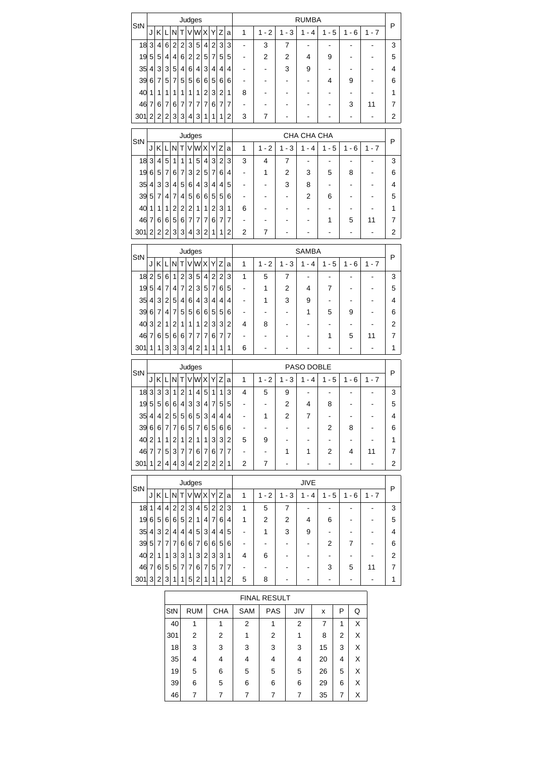|                                                |                |                       |                 |                 |                         |                | Judges                  |                |                         |                |                |                |              |                              | <b>RUMBA</b>                 |                          |         |                              |                         |
|------------------------------------------------|----------------|-----------------------|-----------------|-----------------|-------------------------|----------------|-------------------------|----------------|-------------------------|----------------|----------------|----------------|--------------|------------------------------|------------------------------|--------------------------|---------|------------------------------|-------------------------|
| StN                                            | J              | K                     | L               | N               | Τ                       | V              | W X                     |                | Υ                       | Ζ              | a              | 1              | $1 - 2$      | $1 - 3$                      | $1 - 4$                      | $1 - 5$                  | $1 - 6$ | $1 - 7$                      | P                       |
| 18                                             | 3              | $\overline{4}$        | 6               | $\overline{2}$  | $\overline{2}$          | 3              | 5                       | 4              | $\overline{c}$          | 3              | 3              |                | 3            | 7                            |                              |                          |         |                              | 3                       |
| 19                                             | 5              | 5                     | 4               | 4               | $6 \mid$                | 2              | 2                       | 5              | 7                       | 5              | 5              |                | 2            | 2                            | 4                            | 9                        |         |                              | 5                       |
| 35                                             | 4              | 3                     | $\mathbf{3}$    | 5               | $\vert 4 \vert$         | 6              | 4                       | 3              | 4                       | 4              | 4              |                |              | 3                            | 9                            |                          |         |                              | $\overline{\mathbf{4}}$ |
| 39                                             | 6              | 7                     | 5               | 7               | 5                       | 5              | 6                       | 6              | 5                       | 6              | 6              |                | ۰            |                              |                              | 4                        | 9       |                              | 6                       |
| 40                                             | 1              | 1                     | 1               | 1               | 1                       | 1              | 1                       | 2              | 3                       | $\overline{2}$ | 1              | 8              |              |                              |                              |                          |         |                              | 1                       |
| 46                                             | 7              | 6                     | 7               | 6               | 7                       | 7              | 7                       | 7              | 6                       | 7              | 7              |                |              |                              |                              |                          | 3       | 11                           | 7                       |
| 301                                            | 2              | 2                     | 2               | 3               | 3                       | 4              | 3                       | 1              | 1                       | 1              | 2              | 3              | 7            |                              |                              |                          | ٠       | $\qquad \qquad \blacksquare$ | $\overline{\mathbf{c}}$ |
|                                                |                |                       |                 |                 |                         |                | Judges                  |                |                         |                |                |                |              |                              | CHA CHA CHA                  |                          |         |                              |                         |
| StN                                            | J              | Κ                     | Ы               | N               | T                       |                | V W X                   |                | Υ                       | Z              | a              | 1              | $1 - 2$      | $1 - 3$                      | $1 - 4$                      | $1 - 5$                  | $1 - 6$ | $1 - 7$                      | P                       |
| 18                                             | 3              | $\overline{4}$        | 5               | 1               | 1                       | 1              | 5                       | $\overline{4}$ | 3                       | $\overline{2}$ | 3              | 3              | 4            | 7                            |                              |                          |         |                              | 3                       |
| 19                                             | 6              | 5                     | 7               | 6               | 7                       | 3              | $\overline{2}$          | 5              | 7                       | 6              | 4              |                | 1            | 2                            | 3                            | 5                        | 8       |                              | 6                       |
| 35                                             | 4              | 3                     | 3               | 4               | 5                       | 6              | 4                       | 3              | 4                       | 4              | 5              |                |              | 3                            | 8                            |                          |         |                              | $\overline{\mathbf{4}}$ |
| 39                                             | 5              | 7                     | 4               | 7               | 4                       | 5              | 6                       | 6              | 5                       | 5              | 6              |                |              |                              | 2                            | 6                        |         |                              | 5                       |
| 40                                             | $\mathbf{1}$   | 1                     | 1               | 2               | 2                       | 2              | 1                       | 1              | 2                       | 3              | 1              | 6              |              |                              |                              |                          |         |                              | 1                       |
| 46                                             | 7              | 6                     | 6               | 5               |                         | 6 7            | 7                       | 7              | 6                       | 7              | 7              |                |              |                              |                              | 1                        | 5       | 11                           | 7                       |
| 301                                            | 2              | 2                     | $\overline{2}$  | 3               | 3                       | 4              | 3                       | 2              | 1                       | 1              | 2              | 2              | 7            |                              |                              |                          | ۰       |                              | 2                       |
|                                                |                |                       |                 |                 |                         |                | Judges                  |                |                         |                |                |                |              |                              | <b>SAMBA</b>                 |                          |         |                              |                         |
| StN                                            | J              | K                     | L               | N               | Τ                       |                | V[W X]                  |                | Υ                       | Z              | a              | 1              | $1 - 2$      | $1 - 3$                      | $1 - 4$                      | $1 - 5$                  | $1 - 6$ | $1 - 7$                      | P                       |
| 18                                             | 2              | 5                     | 6               | 1               | $\overline{\mathbf{c}}$ | 3              | 5                       | $\overline{4}$ | $\overline{\mathbf{c}}$ | $\overline{c}$ | 3              | 1              | 5            | 7                            |                              |                          |         |                              | 3                       |
| 19                                             | 5              | $\overline{4}$        | 7               | 4               | 7                       | $\overline{2}$ | 3                       | 5              | 7                       | 6              | 5              |                | 1            | 2                            | 4                            | 7                        |         |                              | 5                       |
| 35                                             | $\overline{4}$ | 3                     | 2               | 5               | 4                       | 6              | $\overline{4}$          | 3              | 4                       | 4              | 4              |                | 1            | 3                            | 9                            |                          |         |                              | $\overline{\mathbf{4}}$ |
| 39                                             | 6              | 7                     | 4               | 7               | 5 <sup>5</sup>          | 5              | 6                       | 6              | 5                       | 5              | 6              |                |              |                              | 1                            | 5                        | 9       |                              | 6                       |
| 40                                             | 3              | 2                     | 1               | 2               | 1                       | 1              | 1                       | 2              | 3                       | 3              | 2              | 4              | 8            |                              |                              |                          |         |                              | $\overline{2}$          |
| 46                                             | 7              | 6 <sup>1</sup>        | 5               | 6               | 6                       | 7              | 7                       | 7              | 6                       | 7              | 7              |                |              |                              |                              | 1                        | 5       | 11                           | $\overline{7}$          |
| 301                                            | 1              | 1                     | 3               | 3               | 3                       | 4              | 2                       | 1              | 1                       | 1              | 1              | 6              |              |                              |                              |                          |         |                              | 1                       |
|                                                |                |                       |                 |                 |                         |                |                         |                |                         |                |                |                |              |                              |                              |                          |         |                              |                         |
| StN                                            |                |                       |                 |                 |                         |                | Judges                  |                |                         |                |                |                |              |                              | PASO DOBLE                   |                          |         |                              | P                       |
|                                                | J              | Kl                    | L               | N               | T                       |                | V[W X]                  |                | Υ                       | Ζ              | a              | 1              | $1 - 2$      | $1 - 3$                      | $1 - 4$                      | $1 - 5$                  | $1 - 6$ | $1 - 7$                      |                         |
| 18                                             | 3              | 3                     | 3               | 1               | 2                       | 1              | 4                       | 5              | 1                       |                | 3              |                |              |                              |                              |                          |         |                              | 3                       |
|                                                |                |                       |                 |                 |                         |                |                         |                |                         | 1              |                | 4              | 5            | 9                            |                              |                          |         |                              |                         |
| 19                                             | 5              | 5                     | 6               | 6               | $\vert 4 \vert$         | 3              | 3                       | 4              | 7                       | 5              | 5              |                |              | 2                            | 4                            | 8                        |         |                              | 5                       |
| 35 4                                           |                | 4 <sup>1</sup>        |                 | 2 5             | 5 <sup>1</sup>          | 6              | 5 <sup>1</sup>          | 3              | 4 <sub>1</sub>          | 4 <sub>1</sub> | 4              |                | 1            | 2                            | 7                            |                          |         |                              | 4                       |
| 39667                                          |                |                       |                 | $\overline{7}$  |                         |                | 6 5 7 6                 |                | 5 <sup>2</sup>          | $6 \mid$       | 6              |                |              |                              |                              | 2                        | 8       |                              | 6                       |
| 40 2 1                                         |                |                       | 1 2             |                 |                         |                | 1 2 1 1                 |                | $\mathbf{3}$            | 3 2            |                | 5              | 9            | $\qquad \qquad \blacksquare$ |                              | ۰                        |         |                              | $\mathbf{1}$            |
| $46$ 7 7 5 3 7 7                               |                |                       |                 |                 |                         |                | 6 7                     |                | 6                       | $\overline{7}$ | 7              |                |              | 1                            | 1                            | 2                        | 4       | 11                           | $\overline{7}$          |
| $301$ 1 2                                      |                |                       | $\vert 4 \vert$ |                 |                         |                | 4 3 4 2 2               |                | 2 <sub>1</sub>          | $\overline{2}$ | $\mathbf{1}$   | 2              | 7            |                              |                              |                          |         |                              | 2                       |
|                                                |                |                       |                 |                 |                         |                | Judges                  |                |                         |                |                |                |              |                              | <b>JIVE</b>                  |                          |         |                              |                         |
| StN                                            |                | J K L N T V W X Y Z a |                 |                 |                         |                |                         |                |                         |                |                | $\mathbf{1}$   | $1 - 2$      | $1 - 3$                      | $1 - 4$                      | $1 - 5$                  | $1 - 6$ | $1 - 7$                      | P                       |
| 1811                                           |                | 4 <sup>1</sup>        | $\vert$         | $\sqrt{2}$      |                         |                | 2 3 4 5                 |                | $\overline{2}$          | $\overline{2}$ | 3              | 1              | 5            | 7                            | $\blacksquare$               |                          |         |                              | 3                       |
| 196566652147                                   |                |                       |                 |                 |                         |                |                         |                |                         |                | 6 4            | 1              | 2            | 2                            | 4                            | 6                        |         |                              | 5                       |
| 35 4 3 2                                       |                |                       |                 | $\vert 4 \vert$ |                         |                | 4 4 5 3                 |                | $\overline{\mathbf{4}}$ | 4              | 5              | -              | 1            | 3                            | 9                            | $\overline{\phantom{a}}$ |         |                              | $\overline{\mathbf{4}}$ |
| 39   5   7   7   7   6   6   7   6             |                |                       |                 |                 |                         |                |                         |                | $6 \mid$                | 5 <sup>5</sup> | 6              |                |              |                              |                              | 2                        | 7       |                              | 6                       |
| 40 2 1                                         |                |                       | 1               | 3               |                         | 3 1            |                         | 3 2            | $\sqrt{3}$              | 3              | $\mathbf{1}$   | 4              | 6            |                              |                              |                          |         |                              | $\boldsymbol{2}$        |
| $46 \mid 7 \mid 6 \mid 5 \mid 5 \mid 7 \mid 7$ |                |                       |                 |                 |                         |                |                         | 6 7            | $\sqrt{5}$              | $\overline{7}$ | 7              | -              |              | -                            | $\qquad \qquad \blacksquare$ | 3                        | 5       | 11                           | $\boldsymbol{7}$        |
| 301 3 2                                        |                |                       | $\mathbf{3}$    | 1               |                         | 1 5            |                         | 2 1            | 1                       | 1              | $\overline{c}$ | 5              | 8            | -                            | -                            |                          |         | $\frac{1}{2}$                | 1                       |
|                                                |                |                       |                 |                 |                         |                |                         |                |                         |                |                |                |              |                              |                              |                          |         |                              |                         |
|                                                |                |                       |                 |                 |                         |                |                         |                |                         |                |                |                | FINAL RESULT |                              |                              |                          |         |                              |                         |
|                                                |                |                       |                 | StN             |                         |                | <b>RUM</b>              |                |                         | <b>CHA</b>     |                | SAM            | PAS          |                              | JIV                          | X                        | P       | Q                            |                         |
|                                                |                |                       |                 | 40              |                         |                | $\mathbf{1}$            |                |                         | $\mathbf{1}$   |                | $\overline{c}$ | 1            |                              | 2                            | 7                        | 1       | X                            |                         |
|                                                |                |                       |                 | 301             |                         |                | $\overline{\mathbf{c}}$ |                |                         | $\overline{c}$ |                | $\mathbf{1}$   | 2            |                              | $\mathbf{1}$                 | 8                        | 2       | Χ                            |                         |
|                                                |                |                       |                 | 18<br>35        |                         |                | 3<br>4                  |                |                         | 3<br>4         |                | 3<br>4         | 3<br>4       |                              | 3<br>4                       | 15<br>20                 | 3<br>4  | Χ<br>X                       |                         |

39 6 5 6 6 6 29 6 X 46 7 7 7 7 7 7 7 35 7 X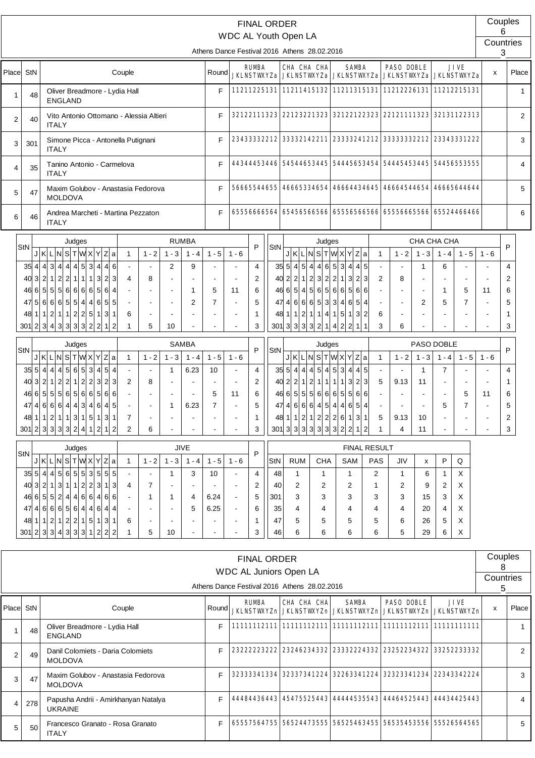|                |                   |                                                                            |                                         |                                           |              |                                  |                                  |                   |                     |                      |                         | <b>FINAL ORDER</b> |                                              |                                             |                                                                    |                                       |                                                     |                |                |                     | Couples                  |                |
|----------------|-------------------|----------------------------------------------------------------------------|-----------------------------------------|-------------------------------------------|--------------|----------------------------------|----------------------------------|-------------------|---------------------|----------------------|-------------------------|--------------------|----------------------------------------------|---------------------------------------------|--------------------------------------------------------------------|---------------------------------------|-----------------------------------------------------|----------------|----------------|---------------------|--------------------------|----------------|
|                |                   |                                                                            |                                         |                                           |              |                                  |                                  |                   |                     |                      |                         |                    | WDC AL Youth Open LA                         |                                             |                                                                    |                                       |                                                     |                |                |                     | 6<br>Countries           |                |
|                |                   |                                                                            |                                         |                                           |              |                                  |                                  |                   |                     |                      |                         |                    | Athens Dance Festival 2016 Athens 28.02.2016 |                                             |                                                                    |                                       |                                                     |                |                |                     | 3                        |                |
| Place          | StN               |                                                                            |                                         |                                           | Couple       |                                  |                                  |                   | Round               |                      | <b>RUMBA</b>            |                    | CHA CHA CHA<br><b>JKLNSTWYZa JKLNSTWYZa</b>  |                                             | <b>SAMBA</b><br><b>JKLNSTWXYZa</b>                                 |                                       | <b>PASO DOBLE</b><br><b>JKLNSTWXYZa JKLNSTWXYZa</b> |                |                | <b>JIVE</b>         | X                        | Place          |
| 1              | 48                | ENGLAND                                                                    | Oliver Breadmore - Lydia Hall           |                                           |              |                                  |                                  |                   | F                   |                      |                         |                    |                                              |                                             | 11211225131 11211415132 11211315131 11212226131 11212215131        |                                       |                                                     |                |                |                     |                          | 1              |
| $\overline{2}$ | 40                | <b>ITALY</b>                                                               | Vito Antonio Ottomano - Alessia Altieri |                                           |              |                                  |                                  |                   | F                   |                      |                         |                    |                                              |                                             | 32122111323 22123221323 32122122323 22121111323 32131122313        |                                       |                                                     |                |                |                     |                          | $\mathbf{2}$   |
| 3              | 301               | <b>ITALY</b>                                                               | Simone Picca - Antonella Putignani      |                                           |              |                                  |                                  |                   | F                   |                      | 23433332212             |                    | 33332142211                                  |                                             | 23333241212                                                        |                                       | 33333332212 23343331222                             |                |                |                     |                          | 3              |
| 4              | 35                | <b>ITALY</b>                                                               | Tanino Antonio - Carmelova              |                                           |              |                                  |                                  |                   | F                   |                      |                         |                    |                                              |                                             | 54445653454 54445453445 54456553555                                |                                       |                                                     |                |                |                     |                          | 4              |
| 5              | 47                | <b>MOLDOVA</b>                                                             | Maxim Golubov - Anastasia Fedorova      |                                           |              |                                  |                                  |                   | F                   |                      | 56665544655             |                    | 46665334654                                  |                                             | 46664434645                                                        |                                       | 46664544654                                         |                |                | 46665644644         |                          | 5              |
| 6              | 46                | <b>ITALY</b>                                                               | Andrea Marcheti - Martina Pezzaton      |                                           |              |                                  |                                  |                   | F                   |                      |                         |                    |                                              |                                             | 65556666564 65456566566 65556566566 65556665566 65524466466        |                                       |                                                     |                |                |                     |                          | 6              |
|                |                   |                                                                            | Judges                                  |                                           |              |                                  |                                  | <b>RUMBA</b>      |                     |                      |                         |                    |                                              | Judges                                      |                                                                    |                                       |                                                     |                | CHA CHA CHA    |                     |                          |                |
|                | StN               | JKLNSTWXYZa                                                                |                                         |                                           | $\mathbf{1}$ | $1 - 2$                          | $1 - 3$                          | $1 - 4$           | $1 - 5$             | $1 - 6$              | P                       | StN                |                                              |                                             | JKLNSTWXYZa                                                        | $\mathbf{1}$                          | $1 - 2$                                             | $1 - 3$        | $1 - 4$        | $1 - 5$             | $1 - 6$                  | P              |
|                |                   | 35   4   4   3   4   4   5                                                 |                                         | 3 4 <br>4 6                               |              |                                  | $\overline{2}$                   | 9                 |                     |                      | $\overline{\mathbf{4}}$ |                    | $35\,5\,4\,5\,4\,4\,6\,5\,3\,4$              |                                             |                                                                    | $4\overline{5}$                       |                                                     | $\mathbf{1}$   | 6              |                     |                          | $\overline{4}$ |
|                | 40 3              | 2                                                                          | 1 2 2 1 1                               | $1 \vert 3 \vert$<br>$\overline{2}$<br>3  | 4            | 8                                |                                  |                   |                     |                      | $\overline{2}$          |                    |                                              |                                             | $40 \ 2 \ 2 \ 1 \ 2 \ 3 \ 2 \ 2 \ 1 \ 3 \ 2$                       | 3 <br>$\overline{2}$                  | 8                                                   |                |                |                     |                          | 2              |
|                | 46 6              | 5 <sup>2</sup><br>$47\,5\,6\,6\,6\,5\,5\,4\,4\,6\,5\,5$                    | 5 5 6 6 6 65 6                          | $\overline{4}$                            |              | $\blacksquare$<br>$\blacksquare$ | $\blacksquare$<br>$\blacksquare$ | $\mathbf{1}$<br>2 | 5<br>$\overline{7}$ | 11<br>$\blacksquare$ | 6<br>5                  |                    | $47$ 4 6 6 6 5 3 3 4 6                       |                                             | $46 \ 6 \ 5 \ 4 \ 5 \ 6 \ 5 \ 6 \ 6 \ 6 \ 5 \ 6$<br>5 <sup>1</sup> | 6<br>$\overline{4}$<br>$\blacksquare$ | $\blacksquare$<br>$\blacksquare$                    | $\overline{2}$ | 1<br>5         | 5<br>$\overline{7}$ | 11<br>$\blacksquare$     | 6<br>5         |
|                |                   | $48 \mid 1 \mid 2 \mid 1 \mid 1 \mid 2 \mid 2 \mid 5 \mid 1$               |                                         | 3 1                                       | 6            | $\overline{\phantom{a}}$         |                                  |                   |                     |                      | $\mathbf{1}$            |                    |                                              |                                             | $48$ 1 1 2 1 1 4 1 5 1 3                                           | $\overline{2}$<br>6                   | $\blacksquare$                                      |                |                |                     |                          | 1              |
|                |                   | $301$ 2 3 4 3 3 3 3 2 2 1                                                  |                                         | $\overline{2}$                            | 1            | 5                                | 10                               |                   |                     |                      | 3                       |                    |                                              |                                             | $301$ 3 3 3 3 2 1 4 2 2 1                                          | 3<br>$\mathbf 1$                      | 6                                                   |                |                |                     |                          | 3              |
|                |                   |                                                                            | Judges                                  |                                           |              |                                  |                                  | <b>SAMBA</b>      |                     |                      |                         |                    |                                              | Judges                                      |                                                                    |                                       |                                                     |                | PASO DOBLE     |                     |                          |                |
|                | StN               | J K L N S T W X Y Z a                                                      |                                         |                                           | $\mathbf{1}$ | $1 - 2$                          | $1 - 3$                          | $1 - 4$           | $1 - 5$             | $1 - 6$              | P                       | StN                |                                              |                                             | J K L N S T W X Y Z a                                              | $\mathbf{1}$                          | $1 - 2$                                             | $1 - 3$        | $1 - 4$        | $1 - 5$             | $1 - 6$                  | P              |
|                | $35\vert 5 \vert$ | $\vert 4 \vert$<br>4 4 5                                                   | 6 5                                     | $5\overline{)}$<br>3 4 <br>$\overline{4}$ |              |                                  | $\mathbf{1}$                     | 6.23              | 10                  |                      | $\overline{4}$          |                    | $35 \ 5 \ 4 \ 4$                             | 5 <sup>1</sup><br>$\overline{4}$<br>$\vert$ | 53<br>$\overline{4}$<br>$\overline{4}$                             | 5<br>$\blacksquare$                   |                                                     | $\mathbf{1}$   | $\overline{7}$ |                     |                          | $\overline{4}$ |
|                | 40 3              | 2                                                                          | 1 2 2 1 2 23 23                         |                                           | 2            | 8                                |                                  |                   |                     |                      | $\overline{2}$          |                    |                                              |                                             | $40 \ 2 \ 2 \ 1 \ 2 \ 1 \ 1 \ 1 \ 1 \ 1 \ 1 \ 3 \ 2$               | 3<br>5                                | 9.13                                                | 11             |                |                     | $\overline{\phantom{a}}$ | 1              |
|                |                   | $46$ 6 5 5 5 6 6 5 6 6 5 6 6                                               |                                         |                                           |              |                                  |                                  |                   | 5                   | 11                   | 6                       |                    |                                              |                                             | $46$ 6 5 5 5 6 6 6 5 5 6 6                                         |                                       |                                                     |                |                | 5                   | 11                       | 6              |
|                |                   | $47$ 4 6 6 6 4 4 3 4 6 4 5                                                 |                                         |                                           |              |                                  | 1                                | 6.23              | $\overline{7}$      |                      | 5                       |                    |                                              |                                             | $47   4   6   6   6   4   5   4   4   6   5$                       | $\overline{4}$                        |                                                     |                | 5              | 7                   |                          | 5              |
|                |                   | $48 \mid 1 \mid 2 \mid 1 \mid 1 \mid 3 \mid 1 \mid 5 \mid 1 \mid 3 \mid 1$ |                                         |                                           | 7            | $\blacksquare$                   |                                  | $\blacksquare$    |                     |                      | 1                       |                    |                                              |                                             | 48 1 1 2 1 2 2 2 6 1 3                                             | 5<br>$\mathbf{1}$                     | 9.13                                                | 10             | $\blacksquare$ |                     |                          | 2              |
|                |                   | $301$ 2 3 3 3 3 2 4 1 2 1 2                                                |                                         |                                           | 2            | 6                                |                                  |                   |                     |                      | 3                       |                    |                                              |                                             | $301$ 3 $3$ 3 $3$ 3 $3$ 3 $2$ 2 $1$                                | 1                                     | 4                                                   | 11             |                |                     | L,                       | 3              |
|                |                   |                                                                            | Judges                                  |                                           |              |                                  |                                  | <b>JIVE</b>       |                     |                      |                         |                    |                                              |                                             |                                                                    | <b>FINAL RESULT</b>                   |                                                     |                |                |                     |                          |                |
|                | StN               | J K L N S T W X Y Z a                                                      |                                         |                                           | 1            | $1 - 2$                          | $1 - 3$                          | $1 - 4$           | $1 - 5$             | $1 - 6$              | P                       | StN                | <b>RUM</b>                                   | <b>CHA</b>                                  | SAM                                                                | <b>PAS</b>                            | JIV                                                 | х              | P              | $\mathsf Q$         |                          |                |
|                |                   | $35 \, 5 \, 4 \, 4 \, 5 \, 6 \, 5 \, 5$                                    |                                         | 3 5 5 5                                   |              |                                  | 1                                | 3                 | 10                  |                      | 4                       | 48                 | $\mathbf{1}$                                 | 1                                           | $\mathbf{1}$                                                       | 2                                     | 1                                                   | 6              | 1              | X                   |                          |                |
|                |                   | $40 \ 3 \ 2 \ 1 \ 3 \ 1 \ 1 \ 2 \ 2 \ 3$                                   |                                         | 1<br>3                                    | 4            | 7                                |                                  |                   |                     |                      | 2                       | 40                 | 2                                            | 2                                           | 2                                                                  | 1                                     | 2                                                   | 9              | 2              | X                   |                          |                |
|                |                   | $46$ 6 5 5 2 4 4 6 6 4 6 6                                                 |                                         |                                           |              | 1                                | -1                               | 4                 | 6.24                |                      | 5                       | 301                | 3                                            | 3                                           | 3                                                                  | 3                                     | 3                                                   | 15             | 3              | X                   |                          |                |
|                |                   | $47   4   6   6   6   5   6   4   4   6   4   4$                           |                                         |                                           |              | $\blacksquare$                   |                                  | 5                 | 6.25                | $\blacksquare$       | 6                       | 35                 | 4                                            | 4                                           | 4                                                                  | 4                                     | 4                                                   | 20             | 4              | X                   |                          |                |
|                |                   | $48 \mid 1 \mid 2 \mid 1 \mid 2 \mid 2 \mid 1 \mid 5 \mid 1 \mid 3 \mid 1$ |                                         |                                           | 6            | $\overline{\phantom{a}}$         |                                  |                   |                     |                      | 1                       | 47                 | 5                                            | 5                                           | 5                                                                  | 5                                     | 6                                                   | 26             | 5              | X                   |                          |                |
|                |                   | $301$ 2 3 3 4 3 3 3 1 2 2 2                                                |                                         |                                           | 1            | 5                                | 10                               |                   |                     |                      | 3                       | 46                 | 6                                            | 6                                           | 6                                                                  | 6                                     | 5                                                   | 29             | 6              | X                   |                          |                |
|                |                   |                                                                            |                                         |                                           |              |                                  |                                  |                   |                     |                      | FINAL ORDER             |                    |                                              |                                             |                                                                    |                                       |                                                     |                |                |                     | Couples                  |                |

|                |     |                                                        |       | FINAL ORDER<br>WDC AL Juniors Open LA<br>Athens Dance Festival 2016 Athens 28.02.2016 |                                                                 |              |                                                                      |              | Conhies<br>8<br>Countries<br>5 |               |
|----------------|-----|--------------------------------------------------------|-------|---------------------------------------------------------------------------------------|-----------------------------------------------------------------|--------------|----------------------------------------------------------------------|--------------|--------------------------------|---------------|
| Placel         | StN | Couple                                                 | Round | <b>RUMBA</b><br><b>JKLNSTWXYZn</b>                                                    | CHA CHA CHA                                                     | <b>SAMBA</b> | <b>PASO DOBLE</b><br>JKLNSTWXYZn JKLNSTWXYZn JKLNSTWXYZn JKLNSTWXYZn | <b>JIVE</b>  | x                              | Place         |
|                | 48  | Oliver Breadmore - Lydia Hall<br>ENGLAND               | Е     |                                                                                       |                                                                 |              |                                                                      |              |                                |               |
| $\overline{2}$ | 49  | Danil Colomiets - Daria Colomiets<br><b>MOLDOVA</b>    |       | 23222223222                                                                           |                                                                 |              | 23246234332 23332224332 23252234322                                  | 332522333332 |                                | $\mathcal{P}$ |
| 3              | 47  | Maxim Golubov - Anastasia Fedorova<br><b>MOLDOVA</b>   | F     |                                                                                       | 32333341334 32337341224 32263341224 32323341234 22343342224     |              |                                                                      |              |                                | 3             |
| 4              | 278 | Papusha Andrii - Amirkhanyan Natalya<br><b>UKRAINE</b> |       |                                                                                       | 44484436443  45475525443  44444535543  44464525443  44434425443 |              |                                                                      |              |                                | 4             |
| 5              | 50  | Francesco Granato - Rosa Granato<br><b>ITALY</b>       | Е     |                                                                                       | 65557564755  56524473555  56525463455  56535453556  55526564565 |              |                                                                      |              |                                | 5             |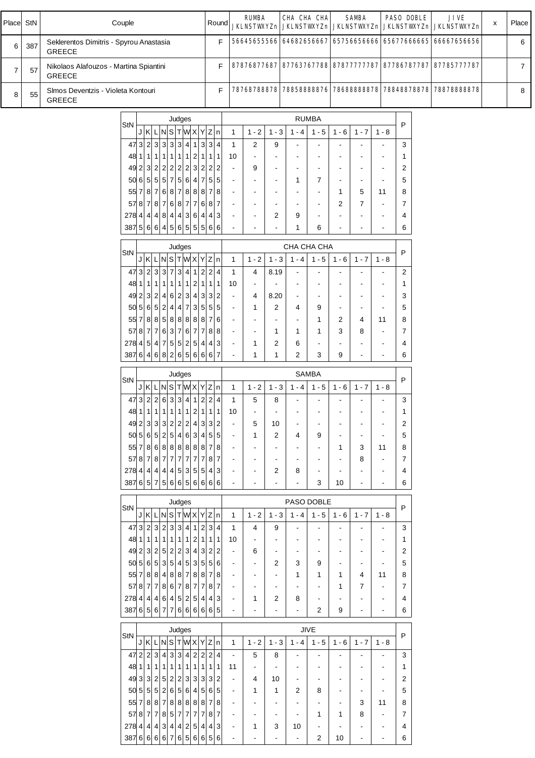| Place          | StN |                                                          | Couple                                                   |                                                                                      |   |           |        |   | Round |                                            | <b>RUMBA</b><br><b>JKLNSTWXYZn</b>         |                                            | CHA CHA CHA<br><b>JKLNSTWXYZn JKLNSTWXYZn</b> |                                                      |                                            | <b>SAMBA</b>                               |                          | <b>PASO DOBLE</b>   | <b>JIVE</b><br><b>JKLNSTWXYZn JKLNSTWXYZn</b> | X | Place          |
|----------------|-----|----------------------------------------------------------|----------------------------------------------------------|--------------------------------------------------------------------------------------|---|-----------|--------|---|-------|--------------------------------------------|--------------------------------------------|--------------------------------------------|-----------------------------------------------|------------------------------------------------------|--------------------------------------------|--------------------------------------------|--------------------------|---------------------|-----------------------------------------------|---|----------------|
| 6              | 387 | Seklerentos Dimitris - Spyrou Anastasia<br><b>GREECE</b> |                                                          |                                                                                      |   |           |        |   | F     |                                            |                                            |                                            | 56645655566 64682656667                       |                                                      |                                            | 65756656666                                |                          |                     | 65677666665 66667656656                       |   | 6              |
| $\overline{7}$ | 57  | Nikolaos Alafouzos - Martina Spiantini<br><b>GREECE</b>  |                                                          |                                                                                      |   |           |        |   | F     |                                            |                                            |                                            | 87876877687 87763767788 87877777787           |                                                      |                                            |                                            |                          |                     | 87786787787 87785777787                       |   | $\overline{7}$ |
| 8              | 55  | SImos Deventzis - Violeta Kontouri<br><b>GREECE</b>      |                                                          |                                                                                      |   |           |        |   | F     |                                            | 78768788878                                |                                            | 78858888876                                   |                                                      |                                            | 78688888878                                |                          |                     | 78848878878 78878888878                       |   | 8              |
|                |     |                                                          | StN                                                      | J K L N S T W X Y Z n                                                                |   |           | Judges |   |       | $\mathbf{1}$                               | $1 - 2$                                    | $1 - 3$                                    | $1 - 4$                                       | <b>RUMBA</b><br>$1 - 5$                              | $1 - 6$                                    | $1 - 7$                                    | $1 - 8$                  | P                   |                                               |   |                |
|                |     |                                                          |                                                          | 47323333411334<br>$48 \mid 1 \mid 1 \mid$                                            |   | 1 1 1 1 2 |        | 1 | 1 1   | $\mathbf{1}$<br>10                         | 2<br>$\blacksquare$                        | 9<br>$\blacksquare$                        |                                               | $\blacksquare$                                       |                                            | $\blacksquare$                             | $\overline{\phantom{a}}$ | 3<br>1              |                                               |   |                |
|                |     |                                                          |                                                          | $49$ 2 3 2 2 2 2 2 3 2 2 2                                                           |   |           |        |   |       | $\blacksquare$                             | 9                                          | $\overline{\phantom{a}}$                   | $\overline{\phantom{a}}$                      | $\overline{\phantom{a}}$                             |                                            | $\overline{\phantom{a}}$                   | $\blacksquare$           | 2                   |                                               |   |                |
|                |     |                                                          |                                                          | 50 6 5 5 5 7 5 6 4 7 5 5<br>$55\,7\,8\,7\,6\,8\,7\,8\,8\,8\,1\,7\,8$                 |   |           |        |   |       | $\blacksquare$<br>$\blacksquare$           | $\overline{\phantom{a}}$<br>$\blacksquare$ | $\overline{\phantom{a}}$<br>$\blacksquare$ | 1<br>$\blacksquare$                           | 7<br>$\blacksquare$                                  | $\overline{\phantom{a}}$<br>1              | $\blacksquare$<br>5                        | 11                       | 5<br>8              |                                               |   |                |
|                |     |                                                          |                                                          | 578787876877687                                                                      |   |           |        |   |       | $\blacksquare$                             | $\overline{\phantom{a}}$                   | $\overline{\phantom{a}}$                   | $\overline{\phantom{a}}$                      | $\blacksquare$                                       | 2                                          | $\overline{7}$                             | $\overline{\phantom{a}}$ | $\overline{7}$      |                                               |   |                |
|                |     |                                                          |                                                          | $278$ 4 4 4 8 4 4 3 6 4 4 3<br>$387\,5\,6\,6\,4\,5\,6\,5\,5\,5\,6\,6$                |   |           |        |   |       | $\blacksquare$                             | $\overline{\phantom{a}}$                   | 2                                          | 9<br>1                                        | $\blacksquare$<br>6                                  |                                            | $\blacksquare$                             | $\blacksquare$           | 4<br>6              |                                               |   |                |
|                |     |                                                          |                                                          |                                                                                      |   |           | Judges |   |       |                                            |                                            |                                            | CHA CHA CHA                                   |                                                      |                                            |                                            |                          |                     |                                               |   |                |
|                |     |                                                          | StN                                                      | J K L N S T W X Y Z n                                                                |   |           |        |   |       | $\mathbf{1}$                               | $1 - 2$                                    | $1 - 3$                                    | $1 - 4$                                       | $1 - 5$                                              | $1 - 6$                                    | $1 - 7$                                    | $1 - 8$                  | P                   |                                               |   |                |
|                |     |                                                          |                                                          | 4732337341224<br>48 1 1                                                              | 1 | 1 1 1 1 2 |        | 1 | 111   | $\mathbf{1}$<br>10                         | $\overline{4}$<br>$\blacksquare$           | 8.19                                       | $\blacksquare$<br>$\blacksquare$              | $\blacksquare$<br>$\blacksquare$                     |                                            | $\overline{\phantom{a}}$<br>$\blacksquare$ |                          | $\overline{2}$<br>1 |                                               |   |                |
|                |     |                                                          |                                                          | $49$ 2 3 2 4 6 2 3 4 3 3 2                                                           |   |           |        |   |       | $\blacksquare$                             | 4                                          | 8.20                                       | $\blacksquare$                                | $\overline{\phantom{a}}$                             |                                            | $\blacksquare$                             |                          | 3                   |                                               |   |                |
|                |     |                                                          |                                                          | $50\,5\,6\,5\,2\,4\,4\,7\,3\,5\,5\,5$<br>$55\,7\,8\,8\,5\,8\,8\,8\,8\,8\,8\,7\,6$    |   |           |        |   |       | $\blacksquare$<br>$\overline{\phantom{a}}$ | $\mathbf{1}$<br>$\overline{\phantom{a}}$   | $\overline{2}$<br>$\blacksquare$           | 4<br>$\blacksquare$                           | 9<br>1                                               | $\overline{\phantom{a}}$<br>2              | $\blacksquare$<br>4                        | 11                       | 5<br>8              |                                               |   |                |
|                |     |                                                          |                                                          | $5787$ 7 $76376$ 7 $788$                                                             |   |           |        |   |       | $\blacksquare$                             | $\blacksquare$                             | $\mathbf{1}$                               | 1                                             | 1                                                    | 3                                          | 8                                          |                          | $\overline{7}$      |                                               |   |                |
|                |     |                                                          | $278$ 4 5 4 7 5 5 2 5 4 4 3<br>387 6 4 6 8 2 6 5 6 6 6 7 |                                                                                      |   |           |        |   |       | $\blacksquare$                             | $\mathbf{1}$<br>$\mathbf 1$                | 2<br>$\mathbf{1}$                          | 6<br>2                                        | $\blacksquare$<br>3                                  | $\overline{\phantom{a}}$<br>9              | $\blacksquare$<br>$\blacksquare$           |                          | 4<br>6              |                                               |   |                |
|                |     |                                                          |                                                          |                                                                                      |   |           | Judges |   |       |                                            |                                            |                                            |                                               | <b>SAMBA</b>                                         |                                            |                                            |                          |                     |                                               |   |                |
|                |     |                                                          | StN                                                      | $JKLNS$ TWXYZn                                                                       |   |           |        |   |       | $\mathbf{1}$                               | $1 - 2$                                    | $1 - 3$                                    | $1 - 4$                                       | $1 - 5$                                              | $1 - 6$                                    | $1 - 7$                                    | $1 - 8$                  | P                   |                                               |   |                |
|                |     |                                                          |                                                          | 4732263341224<br>48 1 1 1 1 1 1 1 2 1 1 1                                            |   |           |        |   |       | $\mathbf{1}$<br>10                         | 5<br>$\blacksquare$                        | 8                                          |                                               |                                                      |                                            |                                            | $\blacksquare$           | 3<br>1              |                                               |   |                |
|                |     |                                                          |                                                          | 49233322224332                                                                       |   |           |        |   |       |                                            | 5                                          | 10                                         | $\blacksquare$                                | $\overline{\phantom{a}}$                             |                                            | $\blacksquare$                             | $\overline{\phantom{a}}$ | $\overline{2}$      |                                               |   |                |
|                |     |                                                          |                                                          | $50\,5\,6\,5\,2\,5\,4\,6\,3\,4\,5\,5$<br>$55\,7\,8\,6\,8\,8\,8\,8\,8\,8\,1\,1\,8$    |   |           |        |   |       | $\sim$<br>$\overline{\phantom{a}}$         | $\mathbf{1}$<br>$\blacksquare$             | 2<br>$\blacksquare$                        | 4                                             | 9<br>$\overline{\phantom{a}}$                        | $\overline{\phantom{a}}$<br>1              | $\blacksquare$<br>3                        | $\blacksquare$<br>11     | 5<br>8              |                                               |   |                |
|                |     |                                                          |                                                          | 5787878777777787                                                                     |   |           |        |   |       | $\blacksquare$                             | $\blacksquare$                             | $\overline{\phantom{a}}$                   |                                               | $\blacksquare$                                       |                                            | 8                                          | $\blacksquare$           | 7                   |                                               |   |                |
|                |     |                                                          | $278$ 4 4 4 4 4 5 3 5 5 4 3                              | 387657566656666                                                                      |   |           |        |   |       | $\blacksquare$<br>$\blacksquare$           | $\blacksquare$<br>$\overline{\phantom{a}}$ | 2                                          | 8                                             | $\blacksquare$<br>3                                  | 10                                         | $\blacksquare$                             | $\overline{\phantom{a}}$ | 4<br>6              |                                               |   |                |
|                |     |                                                          |                                                          |                                                                                      |   |           | Judges |   |       |                                            |                                            |                                            | PASO DOBLE                                    |                                                      |                                            |                                            |                          |                     |                                               |   |                |
|                |     |                                                          | StN                                                      | J K L N S T W X Y Z n                                                                |   |           |        |   |       | $\mathbf{1}$                               | $1 - 2$                                    | $1 - 3$                                    |                                               | $1 - 4$   1 - 5                                      | $1 - 6$                                    | $1 - 7$                                    | $1 - 8$                  | P                   |                                               |   |                |
|                |     |                                                          |                                                          | 473232323411234<br>$48   1   1   1   1   1   1   1   2   1   1   1$                  |   |           |        |   |       | $\mathbf{1}$<br>10                         | $\overline{4}$<br>$\overline{\phantom{a}}$ | 9<br>$\blacksquare$                        | $\overline{\phantom{a}}$                      | $\overline{\phantom{a}}$                             |                                            | $\overline{\phantom{a}}$                   | $\overline{\phantom{a}}$ | 3<br>$\mathbf{1}$   |                                               |   |                |
|                |     |                                                          |                                                          | 4923252522343222                                                                     |   |           |        |   |       | $\overline{\phantom{a}}$                   | 6                                          | $\blacksquare$                             | $\overline{\phantom{a}}$                      | $\overline{\phantom{a}}$                             | $\blacksquare$                             | $\overline{\phantom{a}}$                   | $\overline{\phantom{a}}$ | $\overline{2}$      |                                               |   |                |
|                |     |                                                          |                                                          | $50\,5\,6\,5\,3\,5\,4\,5\,3\,5\,5\,6$<br>$55$ 7 8 8 4 8 8 7 8 8 7 8 1                |   |           |        |   |       | $\blacksquare$<br>$\blacksquare$           | $\blacksquare$<br>$\blacksquare$           | 2<br>$\blacksquare$                        | 3<br>1                                        | 9<br>1                                               | $\overline{\phantom{a}}$<br>1              | $\blacksquare$<br>4                        | 11                       | 5<br>8              |                                               |   |                |
|                |     |                                                          |                                                          | $5787$ 7 $7867$ 8 $787$                                                              |   |           |        |   |       | $\blacksquare$                             | $\overline{\phantom{a}}$                   | $\blacksquare$                             | $\blacksquare$                                | $\blacksquare$                                       | $\mathbf{1}$                               | $\overline{7}$                             | $\blacksquare$           | 7                   |                                               |   |                |
|                |     |                                                          | $278$ 4 4 4 6 4 5 2 5 4 4 3<br>387656777666666           |                                                                                      |   |           |        |   |       | $\blacksquare$<br>$\blacksquare$           | 1                                          | 2<br>$\blacksquare$                        | 8                                             | $\blacksquare$<br>2                                  | $\blacksquare$<br>9                        | $\blacksquare$<br>$\blacksquare$           | $\blacksquare$<br>$\sim$ | 4<br>6              |                                               |   |                |
|                |     |                                                          |                                                          |                                                                                      |   |           | Judges |   |       |                                            |                                            |                                            |                                               | <b>JIVE</b>                                          |                                            |                                            |                          |                     |                                               |   |                |
|                |     |                                                          | StN                                                      | J K L N S T W X Y Z n                                                                |   |           |        |   |       | $\mathbf{1}$                               | $1 - 2$                                    | $1 - 3$                                    | $1 - 4$                                       | $1 - 5$                                              | $1 - 6$                                    | $1 - 7$                                    | $1 - 8$                  | P                   |                                               |   |                |
|                |     |                                                          |                                                          | $47$ 2 2 3 4 3 4 2 2 2 4<br>$48   1   1   1   1   1   1   1   1   1   1   1$         |   |           |        |   |       | $\blacksquare$<br>11                       | 5<br>$\sim$                                | 8                                          | $\blacksquare$<br>$\blacksquare$              | $\overline{\phantom{a}}$<br>$\overline{\phantom{a}}$ |                                            | $\sim$                                     |                          | 3<br>$\mathbf{1}$   |                                               |   |                |
|                |     |                                                          |                                                          | 493325252233332                                                                      |   |           |        |   |       | $\blacksquare$                             | 4                                          | 10                                         |                                               | $\overline{\phantom{a}}$                             |                                            | $\blacksquare$                             |                          | $\overline{2}$      |                                               |   |                |
|                |     |                                                          |                                                          | $50\,5\,5\,5\,2\,6\,5\,6\,4\,5\,6\,5$<br>$55\,7\,8\,8\,7\,8\,8\,8\,8\,8\,8\,8\,7\,8$ |   |           |        |   |       | $\blacksquare$<br>$\blacksquare$           | 1<br>$\overline{\phantom{a}}$              | $\mathbf{1}$<br>$\blacksquare$             | 2                                             | 8<br>$\blacksquare$                                  | $\blacksquare$<br>$\overline{\phantom{a}}$ | $\blacksquare$<br>3                        | $\blacksquare$<br>11     | 5<br>8              |                                               |   |                |
|                |     |                                                          |                                                          | $5787$ 7 $7857$ 7 $777$ $787$                                                        |   |           |        |   |       | $\blacksquare$                             | $\blacksquare$                             | $\blacksquare$                             |                                               | 1                                                    | 1                                          | 8                                          | $\overline{\phantom{a}}$ | 7                   |                                               |   |                |
|                |     |                                                          | 278 4 4 4 3 4 4 2 5 4 4 3                                | 3876666767656656                                                                     |   |           |        |   |       | $\blacksquare$                             | 1                                          | 3<br>$\blacksquare$                        | 10                                            | $\blacksquare$<br>2                                  | $\overline{\phantom{a}}$<br>10             | $\blacksquare$<br>$\overline{\phantom{a}}$ |                          | 4<br>6              |                                               |   |                |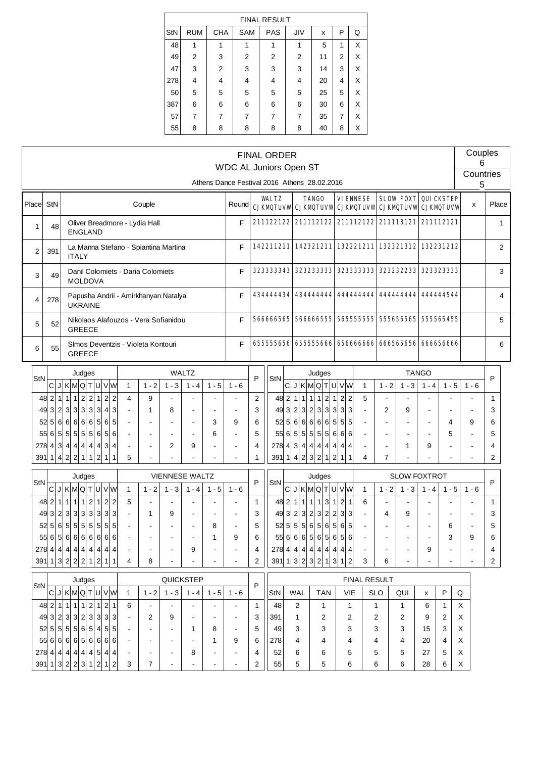|     |            |            |            | <b>FINAL RESULT</b> |                |    |                |   |
|-----|------------|------------|------------|---------------------|----------------|----|----------------|---|
| StN | <b>RUM</b> | <b>CHA</b> | <b>SAM</b> | <b>PAS</b>          | JIV            | X  | P              | Q |
| 48  | 1          |            |            | 1                   | 1              | 5  | 1              | X |
| 49  | 2          | 3          | 2          | $\overline{2}$      | 2              | 11 | $\overline{2}$ | X |
| 47  | 3          | 2          | 3          | 3                   | 3              | 14 | 3              | X |
| 278 | 4          | 4          | 4          | 4                   | 4              | 20 | 4              | X |
| 50  | 5          | 5          | 5          | 5                   | 5              | 25 | 5              | X |
| 387 | 6          | 6          | 6          | 6                   | 6              | 30 | 6              | X |
| 57  | 7          |            | 7          | 7                   | $\overline{7}$ | 35 | 7              | X |
| 55  | 8          | 8          | 8          | 8                   | 8              | 40 | 8              | X |

|        |                        |                |                                              |                          |                                                                    |                                  |                                      |         |                          |         | WDC AL Juniors Open ST                       |                     | <b>FINAL ORDER</b> |                |                   |                                                                |                              |                                   |                |                |                                                                       |              |              | Couples<br>6   |                   |                |
|--------|------------------------|----------------|----------------------------------------------|--------------------------|--------------------------------------------------------------------|----------------------------------|--------------------------------------|---------|--------------------------|---------|----------------------------------------------|---------------------|--------------------|----------------|-------------------|----------------------------------------------------------------|------------------------------|-----------------------------------|----------------|----------------|-----------------------------------------------------------------------|--------------|--------------|----------------|-------------------|----------------|
|        |                        |                |                                              |                          |                                                                    |                                  |                                      |         |                          |         | Athens Dance Festival 2016 Athens 28.02.2016 |                     |                    |                |                   |                                                                |                              |                                   |                |                |                                                                       |              |              | Countries<br>5 |                   |                |
| Placel | StN                    |                |                                              |                          |                                                                    |                                  | Couple                               |         |                          |         | Round                                        |                     | <b>WALTZ</b>       |                |                   | <b>TANGO</b>                                                   |                              | <b>VIENNESE</b>                   |                |                | <b>SLOW FOXT</b><br>CJKMQTUVW CJKMQTUVW CJKMQTUVW CJKMQTUVW CJKMQTUVW |              | QUICKSTEP    | x              | Place             |                |
| 1      | 48                     |                | <b>ENGLAND</b>                               |                          |                                                                    |                                  | Oliver Breadmore - Lydia Hall        |         |                          |         | F                                            |                     |                    |                |                   |                                                                |                              |                                   |                |                | 211122122 211112122 211112122 211113121 211112121                     |              |              |                |                   | $\mathbf{1}$   |
| 2      | 391                    |                | <b>ITALY</b>                                 |                          |                                                                    |                                  | La Manna Stefano - Spiantina Martina |         |                          |         | F                                            |                     |                    |                |                   |                                                                |                              |                                   |                |                | 142211211 142321211 132221211 132321312 132231212                     |              |              |                |                   | $\overline{2}$ |
| 3      | 49                     |                | <b>MOLDOVA</b>                               |                          |                                                                    |                                  | Danil Colomiets - Daria Colomiets    |         |                          |         | F                                            |                     | 323333343          |                |                   | 3232333333                                                     |                              | 3233333333                        |                |                | 323232233                                                             |              | 3233233333   |                |                   | 3              |
| 4      | 278                    |                | <b>UKRAINE</b>                               |                          |                                                                    |                                  | Papusha Andrii - Amirkhanyan Natalya |         |                          |         | F                                            |                     | 434444434          |                |                   | 4344444444                                                     |                              | 444444444                         |                |                | 444444444                                                             |              | 444444544    |                |                   | $\overline{4}$ |
| 5      | 52                     |                | <b>GREECE</b>                                |                          |                                                                    |                                  | Nikolaos Alafouzos - Vera Sofianidou |         |                          |         | F                                            |                     | 566666565          |                |                   | 566666555                                                      |                              |                                   |                |                | 565555555  555656565                                                  |              | 555565455    |                |                   | 5              |
| 6      | 55                     |                | <b>GREECE</b>                                |                          |                                                                    |                                  | Simos Deventzis - Violeta Kontouri   |         |                          |         | F                                            |                     |                    |                |                   | 655555656 655555666                                            |                              | 656666666                         |                |                | 666565656                                                             |              | 666656666    |                |                   | 6              |
|        |                        |                | Judges                                       |                          |                                                                    |                                  |                                      |         | <b>WALTZ</b>             |         |                                              |                     |                    |                |                   | Judges                                                         |                              |                                   |                |                |                                                                       | <b>TANGO</b> |              |                |                   |                |
| StN    |                        |                | C J K M Q T U V W                            |                          |                                                                    | $\mathbf{1}$                     | $1 - 2$                              | $1 - 3$ | $1 - 4$                  | $1 - 5$ | $1 - 6$                                      | P                   | StN                |                |                   | C J K M Q T U V W                                              |                              |                                   | $\mathbf{1}$   | $1 - 2$        | $1 - 3$                                                               | $1 - 4$      | $1 - 5$      | $1 - 6$        | P                 |                |
|        | $48$   2  1 <br>49 3 2 |                | 1<br>1<br>3 3 3 3 3                          | $2$ 2 1                  | $\overline{2}$<br>$\overline{a}$<br>$\mathbf{3}$<br>$\overline{4}$ | $\overline{4}$<br>$\overline{a}$ | 9<br>1                               | 8       |                          |         |                                              | $\overline{2}$<br>3 |                    | 48 2 1         |                   | 1 1 1<br>$\vert$ 2<br>$49 \ 3 \ 2 \ 3 \ 2 \ 3$<br>$\mathbf{3}$ | $\mathbf{1}$<br>$\mathbf{3}$ | $2\overline{2}$<br>3 <sup>3</sup> | 5              | $\overline{2}$ | 9                                                                     |              |              |                | $\mathbf{1}$<br>3 |                |
|        | 52 5                   | 6              | 6 6 6 65                                     |                          | $6 \mid$<br>$5\overline{)}$                                        | $\blacksquare$                   |                                      |         |                          | 3       | 9                                            | 6                   | 52                 |                |                   | 5 6 6 6 6 <br>6                                                | $5\overline{)}$              | 5 5                               |                |                |                                                                       |              | 4            | 9              | 6                 |                |
|        | 55 6                   | 5 <sup>5</sup> | 5 5 5 56                                     |                          | 5 <sup>1</sup><br>6                                                | $\overline{\phantom{a}}$         |                                      |         |                          | 6       |                                              | 5                   | 55                 | 6 <sup>1</sup> |                   | 5 5 55<br>5 <sup>1</sup>                                       |                              | 666                               |                |                |                                                                       |              | 5            |                | 5                 |                |
|        | 2784                   |                | 3 4 4 4 4 4                                  |                          | 3<br>4                                                             | $\blacksquare$                   |                                      | 2       | 9                        |         |                                              | 4                   |                    |                |                   | $278$ 4 3 4 4 4<br>$\overline{4}$                              | $\overline{4}$               | $4 \mid 4$                        |                |                | 1                                                                     | 9            |              |                | 4                 |                |
|        | 391   1   4            |                | 2 2                                          | $1 \mid 1 \mid 2$        | 1                                                                  | 5                                |                                      |         |                          |         |                                              | 1                   | 391 1              |                |                   | 4 2 3 2<br>$\overline{1}$                                      | $\mathbf{2}$                 | 1<br>1                            | 4              | $\overline{7}$ |                                                                       |              |              |                | $\overline{c}$    |                |
|        |                        |                | Judges                                       |                          |                                                                    |                                  |                                      |         | <b>VIENNESE WALTZ</b>    |         |                                              |                     |                    |                |                   | Judges                                                         |                              |                                   |                |                | <b>SLOW FOXTROT</b>                                                   |              |              |                |                   |                |
| StN    | C                      |                | JKMQTUVW                                     |                          |                                                                    | $\mathbf{1}$                     | $1 - 2$                              | $1 - 3$ | $1 - 4$                  | $1 - 5$ | $1 - 6$                                      | P                   | StN                |                |                   | C J K M Q                                                      |                              | TUVW                              | $\mathbf{1}$   | $1 - 2$        | $1 - 3$                                                               | $1 - 4$      | $1 - 5$      | $1 - 6$        | P                 |                |
|        | 48 2 1                 |                | $\mathbf{1}$<br>$\mathbf{1}$<br>$\mathbf{1}$ | $2\vert$<br>$\mathbf{1}$ | $\overline{2}$<br>$\overline{c}$                                   | 5                                |                                      |         |                          |         |                                              | $\mathbf{1}$        | 48                 | $\vert$ 2      | 1<br>$\mathbf{1}$ | 1<br>$\mathbf{1}$<br>$\mathbf{3}$                              | $\mathbf{1}$                 | 21                                | 6              |                |                                                                       |              |              |                | $\mathbf{1}$      |                |
|        | 49 3                   | $\vert$ 2      | 3<br>3 3 3 3                                 |                          | $\mathbf{3}$<br>3                                                  | $\blacksquare$                   | 1                                    | 9       | ä,                       |         |                                              | 3                   | 49                 | 3 <sup>1</sup> | 2                 | 3 2 <br>$\mathbf{3}$<br>$\overline{2}$                         | $\mathbf{2}$                 | 3 <sup>3</sup>                    |                | 4              | 9                                                                     |              |              |                | 3                 |                |
|        | 52 5                   | 6              | 5 5 5 55                                     |                          | 5<br>$5\overline{)}$                                               | $\blacksquare$                   |                                      |         | $\blacksquare$           | 8       | $\blacksquare$                               | 5                   | 52                 |                |                   | 5 5 5 6 5 <br>6                                                | 5 <sup>1</sup>               | 6 5                               | $\blacksquare$ |                |                                                                       |              | 6            |                | 5                 |                |
|        |                        |                | 5566566666666                                |                          |                                                                    | $\blacksquare$                   |                                      |         |                          | 1       | 9                                            | 6                   |                    |                |                   | 556666565656                                                   |                              |                                   |                |                |                                                                       |              | 3            | 9              | 6                 |                |
|        | 278 4 4                |                | 4 4 4 4                                      |                          | $\mathbf{A}$<br>$\boldsymbol{\Delta}$                              |                                  |                                      |         | 9                        |         |                                              | 4                   | 278                |                |                   | 4 4 4 4 4<br>$\mathbf{A}$                                      | $\overline{4}$               | $\overline{4}$<br>$\Delta$        |                |                |                                                                       | 9            |              |                |                   |                |
|        |                        |                | $391$ 1 $3$ 2 $2$ 2 1 $1$                    |                          | $\vert$<br>1                                                       | 4                                | 8                                    |         |                          |         |                                              | $\overline{c}$      |                    |                |                   | $391$ 1 $3$ 2 $3$ 2<br>$\vert$ 1                               | $\mathbf{3}$                 | $\mathbf{1}$<br>$\overline{2}$    | 3              | 6              |                                                                       |              |              |                | $\overline{2}$    |                |
|        |                        |                | Judges                                       |                          |                                                                    |                                  |                                      |         | QUICKSTEP                |         |                                              |                     |                    |                |                   |                                                                |                              | <b>FINAL RESULT</b>               |                |                |                                                                       |              |              |                |                   |                |
| StN    | C                      |                | J K M Q T U V W                              |                          |                                                                    | $\mathbf{1}$                     | $1 - 2$                              | $1 - 3$ | $1 - 4$                  | $1 - 5$ | $1 - 6$                                      | P                   | StN                |                | <b>WAL</b>        | <b>TAN</b>                                                     |                              | VIE                               | <b>SLO</b>     |                | QUI                                                                   | x            | P            | ${\sf Q}$      |                   |                |
|        | 48 2                   | $\mathbf{1}$   | $\mathbf{1}$<br>1<br>1 <sup>1</sup>          | $2 \vert 1$              | $\mathbf{2}$<br>1                                                  | 6                                |                                      |         | $\overline{\phantom{a}}$ |         | $\blacksquare$                               | $\mathbf{1}$        | 48                 |                | 2                 | 1                                                              |                              | $\mathbf{1}$                      | 1              |                | 1                                                                     | 6            | $\mathbf{1}$ | Χ              |                   |                |
|        | 49 3                   | $\vert$ 2      | 3 3 2 3 3                                    |                          | 3<br>3                                                             |                                  | 2                                    | 9       |                          |         |                                              | 3                   | 391                |                | 1                 | 2                                                              |                              | 2                                 | 2              |                | 2                                                                     | 9            | 2            | X              |                   |                |
|        | 52 5                   | 5 <sup>2</sup> | 5 5 6 5 4                                    |                          | 5<br>5                                                             | $\overline{\phantom{a}}$         |                                      |         | 1                        | 8       | $\blacksquare$                               | 5                   | 49                 |                | 3                 | 3                                                              |                              | 3                                 | 3              |                | 3                                                                     | 15           | 3            | х              |                   |                |
|        | 55 6                   |                | 6 6 6 5 66                                   |                          | 6 6                                                                | $\overline{\phantom{a}}$         |                                      |         |                          | 1       | 9                                            | 6                   | 278                |                | 4                 | 4                                                              |                              | 4                                 | 4              |                | 4                                                                     | 20           | 4            | Х              |                   |                |
|        |                        |                | $278$ 4 4 4 4 4 4 5                          |                          | 4 <sup>1</sup><br>4                                                | $\overline{\phantom{a}}$         |                                      |         |                          | 4       | 52                                           |                     | 6                  | 6              |                   | 5                                                              | 5                            |                                   | 5              | 27             | 5                                                                     | X            |              |                |                   |                |
|        |                        |                | $391$ 1 $3$ 2 $2$                            | 3 1 2                    | 2<br>-1                                                            | 3                                | 7                                    |         |                          |         | $\overline{\phantom{a}}$                     | 2                   | 55                 |                | 5                 | 5                                                              |                              | 6                                 | 6              |                | 6                                                                     | 28           | 6            | X              |                   |                |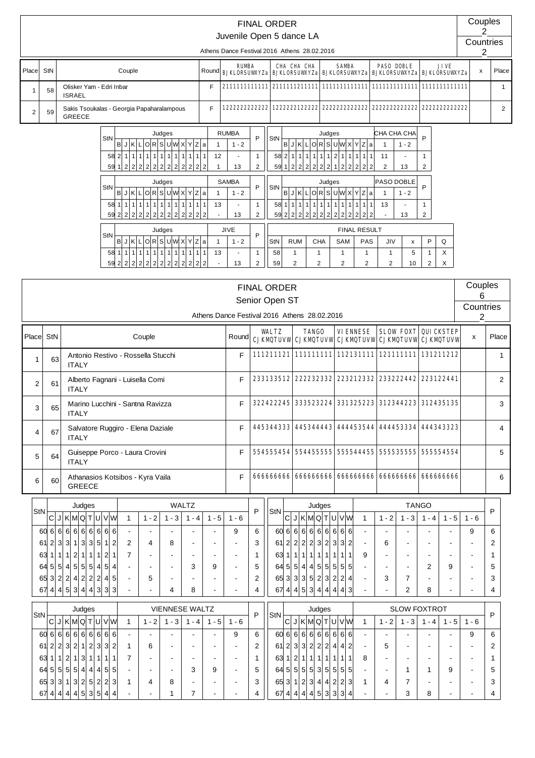|                |     |                                                                                                                                                                                                                                                                                                                                                                                           |                                                                                                                                                | Juvenile Open 5 dance LA                                                                                                      |                                                                                                                                                   | <b>FINAL ORDER</b>                                      |                                                                                                    |                                                                                                                                                                                                                                                                                             |                                                                       |                                                                                                                       |                                                                            |                                                                                                                            |                              | Couples<br>2                |                |
|----------------|-----|-------------------------------------------------------------------------------------------------------------------------------------------------------------------------------------------------------------------------------------------------------------------------------------------------------------------------------------------------------------------------------------------|------------------------------------------------------------------------------------------------------------------------------------------------|-------------------------------------------------------------------------------------------------------------------------------|---------------------------------------------------------------------------------------------------------------------------------------------------|---------------------------------------------------------|----------------------------------------------------------------------------------------------------|---------------------------------------------------------------------------------------------------------------------------------------------------------------------------------------------------------------------------------------------------------------------------------------------|-----------------------------------------------------------------------|-----------------------------------------------------------------------------------------------------------------------|----------------------------------------------------------------------------|----------------------------------------------------------------------------------------------------------------------------|------------------------------|-----------------------------|----------------|
|                |     |                                                                                                                                                                                                                                                                                                                                                                                           |                                                                                                                                                | Athens Dance Festival 2016 Athens 28.02.2016                                                                                  |                                                                                                                                                   |                                                         |                                                                                                    |                                                                                                                                                                                                                                                                                             |                                                                       |                                                                                                                       |                                                                            |                                                                                                                            |                              | Countries<br>$\overline{2}$ |                |
| Place          | StN | Couple                                                                                                                                                                                                                                                                                                                                                                                    | Round                                                                                                                                          | <b>RUMBA</b><br><b>BJKLORSUWYZa BJKLORSUWYZa BJKLORSUWYZa</b>                                                                 |                                                                                                                                                   |                                                         | <b>CHA CHA CHA</b>                                                                                 | <b>SAMBA</b>                                                                                                                                                                                                                                                                                |                                                                       | <b>PASO DOBLE</b><br><b>BJKLORSUVKYZa</b>                                                                             |                                                                            |                                                                                                                            | JIVE<br><b>BJKLORSUWXYZa</b> | $\pmb{\mathsf{x}}$          | Place          |
| 1              | 58  | Olisker Yam - Edri Inbar<br><b>ISRAEL</b>                                                                                                                                                                                                                                                                                                                                                 | F                                                                                                                                              |                                                                                                                               |                                                                                                                                                   |                                                         |                                                                                                    |                                                                                                                                                                                                                                                                                             |                                                                       |                                                                                                                       |                                                                            |                                                                                                                            |                              |                             | $\mathbf{1}$   |
| $\overline{c}$ | 59  | Sakis Tsoukalas - Georgia Papaharalampous<br><b>GREECE</b>                                                                                                                                                                                                                                                                                                                                | F                                                                                                                                              | 1222222222222                                                                                                                 |                                                                                                                                                   |                                                         | 1222222122222                                                                                      | 2222222222222                                                                                                                                                                                                                                                                               |                                                                       | 2222222222222                                                                                                         |                                                                            |                                                                                                                            | 2222222222222                |                             | $\overline{2}$ |
|                |     | Judges<br>StN<br>B J K L O R S U W X Y Z A<br>$58$ 2 1 1 1 1 1 1 1<br>1 1 1 1 1 1<br>59 1 2 2 2 2 2 2 2 2 2 2 2 2 2<br>Judges<br>StN<br>B J K L O R S U W X Y Z A<br>1<br>1<br>111111111<br>58 1<br>$1$ 1 $1$<br>1<br>59 2 2 2 2 2 2 2 2 2 2 2 2 2 2<br>Judges<br>StN<br>B J K L O R S U W X Y Z A<br>$\overline{58}$ 1 1 1 1 1 1 1 1 1 1 1 1 1 1 1 1<br>$59$ 2 2 2 2 2 2 2 2 2 2 2 2 2 2 | $\mathbf{1}$<br>12<br>$\mathbf{1}$<br>$\mathbf{1}$<br>13<br>$\overline{2}$<br>$\sim$<br>$\mathbf{1}$<br>13<br>$\overline{2}$<br>$\overline{a}$ | <b>RUMBA</b><br>$1 - 2$<br>÷,<br>13<br><b>SAMBA</b><br>$1 - 2$<br>$\tilde{\phantom{a}}$<br>13<br><b>JIVE</b><br>$1 - 2$<br>13 | $\mathsf P$<br>$\mathbf{1}$<br>$\overline{2}$<br>$\mathsf P$<br>$\mathbf{1}$<br>$\overline{2}$<br>$\mathsf P$<br>$\overline{1}$<br>$\overline{c}$ | StN<br>StN<br>58 1<br>$\overline{1}$<br>StN<br>58<br>59 | 1 1 <br>1<br><b>RUM</b><br>CHA<br>$\mathbf{1}$<br>$\mathbf{1}$<br>$\overline{2}$<br>$\overline{2}$ | Judges<br>B J K L O R S U W X Y Z A<br>$58$ 2 1 1 1 1 1 1 1 2 1 1 1 1 1<br>59 1 2 2 2 2 2 2 1 2 2 2 2 2<br>Judges<br>B J K L O R S U W X Y Z A<br>1<br>$\mathbf{1}$<br>$\vert$ 1<br>$\overline{1}$<br>1<br>59 2 2 2 2 2 2 2 2 2 2 2 2 2 2<br>SAM<br>$\mathbf{1}$<br>$\overline{\mathbf{c}}$ | 1 1 1<br><b>FINAL RESULT</b><br>PAS<br>$\mathbf{1}$<br>$\overline{2}$ | CHA CHA CHA<br>$\mathbf{1}$<br>11<br>2<br>PASO DOBLE<br>$\overline{1}$<br>13<br>JIV<br>$\mathbf{1}$<br>$\overline{c}$ | $1 - 2$<br>$\overline{\phantom{a}}$<br>13<br>$1 - 2$<br>13<br>x<br>5<br>10 | P<br>$\mathbf{1}$<br>$\overline{\mathbf{c}}$<br>P<br>$\mathbf{1}$<br>$\overline{c}$<br>P<br>$\mathbf{1}$<br>$\overline{2}$ | Q<br>X<br>X                  |                             |                |
|                |     |                                                                                                                                                                                                                                                                                                                                                                                           |                                                                                                                                                |                                                                                                                               |                                                                                                                                                   | <b>FINAL ORDER</b>                                      |                                                                                                    |                                                                                                                                                                                                                                                                                             |                                                                       |                                                                                                                       |                                                                            |                                                                                                                            |                              | Couples                     |                |
|                |     |                                                                                                                                                                                                                                                                                                                                                                                           |                                                                                                                                                |                                                                                                                               |                                                                                                                                                   | Senior Open ST                                          |                                                                                                    |                                                                                                                                                                                                                                                                                             |                                                                       |                                                                                                                       |                                                                            |                                                                                                                            |                              | 6<br>Countries              |                |
|                |     |                                                                                                                                                                                                                                                                                                                                                                                           |                                                                                                                                                | Athens Dance Festival 2016 Athens 28.02.2016                                                                                  |                                                                                                                                                   |                                                         |                                                                                                    |                                                                                                                                                                                                                                                                                             |                                                                       |                                                                                                                       |                                                                            |                                                                                                                            |                              | $\overline{2}$              |                |
| Place          | StN | Couple                                                                                                                                                                                                                                                                                                                                                                                    |                                                                                                                                                | Round                                                                                                                         |                                                                                                                                                   | <b>WALTZ</b>                                            | <b>TANGO</b>                                                                                       | CJKMQTUVW CJKMQTUVW CJKMQTUVW CJKMQTUVW CJKMQTUVW                                                                                                                                                                                                                                           | <b>VIENNESE</b>                                                       | <b>SLOW FOXT QUICKSTEP</b>                                                                                            |                                                                            |                                                                                                                            |                              | X                           | Place          |
| 1              | 63  | Antonio Restivo - Rossella Stucchi<br><b>ITALY</b>                                                                                                                                                                                                                                                                                                                                        |                                                                                                                                                | F                                                                                                                             |                                                                                                                                                   |                                                         |                                                                                                    | 111211121 111111111 112131111 121111111 131211212                                                                                                                                                                                                                                           |                                                                       |                                                                                                                       |                                                                            |                                                                                                                            |                              |                             | $\mathbf{1}$   |
| $\overline{2}$ | 61  | Alberto Fagnani - Luisella Comi<br><b>ITALY</b>                                                                                                                                                                                                                                                                                                                                           |                                                                                                                                                | F                                                                                                                             |                                                                                                                                                   |                                                         | 233133512 222232332                                                                                |                                                                                                                                                                                                                                                                                             | 223212332                                                             | 233222442 223122441                                                                                                   |                                                                            |                                                                                                                            |                              |                             | $\overline{2}$ |
| 3              | 65  | Marino Lucchini - Santna Ravizza<br><b>ITALY</b>                                                                                                                                                                                                                                                                                                                                          |                                                                                                                                                | F                                                                                                                             |                                                                                                                                                   | 322422245                                               | 333523224                                                                                          |                                                                                                                                                                                                                                                                                             | 331325223                                                             | 312344223 312435135                                                                                                   |                                                                            |                                                                                                                            |                              |                             | 3              |
| 4              | 67  | Salvatore Ruggiro - Elena Daziale<br><b>ITALY</b>                                                                                                                                                                                                                                                                                                                                         |                                                                                                                                                | F                                                                                                                             |                                                                                                                                                   | 445344333                                               | 445344443                                                                                          |                                                                                                                                                                                                                                                                                             |                                                                       | 444453544 444453334                                                                                                   |                                                                            | 444343323                                                                                                                  |                              |                             | $\overline{4}$ |
| 5              | 64  | Guiseppe Porco - Laura Crovini<br><b>ITALY</b>                                                                                                                                                                                                                                                                                                                                            |                                                                                                                                                | F                                                                                                                             |                                                                                                                                                   | 554555454                                               |                                                                                                    | 5544555555 555544455 555535555                                                                                                                                                                                                                                                              |                                                                       |                                                                                                                       |                                                                            | 555554554                                                                                                                  |                              |                             | 5              |

| StN |                |                |                |                | Judges         |                              |                |                 |                |           |         | <b>WALTZ</b>             |                          |         | P              | StN |                |                  |   | Judges    |                 |              |                    |                                  |                          |         |                          | <b>TANGO</b>             |         |                          | P |
|-----|----------------|----------------|----------------|----------------|----------------|------------------------------|----------------|-----------------|----------------|-----------|---------|--------------------------|--------------------------|---------|----------------|-----|----------------|------------------|---|-----------|-----------------|--------------|--------------------|----------------------------------|--------------------------|---------|--------------------------|--------------------------|---------|--------------------------|---|
|     | $\mathsf{C}$   |                |                |                |                |                              |                | J K M Q T U V W |                | $-2$<br>1 | $1 - 3$ | $1 - 4$                  | $1 - 5$                  | $1 - 6$ |                |     | $\mathsf{C}$   |                  |   |           |                 |              |                    | J K M Q T U V W                  |                          | $1 - 2$ | $1 - 3$                  | $1 - 4$                  | $1 - 5$ | $1 - 6$                  |   |
|     | 60 6           | $6 \mid$       | 6 <sup>1</sup> | $6 \mid$       | 6 6            | 6                            |                | 6 6             |                |           |         | ۰.                       |                          | 9       | 6              | 60  | 6 <sup>1</sup> | 6 <sup>1</sup>   |   | 6 6 6     |                 | 6 6          | 6                  | <b>6</b>                         |                          |         |                          |                          |         | 9                        | 6 |
| 61  | $\vert$ 2      | 3              | 3              | 1              | 3 3            | 5 <sup>1</sup>               | 1              | $\overline{2}$  | 2              | 4         | 8       | $\overline{\phantom{0}}$ | ۰                        |         | 3              | 61  | $\overline{2}$ |                  |   | 2 2 2 3   |                 | 23           |                    | 3 2                              | $\overline{\phantom{0}}$ | 6       | $\overline{\phantom{a}}$ | $\overline{\phantom{a}}$ |         | $\overline{\phantom{a}}$ | 2 |
| 63  |                | -1             | $\mathbf{1}$   | $\overline{2}$ | 111            | 11                           | $\overline{2}$ |                 | 7              |           | ۰       | ۰.                       | ۰                        |         | $\mathbf{1}$   | 63  | 1              | 11               |   | 1 1 1     |                 | 1            | $\mathbf{1}$<br>11 | 1                                | 9                        |         | $\overline{\phantom{a}}$ | ۰                        |         | ۰                        |   |
| 64  | 5 <sup>1</sup> | 5              | $\vert$        |                | 5 5 5          | $\overline{4}$               | 5 <sup>1</sup> | 4               |                |           |         | 3                        | 9                        |         | 5              | 64  | 5 <sup>1</sup> | 5 <sub>l</sub>   |   | 4 4 5 555 |                 |              |                    | 5                                |                          |         |                          | $\overline{2}$           | 9       | $\overline{\phantom{a}}$ | 5 |
|     | 65 3 2         |                | $\overline{2}$ |                | 4 2 2 2        |                              |                | 4 5             |                | 5         | ۰       | ۰.                       | $\overline{\phantom{a}}$ |         | $\overline{2}$ | 65  | 3 <sup>1</sup> |                  |   | 3 3 5 2   |                 | 3 2          |                    | 2 <sup>1</sup><br>$\overline{4}$ | $\overline{\phantom{0}}$ | 3       | 7                        | $\overline{\phantom{a}}$ |         | $\overline{\phantom{a}}$ | 3 |
| 67  | 4 4            |                | 5 <sup>1</sup> | 3 <sup>1</sup> | 4 4 3          |                              |                | 3 3             |                | ۰         | 4       | 8                        | $\blacksquare$           |         | 4              | 67  | $\overline{4}$ | $\left 4\right $ |   | 5 3 4     |                 |              |                    | 4 4 4 3                          | $\blacksquare$           | ٠.      | 2                        | 8                        |         | $\overline{\phantom{a}}$ | 4 |
|     |                |                |                |                |                |                              |                |                 |                |           |         |                          |                          |         |                |     |                |                  |   |           |                 |              |                    |                                  |                          |         |                          |                          |         |                          |   |
| StN |                |                |                |                | Judges         |                              |                |                 |                |           |         | <b>VIENNESE WALTZ</b>    |                          |         | P              | StN |                |                  |   | Judges    |                 |              |                    |                                  |                          |         |                          | <b>SLOW FOXTROT</b>      |         |                          | P |
|     | C              | JI             |                |                |                |                              |                | KMQTUVW         |                | $1 - 2$   | $1 - 3$ | $1 - 4$                  | $1 - 5$                  | $1 - 6$ |                |     | IС             |                  |   |           |                 |              |                    | J K M Q T U V W                  | 1                        | $1 - 2$ | $1 - 3$                  | $1 - 4$                  | $1 - 5$ | $1 - 6$                  |   |
|     | 60 6 6         |                | 6 <sup>1</sup> |                | 6 6 6          |                              |                | 6 6 6           |                |           |         | ۰.                       | $\blacksquare$           | 9       | 6              | 60  | 6 <sup>1</sup> | 6 <sup>1</sup>   |   |           |                 |              |                    | 6 6 6 6 6 6 6                    | $\blacksquare$           |         |                          | $\overline{\phantom{a}}$ |         | 9                        | 6 |
| 61  | $\overline{2}$ | $\vert$ 2      | 3              |                | 2 1 2          | 3                            |                | 3 <sup>2</sup>  | 1              | 6         | ۰       | ۰.                       | ۰                        |         | 2              | 61  | $\overline{2}$ |                  |   | 3 3 2 2 2 |                 |              |                    | 4 4 2                            |                          | 5       |                          | $\overline{\phantom{a}}$ |         | $\overline{\phantom{0}}$ | 2 |
|     |                |                |                |                |                |                              |                |                 |                |           |         |                          |                          |         |                |     |                |                  |   |           |                 |              |                    |                                  |                          |         |                          |                          |         |                          |   |
| 63  |                | 1              | $\overline{2}$ | 1              | 3 <sup>1</sup> | $\mathbf{1}$<br>$\mathbf{1}$ | 1              | 1               | $\overline{7}$ | ۰         |         | ۰.                       |                          |         | 1              | 63  | 1              | 2 <sup>1</sup>   | 1 | 1 1       |                 | $\mathbf{1}$ | $\mathbf{1}$<br>11 | 1                                | 8                        |         |                          |                          |         | $\overline{\phantom{a}}$ |   |
| 64  | 5 <sup>1</sup> | 5 <sup>1</sup> | 5 <sup>1</sup> | 5 <sup>1</sup> | $\vert$        | 4<br>$\overline{4}$          |                | 55              |                |           | ۰       | 3                        | 9                        |         | 5              | 64  | 5 <sup>1</sup> | 5 <sup>1</sup>   |   | 5 5 3     |                 | 5 5          |                    | 5 <sup>1</sup><br>5              | $\overline{\phantom{0}}$ |         |                          |                          | 9       | $\overline{\phantom{a}}$ | 5 |
|     | 65 3 3         |                | 1 <sup>1</sup> |                | 3 2 5          | $\overline{2}$               |                | 2 3             | 1              | 4         | 8       | ۰.                       | ۰                        |         | 3              | 65  | 3 <sup>1</sup> | 1                |   | 2 3       | $\vert 4 \vert$ | 4 2 2        |                    | 3                                | 1                        | 4       | 7                        | $\overline{\phantom{a}}$ |         | $\overline{\phantom{a}}$ | 3 |

F 666666666 666666666 666666666 666666666 666666666 6

6 60 Athanasios Kotsibos - Kyra Vaila

GREECE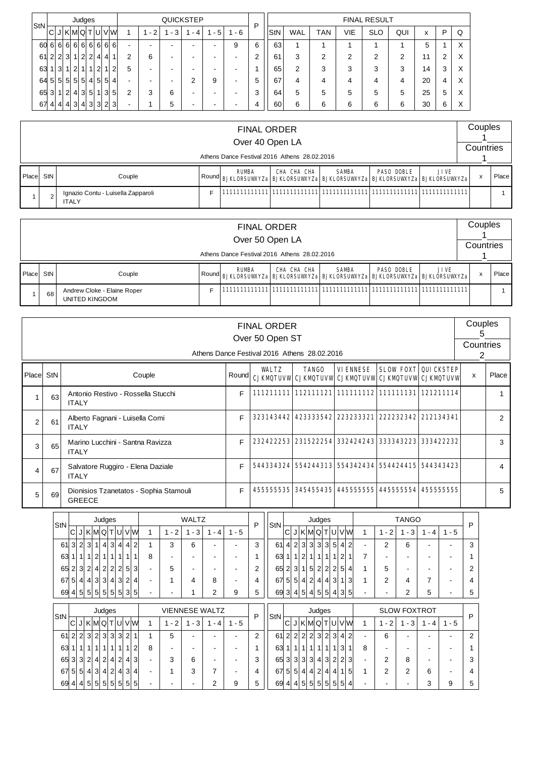| StN |                   |                 |                |                | Judges         |                |                |                |                         |                          |      |     | <b>QUICKSTEP</b> |                          |     | P |            |            |            |     | <b>FINAL RESULT</b> |        |    |   |   |
|-----|-------------------|-----------------|----------------|----------------|----------------|----------------|----------------|----------------|-------------------------|--------------------------|------|-----|------------------|--------------------------|-----|---|------------|------------|------------|-----|---------------------|--------|----|---|---|
|     | C                 | J               | IKMQTUI        |                |                |                |                |                | VW                      |                          | $-2$ | - 3 | - 4              | - 5                      | - 6 |   | <b>StN</b> | <b>WAL</b> | <b>TAN</b> | VIE | <b>SLO</b>          | QUI    | x  | P | Q |
| 60  | 6 6 6 6 6 6 6 6 6 |                 |                |                |                |                |                |                |                         | $\overline{\phantom{0}}$ | ۰    | -   | -                | $\overline{\phantom{0}}$ | 9   | 6 | 63         |            |            |     |                     |        | 5  |   | X |
| 61  | $\overline{2}$    | $\overline{2}$  | 3 <sup>l</sup> |                | $\overline{2}$ | $\overline{2}$ |                | 4              | $\overline{\mathbf{A}}$ | ⌒                        | 6    | -   |                  |                          |     | c | 61         | 3          | ⌒<br>∠     | 2   | ◠                   | າ<br>∠ | 11 |   | Х |
| 63  |                   | $\vert 3 \vert$ | 11             | 2 <sup>1</sup> | <u>11</u>      | $\mathbf{1}$   | $\overline{2}$ |                | $\overline{2}$          | 5                        | -    | -   |                  | -                        |     |   | 65         | 2          | 3          | 3   | 3                   | 3      | 14 | 3 | X |
| 64  | 5 5               |                 | 5 5 5 4        |                |                |                | 5              | 5 <sup>5</sup> | 4                       |                          | ۰    | -   |                  | 9                        | -   | 5 | 67         | 4          | 4          | 4   | Δ                   | 4      | 20 |   | X |
| 65  | 3                 |                 | $\overline{2}$ | 4 3            |                | 5              |                | 3              | 5                       | 2                        | 3    | 6   | -                | -                        | -   | 3 | 64         | 5          | 5          | 5   | 5                   | 5      | 25 | 5 | X |
| 67  | $\vert$           |                 | 4 4 3 4 3      |                |                |                | $\overline{3}$ |                | 2 3                     |                          |      | 5   | -                | -                        |     | 4 | 60         | 6          | 6          | 6   | 6                   | 6      | 30 | 6 | X |

|       |                |                                                    |       | <b>FINAL ORDER</b><br>Over 40 Open LA | Athens Dance Festival 2016 Athens 28.02.2016                                           |              |                   |             | Countries | Couples |         |
|-------|----------------|----------------------------------------------------|-------|---------------------------------------|----------------------------------------------------------------------------------------|--------------|-------------------|-------------|-----------|---------|---------|
| Place | StN            | Couple                                             | Round | <b>RUMBA</b>                          | CHA CHA CHA<br><b>BJKLORSUWYZa BJKLORSUWYZa BJKLORSUWYZa BJKLORSUWYZa BJKLORSUWYZa</b> | <b>SAMBA</b> | <b>PASO DOBLE</b> | <b>JIVE</b> |           | X       | Place I |
|       | $\overline{2}$ | Ignazio Contu - Luisella Zapparoli<br><b>ITALY</b> |       |                                       |                                                                                        |              |                   |             |           |         |         |

|       |     |                                               | <b>FINAL ORDER</b><br>Over 50 Open LA | Athens Dance Festival 2016 Athens 28.02.2016                                          |              |                   |             | Couples<br>Countries |              |
|-------|-----|-----------------------------------------------|---------------------------------------|---------------------------------------------------------------------------------------|--------------|-------------------|-------------|----------------------|--------------|
| Place | StN | Couple                                        | <b>RUMBA</b>                          | CHA CHA CHA<br>Round BJKLORSUWYZa BJKLORSUWYZa BJKLORSUWYZa BJKLORSUWYZa BJKLORSUWYZa | <b>SAMBA</b> | <b>PASO DOBLE</b> | <b>JIVE</b> |                      | <b>Place</b> |
|       | 68  | Andrew Cloke - Elaine Roper<br>UNITED KINGDOM |                                       |                                                                                       |              |                   |             |                      |              |

|                |     |                                                                                                                                                                                              |                                                                                                              |   |                |   |               |         |                                          |                                    |                |               | Athens Dance Festival 2016 Athens 28,02,2016 | <b>FINAL ORDER</b><br>Over 50 Open ST |                     |                     |              |                                                        |                                                   |                |                                                                       |         |                  | Couples<br>5<br>Countries |       |
|----------------|-----|----------------------------------------------------------------------------------------------------------------------------------------------------------------------------------------------|--------------------------------------------------------------------------------------------------------------|---|----------------|---|---------------|---------|------------------------------------------|------------------------------------|----------------|---------------|----------------------------------------------|---------------------------------------|---------------------|---------------------|--------------|--------------------------------------------------------|---------------------------------------------------|----------------|-----------------------------------------------------------------------|---------|------------------|---------------------------|-------|
|                |     |                                                                                                                                                                                              |                                                                                                              |   |                |   |               |         |                                          |                                    |                |               |                                              |                                       |                     |                     |              |                                                        |                                                   |                |                                                                       |         |                  | 2                         |       |
| Place          | StN |                                                                                                                                                                                              |                                                                                                              |   |                |   |               |         | Couple                                   |                                    |                |               | Round                                        |                                       | <b>WALTZ</b>        |                     | <b>TANGO</b> |                                                        | <b>VIENNESE</b>                                   |                | <b>SLOW FOXT</b><br>CJKMQTUVW CJKMQTUVW CJKMQTUVW CJKMQTUVW CJKMQTUVW |         | <b>QUICKSTEP</b> | x                         | Place |
| $\mathbf{1}$   | 63  |                                                                                                                                                                                              | <b>ITALY</b>                                                                                                 |   |                |   |               |         |                                          | Antonio Restivo - Rossella Stucchi |                |               | F                                            |                                       |                     |                     |              |                                                        |                                                   |                | 111211111 112111121 111111112 111111131 121211114                     |         |                  |                           | 1     |
| $\overline{2}$ | 61  |                                                                                                                                                                                              | <b>ITALY</b>                                                                                                 |   |                |   |               |         | Alberto Fagnani - Luisella Comi          |                                    |                |               | F                                            |                                       |                     |                     |              |                                                        | 323143442 423333542 223233321                     |                | 222232342                                                             |         | 212134341        |                           | 2     |
| 3              | 65  |                                                                                                                                                                                              | <b>ITALY</b>                                                                                                 |   |                |   |               |         | Marino Lucchini - Santna Ravizza         |                                    |                |               | F                                            |                                       | 232422253 231522254 |                     |              |                                                        | 332424243                                         |                | 333343223 333422232                                                   |         |                  |                           | 3     |
| $\overline{4}$ | 67  |                                                                                                                                                                                              | Salvatore Ruggiro - Elena Daziale<br><b>ITALY</b><br>Dionisios Tzanetatos - Sophia Stamouli<br><b>GREECE</b> |   |                |   |               |         |                                          |                                    | F              |               |                                              |                                       |                     |                     |              |                                                        | 544334324 554244313 554342434 554424415 544343423 |                |                                                                       |         | 4                |                           |       |
| 5              | 69  |                                                                                                                                                                                              | Judges<br>JK M Q T U V W<br>$\mathsf{C}$<br>$1 - 2$                                                          |   |                |   |               |         |                                          | E                                  |                |               |                                              |                                       |                     |                     |              | 455555535  345455435  445555555  445555554  4555555555 |                                                   |                |                                                                       | 5       |                  |                           |       |
|                |     | <b>WALTZ</b>                                                                                                                                                                                 |                                                                                                              |   |                |   |               |         |                                          |                                    |                | Judges        |                                              |                                       |                     | <b>TANGO</b>        |              |                                                        |                                                   |                |                                                                       |         |                  |                           |       |
|                |     | StN                                                                                                                                                                                          |                                                                                                              |   |                |   |               |         |                                          |                                    | $1 - 3$        | $1 - 4$       | $1 - 5$                                      | P                                     | StN                 |                     |              | C J K M Q T U V W                                      | $\mathbf{1}$                                      | $1 - 2$        | $1 - 3$                                                               | $1 - 4$ | $1 - 5$          | P                         |       |
|                |     |                                                                                                                                                                                              |                                                                                                              |   |                |   |               |         |                                          |                                    |                |               |                                              | 3                                     |                     |                     |              | $61$ 4 2 3 3 3 3 5 4 2                                 |                                                   | $\overline{2}$ | 6                                                                     |         |                  | 3                         |       |
|                |     | 3 2 3 1 4 3 4 4 2<br>3<br>61<br>6<br>1<br>1 1 2 1 1 1 1 1<br>631<br>8<br>65 2 3 2 4 2 2 2 5 3<br>5<br>5 4 4 3 3 4 3 2 4<br>67<br>4<br>1<br>8<br>69 4 5 5 5 5 5 5 5 3 3<br>$\mathcal{P}$<br>1 |                                                                                                              |   |                | 1 |               |         |                                          | 63 1 1 2 1 1 1 1 2 1               | $\overline{7}$ |               |                                              |                                       |                     | 1                   |              |                                                        |                                                   |                |                                                                       |         |                  |                           |       |
|                |     |                                                                                                                                                                                              |                                                                                                              |   | 2              |   |               |         | 65 2 3 1 5 2 2 2 5 4                     |                                    | 5              |               |                                              |                                       | 2                   |                     |              |                                                        |                                                   |                |                                                                       |         |                  |                           |       |
|                |     |                                                                                                                                                                                              |                                                                                                              |   | $\overline{4}$ |   |               |         | $ 67 $ 5 $ 5 $ 4 $ 2 $ 4 $ 4 $ 3 $ 1 $ 3 |                                    | 2              | 4             | 7                                            |                                       | 4                   |                     |              |                                                        |                                                   |                |                                                                       |         |                  |                           |       |
|                |     |                                                                                                                                                                                              |                                                                                                              | 9 | 5              |   |               |         | 69 3 4 5 4 5 5 4 3 5                     |                                    |                | $\mathcal{P}$ | 5                                            |                                       | 5                   |                     |              |                                                        |                                                   |                |                                                                       |         |                  |                           |       |
|                |     |                                                                                                                                                                                              |                                                                                                              |   |                |   |               |         |                                          |                                    |                |               |                                              |                                       |                     |                     |              |                                                        |                                                   |                |                                                                       |         |                  |                           |       |
|                |     | <b>VIENNESE WALTZ</b><br>Judges<br>StN                                                                                                                                                       |                                                                                                              |   |                |   | P             | StN     |                                          | Judges                             |                |               |                                              | <b>SLOW FOXTROT</b>                   |                     |                     | P            |                                                        |                                                   |                |                                                                       |         |                  |                           |       |
|                |     |                                                                                                                                                                                              | C <br>JKMQTUV                                                                                                |   | $1 - 2$        |   | $1 - 3$ 1 - 4 | $1 - 5$ |                                          |                                    |                |               | C J K M Q T U V W                            | $\mathbf{1}$                          |                     | $1 - 2$ 1 - 3 1 - 4 |              | $1 - 5$                                                |                                                   |                |                                                                       |         |                  |                           |       |

| ---                    |  |   | C J K M Q T U V W |  |  | $1 - 2$ | $1 - 3$ . | - 4 | $1 - 5$ |   | --- |  |   |                  |     |   | ICI JI KIMIQITIUI VIWI |   | $1 - 2$ | - 3 | - 4 | $1 - 5$ |    |
|------------------------|--|---|-------------------|--|--|---------|-----------|-----|---------|---|-----|--|---|------------------|-----|---|------------------------|---|---------|-----|-----|---------|----|
| 61 2 2 3 2 3 3 3 2     |  |   |                   |  |  |         | -         |     |         |   |     |  |   |                  |     |   | 61 2 2 2 2 3 2 3 4 2   |   | 6       |     |     |         | 2  |
| 63 1                   |  | 1 | 111111112         |  |  |         | -         |     |         |   | 63  |  | 1 |                  | -11 | 3 |                        | 8 |         |     |     |         |    |
| 65 3 3 2 4 2 4 2 4 3   |  |   |                   |  |  | 2       | 6         |     |         |   |     |  |   |                  |     |   | 65 3 3 3 3 4 3 2 2 3   |   |         | 8   | -   |         | 3  |
| 67 5 5 4 3 4 2 4 3 4   |  |   |                   |  |  |         | 3         |     |         | 4 |     |  |   | 67 5 5 4 4 2 4 4 |     |   | -51                    |   |         |     | 6   |         | 4  |
| 69 4 4 5 5 5 5 5 5 5 5 |  |   |                   |  |  |         | $\,$      |     | 9       | 5 |     |  |   |                  |     |   | 69 4 4 5 5 5 5 5 5 4   |   |         |     |     | 9       | -5 |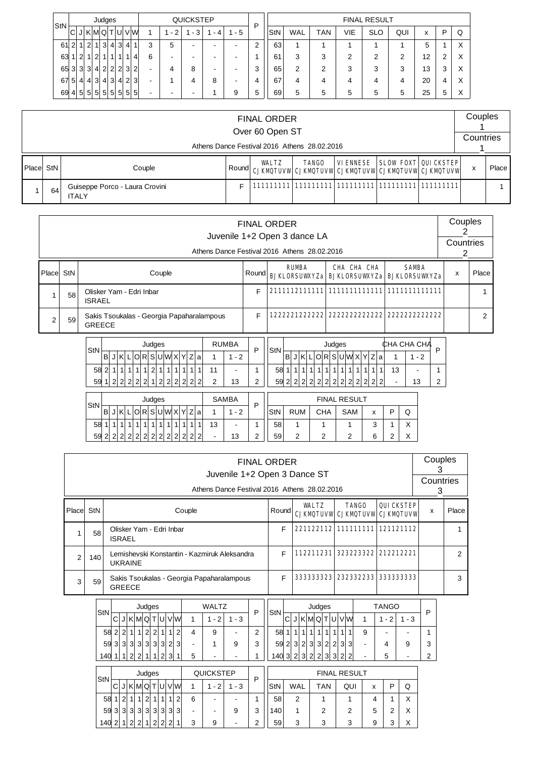| StN |                |                |                |                | Judges         |              |     |     |         |   |                               | <b>QUICKSTEP</b> |     |     | D |            |     |     |     | <b>FINAL RESULT</b> |        |    |   |   |
|-----|----------------|----------------|----------------|----------------|----------------|--------------|-----|-----|---------|---|-------------------------------|------------------|-----|-----|---|------------|-----|-----|-----|---------------------|--------|----|---|---|
|     | C              |                | JKMQT          |                |                |              |     |     | IUI VIW |   | 2<br>$\overline{\phantom{a}}$ | - 3              | - 4 | - 5 |   | <b>StN</b> | WAL | TAN | VIE | <b>SLO</b>          | QUI    | X  | P | Q |
| 61  | $\overline{2}$ | $\overline{1}$ | $\overline{2}$ | $\mathbf{1}$   | 3 <sup>l</sup> | $\vert$      |     | 3 4 |         | 3 | 5                             | -                | -   | -   | 2 | 63         | и   |     |     |                     |        | 5  |   | Χ |
| 63  |                | $\overline{2}$ |                | $\overline{2}$ |                | $\mathbf{1}$ |     | 1   | $\vert$ | 6 |                               | -                | -   |     |   | 61         | 3   | 3   | ົ   | 2                   | っ<br>∠ | 12 | ⌒ | X |
| 65  | 3 <sup>1</sup> | 3 <sup>l</sup> | 3              | $\vert$        | 22232          |              |     |     |         | - |                               | 8                | -   |     | 3 | 65         | 2   | 2   | 3   | 3                   | 3      | 13 | 3 | X |
| 67  | 5 <sup>1</sup> | $\vert$        | 4              | 3              | 4 3 4 2 3      |              |     |     |         | - |                               |                  | 8   |     | 4 | 67         | 4   | 4   | 4   | 4                   | 4      | 20 | 4 | X |
| 69  | 4 <sup>1</sup> | 5 <sup>1</sup> | $5 \,$         | 5 <sup>1</sup> | 5 5            |              | -51 |     | 5 5     | - |                               |                  |     | 9   | 5 | 69         | 5   | 5   | 5   | 5                   | 5      | 25 | 5 | Χ |

|            |    |                                                |        | <b>FINAL ORDER</b>                           |              |          |                                                                                 | Couples   |       |
|------------|----|------------------------------------------------|--------|----------------------------------------------|--------------|----------|---------------------------------------------------------------------------------|-----------|-------|
|            |    |                                                |        | Over 60 Open ST                              |              |          |                                                                                 | Countries |       |
|            |    |                                                |        | Athens Dance Festival 2016 Athens 28.02.2016 |              |          |                                                                                 |           |       |
| Placel StN |    | Couple                                         | Roundl | WILTZ                                        | <b>TANGO</b> | VIENNESE | <b>SLOW FOXT QUICKSTEP</b><br>CJKMQTUVW CJKMQTUVW CJKMQTUVW CJKMQTUVW CJKMQTUVW | x         | Place |
|            | 64 | Guiseppe Porco - Laura Crovini<br><b>ITALY</b> | F      |                                              |              |          |                                                                                 |           |       |

|                |     |                                                                                                                                                                                                                       |        | <b>FINAL ORDER</b><br>Juvenile 1+2 Open 3 dance LA |                                                          |                                                                                                                        |                                                   |                   |                                 |                      | Couples<br>2   |       |
|----------------|-----|-----------------------------------------------------------------------------------------------------------------------------------------------------------------------------------------------------------------------|--------|----------------------------------------------------|----------------------------------------------------------|------------------------------------------------------------------------------------------------------------------------|---------------------------------------------------|-------------------|---------------------------------|----------------------|----------------|-------|
|                |     | Athens Dance Festival 2016 Athens 28.02.2016                                                                                                                                                                          |        |                                                    |                                                          |                                                                                                                        |                                                   |                   |                                 |                      | Countries<br>2 |       |
| Place          | StN | Couple                                                                                                                                                                                                                | Round  | <b>RUMBA</b><br><b>BJKLORSUWXYZa</b>               |                                                          | CHA CHA CHA<br><b>BJKLORSUWXYZa</b>                                                                                    |                                                   |                   | <b>SAMBA</b>                    | <b>BJKLORSUWXYZa</b> | X              | Place |
|                | 58  | Olisker Yam - Edri Inbar<br><b>ISRAEL</b>                                                                                                                                                                             | E      |                                                    |                                                          |                                                                                                                        |                                                   |                   |                                 |                      |                |       |
| $\overline{2}$ | 59  | Sakis Tsoukalas - Georgia Papaharalampous<br><b>GREECE</b>                                                                                                                                                            | F      | 222221222222                                       |                                                          | 2222222222222                                                                                                          |                                                   |                   |                                 | 2222222222222        |                | 2     |
|                |     | <b>RUMBA</b><br>Judges<br>StN<br>B<br>J K L O R S U W X Y Z a<br>$1 - 2$<br> 2 1 1 <br>58 2 1 1 1<br>1 1 <br>1<br>111<br>11<br>1<br>2 2 2<br>2 <br>1<br>2 2 <br>2 2 <br>59<br>$\vert$ 2<br>$\mathcal{P}$<br>13<br>2 2 | P<br>2 | StN<br>58<br>1111<br>2 2 2 <br>59                  | $1$   1 <br>1<br> 2 <br>2 <sup>1</sup><br>$\overline{2}$ | Judges<br>B J K L O R S U W X Y Z a<br>$1 \vert 1 \vert$<br>1<br>$\vert$ 1<br>$\overline{2}$<br>2 2 <br>$\overline{2}$ | 111<br>1<br>$\overline{2}$<br>$\overline{2}$<br>2 | CHA CHA CHA<br>13 | $1 - 2$<br>$\blacksquare$<br>13 | P<br>2               |                |       |
|                |     | Judges<br><b>SAMBA</b><br>StN<br>J K L O R S U W X Y Z A <br>B<br>$1 - 2$<br>13<br>58<br>1 1 1<br>1 1 1 <br>1 1 <br>$\vert$<br>11<br>1<br>$\overline{1}$                                                              | P      | StN<br><b>RUM</b><br>58                            | <b>CHA</b>                                               | <b>FINAL RESULT</b><br>SAM                                                                                             | $\mathsf{x}$<br>3                                 | P                 | Q<br>X                          |                      |                |       |

|        |     | <b>FINAL ORDER</b>                                                           |       |           |                                                      |            | Couples        |       |
|--------|-----|------------------------------------------------------------------------------|-------|-----------|------------------------------------------------------|------------|----------------|-------|
|        |     | Juvenile 1+2 Open 3 Dance ST<br>Athens Dance Festival 2016 Athens 28,02,2016 |       |           |                                                      |            | Countries<br>3 |       |
| Placel | StN | Couple                                                                       | Round | WALTZ     | <b>TANGO</b><br><b>CJKMQTUVW CJKMQTUVW CJKMQTUVW</b> | QUICKSTEP  | x              | Place |
|        | 58  | Olisker Yam - Edri Inbar<br><b>ISRAEL</b>                                    | F     |           | 221122112 111111111 121121112                        |            |                |       |
| 2      | 140 | Lemishevski Konstantin - Kazmiruk Aleksandra<br><b>UKRAINE</b>               | F     | 112211231 | 323223322                                            | 212212221  |                | っ     |
| 3      | 59  | Sakis Tsoukalas - Georgia Papaharalampous<br><b>GREECE</b>                   | F     | 333333323 | 232332233                                            | 3333333333 |                | 3     |

59 2 2 2 6 2 X

59 2 2 2 2 2 2 2 2 2 2 2 2 2 2 - 13 2

| StN |   |                          |     |   | Judges         |                |                |   |    |   | <b>WALTZ</b> |     | ח | StN |                |                |                |                |                | Judges         |                         |                |    |   | <b>TANGO</b> |     | D |
|-----|---|--------------------------|-----|---|----------------|----------------|----------------|---|----|---|--------------|-----|---|-----|----------------|----------------|----------------|----------------|----------------|----------------|-------------------------|----------------|----|---|--------------|-----|---|
|     | C |                          | KMQ |   |                | т              | Ul             |   | VM |   | $\sim$       | - 3 |   |     | $\sim$<br>U    |                | 'Κ             | MQ T           |                |                | TIUI                    |                | VW |   | $\sim$       | - 3 |   |
| 58  | 2 | ົ                        |     | 4 | $\overline{2}$ | $\overline{2}$ |                |   | っ  | 4 | 9            |     | ີ | 58  | 1              | $\overline{ }$ |                | $\overline{ }$ | 4              |                | $\overline{\mathbf{A}}$ | $\overline{ }$ |    | 9 | ۰            |     |   |
| 59  | 3 | $\mathbf{3}$             | 3   | 3 | 3              | 3 <sup>1</sup> | 3              | 2 | 3  | - |              | 9   | 3 | 59  | 2              | 3 <sup>1</sup> | $\overline{2}$ | 3 <sub>1</sub> | $\mathbf{3}$   | $\overline{2}$ | $\overline{2}$          | 3              | 3  |   | 4            | 9   | ີ |
| 140 |   | $\overline{\phantom{a}}$ | 2   | ົ | 4              | $\overline{1}$ | $\overline{2}$ | 3 | 4  | 5 | -            | -   |   | 140 | 3 <sup>l</sup> | $\overline{2}$ | 31             | $\overline{2}$ | $\overline{2}$ | 3              | 3                       | $\overline{2}$ | 2  |   | 5            |     | ◠ |

| StN | QUICKSTEP<br>Judges<br> K M Q <br>С<br>$\mathbf{L}$<br><b>U</b> V W<br>$-2$<br>J |                |                |                      |                |                |                |   |        |   |   |         | D |     |            |     | <b>FINAL RESULT</b> |   |            |                   |
|-----|----------------------------------------------------------------------------------|----------------|----------------|----------------------|----------------|----------------|----------------|---|--------|---|---|---------|---|-----|------------|-----|---------------------|---|------------|-------------------|
|     |                                                                                  |                |                |                      |                |                |                |   |        |   |   | $1 - 3$ |   | StN | <b>WAL</b> | TAN | QUI                 | x | ▫          | Q                 |
| 58  |                                                                                  | $\mathcal{D}$  |                | $\blacktriangleleft$ | $\overline{2}$ | 1              | $\overline{ }$ |   | $\sim$ | 6 | - |         |   | 58  | 2          |     |                     |   |            | $\checkmark$<br>↗ |
| 59  | 3 <sup>l</sup>                                                                   | $\mathbf{3}$   | 3 <sup>1</sup> | 3 <sup>1</sup>       | 3              | 3              | 3              |   | 3 3    |   | - | 9       | 3 | 140 |            | っ   | っ                   | 5 | $\sqrt{2}$ | Χ                 |
| 140 | っ                                                                                | $\overline{A}$ | $\Omega$       | $\sim$               | $\overline{A}$ | $\overline{2}$ | C              | ົ |        | 3 | 9 | -       | ◠ | 59  | 3          | 3   | 3                   | 9 | ◠<br>ື     | Χ                 |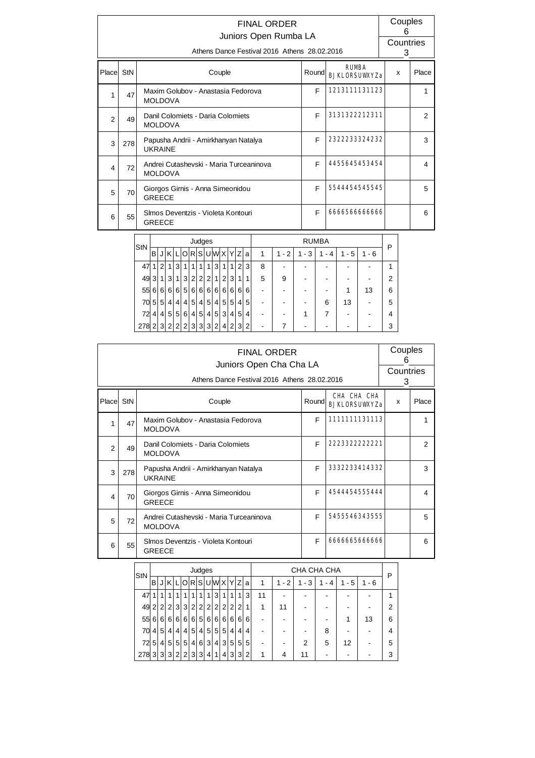| <b>RIMBA</b><br>Place StN<br>Couple<br>Round<br>x<br><b>RJKLORSUMXYZa</b><br>1213111131123<br>F<br>Maxim Golubov - Anastasia Fedorova<br>47<br>1<br><b>MOLDOVA</b><br>3131322212311<br>F<br>Danil Colomiets - Daria Colomiets<br>2<br>49<br><b>MOLDOVA</b><br>2322233324232<br>F<br>Papusha Andrii - Amirkhanyan Natalya<br>3<br>278<br><b>UKRAINE</b><br>4455645453454<br>F<br>Andrei Cutashevski - Maria Turceaninova<br>72<br>4<br><b>MOLDOVA</b><br>5544454545545<br>F<br>Giorgos Girnis - Anna Simeonidou<br>5<br>70<br><b>GREECE</b><br>F<br>6666566666666<br>Simos Deventzis - Violeta Kontouri<br>55<br>6<br><b>GREECE</b> |  | <b>FINAL ORDER</b><br>Juniors Open Rumba LA<br>Athens Dance Festival 2016 Athens 28.02.2016 |  | Couples<br>6<br>Countries<br>3 |       |
|------------------------------------------------------------------------------------------------------------------------------------------------------------------------------------------------------------------------------------------------------------------------------------------------------------------------------------------------------------------------------------------------------------------------------------------------------------------------------------------------------------------------------------------------------------------------------------------------------------------------------------|--|---------------------------------------------------------------------------------------------|--|--------------------------------|-------|
|                                                                                                                                                                                                                                                                                                                                                                                                                                                                                                                                                                                                                                    |  |                                                                                             |  |                                | Place |
|                                                                                                                                                                                                                                                                                                                                                                                                                                                                                                                                                                                                                                    |  |                                                                                             |  |                                | 1     |
|                                                                                                                                                                                                                                                                                                                                                                                                                                                                                                                                                                                                                                    |  |                                                                                             |  |                                | 2     |
|                                                                                                                                                                                                                                                                                                                                                                                                                                                                                                                                                                                                                                    |  |                                                                                             |  |                                | 3     |
|                                                                                                                                                                                                                                                                                                                                                                                                                                                                                                                                                                                                                                    |  |                                                                                             |  |                                | 4     |
|                                                                                                                                                                                                                                                                                                                                                                                                                                                                                                                                                                                                                                    |  |                                                                                             |  |                                | 5     |
|                                                                                                                                                                                                                                                                                                                                                                                                                                                                                                                                                                                                                                    |  |                                                                                             |  |                                | 6     |

| StN |                |          |                |                |                  |                | Judges         |                |                |                |                |                |                |   |           |            | <b>RUMBA</b> |          |         | P |  |
|-----|----------------|----------|----------------|----------------|------------------|----------------|----------------|----------------|----------------|----------------|----------------|----------------|----------------|---|-----------|------------|--------------|----------|---------|---|--|
|     | в              |          | KIL            |                |                  |                |                |                |                | O R S U W X Y  |                | Z              | a              | 1 | $-2$<br>1 | $-3+$<br>1 | - 4<br>1     | - 5<br>1 | $1 - 6$ |   |  |
| 47  | 1              | 2        | 1              | 31             | 1                | 1              | 1 <sub>1</sub> | 1              | 3 <sup>1</sup> |                | 1              | $\overline{2}$ | 3              | 8 |           |            |              |          |         | 1 |  |
| 49  | 3              | 1        | 3 <sup>1</sup> | 11             | 3 <sup>1</sup>   | 2              | $\overline{2}$ | 2 <sub>1</sub> | 1 <sub>1</sub> | 2 <sup>1</sup> | 3              |                | 1              | 5 | 9         |            |              |          |         | 2 |  |
| 55  | 6              | $6 \mid$ | 6 <sup>1</sup> |                | 6 5              | 6 <sup>1</sup> | 6 <sup>1</sup> | 6 <sup>1</sup> | 6 <sup>1</sup> | 6 <sup>1</sup> | $6 \mid$       | 6              | 6              |   |           |            |              |          | 13      | 6 |  |
| 70  | 5              | 5        | $\frac{4}{ }$  | 4 <sup>1</sup> | $\left 4\right $ | 5              |                | 4 5            | 4 <sup>1</sup> | 5 <sup>1</sup> | 5 <sup>1</sup> | 4              | 5              |   |           |            | 6            | 13       |         | 5 |  |
| 72  | 4              | 4        | 5 <sup>1</sup> | 5 <sup>1</sup> | 6 <sup>1</sup>   | $\vert$        | 5 <sup>5</sup> |                | 4 5            | 3 <sup>1</sup> | 4 <sup>1</sup> | 5 <sup>5</sup> | $\overline{4}$ |   |           |            |              |          |         | 4 |  |
| 278 | 2 <sub>1</sub> | 3        | 2 <sup>1</sup> | 2 <sup>1</sup> | $\overline{2}$   | $\overline{3}$ | 3 <sup>1</sup> | 3 <sup>1</sup> | 2 <sup>1</sup> | 4 <sup>1</sup> | $\overline{2}$ | $\mathbf{3}$   | $\mathcal{P}$  |   |           |            |              |          |         | 3 |  |

|       |                                                                                                                            | <b>FINAL ORDER</b><br>Juniors Open Cha Cha LA<br>Athens Dance Festival 2016 Athens 28.02.2016 |       |                                            | Couples<br>6<br>Countries<br>3 |       |  |  |  |  |  |  |  |
|-------|----------------------------------------------------------------------------------------------------------------------------|-----------------------------------------------------------------------------------------------|-------|--------------------------------------------|--------------------------------|-------|--|--|--|--|--|--|--|
| Place | StN                                                                                                                        | Couple                                                                                        | Round | <b>CHA CHA CHA</b><br><b>RJKLORSUWXYZa</b> | x                              | Place |  |  |  |  |  |  |  |
|       | 1111111131113<br>F<br>Maxim Golubov - Anastasia Fedorova<br>47<br><b>MOLDOVA</b><br>F<br>Danil Colomiets - Daria Colomiets |                                                                                               |       |                                            |                                |       |  |  |  |  |  |  |  |
| 2     | 49                                                                                                                         | 2223322222221                                                                                 |       | 2                                          |                                |       |  |  |  |  |  |  |  |
| 3     | 278                                                                                                                        | Papusha Andrii - Amirkhanyan Natalya<br><b>UKRAINE</b>                                        | F     | 3332233414332                              |                                | 3     |  |  |  |  |  |  |  |
| 4     | 70                                                                                                                         | Giorgos Girnis - Anna Simeonidou<br><b>GREECE</b>                                             | F     | 4544454555444                              |                                | 4     |  |  |  |  |  |  |  |
| 5     | 72                                                                                                                         | Andrei Cutashevski - Maria Turceaninova<br><b>MOLDOVA</b>                                     | F     | 5455546343555                              |                                | 5     |  |  |  |  |  |  |  |
| 6     | 55                                                                                                                         | Simos Deventzis - Violeta Kontouri<br><b>GREECE</b>                                           | F     | 6666665666666                              |                                | 6     |  |  |  |  |  |  |  |

| StN |                |                |                |                |                |                | Judges         |                 |                |                |                |                |   |                          |         | CHA CHA CHA |                               |         |         | P |
|-----|----------------|----------------|----------------|----------------|----------------|----------------|----------------|-----------------|----------------|----------------|----------------|----------------|---|--------------------------|---------|-------------|-------------------------------|---------|---------|---|
|     | в              |                | κ              |                | O              |                |                |                 | R S U W X Y    |                |                | Ζ              | a | 1                        | $1 - 2$ | - 3<br>1    | 4<br>$\overline{\phantom{a}}$ | $1 - 5$ | $1 - 6$ |   |
| 47  | 1.             | 1              |                |                |                |                | 1              | 1               | $\mathbf{3}$   | 1              | 11             | 1              | 3 | 11                       | -       | -           |                               | -       | -       |   |
| 49  | 2              | 2              | 2              | 3              | 3 <sup>1</sup> | 2 <sup>1</sup> | 2 <sup>1</sup> | 2 <sub>1</sub>  | 2 <sup>1</sup> | $\overline{2}$ | 2 <sub>1</sub> | 2              | 1 | 1                        | 11      | -           |                               | -       |         | 2 |
| 55  | 6              | $6 \mid$       | 6 <sup>1</sup> | 6 <sup>1</sup> |                | 6 6            | 5 <sup>1</sup> | 6 <sup>1</sup>  | 6 <sup>1</sup> | 6 <sup>1</sup> | 6 <sup>1</sup> | 6              | 6 |                          |         |             |                               | 1       | 13      | 6 |
| 70  | 4 <sup>1</sup> | 5              | 4              | 4              |                | 4 5            | 4 <sup>1</sup> |                 | 5 5 5          |                | 4              | 4              | 4 | $\overline{\phantom{a}}$ |         | ٠           | 8                             | ۰       |         |   |
| 72  | 5              | 4              | 5              | 5              | 5              | 4 <sup>1</sup> | 6 <sup>1</sup> | $\mathbf{3}$    | 4              | 3              | 5 <sup>1</sup> | 5 <sup>1</sup> | 5 | -                        | -       | 2           | 5                             | 12      |         | 5 |
| 278 | 3 <sup>1</sup> | $\overline{3}$ | 3 <sup>1</sup> | $\overline{2}$ | 2 <sup>1</sup> | 3 <sup>1</sup> | 3 <sup>1</sup> | $\vert 4 \vert$ | 1              | 4              | 3 <sup>1</sup> | 3 <sup>1</sup> | 2 | 1                        | 4       | 11          |                               |         |         | 3 |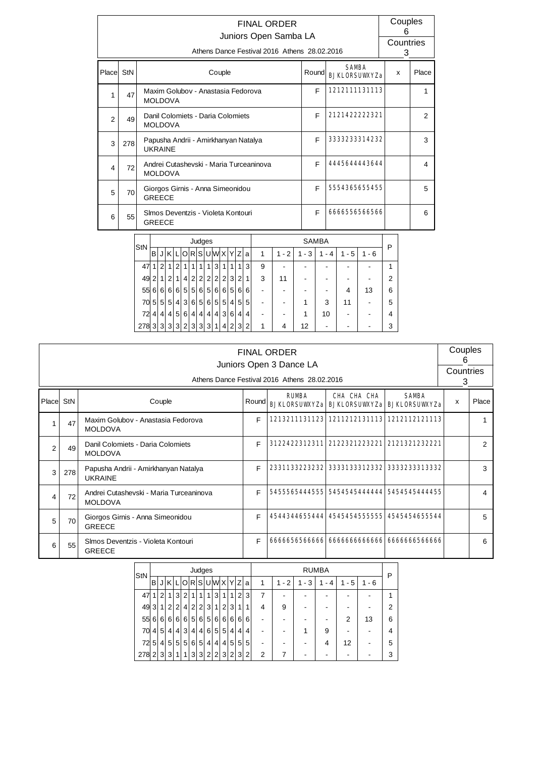|                |     |                                                                          |                |                |                |                 |              |              |                                    |  |         |                 |                |                |                |                                         | <b>FINAL ORDER</b><br>Juniors Open Samba LA<br>Athens Dance Festival 2016 Athens 28.02.2016 |         |              |                 |               |                      |        | 6<br>3 | Couples<br>Countries |
|----------------|-----|--------------------------------------------------------------------------|----------------|----------------|----------------|-----------------|--------------|--------------|------------------------------------|--|---------|-----------------|----------------|----------------|----------------|-----------------------------------------|---------------------------------------------------------------------------------------------|---------|--------------|-----------------|---------------|----------------------|--------|--------|----------------------|
| Place StN      |     |                                                                          |                |                |                |                 |              |              |                                    |  | Couple  |                 |                |                |                |                                         |                                                                                             |         | Round        |                 | <b>SAMBA</b>  | <b>BJKLORSUWXYZa</b> | X      |        | Place                |
| 1              | 47  |                                                                          | <b>MOLDOVA</b> |                |                |                 |              |              |                                    |  |         |                 |                |                |                | Maxim Golubov - Anastasia Fedorova      |                                                                                             |         | E            |                 |               | 1212111131113        |        |        | $\mathbf{1}$         |
| 2              | 49  |                                                                          |                |                |                |                 |              |              | Danil Colomiets - Daria Colomiets  |  |         |                 |                |                |                |                                         |                                                                                             |         | F            |                 |               | 2121422222321        |        |        | 2                    |
| 3              | 278 | <b>MOLDOVA</b><br>Papusha Andrii - Amirkhanyan Natalya<br><b>UKRAINE</b> |                |                |                |                 |              |              |                                    |  |         |                 |                |                |                |                                         |                                                                                             | F       |              |                 | 3333233314232 |                      |        | 3      |                      |
| $\overline{4}$ | 72  |                                                                          | <b>MOLDOVA</b> |                |                |                 |              |              |                                    |  |         |                 |                |                |                | Andrei Cutashevski - Maria Turceaninova |                                                                                             |         | F            |                 |               | 4445644443644        |        |        | 4                    |
| 5              | 70  |                                                                          | <b>GREECE</b>  |                |                |                 |              |              | Giorgos Girnis - Anna Simeonidou   |  |         |                 |                |                |                |                                         |                                                                                             |         | F            |                 |               | 5554365655455        |        |        | 5                    |
| 6              | 55  |                                                                          | <b>GREECE</b>  |                |                |                 |              |              | Simos Deventzis - Violeta Kontouri |  |         |                 |                |                |                |                                         |                                                                                             |         | F            |                 |               | 6666556566566        |        |        | 6                    |
|                |     |                                                                          |                |                |                |                 |              |              | Judges                             |  |         |                 |                |                |                |                                         |                                                                                             |         | <b>SAMBA</b> |                 |               |                      |        |        |                      |
|                |     | StN                                                                      | $\mathsf{B}$   |                |                |                 |              |              | JKLORSUWXYZ                        |  |         |                 |                |                | ۱a             | $\mathbf{1}$                            | $1 - 2$                                                                                     | $1 - 3$ |              | $1 - 4$         | $1 - 5$       | $1 - 6$              | P      |        |                      |
|                |     | 47                                                                       | $\mathbf{1}$   | $\overline{2}$ | 1              | $\overline{2}$  | $\mathbf{1}$ | $\mathbf{1}$ | $\overline{1}$                     |  | 1 3     | $\overline{1}$  | $\mathbf{1}$   | 1              | 3              | 9                                       |                                                                                             |         |              |                 |               |                      | 1      |        |                      |
|                |     | 49 2                                                                     |                |                | 1 2            | 1               |              | 4 2          |                                    |  |         |                 | 2 2 2 2 3      | 2 1            |                | 3                                       | 11                                                                                          |         |              |                 |               |                      | 2      |        |                      |
|                |     | 55                                                                       | $6 \,$         |                |                | 6 6 6           |              | 5 5          |                                    |  |         |                 | 6 5 6 6 5      |                | 6 6            |                                         |                                                                                             |         |              | -               | 4             | 13                   | 6      |        |                      |
|                |     | 70 5                                                                     |                | 5 <sup>1</sup> | 5 <sup>1</sup> | $\vert 4 \vert$ |              | 3 6          |                                    |  | 5 6 5 5 |                 | $\vert$        | 5 <sup>2</sup> | 5              |                                         |                                                                                             | 1       |              | 3               | 11            |                      | 5      |        |                      |
|                |     | 724<br>278 3                                                             |                |                |                | 4 4 5 <br>3 3 3 |              | 2 3          | 6 4 4 4 4 3 6 4 4                  |  | 3 3 1   | $\vert 4 \vert$ | 2 <sup>2</sup> | 3 <sup>2</sup> | $\overline{2}$ | 1                                       | 4                                                                                           | 1<br>12 |              | 10 <sup>1</sup> |               |                      | 4<br>3 |        |                      |

|                                                                                                                                                                         |     |                                                           |   | <b>FINAL ORDER</b><br>Juniors Open 3 Dance LA<br>Athens Dance Festival 2016 Athens 28.02.2016 |                                             |               | Couples<br>6<br>Countries<br>3 |                |  |  |  |  |
|-------------------------------------------------------------------------------------------------------------------------------------------------------------------------|-----|-----------------------------------------------------------|---|-----------------------------------------------------------------------------------------------|---------------------------------------------|---------------|--------------------------------|----------------|--|--|--|--|
| CHA CHA CHA<br><b>SAMRA</b><br><b>RIMRA</b><br>Place StN<br>Couple<br>Round<br><b>BJKLORSUWYZa BJKLORSUWYZa BJKLORSUWYZa</b><br>F<br>Maxim Golubov - Anastasia Fedorova |     |                                                           |   |                                                                                               |                                             |               |                                |                |  |  |  |  |
|                                                                                                                                                                         | 47  | <b>MOLDOVA</b>                                            |   |                                                                                               |                                             |               |                                |                |  |  |  |  |
| 2                                                                                                                                                                       | 49  | Danil Colomiets - Daria Colomiets<br><b>MOLDOVA</b>       | F |                                                                                               | 3122422312311 2122321223221                 | 2121321232221 |                                | $\mathfrak{p}$ |  |  |  |  |
| 3                                                                                                                                                                       | 278 | Papusha Andrii - Amirkhanyan Natalya<br><b>UKRAINE</b>    | F | 2331133223232 3333133312332 3333233313332                                                     |                                             |               |                                | 3              |  |  |  |  |
| 4                                                                                                                                                                       | 72  | Andrei Cutashevski - Maria Turceaninova<br><b>MOLDOVA</b> | F | 5455565444555  5454545444444  5454545444455                                                   |                                             |               |                                | 4              |  |  |  |  |
| 5                                                                                                                                                                       | 70  | Giorgos Girnis - Anna Simeonidou<br><b>GREECE</b>         | F | 4544344655444 45454545555555 4545454655544                                                    |                                             |               |                                | 5              |  |  |  |  |
| 6                                                                                                                                                                       | 55  | Simos Deventzis - Violeta Kontouri<br><b>GREECE</b>       | F |                                                                                               | 6666656566666  6666666666666  6666666566666 |               |                                | 6              |  |  |  |  |

| StN |   |          |                 |                |                |                | Judges         |                |                |                |                 |   |                |   |         |         | <b>RUMBA</b> |         |         | P |
|-----|---|----------|-----------------|----------------|----------------|----------------|----------------|----------------|----------------|----------------|-----------------|---|----------------|---|---------|---------|--------------|---------|---------|---|
|     | в |          | ΚI              |                | Ol             |                | R S U W X Y Z  |                |                |                |                 |   | a              | 1 | $1 - 2$ | $1 - 3$ | $-4$         | $1 - 5$ | $1 - 6$ |   |
| 47  |   | 2        |                 | 3 <sup>1</sup> | 2              | 11             | 1              |                | 3 <sub>l</sub> | 1 <sub>1</sub> | 1               | 2 | 3 <sub>l</sub> | 7 |         |         |              |         |         |   |
| 49  | 3 | 1        | 2 <sub>1</sub>  | $\overline{2}$ | 4              | $\overline{2}$ | 2              | 3 <sup>1</sup> | 1              | $\overline{2}$ | 3               | 1 |                | 4 | 9       |         |              |         |         | 2 |
| 55  | 6 | $6 \mid$ | 6 <sup>1</sup>  | 6 <sup>1</sup> | $6 \mid$       | 5              | 6 <sup>1</sup> | 5 <sup>1</sup> | 6 <sup>1</sup> | 6              | 6               | 6 | 6              |   |         |         |              | 2       | 13      | 6 |
| 70  | 4 | 5        | $\vert 4 \vert$ | $\vert$        | 3 <sub>l</sub> | 4 <sup>1</sup> | 4 <sup>1</sup> | 6 <sup>1</sup> | 5 <sup>1</sup> | 5 <sup>1</sup> | $\vert 4 \vert$ | 4 | 4              |   |         |         | 9            |         |         | 4 |
| 72  | 5 | 4        | 5 <sup>1</sup>  | 5 <sup>1</sup> | 5              | 6              | 5              | 4 <sup>1</sup> | $\vert$        | 4              | 5               | 5 | 5              |   |         |         | 4            | 12      |         | 5 |
| 278 | 2 | 3        | 3 <sup>1</sup>  | 1              | 1              | 3              | 3              | 2 <sup>1</sup> | $\overline{2}$ | 3              | 2 <sup>1</sup>  | 3 | 2 <sub>1</sub> | 2 |         |         |              |         |         | 3 |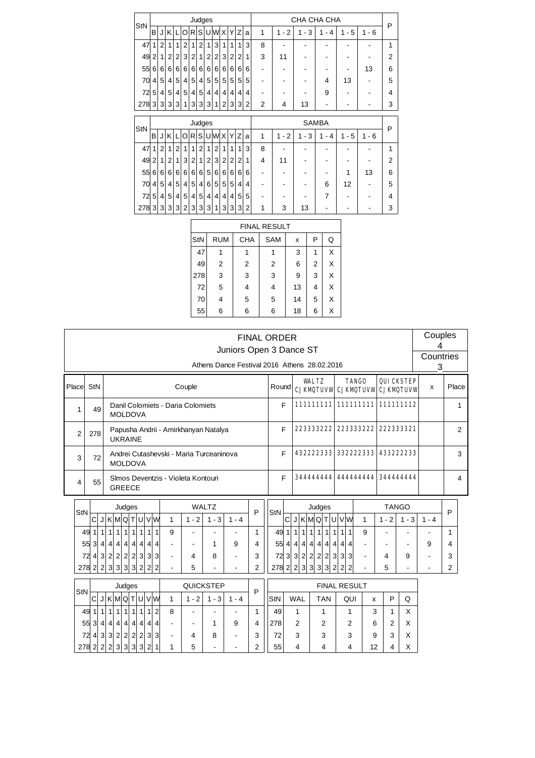| StN |   |                |                |                 |                |                | Judges          |                |                |                |                |          |   |                |                                       | CHA CHA CHA                        |                     |          |           | P              |
|-----|---|----------------|----------------|-----------------|----------------|----------------|-----------------|----------------|----------------|----------------|----------------|----------|---|----------------|---------------------------------------|------------------------------------|---------------------|----------|-----------|----------------|
|     | B | J              | K              | L               | O              | R <sub>l</sub> |                 |                | SUWX           |                | Υ              | Z        | a | 1              | $-2$<br>1                             | - 3<br>1                           | $\mathbf{1}$<br>- 4 | - 5<br>1 | $-6$<br>1 |                |
| 47  | 1 | $\overline{2}$ | 1              | 1               | $\overline{2}$ | 1              | $\overline{2}$  | 1              | 3              | 1              | 1              | 1        | 3 | 8              |                                       |                                    |                     |          |           | 1              |
| 49  | 2 | 1              | $\overline{2}$ | $\overline{2}$  | 3              | $\overline{2}$ | 1               | $\overline{2}$ | $\overline{2}$ | 3              | $\overline{2}$ | 2        | 1 | 3              | 11                                    |                                    |                     |          |           | $\overline{2}$ |
| 55  | 6 | $6 \mid$       | 6              | 6               | 6              | 6              | 6               | 6              | 6 <sup>1</sup> | 6              | 6              | $6 \mid$ | 6 | ۰              |                                       |                                    |                     | ۰        | 13        | 6              |
| 70  | 4 | 5              | 4              | 5               | 4              | 5              | $\vert 4 \vert$ | 5              | 5 <sup>1</sup> | 5              | 5              | 5        | 5 |                |                                       |                                    | 4                   | 13       |           | 5              |
| 72  | 5 | 4              | 5              | 4               | 5              | 4              | 5               | 4              | 4              | 4              | 4              | 4        | 4 |                |                                       |                                    | 9                   |          |           | 4              |
| 278 | 3 | 3              | 3              | 3               | 1              | 3              | 3               | 3              | 1              | 2              | 3              | 3        | 2 | $\overline{2}$ | 4                                     | 13                                 | -                   | ۰        |           | 3              |
|     |   |                |                |                 |                |                |                 |                |                |                |                |          |   |                |                                       |                                    |                     |          |           |                |
|     |   |                |                |                 |                |                |                 |                |                |                |                |          |   |                |                                       |                                    |                     |          |           |                |
|     |   |                |                |                 |                |                | Judges          |                |                |                |                |          |   |                |                                       |                                    | <b>SAMBA</b>        |          |           |                |
| StN | B | J              | Κ              | L               | O              | R <sub>1</sub> |                 |                | S U W X        |                | Υ              | Z        | a | 1              | $\overline{2}$<br>1<br>$\blacksquare$ | 3<br>1<br>$\overline{\phantom{a}}$ | 1<br>- 4            | - 5<br>1 | - 6<br>1  | P              |
| 47  | 1 | 2              | 1              | $\overline{2}$  | 1              | 1              | $\overline{2}$  | 1              | $\overline{2}$ | 1              | 1              | 1        | 3 | 8              |                                       |                                    |                     |          |           | 1              |
| 49  | 2 | 1              | $\overline{2}$ | 1               | 3              | $\overline{2}$ | 1               | $\overline{2}$ | 3              | $\overline{2}$ | $\overline{2}$ | 2        | 1 | 4              | 11                                    |                                    |                     |          |           | $\overline{2}$ |
| 55  | 6 | $6 \mid$       | 6              | 6               | 6              | 6              | 6               | 5              | 6 <sup>1</sup> | 6              | 6              | $6 \mid$ | 6 |                |                                       |                                    |                     | 1        | 13        | 6              |
| 70  | 4 | 5              | 4              | 5               | 4              | 5              | 4 <sup>1</sup>  | 6              | 5 <sup>2</sup> | 5              | 5              | $\vert$  | 4 |                |                                       |                                    | 6                   | 12       |           | 5              |
| 72  | 5 | $\vert$        | 5              | $\vert 4 \vert$ | 5              | $\vert$        | 5 <sup>1</sup>  | 4              | 4              | 4              | $\vert$        | 5        | 5 |                |                                       |                                    | 7                   |          |           | 4              |

|     |                |            | <b>FINAL RESULT</b> |    |                |   |
|-----|----------------|------------|---------------------|----|----------------|---|
| StN | <b>RUM</b>     | <b>CHA</b> | <b>SAM</b>          | x  | Ρ              | Q |
| 47  | 1              |            |                     | 3  | 1              | X |
| 49  | $\overline{2}$ | 2          | $\overline{2}$      | 6  | $\overline{2}$ | X |
| 278 | 3              | 3          | 3                   | 9  | 3              | X |
| 72  | 5              | 4          | 4                   | 13 | 4              | X |
| 70  | 4              | 5          | 5                   | 14 | 5              | X |
| 55  | 6              | 6          | 6                   | 18 | 6              | X |
|     |                |            |                     |    |                |   |

|                |                     |                |              |         |                 |                 |                |                |                |                |                                         |              | Juniors Open 3 Dance ST<br>Athens Dance Festival 2016 Athens 28,02,2016 | <b>FINAL ORDER</b> |         |   |                             |                |                |                     |   |                     |                |         |                                                   | Couples<br>4<br>Countries<br>3 |                |  |
|----------------|---------------------|----------------|--------------|---------|-----------------|-----------------|----------------|----------------|----------------|----------------|-----------------------------------------|--------------|-------------------------------------------------------------------------|--------------------|---------|---|-----------------------------|----------------|----------------|---------------------|---|---------------------|----------------|---------|---------------------------------------------------|--------------------------------|----------------|--|
| Place          | StN                 |                |              |         |                 |                 |                |                |                |                | Couple                                  |              |                                                                         |                    | Round   |   |                             | <b>WALTZ</b>   |                |                     |   | <b>TANGO</b>        |                |         | <b>QUICKSTEP</b><br>CJKMQTUVW CJKMQTUVW CJKMQTUVW | $\mathsf{x}$                   | Place          |  |
| 1              |                     | 49             |              |         | <b>MOLDOVA</b>  |                 |                |                |                |                | Danil Colomiets - Daria Colomiets       |              |                                                                         |                    |         | F |                             |                |                |                     |   |                     |                |         | 111111111 1111111111 111111112                    |                                | 1              |  |
| $\overline{2}$ | 278                 |                |              |         | <b>UKRAINE</b>  |                 |                |                |                |                | Papusha Andrii - Amirkhanyan Natalya    |              |                                                                         |                    |         | F |                             | 223333222      |                |                     |   |                     | 223333222      |         | 222333321                                         |                                | $\overline{2}$ |  |
| 3              |                     | 72             |              |         | <b>MOLDOVA</b>  |                 |                |                |                |                | Andrei Cutashevski - Maria Turceaninova |              |                                                                         |                    |         | F |                             | 432222333      |                |                     |   |                     | 332222333      |         | 433222233                                         |                                | 3              |  |
| 4              |                     | 55             |              |         | <b>GREECE</b>   |                 |                |                |                |                | Simos Deventzis - Violeta Kontouri      |              |                                                                         |                    |         | E |                             |                |                |                     |   |                     |                |         | 344444444 444444444 344444444                     |                                | 4              |  |
|                |                     |                |              |         | Judges          |                 |                |                |                |                |                                         | <b>WALTZ</b> |                                                                         |                    |         |   |                             |                | Judges         |                     |   |                     |                |         | <b>TANGO</b>                                      |                                |                |  |
| StN            | C                   |                |              |         | JKMQTUVW        |                 |                |                |                | 1              | $1 - 2$                                 | $1 - 3$      | $1 - 4$                                                                 | P                  | StN     | C | J K M Q T U                 |                |                |                     |   | vw                  | $\mathbf{1}$   | $1 - 2$ | $1 - 3$                                           | $1 - 4$                        | P              |  |
|                | 49 1                | 1 <sup>1</sup> | $\mathbf{1}$ | 1       | $\mathbf{1}$    | 1               | 1              | $\mathbf{1}$   | 1              | 9              |                                         |              |                                                                         | 1                  | 49 1    |   | $\mathbf{1}$<br>$\vert$     | $\mathbf{1}$   | 1              | 1<br>1              | 1 | 1                   | 9              |         |                                                   |                                | 1              |  |
|                | 55 3                |                |              |         | 4 4 4 4         | $\vert 4 \vert$ | $\vert$        | $\vert$        | $\overline{4}$ |                |                                         | 1            | 9                                                                       | 4                  | 55 4    |   | $\vert$<br>$\vert$          | $\vert$        | $\vert$        | $\overline{4}$<br>4 | 4 | 4                   |                |         |                                                   | 9                              | 4              |  |
|                | 724                 |                |              |         | 3 2 2 2 2       |                 | 3 <sup>1</sup> | $\vert$ 3      | 3              | ۰              | 4                                       | 8            |                                                                         | 3                  | 72 3    |   | $\vert$ 3<br>$\overline{2}$ | $\overline{2}$ | $\overline{2}$ | $\overline{2}$<br>3 | 3 | 3                   | $\blacksquare$ | 4       | 9                                                 |                                | 3              |  |
|                | $278$ 2 2 3 3 3 3 3 |                |              |         |                 |                 |                | 2 2            | $\overline{2}$ |                | 5                                       |              |                                                                         | 2                  | 278 2 2 |   |                             | 3 3            | $\overline{3}$ | 3<br>$\overline{2}$ | 2 | $\overline{2}$      |                | 5       |                                                   |                                | 2              |  |
| StN            |                     |                |              |         | Judges          |                 |                |                |                |                |                                         | QUICKSTEP    |                                                                         | P                  |         |   |                             |                |                |                     |   | <b>FINAL RESULT</b> |                |         |                                                   |                                |                |  |
|                | C                   |                |              |         | J K M Q T U V W |                 |                |                |                | $\mathbf{1}$   | $1 - 2$                                 | $1 - 3$      | $1 - 4$                                                                 |                    | StN     |   | <b>WAL</b>                  |                | <b>TAN</b>     |                     |   | QUI                 | X              | P       | Q                                                 |                                |                |  |
|                | 49 1                | 1              | $\mathbf{1}$ | 1       | $\mathbf{1}$    | 1               | $\mathbf{1}$   | $\mathbf{1}$   | $\overline{2}$ | 8              | $\blacksquare$                          |              |                                                                         | 1                  | 49      |   | 1                           |                | 1              |                     |   | 1                   | 3              | 1       | X                                                 |                                |                |  |
|                | 55 3                | $\vert$        | $\vert$      | $\vert$ | $\vert$         | $\vert$         | $\vert$        | $\overline{4}$ | 4              | $\blacksquare$ |                                         | 1            | 9                                                                       | 4                  | 278     |   | $\mathcal{P}$               |                | $\overline{2}$ |                     |   | 2                   | 6              | 2       | X                                                 |                                |                |  |
|                | 724                 |                |              |         | 3 3 2 2 2       |                 | 2 <sup>1</sup> | 3 3            |                | ٠              | 4                                       | 8            |                                                                         | 3                  | 72      |   | 3                           |                | 3              |                     |   | 3                   | 9              | 3       | X                                                 |                                |                |  |

55 4 4 4 4 12 4 X

 $278$  2 | 2 | 2 | 3 | 3 | 3 | 3 | 2 | 1 | 1 | 5 | - | - | 2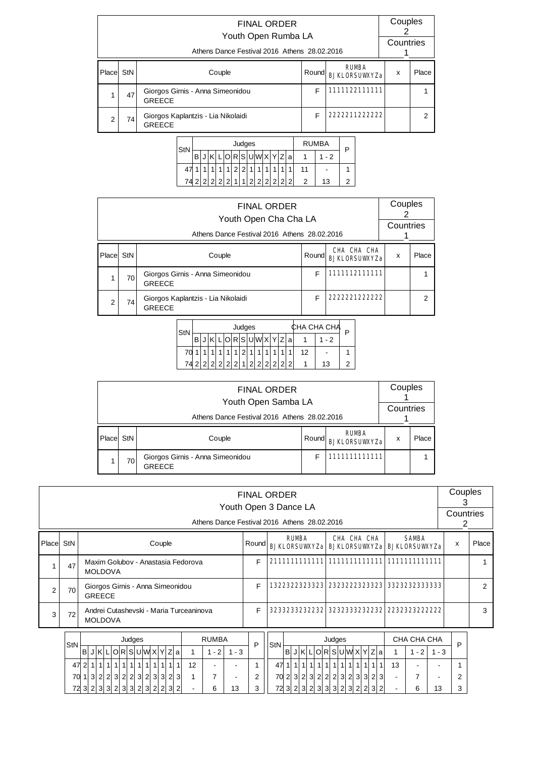|                |     | <b>FINAL ORDER</b><br>Youth Open Rumba LA<br>Athens Dance Festival 2016 Athens 28.02.2016 |       |                                      | Couples<br>Countries      |       |
|----------------|-----|-------------------------------------------------------------------------------------------|-------|--------------------------------------|---------------------------|-------|
| Place          | StN | Couple                                                                                    | Round | <b>RUMBA</b><br><b>RJKLORSUWXYZa</b> | $\boldsymbol{\mathsf{x}}$ | Place |
|                | 47  | Giorgos Girnis - Anna Simeonidou<br><b>GREECE</b>                                         | F     | 111122111111                         |                           |       |
| $\mathfrak{p}$ | 74  | Giorgos Kaplantzis - Lia Nikolaidi<br><b>GREECE</b>                                       | F     | 2222211222222                        |                           | 2     |

| StN | <b>RUMBA</b><br>Judges    |  |  |   |   |  |  |                   |   |   |   |    |   |   |    |  |
|-----|---------------------------|--|--|---|---|--|--|-------------------|---|---|---|----|---|---|----|--|
|     | R S U W <br>a<br>- 2<br>в |  |  |   |   |  |  |                   |   |   |   |    |   |   |    |  |
| 47  |                           |  |  |   |   |  |  |                   |   |   |   | 11 |   |   |    |  |
| 74  |                           |  |  | ◠ | ◠ |  |  | $\mathcal{D}_{1}$ | 2 | 2 | 2 | ◠  | 2 | ົ | 13 |  |

|           |    | <b>FINAL ORDER</b><br>Youth Open Cha Cha LA<br>Athens Dance Festival 2016 Athens 28.02.2016 |       |                                     | Couples<br>Countries |               |
|-----------|----|---------------------------------------------------------------------------------------------|-------|-------------------------------------|----------------------|---------------|
| Place StN |    | Couple                                                                                      | Round | CHA CHA CHA<br><b>RJKLORSUWXYZa</b> | x                    | Place         |
|           | 70 | Giorgos Girnis - Anna Simeonidou<br><b>GREECE</b>                                           | F     | 1111112111111                       |                      |               |
| 2         | 74 | Giorgos Kaplantzis - Lia Nikolaidi<br><b>GREECE</b>                                         | F     | 2222221222222                       |                      | $\mathcal{P}$ |

| StN |   |   |  |   | Judges |   |   |   |    | ∶НА СНА СНА | n |
|-----|---|---|--|---|--------|---|---|---|----|-------------|---|
|     | в |   |  | R | .IS    |   |   | a |    | - 2         |   |
| 70  |   |   |  |   |        |   |   |   | 12 | -           |   |
| 74  |   | ◠ |  |   |        | ົ | ◠ | っ |    | 13          |   |

|       |                                              | <b>FINAL ORDER</b><br>Youth Open Samba LA         |                                                |            | Couples<br>Countries |  |  |  |  |  |  |  |  |
|-------|----------------------------------------------|---------------------------------------------------|------------------------------------------------|------------|----------------------|--|--|--|--|--|--|--|--|
|       | Athens Dance Festival 2016 Athens 28.02.2016 |                                                   |                                                |            |                      |  |  |  |  |  |  |  |  |
| Place | StN                                          | Couple                                            | <b>RUMBA</b><br>Round <br><b>BJKLORSUWXYZa</b> | x          | Place                |  |  |  |  |  |  |  |  |
|       | 70                                           | Giorgos Girnis - Anna Simeonidou<br><b>GREECE</b> |                                                | 1111111111 |                      |  |  |  |  |  |  |  |  |

|                |      |                                                                                        |                                            |                                                   |  |                |  |                        |  |  |  |        |       |  |                                         | Athens Dance Festival 2016 Athens 28.02.2016 | Youth Open 3 Dance LA |       |   | <b>FINAL ORDER</b> |              |                          |   |                              |                |     |             |                |                |                                                               |         | Couples<br>3<br>Countries<br>2 |       |
|----------------|------|----------------------------------------------------------------------------------------|--------------------------------------------|---------------------------------------------------|--|----------------|--|------------------------|--|--|--|--------|-------|--|-----------------------------------------|----------------------------------------------|-----------------------|-------|---|--------------------|--------------|--------------------------|---|------------------------------|----------------|-----|-------------|----------------|----------------|---------------------------------------------------------------|---------|--------------------------------|-------|
| Place          | StN  |                                                                                        |                                            |                                                   |  |                |  |                        |  |  |  | Couple |       |  |                                         |                                              |                       | Round |   |                    |              | <b>RUMBA</b>             |   |                              |                |     | CHA CHA CHA |                |                | <b>SAMBA</b><br><b>BJKLORSUWYZa BJKLORSUWYZa BJKLORSUWYZa</b> |         | X                              | Place |
| 1              | 47   |                                                                                        |                                            |                                                   |  | <b>MOLDOVA</b> |  |                        |  |  |  |        |       |  | Maxim Golubov - Anastasia Fedorova      |                                              |                       |       | F |                    |              |                          |   |                              |                |     |             |                |                |                                                               |         |                                |       |
| $\overline{2}$ | 70   |                                                                                        |                                            | Giorgos Girnis - Anna Simeonidou<br><b>GREECE</b> |  |                |  |                        |  |  |  |        |       |  |                                         |                                              |                       |       | F |                    | 322322323323 |                          |   |                              |                |     |             | 2323222323323  |                | 33232323333333                                                |         |                                | 2     |
| 3              | 72   |                                                                                        |                                            |                                                   |  | <b>MOLDOVA</b> |  |                        |  |  |  |        |       |  | Andrei Cutashevski - Maria Turceaninova |                                              |                       |       | F | 32332332322232     |              |                          |   |                              |                |     |             | 32323332322232 |                | 2232323222222                                                 |         |                                | 3     |
|                |      |                                                                                        |                                            |                                                   |  |                |  | Judges                 |  |  |  |        |       |  |                                         | <b>RUMBA</b>                                 |                       |       |   |                    |              |                          |   | Judges                       |                |     |             |                |                | CHA CHA CHA                                                   |         |                                |       |
|                | StN  |                                                                                        | B <sub>1</sub>                             |                                                   |  |                |  | JKLORSUWXYZa           |  |  |  |        |       |  | 1                                       | $1 - 2$                                      | $1 - 3$               |       | P | StN                |              |                          |   | BJKLORSUWXYZa                |                |     |             |                | 1              | $1 - 2$                                                       | $1 - 3$ | P                              |       |
|                |      | 1111111<br>111<br>1 1 <br>$\overline{1}$<br>$\mathbf{1}$<br>$\mathbf{1}$<br>12<br>47 2 |                                            |                                                   |  |                |  |                        |  |  |  |        |       |  |                                         |                                              |                       | 47    |   | 1 1                | 1 1 1        | 111                      | 1 | 1111                         | 1 <sup>1</sup> | 1   | 13          |                |                |                                                               |         |                                |       |
|                | 70 1 |                                                                                        | 3 2 2 3 2 2 3 2 3 <br>3 2<br> 3 <br>7<br>1 |                                                   |  |                |  |                        |  |  |  |        |       |  |                                         |                                              | 2                     |       |   |                    |              | 70 2 3 2 3 2 2 2 3 2 3 3 |   |                              |                | 2 3 |             | 7              |                | 2                                                             |         |                                |       |
|                |      |                                                                                        |                                            |                                                   |  |                |  | 72 3 2 3 3 2 3 3 2 3 2 |  |  |  |        | 2 3 2 |  | $\blacksquare$                          | 6                                            | 13                    |       | 3 |                    |              |                          |   | 72 3 2 3 2 3 3 3 2 3 2 2 3 2 |                |     |             |                | $\blacksquare$ | 6                                                             | 13      | 3                              |       |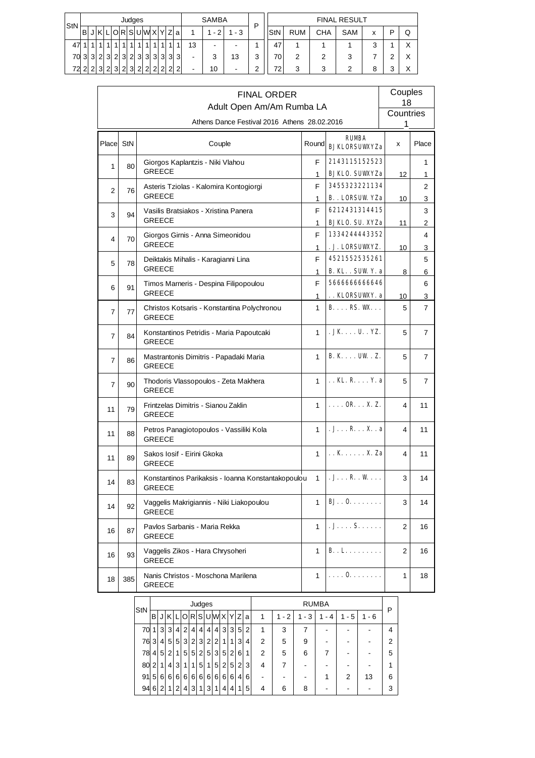| $\mathsf{StN}$ |                                                 |                |   |                |   |             | Judges         |                |                         |                |               |                |   |    | <b>SAMBA</b> |         | P      |            |            |     | <b>FINAL RESULT</b> |   |        |   |
|----------------|-------------------------------------------------|----------------|---|----------------|---|-------------|----------------|----------------|-------------------------|----------------|---------------|----------------|---|----|--------------|---------|--------|------------|------------|-----|---------------------|---|--------|---|
|                | O R S U W X <br>Ζl<br>в<br>$\vee$<br>$-2$<br>۱a |                |   |                |   |             |                |                |                         |                |               |                |   |    |              | $1 - 3$ |        | <b>StN</b> | <b>RUM</b> | СНА | SAM                 | х | D      | Q |
| 47             |                                                 |                |   |                |   |             |                |                | $\overline{\mathbf{A}}$ | $\overline{ }$ |               | 1              | 4 | 13 | -            | -       |        | 47         |            |     |                     | 3 |        | X |
| 70             | 3                                               | 3 <sup>1</sup> | っ | $\vert$ 3      | 2 | 3           | $\overline{2}$ | 3              | 3                       | $\overline{3}$ | 3             | 3              | 3 | -  | 3            | 13      | 3      | 70         | 2          | 2   | 3                   |   | ⌒      | X |
| 72             | $\sim$                                          | ി              | ว | $\overline{2}$ | 3 | $\sim$<br>۷ | 3 <sup>1</sup> | $\overline{2}$ | $\overline{2}$          | $\overline{2}$ | $\mathcal{D}$ | $\overline{2}$ | 2 | -  | 10           | ٠       | ◠<br>∸ | 72         | 3          | 3   | 2                   | 8 | ິ<br>J | X |

| Adult Open Am/Am Rumba LA<br>Countries<br>Athens Dance Festival 2016 Athens 28.02.2016<br>1<br><b>RUMBA</b><br>Place StN<br>Couple<br>Round<br>X<br><b>BJKLORSUWXYZa</b><br>2143115152523<br>F<br>Giorgos Kaplantzis - Niki Vlahou<br>1<br>80<br>GREECE<br><b>BJKLO. SUWYZa</b><br>12<br>1<br>3455323221134<br>F<br>Asteris Tziolas - Kalomira Kontogiorgi<br>2<br>76<br><b>GREECE</b><br><b>B.</b> . LORSUW YZa<br>1<br>10<br>6212431314415<br>F<br>Vasilis Bratsiakos - Xristina Panera<br>3<br>94<br><b>GREECE</b><br><b>BJKLO. SU. XYZa</b><br>1<br>11<br>1334244443352<br>F<br>Giorgos Girnis - Anna Simeonidou<br>4<br>70<br><b>GREECE</b><br>. J. LORSUWYZ.<br>1<br>10<br>4521552535261<br>F<br>Deiktakis Mihalis - Karagianni Lina<br>5<br>78<br>GREECE<br><b>B. KL.</b> . SUW Y. a<br>1<br>8<br>566666666646<br>F<br>Timos Marneris - Despina Filipopoulou<br>6<br>91<br><b>GREECE</b> | Couples<br>18       |
|-------------------------------------------------------------------------------------------------------------------------------------------------------------------------------------------------------------------------------------------------------------------------------------------------------------------------------------------------------------------------------------------------------------------------------------------------------------------------------------------------------------------------------------------------------------------------------------------------------------------------------------------------------------------------------------------------------------------------------------------------------------------------------------------------------------------------------------------------------------------------------------------------|---------------------|
|                                                                                                                                                                                                                                                                                                                                                                                                                                                                                                                                                                                                                                                                                                                                                                                                                                                                                                 |                     |
|                                                                                                                                                                                                                                                                                                                                                                                                                                                                                                                                                                                                                                                                                                                                                                                                                                                                                                 |                     |
|                                                                                                                                                                                                                                                                                                                                                                                                                                                                                                                                                                                                                                                                                                                                                                                                                                                                                                 | Place               |
|                                                                                                                                                                                                                                                                                                                                                                                                                                                                                                                                                                                                                                                                                                                                                                                                                                                                                                 | 1<br>1              |
|                                                                                                                                                                                                                                                                                                                                                                                                                                                                                                                                                                                                                                                                                                                                                                                                                                                                                                 | 2<br>3              |
|                                                                                                                                                                                                                                                                                                                                                                                                                                                                                                                                                                                                                                                                                                                                                                                                                                                                                                 | 3                   |
|                                                                                                                                                                                                                                                                                                                                                                                                                                                                                                                                                                                                                                                                                                                                                                                                                                                                                                 | 2<br>4              |
|                                                                                                                                                                                                                                                                                                                                                                                                                                                                                                                                                                                                                                                                                                                                                                                                                                                                                                 | 3<br>5              |
|                                                                                                                                                                                                                                                                                                                                                                                                                                                                                                                                                                                                                                                                                                                                                                                                                                                                                                 | 6                   |
|                                                                                                                                                                                                                                                                                                                                                                                                                                                                                                                                                                                                                                                                                                                                                                                                                                                                                                 | 6                   |
| . . KLORSUWXY. a<br>$\mathbf{1}$<br>10<br>$B. \ldots$ RS. W<br>Christos Kotsaris - Konstantina Polychronou<br>1<br>5                                                                                                                                                                                                                                                                                                                                                                                                                                                                                                                                                                                                                                                                                                                                                                            | 3<br>$\overline{7}$ |
| $\overline{7}$<br>77<br><b>GREECE</b>                                                                                                                                                                                                                                                                                                                                                                                                                                                                                                                                                                                                                                                                                                                                                                                                                                                           |                     |
| JKU. YZ.<br>1<br>5<br>Konstantinos Petridis - Maria Papoutcaki<br>7<br>84<br><b>GREECE</b>                                                                                                                                                                                                                                                                                                                                                                                                                                                                                                                                                                                                                                                                                                                                                                                                      | 7                   |
| <b>B.KUW.Z.</b><br>1<br>Mastrantonis Dimitris - Papadaki Maria<br>5<br>7<br>86<br>GREECE                                                                                                                                                                                                                                                                                                                                                                                                                                                                                                                                                                                                                                                                                                                                                                                                        | 7                   |
| . . <b>KL. R. Y. a</b><br>$\mathbf{1}$<br>Thodoris Vlassopoulos - Zeta Makhera<br>5<br>$\overline{7}$<br>90<br><b>GREECE</b>                                                                                                                                                                                                                                                                                                                                                                                                                                                                                                                                                                                                                                                                                                                                                                    | 7                   |
| $\ldots$ OR $\ldots$ X. Z.<br>Frintzelas Dimitris - Sianou Zaklin<br>1<br>4<br>11<br>79<br><b>GREECE</b>                                                                                                                                                                                                                                                                                                                                                                                                                                                                                                                                                                                                                                                                                                                                                                                        | 11                  |
| JRX<br>$\mathbf{1}$<br>4<br>Petros Panagiotopoulos - Vassiliki Kola<br>11<br>88<br><b>GREECE</b>                                                                                                                                                                                                                                                                                                                                                                                                                                                                                                                                                                                                                                                                                                                                                                                                | 11                  |
| KX. Za<br>Sakos Iosif - Eirini Gkoka<br>$\mathbf{1}$<br>4<br>11<br>89<br><b>GREECE</b>                                                                                                                                                                                                                                                                                                                                                                                                                                                                                                                                                                                                                                                                                                                                                                                                          | 11                  |
| JRW<br>Konstantinos Parikaksis - Ioanna Konstantakopoulou<br>$\mathbf{1}$<br>3<br>14<br>83<br><b>GREECE</b>                                                                                                                                                                                                                                                                                                                                                                                                                                                                                                                                                                                                                                                                                                                                                                                     | 14                  |
| $\mathbf{B}$<br>Vaggelis Makrigiannis - Niki Liakopoulou<br>1<br>3<br>92<br>14<br><b>GREECE</b>                                                                                                                                                                                                                                                                                                                                                                                                                                                                                                                                                                                                                                                                                                                                                                                                 | 14                  |
| . J. S.<br>Pavlos Sarbanis - Maria Rekka<br>2<br>1<br>16<br>87<br><b>GREECE</b>                                                                                                                                                                                                                                                                                                                                                                                                                                                                                                                                                                                                                                                                                                                                                                                                                 | 16                  |
| <b>B.</b> . <b>L.</b><br>2<br>Vaggelis Zikos - Hara Chrysoheri<br>1<br>16<br>93<br><b>GREECE</b>                                                                                                                                                                                                                                                                                                                                                                                                                                                                                                                                                                                                                                                                                                                                                                                                | 16                  |
| . 0.<br>1<br>Nanis Christos - Moschona Marilena<br>1<br>385<br>18<br>GREECE                                                                                                                                                                                                                                                                                                                                                                                                                                                                                                                                                                                                                                                                                                                                                                                                                     | 18                  |

| StN |   |                |                |                |                | Judges         |                |                |                |                |                |                |   |                |           |          | <b>RUMBA</b> |                |           | P |
|-----|---|----------------|----------------|----------------|----------------|----------------|----------------|----------------|----------------|----------------|----------------|----------------|---|----------------|-----------|----------|--------------|----------------|-----------|---|
|     | в | J              | Κ              |                | ΙOΙ            | R              | ۱s۱            |                | u w x y        |                |                | Z              | a | 1              | $-2$<br>1 | - 3<br>1 | 4<br>-       | $1 - 5$        | $-6$<br>1 |   |
| 70  | 1 | 3              | 3              | 4 <sup>1</sup> | $\overline{2}$ | 4              | 4              | 4 <sup>1</sup> | 4 <sup>1</sup> | 3 <sup>1</sup> | 3 <sup>1</sup> | 5              | 2 |                | 3         |          |              | -              |           |   |
| 76  | 3 | 4              | 5              | 5 <sup>1</sup> | 3 <sup>1</sup> | $\overline{2}$ | 3              | 2 <sup>1</sup> | 2 <sup>1</sup> | 1              | 1              | 3              | 4 | 2              | 5         | 9        |              | -              |           | 2 |
| 78  | 4 | 5              | $\overline{2}$ | 11             | 5 <sup>1</sup> | 5 <sup>1</sup> | 2 <sup>1</sup> | 5 <sup>1</sup> | 3 <sup>1</sup> | 5 <sup>1</sup> | 2 <sup>1</sup> | 6              |   | $\overline{2}$ | 5         | 6        |              | -              |           | 5 |
| 80  | 2 |                | 4              | 3 <sup>1</sup> | 1              | 1              | 5              | 11             | 5 <sup>1</sup> | 2              | 5 <sup>1</sup> | 2 <sub>1</sub> | 3 | 4              |           |          |              | -              |           |   |
| 91  | 5 | 6              | $6 \mid$       | 6 <sup>1</sup> | 6 <sup>1</sup> | $6 \mid$       | 6              | 6 <sup>1</sup> | 6 <sup>1</sup> | 6              | 6              | 4              | 6 |                |           |          |              | $\overline{2}$ | 13        | 6 |
| 94  | 6 | 2 <sub>1</sub> | 1              | 2 <sub>1</sub> | 4              | $\vert$ 3      | 1              | 31             | 11             | 4              | 4              | 1              | 5 | 4              | 6         | 8        |              |                |           | 3 |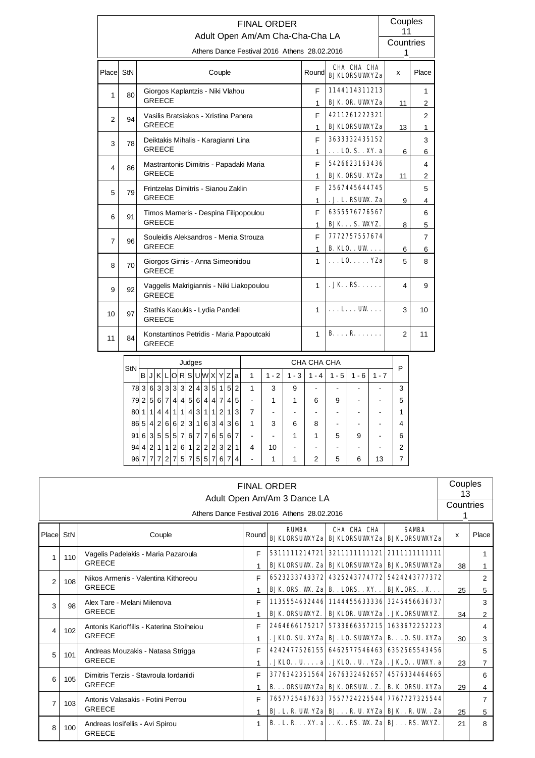|                |    | <b>FINAL ORDER</b><br>Adult Open Am/Am Cha-Cha-Cha LA     |                      |                                 | Couples<br>11  |                |
|----------------|----|-----------------------------------------------------------|----------------------|---------------------------------|----------------|----------------|
|                |    | Athens Dance Festival 2016 Athens 28.02.2016              |                      |                                 | Countries<br>1 |                |
|                |    |                                                           |                      | CHA CHA CHA                     |                |                |
| Place StN      |    | Couple                                                    | Round                | <b>RJKLORSUWXYZa</b>            | X              | Place          |
| 1              | 80 | Giorgos Kaplantzis - Niki Vlahou                          | F                    | 1144114311213                   |                | 1              |
|                |    | <b>GREECE</b>                                             | 1                    | <b>BJK OR UWYZa</b>             | 11             | 2              |
| 2              | 94 | Vasilis Bratsiakos - Xristina Panera                      | F.                   | 4211261222321                   |                | $\overline{2}$ |
|                |    | <b>GREECE</b>                                             | <b>BJKLORSUWXYZa</b> | 13                              | 1              |                |
| 3              | 78 | Deiktakis Mihalis - Karagianni Lina                       | 3633332435152        |                                 | 3              |                |
|                |    | <b>GREECE</b>                                             | $\mathbf{1}$         | $\ldots$ LO. S. . XY. a         | 6              | 6              |
| 4              | 86 | Mastrantonis Dimitris - Papadaki Maria                    | F                    | 5426623163436                   |                | 4              |
|                |    | <b>GREECE</b>                                             | 1                    | <b>BJK ORSU. XYZa</b>           | 11             | 2              |
| 5              | 79 | Frintzelas Dimitris - Sianou Zaklin                       | F.                   | 2567445644745                   |                | 5              |
|                |    | <b>GREECE</b>                                             | 1                    | . J. L. RSUWK. Za               | 9              | 4              |
| 6              | 91 | Timos Marneris - Despina Filipopoulou                     | F                    | 6355576776567                   |                | 6              |
|                |    | <b>GREECE</b>                                             | 1                    | <b>BJKS. WYZ.</b>               | 8              | 5              |
| $\overline{7}$ | 96 | Souleidis Aleksandros - Menia Strouza                     | F                    | 7772757557674                   |                | 7              |
|                |    | <b>GREECE</b>                                             | 1                    | B. KLO. UW                      | 6              | 6              |
| 8              | 70 | Giorgos Girnis - Anna Simeonidou<br><b>GREECE</b>         | $\mathbf{1}$         | $\ldots$ L0. $\ldots$ YZa       | 5              | 8              |
| 9              | 92 | Vaggelis Makrigiannis - Niki Liakopoulou<br><b>GREECE</b> | 1                    | JK.RS                           | 4              | 9              |
| 10             | 97 | Stathis Kaoukis - Lydia Pandeli<br><b>GREECE</b>          | $\mathbf 1$          | $\ldots$ L $\ldots$ UW $\ldots$ | 3              | 10             |
| 11             | 84 | Konstantinos Petridis - Maria Papoutcaki<br><b>GREECE</b> | 1                    | BR                              | 2              | 11             |

| StN |                |                |                |                |                |                | Judges         |                |                |                |                |                |   |   |         |         | CHA CHA CHA    |                                    |           |         | Р              |
|-----|----------------|----------------|----------------|----------------|----------------|----------------|----------------|----------------|----------------|----------------|----------------|----------------|---|---|---------|---------|----------------|------------------------------------|-----------|---------|----------------|
|     | в              | J              | IKI            |                | L O            |                |                |                | R S U W X      |                | Y              | ΙZ             | a | 1 | $1 - 2$ | $1 - 3$ | - 4            | 5<br>1<br>$\overline{\phantom{a}}$ | $-6$<br>1 | $1 - 7$ |                |
| 78  | 3 <sup>1</sup> | 6 <sup>1</sup> | 3 <sup>1</sup> | $\mathbf{3}$   | 3              | 3              | $\overline{2}$ | 4              | 3              | 5              | 1              | 5              | 2 | 1 | 3       | 9       |                |                                    |           |         | 3              |
| 79  | 2              | 5              | 6              | $\overline{7}$ | 4              | 4              | $5^{\circ}$    | 6              | $\overline{4}$ | 4              | 7              | 4              | 5 |   |         | 1       | 6              | 9                                  |           |         | 5              |
| 80  | 11             | 1              | 4              | 4              | 1              | 1              | 4              | 3              | 1              | 1              | $\overline{2}$ |                | 3 | 7 |         |         |                |                                    |           |         | и              |
| 86  | 5 <sup>5</sup> | 4              | 2 <sub>1</sub> | 6              | 6              | $\overline{2}$ | 3              | 1 <sub>1</sub> | 6              | 3              | 4              | 3              | 6 | 1 | 3       | 6       | 8              |                                    |           |         | 4              |
| 91  | 6              | 3              | 5              | 5              | 5              | $\overline{7}$ | 6              | $\overline{7}$ | $\overline{7}$ | 6              | 5              | 6              | 7 |   |         | 1       | 1              | 5                                  | 9         |         | 6              |
| 94  | 4              | 2              | 1              | 1              | 2              | 6              | 1              | 2              | 2              | $\overline{2}$ | 3              | $\overline{2}$ | 1 | 4 | 10      |         |                |                                    |           |         | $\mathfrak{p}$ |
| 96  | $\overline{7}$ | $\overline{7}$ | $\overline{7}$ | $\mathcal{P}$  | $\overline{7}$ | 5              | $\overline{7}$ | 5              | 5              | 7              | 6              | 7              | 4 |   | 1       | 1       | $\overline{2}$ | 5                                  | 6         | 13      | 7              |

|                |                 |                                                           |              | <b>FINAL ORDER</b><br>Adult Open Am/Am 3 Dance LA<br>Athens Dance Festival 2016 Athens 28.02.2016 |                                                                                                         |              | Couples<br>13<br>Countries |                     |
|----------------|-----------------|-----------------------------------------------------------|--------------|---------------------------------------------------------------------------------------------------|---------------------------------------------------------------------------------------------------------|--------------|----------------------------|---------------------|
| Place StN      |                 | Couple                                                    | Round        | <b>RIMRA</b>                                                                                      | CHA CHA CHA<br><b>BJKLORSUWXYZa BJKLORSUWXYZa BJKLORSUWXYZa</b>                                         | <b>SAMBA</b> | $\mathsf{x}$               | Place               |
| $\mathbf{1}$   | 110             | Vagelis Padelakis - Maria Pazaroula<br><b>GREECE</b>      | F            | 5311111214721                                                                                     | 3211111111121 2111111111111<br><b>BJKLORSUWX. Za BJKLORSUWXYZa BJKLORSUWXYZa</b>                        |              | 38                         |                     |
| $\overline{2}$ | 108             | Nikos Armenis - Valentina Kithoreou<br><b>GREECE</b>      | E            |                                                                                                   | 6523233743372 4325243774772 5424243777372<br><b>BJK ORS. W. Za B. . LORS. . XY. .   BJKLORS. . X.</b>   |              | 25                         | 2<br>5              |
| 3              | 98              | Alex Tare - Melani Milenova<br><b>GREECE</b>              | E            |                                                                                                   | 1135554632446 1144455633336 3245456636737<br><b>BJK ORSUWYZ.   BJKLOR. UWYZa   . JKLORSUWYZ.</b>        |              | 34                         | 3<br>$\overline{2}$ |
| 4              | 102             | Antonis Karioffilis - Katerina Stoiheiou<br><b>GREECE</b> | F            |                                                                                                   | 2464666175217 5733666357215 1633672252223<br>. JKLO. SU. XYZa   BJ. LO. SUWYZA   B. . LO. SU. XYZa      |              | 30                         | 4<br>3              |
| 5              | 101             | Andreas Mouzakis - Natasa Strigga<br><b>GREECE</b>        | F            |                                                                                                   | 4242477526155 6462577546463 6352565543456<br>. JKLO. . U. a . JKLO. . U. . YZa . JKLO. . UWY. a         |              | 23                         | 5                   |
| 6              | 10 <sub>5</sub> | Dimitris Terzis - Stavroula Iordanidi<br><b>GREECE</b>    | F            |                                                                                                   | 3776342351564 2676332462657 4576334464665<br><b>B ORSUWYZA RJK ORSUW. Z.   B. K. ORSU. XYZA</b>         |              | 29                         | 6<br>4              |
| $\overline{7}$ | 103             | Antonis Valasakis - Fotini Perrou<br><b>GREECE</b>        | F            |                                                                                                   | 7657725467633 7557724225544 7767727325544<br><b>BJ. L. R. UWYZa   BJ. R. U. XYZa   BJK. . R. UW. Za</b> |              | 25                         | 5                   |
| 8              | 100             | Andreas Iosifellis - Avi Spirou<br><b>GREECE</b>          | $\mathbf{1}$ | <b>B.</b> . L. R. XY. a K. . RS. W. Za BJ. RS. WXYZ.                                              |                                                                                                         |              | 21                         | 8                   |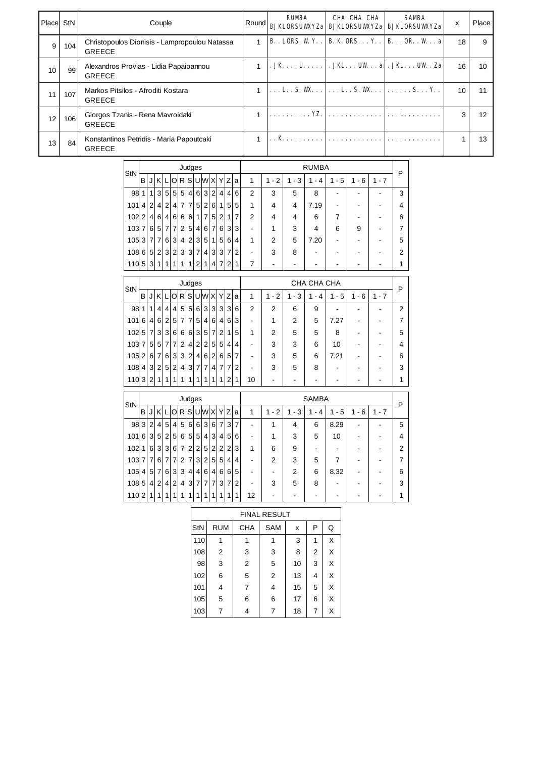| l Placel | StN | Couple                                                         | Round | <b>RUMBA</b> | CHA CHA CHA                                                                   | <b>SAMBA</b><br><b>BJKLORSUWYZa BJKLORSUWYZa BJKLORSUWYZa</b>              | x  | Place |
|----------|-----|----------------------------------------------------------------|-------|--------------|-------------------------------------------------------------------------------|----------------------------------------------------------------------------|----|-------|
| 9        | 104 | Christopoulos Dionisis - Lampropoulou Natassa<br><b>GREECE</b> |       |              |                                                                               | <b>B.</b> . LORS. W Y. .   <b>B.</b> K. ORS. Y. .   <b>B.</b> OR. . W. . a | 18 | 9     |
| 10       | 99  | Alexandros Provias - Lidia Papaioannou<br><b>GREECE</b>        |       |              |                                                                               | $JKU$ , $JK$ , $JK$ , $JK$ , $K$                                           | 16 | 10    |
| 11       | 107 | Markos Pitsilos - Afroditi Kostara<br><b>GREECE</b>            |       |              | $\dots$ L. S. W. $\dots$ . $\dots$ L. S. W. $\dots$ . $\dots$ S. $\dots$ Y. . |                                                                            | 10 |       |
| 12       | 106 | Giorgos Tzanis - Rena Mavroidaki<br><b>GREECE</b>              |       |              |                                                                               |                                                                            | 3  | 12    |
| 13       | 84  | Konstantinos Petridis - Maria Papoutcaki<br><b>GREECE</b>      |       |              |                                                                               |                                                                            |    | 13    |

| StN             |                |                |                |                |                 |                 | Judges         |                |                |                |                |                |                |                |           |          | <b>RUMBA</b>             |                                    |         |         | Р |
|-----------------|----------------|----------------|----------------|----------------|-----------------|-----------------|----------------|----------------|----------------|----------------|----------------|----------------|----------------|----------------|-----------|----------|--------------------------|------------------------------------|---------|---------|---|
|                 | B              |                | ΚI             |                | Οl              |                 |                |                | R S U W X      |                | Y              | $Z_1$          | a              | 1              | $-2$<br>1 | - 3<br>1 | 4<br>1<br>$\blacksquare$ | 5<br>1<br>$\overline{\phantom{a}}$ | $1 - 6$ | $1 - 7$ |   |
| 98              | 11             | 1 <sup>1</sup> | 3 <sup>1</sup> | 5 <sup>1</sup> | 5 <sup>1</sup>  | 5 <sup>1</sup>  | $\vert$        | 6 <sup>1</sup> | 3 <sup>1</sup> | $\overline{2}$ | 4              | $\overline{4}$ | 6              | $\overline{2}$ | 3         | 5        | 8                        |                                    |         |         | 3 |
| 101             | 4 <sup>1</sup> | $\overline{2}$ | 41             | $\overline{2}$ | $\vert 4 \vert$ | 7 <sup>1</sup>  | $\overline{7}$ | 5              | $\overline{2}$ | 6              | 1              | 5              | 5              | 1              | 4         | 4        | 7.19                     | -                                  |         |         | 4 |
| 102             | 2 <sub>1</sub> | $\frac{4}{ }$  | 6 <sup>1</sup> | $\vert$        | 6 <sup>1</sup>  | 6 <sup>1</sup>  | 6 <sup>1</sup> | 1              | $\overline{7}$ | 5              | 2              | 1              | 7              | 2              | 4         | 4        | 6                        | 7                                  |         |         | 6 |
| 103             | 7 <sup>1</sup> |                | 6 5            | $\overline{7}$ | $\overline{7}$  | 2 <sup>1</sup>  | 5 <sup>1</sup> | $\vert$        | 6              | $\overline{7}$ | 6              | 3              | 3              | -              |           | 3        | 4                        | 6                                  | 9       |         |   |
| $105$ 3 $7$ 7   |                |                |                | 6 <sup>1</sup> | 3 <sup>1</sup>  | $\vert 4 \vert$ | 2 <sup>1</sup> | 3 <sup>1</sup> | 5 <sup>1</sup> | 1 <sup>1</sup> | 5              | 6              | 4              | 1              | 2         | 5        | 7.20                     | ۰                                  |         |         | 5 |
| $108 \, 615121$ |                |                |                | 3 <sup>1</sup> | 2 <sup>1</sup>  | 3 <sup>1</sup>  | 3 <sup>1</sup> | $\overline{7}$ | 4              | 3 <sup>1</sup> | $\overline{3}$ | $\overline{7}$ | $\overline{2}$ |                | 3         | 8        |                          |                                    |         |         | 2 |
| 110 5           |                | 3 <sup>1</sup> |                |                |                 |                 | 1              | $\mathcal{P}$  | 1              | 4              | 7              | 2              | 1              | 7              |           |          |                          |                                    |         |         |   |

| <b>StN</b> |                |                |                |                |                |                | Judges         |                |                |                |                |                |   |                |         |                | CHA CHA CHA |         |         |         | P |
|------------|----------------|----------------|----------------|----------------|----------------|----------------|----------------|----------------|----------------|----------------|----------------|----------------|---|----------------|---------|----------------|-------------|---------|---------|---------|---|
|            | B              | J              |                |                |                |                |                |                |                |                |                | KLORSUWXYZ     | a | 1              | $1 - 2$ | $1 - 3$        | 1 - 4       | $1 - 5$ | $1 - 6$ | $1 - 7$ |   |
| 98         |                | 1              | 4              | $\vert$        | $\vert$        | 5 <sup>1</sup> | 5 <sup>1</sup> | 6 <sup>1</sup> | 3 <sup>1</sup> | 31             | 31             | 3 <sup>1</sup> | 6 | $\overline{2}$ | 2       | 6              | 9           | -       |         |         | 2 |
| 101        | 6              | $\vert$        | $6 \mid$       | 2 <sup>1</sup> | 5              | $\overline{7}$ | $\overline{7}$ | 5              | 4 <sup>1</sup> | 6 <sup>1</sup> | 4 <sup>1</sup> | $6 \mid$       | 3 |                | 1       | $\mathfrak{p}$ | 5           | 7.27    |         |         |   |
| 102        | 5 <sup>1</sup> | 71             | 3 <sup>1</sup> | 3 <sup>1</sup> | 6 <sup>1</sup> | 6              | 6              | 3              | 5              | $\overline{7}$ | $\overline{2}$ |                | 5 | 1              | 2       | 5              | 5           | 8       |         |         | 5 |
| 103        | $\overline{7}$ | 5 <sup>1</sup> | 5 <sup>1</sup> |                | 7 7            | $\vert$ 2      | 4              | $\overline{2}$ | $\overline{2}$ | 5 <sup>1</sup> | 5 <sup>1</sup> | 4 <sup>1</sup> | 4 |                | 3       | 3              | 6           | 10      |         |         | 4 |
| 105        | $\overline{2}$ | 6 <sup>1</sup> | $\overline{7}$ | 6 <sup>1</sup> | 3 <sup>1</sup> | -31            | $\overline{2}$ | $\overline{4}$ | 6              | $\overline{2}$ | 6              | 5 <sup>1</sup> | 7 |                | 3       | 5              | 6           | 7.21    |         |         | 6 |
| 108        | $\vert$        | 3 <sup>1</sup> | 2              | 5 <sup>1</sup> | $\overline{2}$ | 4              | 3              | $\overline{7}$ | $\overline{7}$ | 4              | $\overline{7}$ | 7              | 2 |                | 3       | 5              | 8           |         |         |         | 3 |
| 110        | 3 <sup>1</sup> | 2              | -1             | 1              | 1              |                |                |                |                |                |                | 2 <sub>1</sub> |   | 10             |         |                |             |         |         |         |   |

| StN  |               |                |                 |                |                 |                | Judges          |                |                |                |                |                |                |    |         |         | <b>SAMBA</b> |                  |          |         | P |
|------|---------------|----------------|-----------------|----------------|-----------------|----------------|-----------------|----------------|----------------|----------------|----------------|----------------|----------------|----|---------|---------|--------------|------------------|----------|---------|---|
|      | B             | J              |                 |                | K L O R S U W X |                |                 |                |                |                | Y              | Z              | a              | 1  | $1 - 2$ | $1 - 3$ | - 4<br>1     | 5<br>1<br>$\sim$ | - 6<br>1 | $1 - 7$ |   |
| 98 3 |               | 2 <sup>1</sup> | .4 <sup>1</sup> | 5 <sup>1</sup> | 4 <sup>1</sup>  | 5 <sup>1</sup> | 6 <sup>1</sup>  | 6 <sup>1</sup> | 3 <sup>1</sup> | 6              | $\overline{7}$ | 3              | $\overline{7}$ |    |         | 4       | 6            | 8.29             | -        |         | 5 |
| 101  | 6             | 3 <sup>1</sup> | 5 <sup>2</sup>  | $\overline{2}$ | 5 <sup>1</sup>  | 6 <sup>1</sup> | 5 <sup>1</sup>  | 5              | $\overline{4}$ | 3              | $\overline{4}$ | 5              | 6              | -  |         | 3       | 5            | 10               | -        |         | 4 |
| 102  | 1             | 6 <sup>1</sup> | 3 <sup>1</sup>  | 3 <sup>1</sup> | 6 <sup>1</sup>  | $\overline{7}$ | 2 <sup>1</sup>  | 2 <sub>1</sub> | 5              | 2              | $\overline{2}$ | $\overline{2}$ | 3              | 1  | 6       | 9       | -            |                  | -        |         | 2 |
| 103  |               | 7 7            | 6 <sup>1</sup>  | $\overline{7}$ | 7 <sup>1</sup>  | 2 <sup>1</sup> | 7 <sup>1</sup>  | 3 <sup>1</sup> | 2 <sup>1</sup> | 5 <sup>1</sup> | 5              | 4              | 4              | -  | 2       | 3       | 5            | 7                | -        |         | 7 |
| 105  | 4             |                | 5 7             | 6 <sup>1</sup> | 3 <sup>1</sup>  | 3 <sup>1</sup> | $\vert 4 \vert$ | $\vert$        | 6              | $\overline{4}$ | 6              | 6              | 5              | -  |         | 2       | 6            | 8.32             | -        |         | 6 |
| 108  | 5             | 4 <sup>1</sup> | 2 <sup>1</sup>  | $\vert$        | 2 <sup>1</sup>  | $\vert$        | 3               | $\overline{7}$ | $\overline{7}$ | $\overline{7}$ | 3              | $\overline{7}$ | 2              |    | 3       | 5       | 8            |                  |          |         | 3 |
| 110  | $\mathcal{P}$ | 1              | 1               |                |                 |                | 1               | 1              | 1              | 1              | 1              | 1              | 1              | 12 |         |         |              |                  |          |         |   |

|     |            |                | <b>FINAL RESULT</b> |    |   |   |
|-----|------------|----------------|---------------------|----|---|---|
| StN | <b>RUM</b> | <b>CHA</b>     | <b>SAM</b>          | x  | P | Q |
| 110 |            |                |                     | 3  | 1 | X |
| 108 | 2          | 3              | 3                   | 8  | 2 | X |
| 98  | 3          | $\overline{2}$ | 5                   | 10 | 3 | X |
| 102 | 6          | 5              | $\overline{2}$      | 13 | 4 | X |
| 101 | 4          | 7              | 4                   | 15 | 5 | X |
| 105 | 5          | 6              | 6                   | 17 | 6 | X |
| 103 |            |                | 7                   | 18 | 7 | х |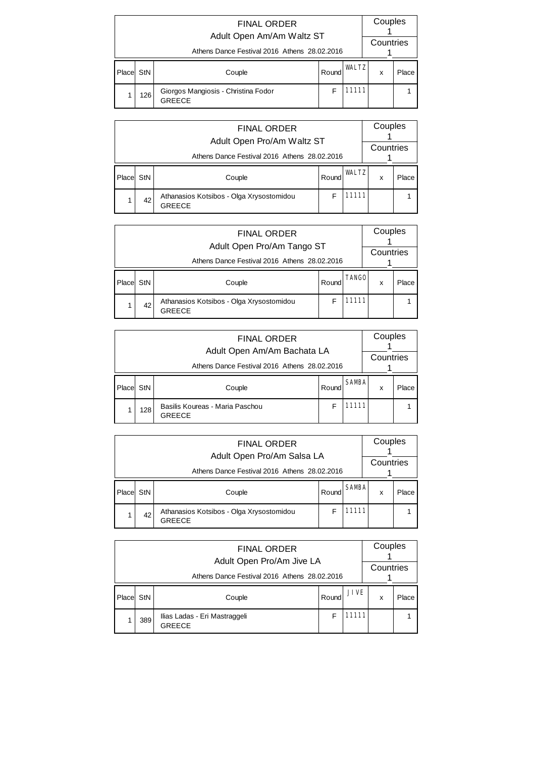|       |                                              | Couples<br>Countries                                 |       |              |   |       |  |  |  |  |  |
|-------|----------------------------------------------|------------------------------------------------------|-------|--------------|---|-------|--|--|--|--|--|
|       | Athens Dance Festival 2016 Athens 28.02.2016 |                                                      |       |              |   |       |  |  |  |  |  |
| Place | StN                                          | Couple                                               | Round | <b>WALTZ</b> | X | Place |  |  |  |  |  |
|       | 126                                          | Giorgos Mangiosis - Christina Fodor<br><b>GREECE</b> | F     | 11111        |   |       |  |  |  |  |  |

|        | <b>FINAL ORDER</b><br>Adult Open Pro/Am Waltz ST |                                                           |       |              |   |       |  |  |  |  |  |  |
|--------|--------------------------------------------------|-----------------------------------------------------------|-------|--------------|---|-------|--|--|--|--|--|--|
|        | Athens Dance Festival 2016 Athens 28.02.2016     |                                                           |       |              |   |       |  |  |  |  |  |  |
| Placel | StN                                              | Couple                                                    | Round | <b>WALTZ</b> | x | Place |  |  |  |  |  |  |
|        | 42                                               | Athanasios Kotsibos - Olga Xrysostomidou<br><b>GREECE</b> |       | 11111        |   |       |  |  |  |  |  |  |

|        | <b>FINAL ORDER</b><br>Adult Open Pro/Am Tango ST |                                                           |       |              |   |       |  |  |  |  |  |  |
|--------|--------------------------------------------------|-----------------------------------------------------------|-------|--------------|---|-------|--|--|--|--|--|--|
|        | Athens Dance Festival 2016 Athens 28.02.2016     |                                                           |       |              |   |       |  |  |  |  |  |  |
| Placel | StN                                              | Couple                                                    | Round | <b>TANGO</b> | x | Place |  |  |  |  |  |  |
|        | 42                                               | Athanasios Kotsibos - Olga Xrysostomidou<br><b>GREECE</b> |       | 11111        |   |       |  |  |  |  |  |  |

|       | <b>FINAL ORDER</b><br>Adult Open Am/Am Bachata LA |                                                  |       |              |   |       |  |  |  |  |  |  |
|-------|---------------------------------------------------|--------------------------------------------------|-------|--------------|---|-------|--|--|--|--|--|--|
|       | Athens Dance Festival 2016 Athens 28.02.2016      |                                                  |       |              |   |       |  |  |  |  |  |  |
| Place | StN                                               | Couple                                           | Round | <b>SAMBA</b> | x | Place |  |  |  |  |  |  |
|       | 128                                               | Basilis Koureas - Maria Paschou<br><b>GREECE</b> |       | 11111        |   |       |  |  |  |  |  |  |

|        | <b>FINAL ORDER</b><br>Adult Open Pro/Am Salsa LA |                                                           |       |              |   |       |  |  |  |  |  |  |
|--------|--------------------------------------------------|-----------------------------------------------------------|-------|--------------|---|-------|--|--|--|--|--|--|
|        | Athens Dance Festival 2016 Athens 28.02.2016     | Countries                                                 |       |              |   |       |  |  |  |  |  |  |
| Placel | StN                                              | Couple                                                    | Round | <b>SAMBA</b> | x | Place |  |  |  |  |  |  |
|        | 42                                               | Athanasios Kotsibos - Olga Xrysostomidou<br><b>GREECE</b> |       | 11111        |   |       |  |  |  |  |  |  |

|        | <b>FINAL ORDER</b><br>Adult Open Pro/Am Jive LA |                                                |       |             |   |       |  |  |  |  |  |
|--------|-------------------------------------------------|------------------------------------------------|-------|-------------|---|-------|--|--|--|--|--|
|        | Athens Dance Festival 2016 Athens 28.02.2016    |                                                |       |             |   |       |  |  |  |  |  |
| Placel | StN                                             | Couple                                         | Round | <b>JIVE</b> | x | Place |  |  |  |  |  |
|        | 389                                             | Ilias Ladas - Eri Mastraggeli<br><b>GREECE</b> | F     | 11111       |   |       |  |  |  |  |  |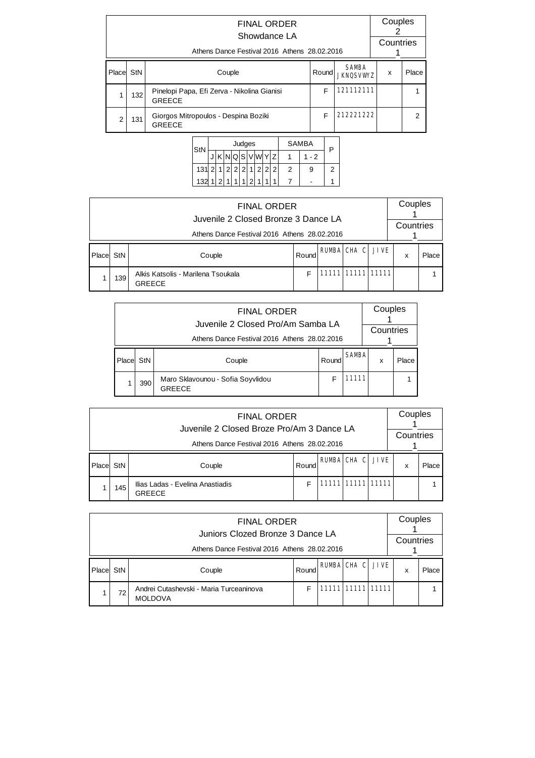|            | <b>FINAL ORDER</b><br>Showdance LA<br>Athens Dance Festival 2016 Athens 28.02.2016 |                                                       |                                          |           |       |   |  |  |  |  |  |
|------------|------------------------------------------------------------------------------------|-------------------------------------------------------|------------------------------------------|-----------|-------|---|--|--|--|--|--|
| Placel StN |                                                                                    | Couple                                                | <b>SAMBA</b><br>Round<br><b>JKNOSVWZ</b> | x         | Place |   |  |  |  |  |  |
|            | 132                                                                                | 121112111                                             |                                          |           |       |   |  |  |  |  |  |
| 2          | 131                                                                                | Giorgos Mitropoulos - Despina Boziki<br><b>GREECE</b> | F                                        | 212221222 |       | 2 |  |  |  |  |  |

| StN | Judges |  |                |                   |                |   |   |  |   | <b>SAMBA</b> | P   |   |
|-----|--------|--|----------------|-------------------|----------------|---|---|--|---|--------------|-----|---|
|     |        |  |                | $NQ$ <sub>S</sub> |                |   |   |  |   |              | - 2 |   |
| 131 |        |  | $\overline{2}$ | $\overline{2}$    | $\overline{2}$ |   | 2 |  | 2 | 2            | 9   | 2 |
| 132 |        |  |                |                   |                | っ |   |  |   |              |     |   |

|       |                                              | Couples<br>Countries                                |       |  |                         |  |   |       |  |  |  |  |  |
|-------|----------------------------------------------|-----------------------------------------------------|-------|--|-------------------------|--|---|-------|--|--|--|--|--|
|       | Athens Dance Festival 2016 Athens 28.02.2016 |                                                     |       |  |                         |  |   |       |  |  |  |  |  |
| Place | StN                                          | Couple                                              | Round |  | <b>RUMBA CHA C JIVE</b> |  | x | Place |  |  |  |  |  |
|       | 139                                          | Alkis Katsolis - Marilena Tsoukala<br><b>GREECE</b> | F     |  | 11111 11111 11111       |  |   |       |  |  |  |  |  |

|        | <b>FINAL ORDER</b><br>Juvenile 2 Closed Pro/Am Samba LA |                                                    |       |              |   |       |  |  |  |  |  |  |
|--------|---------------------------------------------------------|----------------------------------------------------|-------|--------------|---|-------|--|--|--|--|--|--|
|        | Athens Dance Festival 2016 Athens 28.02.2016            |                                                    |       |              |   |       |  |  |  |  |  |  |
| Placel | StN                                                     | Couple                                             | Round | <b>SAMBA</b> | x | Place |  |  |  |  |  |  |
|        | 390                                                     | Maro Sklavounou - Sofia Soyvlidou<br><b>GREECE</b> | F     | 11111        |   |       |  |  |  |  |  |  |

|       | <b>FINAL ORDER</b><br>Juvenile 2 Closed Broze Pro/Am 3 Dance LA |                                                   |       |  |                    |             |   |       |  |  |  |  |  |  |
|-------|-----------------------------------------------------------------|---------------------------------------------------|-------|--|--------------------|-------------|---|-------|--|--|--|--|--|--|
|       |                                                                 | Countries                                         |       |  |                    |             |   |       |  |  |  |  |  |  |
| Place | StN                                                             | Couple                                            | Round |  | <b>RUMBA CHA C</b> | <b>JIVE</b> | x | Place |  |  |  |  |  |  |
|       | 145                                                             | Ilias Ladas - Evelina Anastiadis<br><b>GREECE</b> | F     |  | 11111 11111 11111  |             |   |       |  |  |  |  |  |  |

|         |     | <b>FINAL ORDER</b><br>Juniors Clozed Bronze 3 Dance LA    |       |                         | Couples<br>Countries |       |
|---------|-----|-----------------------------------------------------------|-------|-------------------------|----------------------|-------|
|         |     | Athens Dance Festival 2016 Athens 28.02.2016              |       |                         |                      |       |
| l Place | StN | Couple                                                    | Round | <b>RUMBA CHA C JIVE</b> | x                    | Place |
|         | 72  | Andrei Cutashevski - Maria Turceaninova<br><b>MOLDOVA</b> | F     | 11111 11111 11111       |                      |       |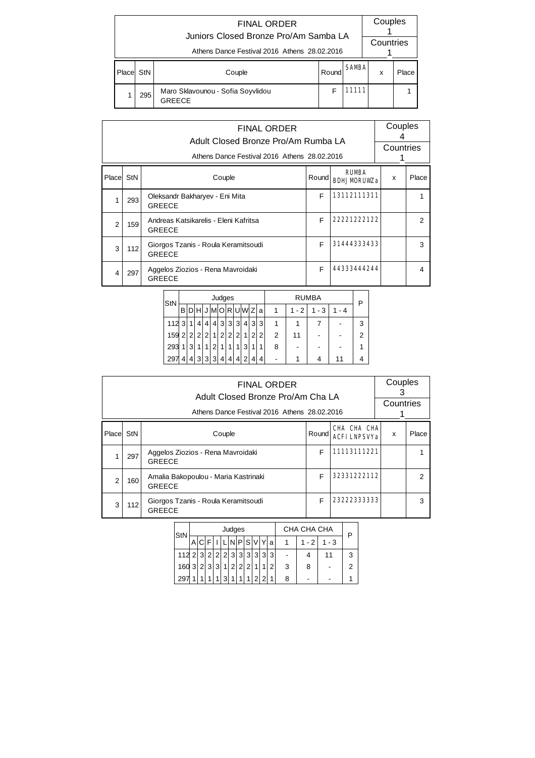|        |     | <b>FINAL ORDER</b><br>Juniors Closed Bronze Pro/Am Samba LA<br>Athens Dance Festival 2016 Athens 28.02.2016 |       |              | Couples<br>Countries |       |
|--------|-----|-------------------------------------------------------------------------------------------------------------|-------|--------------|----------------------|-------|
| Placel | StN | Couple                                                                                                      | Round | <b>SAMBA</b> | x                    | Place |
|        | 295 | Maro Sklavounou - Sofia Soyvlidou<br>GRFFCF                                                                 |       | 11111        |                      |       |

|                |     | <b>FINAL ORDER</b><br>Adult Closed Bronze Pro/Am Rumba LA<br>Athens Dance Festival 2016 Athens 28.02.2016 |       |                                    | Couples<br>Countries |               |
|----------------|-----|-----------------------------------------------------------------------------------------------------------|-------|------------------------------------|----------------------|---------------|
| Placel StN     |     | Couple                                                                                                    | Round | <b>RUMBA</b><br><b>RDHUMORUW.a</b> | x                    | Place         |
|                | 293 | Oleksandr Bakharyev - Eni Mita<br><b>GREECE</b>                                                           | F     | 13112111311                        |                      |               |
| $\mathfrak{p}$ | 159 | Andreas Katsikarelis - Eleni Kafritsa<br><b>GREECE</b>                                                    | F     | 22221222122                        |                      | $\mathcal{P}$ |
| 3              | 112 | Giorgos Tzanis - Roula Keramitsoudi<br><b>GREECE</b>                                                      | F     | 31444333433                        |                      | 3             |
| 4              | 297 | Aggelos Ziozios - Rena Mavroidaki<br><b>GREECE</b>                                                        | F     | 44333444244                        |                      | 4             |

| StN |                |                |                |                |                | Judges         |                |                |      |   |                |   |         | <b>RUMBA</b> |         | P              |
|-----|----------------|----------------|----------------|----------------|----------------|----------------|----------------|----------------|------|---|----------------|---|---------|--------------|---------|----------------|
|     | В              | D              | н              |                |                |                |                |                | ORUW | Ζ | a              | 1 | $1 - 2$ | $1 - 3$      | $1 - 4$ |                |
| 112 | 3              | 1              | 4              | 4              | 4              | 3              | 3              | 3              | 4    | 3 | 3              |   |         |              |         | 3              |
| 159 | 2 <sup>1</sup> | 2 <sup>1</sup> | 2 <sup>1</sup> | $\overline{2}$ | 1 <sub>1</sub> | 2 <sup>1</sup> | $\overline{2}$ | $\overline{2}$ | 1    | 2 | 2 <sub>1</sub> | 2 | 11      |              |         | $\overline{2}$ |
| 293 |                | 3              |                |                | ာ              |                |                |                | 3    |   |                | 8 |         |              |         |                |
| 297 | 4              | 4              | $\vert$ 3      | 3              | 3              | 41             | 4              | 4              | 2    | 4 | 4'             |   |         | 4            | 11      |                |

|       |                                                                                 | <b>FINAL ORDER</b><br>Adult Closed Bronze Pro/Am Cha LA<br>Athens Dance Festival 2016 Athens 28.02.2016 |             |             | Couples<br>Countries |  |  |
|-------|---------------------------------------------------------------------------------|---------------------------------------------------------------------------------------------------------|-------------|-------------|----------------------|--|--|
| Place | <b>StN</b>                                                                      | CHA CHA CHA<br>Round<br><b>ACFILNPSVYa</b>                                                              | x           | Place       |                      |  |  |
|       | 297                                                                             | Aggelos Ziozios - Rena Mavroidaki<br><b>GREECE</b>                                                      | F           | 11113111221 |                      |  |  |
| 2     | 160                                                                             | Amalia Bakopoulou - Maria Kastrinaki<br><b>GREECE</b>                                                   | 32331222112 |             | 2                    |  |  |
| 3     | F<br>23222333333<br>Giorgos Tzanis - Roula Keramitsoudi<br>112<br><b>GREECE</b> |                                                                                                         |             |             |                      |  |  |

| StN                     |  |  |    | Judges |       |             |   |                |   | CHA CHA CHA              |         |   |
|-------------------------|--|--|----|--------|-------|-------------|---|----------------|---|--------------------------|---------|---|
|                         |  |  |    |        |       | <b>NPSV</b> |   | a              |   | $1 - 2$                  | $1 - 3$ |   |
| $112$ 2 3 2 2 2 3 3 3 3 |  |  |    |        |       | 3           | 3 | $\mathbf{3}$   |   |                          | 11      | 3 |
| $160 \ 3 \ 2 \ 3 \ 3$   |  |  | 11 |        | 2 2 2 | 1           |   | 2 <sup>1</sup> | 3 | 8                        |         | 2 |
| 29                      |  |  |    |        |       | 2           | າ |                | 8 | $\overline{\phantom{0}}$ |         |   |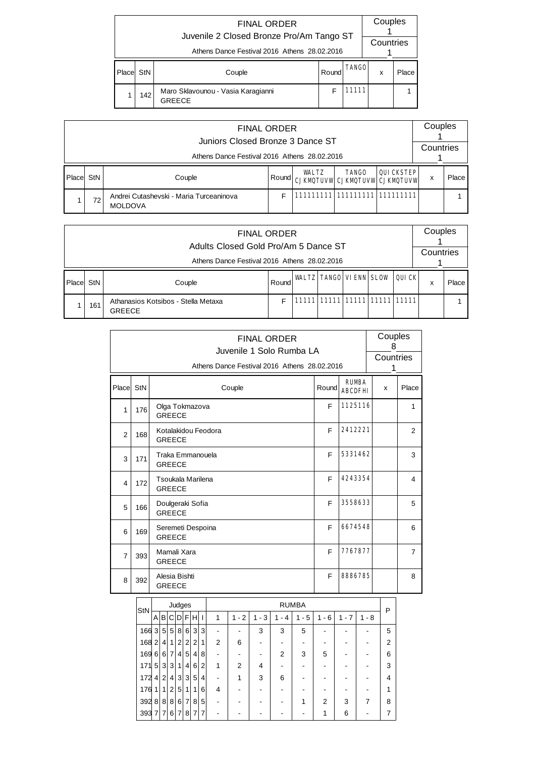|       |     | <b>FINAL ORDER</b><br>Juvenile 2 Closed Bronze Pro/Am Tango ST<br>Athens Dance Festival 2016 Athens 28.02.2016 |       |              | Couples<br>Countries |       |
|-------|-----|----------------------------------------------------------------------------------------------------------------|-------|--------------|----------------------|-------|
| Place | StN | Couple                                                                                                         | Round | <b>TANGO</b> | x                    | Place |
|       | 142 | Maro Sklavounou - Vasia Karagianni<br><b>GREECE</b>                                                            | F     | 11111        |                      |       |

|          |     | <b>FINAL ORDER</b><br>Juniors Closed Bronze 3 Dance ST    |       |              |                                                      |           | Couples   |       |
|----------|-----|-----------------------------------------------------------|-------|--------------|------------------------------------------------------|-----------|-----------|-------|
|          |     | Athens Dance Festival 2016 Athens 28.02.2016              |       |              |                                                      |           | Countries |       |
| l Placel | StN | Couple                                                    | Round | <b>WALTZ</b> | <b>TANGO</b><br><b>CJKMQTUVW CJKMQTUVW CJKMQTUVW</b> | QUICKSTEP | x         | Place |
|          | 72  | Andrei Cutashevski - Maria Turceaninova<br><b>MOLDOVA</b> |       |              | 111111111  111111111  111111111                      |           |           |       |

|          |     | <b>FINAL ORDER</b><br>Adults Closed Gold Pro/Am 5 Dance ST |       |                                     |  | Couples   |       |
|----------|-----|------------------------------------------------------------|-------|-------------------------------------|--|-----------|-------|
|          |     | Athens Dance Festival 2016 Athens 28.02.2016               |       |                                     |  | Countries |       |
| l Placel | StN | Couple                                                     | Round | <b>WALTZ TANGO VIENN SLOW QUICK</b> |  | x         | Place |
|          | 161 | Athanasios Kotsibos - Stella Metaxa<br><b>GREECE</b>       |       | 11111 11111 11111 11111 11111       |  |           |       |

|                |       |                                                                                                                                     |                                                                            |                                                         |                |                |                 |                |                     |         | <b>FINAL ORDER</b> |                | Juvenile 1 Solo Rumba LA |                                              |                |                                | Couples<br>8 | Countries      |
|----------------|-------|-------------------------------------------------------------------------------------------------------------------------------------|----------------------------------------------------------------------------|---------------------------------------------------------|----------------|----------------|-----------------|----------------|---------------------|---------|--------------------|----------------|--------------------------|----------------------------------------------|----------------|--------------------------------|--------------|----------------|
|                |       |                                                                                                                                     |                                                                            |                                                         |                |                |                 |                |                     |         |                    |                |                          | Athens Dance Festival 2016 Athens 28.02.2016 |                |                                | 1            |                |
| Place          | StN   |                                                                                                                                     |                                                                            |                                                         |                |                |                 |                |                     | Couple  |                    |                |                          | Round                                        |                | <b>RUMBA</b><br><b>ARCDFHI</b> | x            | Place          |
| 1              | 176   |                                                                                                                                     | Olga Tokmazova<br><b>GREECE</b>                                            |                                                         |                |                |                 |                |                     |         |                    |                |                          | F                                            |                | 1125116                        |              | $\mathbf{1}$   |
| $\overline{2}$ | 168   |                                                                                                                                     | <b>GREECE</b>                                                              |                                                         |                |                |                 |                | Kotalakidou Feodora |         |                    |                |                          | F                                            |                | 2412221                        |              | $\overline{2}$ |
| 3              | 171   |                                                                                                                                     | <b>GREECE</b>                                                              |                                                         |                |                |                 |                | Traka Emmanouela    |         |                    |                |                          | F                                            |                | 5331462                        |              | 3              |
| 4              | 172   |                                                                                                                                     |                                                                            | 4243354<br>F<br>Tsoukala Marilena<br><b>GREECE</b><br>F |                |                |                 |                |                     |         |                    |                |                          |                                              |                |                                |              | 4              |
| 5              | 166   |                                                                                                                                     | Doulgeraki Sofia<br><b>GREECE</b>                                          |                                                         |                |                |                 |                |                     |         |                    |                |                          |                                              |                | 3558633                        |              | 5              |
| 6              | 169   |                                                                                                                                     | <b>GREECE</b>                                                              |                                                         |                |                |                 |                | Seremeti Despoina   |         |                    |                |                          | F                                            |                | 6674548                        |              | 6              |
| $\overline{7}$ | 393   |                                                                                                                                     | Mamali Xara<br><b>GREECE</b>                                               |                                                         |                |                |                 |                |                     |         |                    |                |                          | F                                            |                | 7767877                        |              | $\overline{7}$ |
| 8              | 392   |                                                                                                                                     | Alesia Bishti<br><b>GREECE</b>                                             |                                                         |                |                |                 |                |                     |         |                    |                |                          | F                                            |                | 8886785                        |              | 8              |
|                |       |                                                                                                                                     |                                                                            |                                                         | Judges         |                |                 |                |                     |         |                    |                | <b>RUMBA</b>             |                                              |                |                                |              |                |
|                | StN   |                                                                                                                                     | A B C                                                                      |                                                         |                |                | $D$ $F$ $H$ $I$ |                | $\mathbf{1}$        | $1 - 2$ | $1 - 3$            | $1 - 4$        | $1 - 5$                  | $1 - 6$                                      | $1 - 7$        | $1 - 8$                        | P            |                |
|                | 166 3 | 5 <sup>1</sup>                                                                                                                      | 5                                                                          |                                                         | 8              |                | 6 3             | 3              |                     |         | 3                  | 3              | 5                        |                                              |                |                                | 5            |                |
|                | 168 2 | $\overline{4}$                                                                                                                      | $\mathbf{1}$                                                               |                                                         | $\overline{c}$ | $\overline{c}$ | $\overline{2}$  | 1              | 2                   | 6       |                    |                |                          |                                              |                |                                | 2            |                |
|                | 169 6 | $6 \overline{7}$<br>5<br>$\overline{4}$<br>8<br>$\overline{4}$<br>2<br>$\overline{\phantom{a}}$<br>$\blacksquare$<br>$\blacksquare$ |                                                                            |                                                         |                |                |                 |                |                     |         |                    |                | 3                        | 5                                            | $\blacksquare$ | ٠                              | 6            |                |
|                | 1715  | 3                                                                                                                                   | $\ensuremath{\mathsf{3}}$                                                  |                                                         | $\mathbf{1}$   | 4              | 6               | $\overline{c}$ | 1                   | 2       | 4                  | $\blacksquare$ | ÷                        |                                              | ÷.             |                                | 3            |                |
|                | 1724  | 2 <sup>1</sup>                                                                                                                      | $\overline{4}$                                                             |                                                         | 3              | $\mathbf{3}$   | 5               | $\overline{4}$ | ٠                   | 1       | 3                  | 6              | ۰                        | ٠                                            | $\blacksquare$ | ٠                              | 4            |                |
|                | 176 1 | 1 <sup>1</sup>                                                                                                                      | $\overline{c}$                                                             |                                                         | $\sqrt{5}$     | 1              | 1               | 6              | 4                   |         |                    |                |                          | ٠<br>2                                       |                |                                | 1            |                |
|                | 392 8 |                                                                                                                                     | 8 8<br>$\overline{7}$<br>8<br>5<br>6<br>1<br>$\blacksquare$<br>۰<br>٠<br>٠ |                                                         |                |                |                 |                |                     |         |                    |                |                          |                                              | 3              | 7                              | 8            |                |
|                | 393 7 | $\overline{7}$                                                                                                                      | 6                                                                          |                                                         | 7              | 8              | $\overline{7}$  | $\overline{7}$ |                     |         |                    |                |                          | 1                                            | 6              |                                | 7            |                |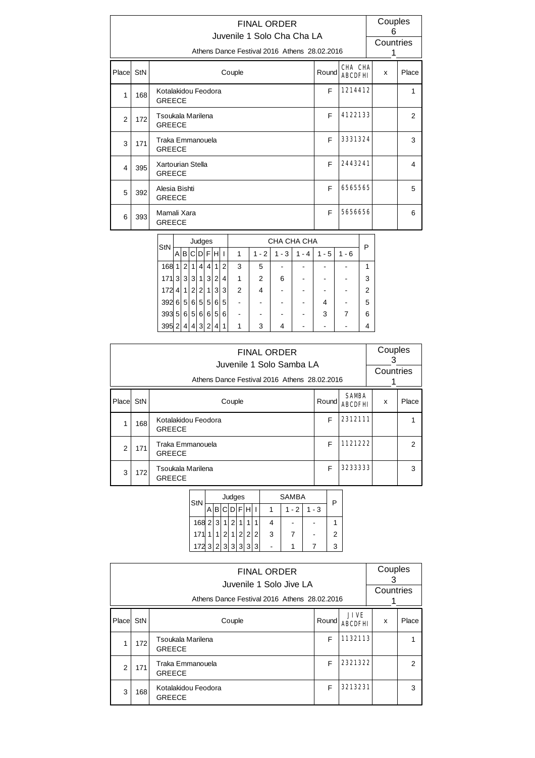|               |     | <b>FINAL ORDER</b><br>Juvenile 1 Solo Cha Cha LA<br>Athens Dance Festival 2016 Athens 28.02.2016 |       |                           | Couples<br>6<br>Countries<br>1 |               |
|---------------|-----|--------------------------------------------------------------------------------------------------|-------|---------------------------|--------------------------------|---------------|
| Place StN     |     | Couple                                                                                           | Round | CHA CHA<br><b>ABCDFHI</b> | x                              | Place         |
| 1             | 168 | Kotalakidou Feodora<br><b>GREECE</b>                                                             | F     | 1214412                   |                                | 1             |
| $\mathcal{P}$ | 172 | Tsoukala Marilena<br><b>GREECE</b>                                                               | F     | 4122133                   |                                | $\mathcal{P}$ |
| 3             | 171 | Traka Emmanouela<br><b>GREECE</b>                                                                | F     | 3331324                   |                                | 3             |
| 4             | 395 | Xartourian Stella<br><b>GREECE</b>                                                               | F     | 2443241                   |                                | 4             |
| 5             | 392 | Alesia Bishti<br><b>GREECE</b>                                                                   | F     | 6565565                   |                                | 5             |
| 6             | 393 | Mamali Xara<br><b>GREECE</b>                                                                     | F     | 5656656                   |                                | 6             |

| StN   |   |                |                |                | Judges         |                   |                |   |         |         | CHA CHA CHA |       |         | Р |
|-------|---|----------------|----------------|----------------|----------------|-------------------|----------------|---|---------|---------|-------------|-------|---------|---|
|       | A |                |                |                |                | <b>BICIDIFIHI</b> |                | 1 | $1 - 2$ | $1 - 3$ | 1<br>- 4    | 1 - 5 | $1 - 6$ |   |
| 168   | 1 | 2 <sup>1</sup> | 1              | $\vert$        | 4              | 1                 | 2 <sub>1</sub> | 3 | 5       |         |             |       |         | 1 |
| 171 3 |   | 3 <sup>1</sup> | 3 <sup>1</sup> | 1 <sup>1</sup> | $\mathbf{3}$   | $\overline{2}$    | 4              |   | 2       | 6       |             |       |         | 3 |
| 172   | 4 | 11             | 2              | $\overline{2}$ | 1              | 3                 | 3              | 2 |         |         |             |       |         | 2 |
| 3926  |   |                | 5 6            | 5 <sup>2</sup> | 5 <sup>1</sup> | 6                 | 5              |   |         |         |             |       |         | 5 |
| 393 5 |   | 6              | 5              | $6 \mid$       | $6 \mid$       | 5                 | 6              |   |         |         |             | 3     |         | 6 |
| 395 2 |   | 4 <sup>1</sup> |                | 4 3            | 2 <sub>1</sub> | 4                 | 1              |   | 3       | 4       |             |       |         | 4 |

|                |     | <b>FINAL ORDER</b><br>Juvenile 1 Solo Samba LA<br>Athens Dance Festival 2016 Athens 28.02.2016 |       |                               | Couples<br>З<br>Countries |                |
|----------------|-----|------------------------------------------------------------------------------------------------|-------|-------------------------------|---------------------------|----------------|
| Place StN      |     | Couple                                                                                         | Round | <b>SAMBA</b><br><b>ABCDFH</b> | x                         | Place          |
| 1              | 168 | Kotalakidou Feodora<br><b>GREECE</b>                                                           | F     | 2312111                       |                           |                |
| $\overline{2}$ | 171 | Traka Emmanouela<br><b>GREECE</b>                                                              | F     | 1121222                       |                           | $\mathfrak{p}$ |
| 3              | 172 | Tsoukala Marilena<br><b>GREECE</b>                                                             | F     | 32333333                      |                           | 3              |

| StN               |  |             | Judges |   |  |   | SAMBA   |         |  |
|-------------------|--|-------------|--------|---|--|---|---------|---------|--|
|                   |  | A B C D F H |        |   |  |   | $1 - 2$ | $1 - 3$ |  |
| $168$ 2 3 1 2     |  |             |        | 1 |  |   |         |         |  |
| 171 1 1 2 1 2 2 2 |  |             |        |   |  | 3 |         |         |  |
| 172 3 2 3 3 3 3 3 |  |             |        |   |  |   |         |         |  |

|           |                                                             | <b>FINAL ORDER</b><br>Juvenile 1 Solo Jive LA<br>Athens Dance Festival 2016 Athens 28.02.2016 |       |                               | Couples<br>З<br>Countries |                |  |  |  |
|-----------|-------------------------------------------------------------|-----------------------------------------------------------------------------------------------|-------|-------------------------------|---------------------------|----------------|--|--|--|
| Place StN |                                                             | Couple                                                                                        | Round | <b>JIVE</b><br><b>ABCDFHI</b> | X                         | Place          |  |  |  |
|           | 172                                                         | Tsoukala Marilena<br><b>GREECE</b>                                                            | F     | 1132113                       |                           |                |  |  |  |
| 2         | 171                                                         | Traka Emmanouela<br><b>GREECE</b>                                                             | F     | 2321322                       |                           | $\overline{2}$ |  |  |  |
| 3         | 3213231<br>F<br>Kotalakidou Feodora<br>168<br><b>GREECE</b> |                                                                                               |       |                               |                           |                |  |  |  |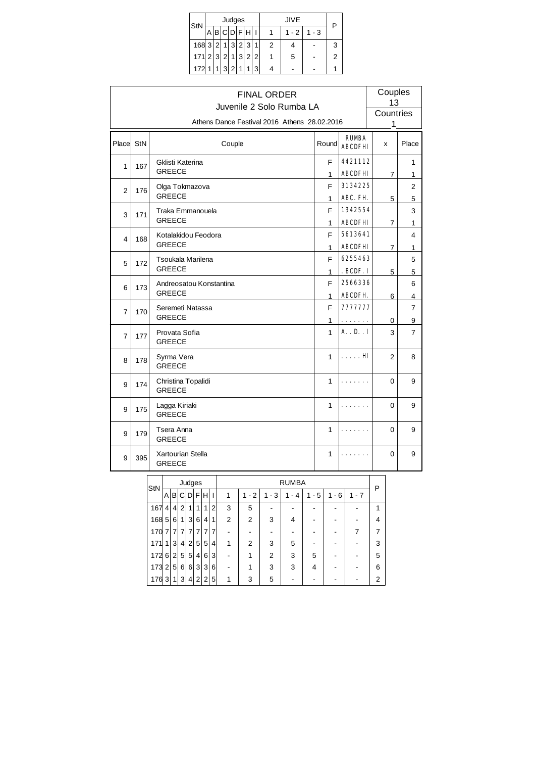| StN                         |      | Judges      |   |   |   | JIVE    |         | Ρ |
|-----------------------------|------|-------------|---|---|---|---------|---------|---|
|                             |      | A B C D F H |   |   |   | $1 - 2$ | $1 - 3$ |   |
| $168$ 3 2                   |      | 1 3 2 3     |   | 1 | 2 |         |         | 3 |
| $171$   2  3  2  1  3  2  2 |      |             |   |   |   | 5       |         | 2 |
| 172                         | $-1$ | 3 2         | 1 | 3 |   |         |         |   |

|                |     | <b>FINAL ORDER</b><br>Juvenile 2 Solo Rumba LA |                   |                                | Couples<br>13  |                     |
|----------------|-----|------------------------------------------------|-------------------|--------------------------------|----------------|---------------------|
|                |     | Athens Dance Festival 2016 Athens 28.02.2016   |                   |                                | Countries<br>1 |                     |
| Place StN      |     | Couple                                         | Round             | <b>RUMBA</b><br><b>ABCDFHI</b> | x              | Place               |
| 1              | 167 | Gklisti Katerina<br><b>GREECE</b>              | F<br>1            | 4421112<br><b>ABCDFHI</b>      | 7              | 1<br>1              |
| 2              | 176 | Olga Tokmazova<br><b>GREECE</b>                | F<br>1            | 3134225<br><b>ABC. FH</b>      | 5              | $\overline{2}$<br>5 |
| 3              | 171 | Traka Emmanouela<br><b>GREECE</b>              | F<br>1            | 1342554<br><b>ABCDFHI</b>      | $\overline{7}$ | 3<br>1              |
| 4              | 168 | Kotalakidou Feodora<br><b>GREECE</b>           | F                 | 5613641<br><b>ABCDFHI</b>      |                | 4                   |
| 5              | 172 | Tsoukala Marilena<br><b>GREECE</b>             | 1<br>F            | 6255463                        | $\overline{7}$ | 1<br>5              |
| 6              | 173 | Andreosatou Konstantina<br><b>GREECE</b>       | 1<br>F            | . BCDF. I<br>2566336           | 5              | 5<br>6              |
| $\overline{7}$ | 170 | Seremeti Natassa<br><b>GREECE</b>              | 1<br>F            | <b>ABCDFH</b><br>7777777       | 6              | 4<br>$\overline{7}$ |
| $\overline{7}$ | 177 | Provata Sofia<br><b>GREECE</b>                 | 1<br>$\mathbf{1}$ | .<br>$A.$ . D. $I$             | 0<br>3         | 9<br>$\overline{7}$ |
| 8              | 178 | Syrma Vera<br><b>GREECE</b>                    | $\mathbf{1}$      | . <b>HI</b>                    | $\overline{2}$ | 8                   |
| 9              | 174 | Christina Topalidi<br><b>GREECE</b>            | $\mathbf{1}$      |                                | 0              | 9                   |
| 9              | 175 | Lagga Kiriaki<br><b>GREECE</b>                 | 1                 |                                | 0              | 9                   |
| 9              | 179 | Tsera Anna<br><b>GREECE</b>                    | $\mathbf{1}$      |                                | 0              | 9                   |
| 9              | 395 | Xartourian Stella<br><b>GREECE</b>             | 1                 |                                | 0              | 9                   |

| StN   |                |                |                | Judges         |                |                   |   |                |                |         | <b>RUMBA</b> |         |          |         | Ρ |
|-------|----------------|----------------|----------------|----------------|----------------|-------------------|---|----------------|----------------|---------|--------------|---------|----------|---------|---|
|       | Al             |                | IBICI          | DFH            |                |                   |   | 1              | $1 - 2$        | $1 - 3$ | $1 - 4$      | $1 - 5$ | - 6<br>1 | $1 - 7$ |   |
| 167   | $\vert$        | 4              | 2 <sup>1</sup> | 1              | 1              | 1                 | 2 | 3              | 5              |         |              |         |          |         | 1 |
| 168 5 |                | $6 \mid$       | 1              | 3              | 6              | $\vert 4 \vert$   | 1 | $\overline{2}$ | $\overline{2}$ | 3       | 4            |         |          |         | 4 |
| 170   | $\overline{7}$ | 7              | 7              | $\overline{7}$ | 7 <sup>1</sup> | 7                 | 7 |                |                |         |              |         |          |         |   |
| 171   | 11             | 3 <sup>1</sup> | $\overline{4}$ | $\overline{2}$ | 5 <sup>1</sup> | 5 <sup>1</sup>    | 4 | 1              | 2              | 3       | 5            |         |          |         | 3 |
| 172 6 |                | 2 <sup>1</sup> | 5 <sup>1</sup> | 5 <sup>1</sup> | $\vert$        | 6 <sup>1</sup>    | 3 |                |                | 2       | 3            | 5       |          |         | 5 |
| 173   | 2 <sup>1</sup> | 5 <sup>5</sup> | $6 \mid$       | 6 <sup>1</sup> | 3 <sup>1</sup> | $\lvert 3 \rvert$ | 6 |                |                | 3       | 3            | 4       |          |         | 6 |
| 176   | 3 <sup>1</sup> | 1              | 3 <sup>1</sup> | $\vert$        | 2 <sup>1</sup> | 2 <sub>1</sub>    | 5 | 1              | 3              | 5       |              |         |          |         | 2 |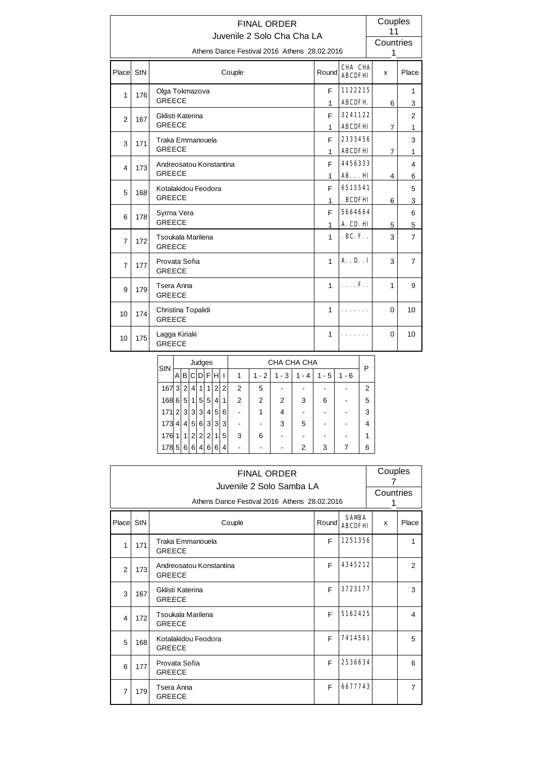|                         |     | <b>FINAL ORDER</b><br>Juvenile 2 Solo Cha Cha LA |                   |                           | Couples<br>11  |                     |
|-------------------------|-----|--------------------------------------------------|-------------------|---------------------------|----------------|---------------------|
|                         |     | Athens Dance Festival 2016 Athens 28.02.2016     |                   |                           | Countries<br>1 |                     |
| Place StN               |     | Couple                                           | Round             | CHA CHA<br><b>ABCDFHI</b> | x              | Place               |
| 1                       | 176 | Olga Tokmazova<br><b>GREECE</b>                  | F<br>1            | 1122215<br><b>ABCDFH</b>  | 6              | 1<br>3              |
| $\overline{2}$          | 167 | Gklisti Katerina<br><b>GREECE</b>                | F<br>$\mathbf{1}$ | 3241122<br><b>ABCDFHI</b> | $\overline{7}$ | 2<br>1              |
| 3                       | 171 | Traka Emmanouela<br><b>GREECE</b>                | F<br>1            | 2333456<br><b>ABCDFHI</b> | $\overline{7}$ | 3<br>1              |
| $\overline{\mathbf{4}}$ | 173 | Andreosatou Konstantina<br><b>GREECE</b>         | F<br>1            | 4456333<br><b>ABHI</b>    | 4              | $\overline{4}$<br>6 |
| 5                       | 168 | Kotalakidou Feodora<br><b>GREECE</b>             | F<br>1            | 6515541<br>. BCDFHI       | 6              | 5<br>3              |
| 6                       | 178 | Syrma Vera<br><b>GREECE</b>                      | F<br>1            | 5664664<br>A. CD. HI      | 5              | 6<br>5              |
| $\overline{7}$          | 172 | Tsoukala Marilena<br><b>GREECE</b>               | $\mathbf{1}$      | $.BC.F.$ .                | 3              | $\overline{7}$      |
| $\overline{7}$          | 177 | Provata Sofia<br><b>GREECE</b>                   | $\mathbf{1}$      | $A \cdot R \cdot I$       | 3              | $\overline{7}$      |
| 9                       | 179 | Tsera Anna<br><b>GREECE</b>                      | 1                 | $\ldots$ F. .             | 1              | 9                   |
| 10                      | 174 | Christina Topalidi<br><b>GREECE</b>              | 1                 |                           | $\Omega$       | 10                  |
| 10                      | 175 | Lagga Kiriaki<br><b>GREECE</b>                   | 1                 |                           | $\Omega$       | 10                  |

|     |                |                |                | Judges         |                |                   |   |   |         |          | CHA CHA CHA |       |         | P              |
|-----|----------------|----------------|----------------|----------------|----------------|-------------------|---|---|---------|----------|-------------|-------|---------|----------------|
| StN | Α              | в              | CI.            |                |                | DFHI              |   | 1 | $1 - 2$ | - 3<br>1 | - 4         | 1 - 5 | $1 - 6$ |                |
| 167 | 3 <sup>1</sup> | 2 <sub>1</sub> | 4'             | 1              | 1              | 2                 | 2 | 2 | 5       |          |             |       |         | $\overline{2}$ |
| 168 | 6              | 5              | 1              | 5              | 5              | 4                 | 1 | 2 | 2       | 2        | 3           | 6     |         | 5              |
| 171 | 2 <sup>1</sup> | 3              | 3 <sup>2</sup> | 31             | 4              | 5 <sup>1</sup>    | 6 |   |         | 4        |             |       |         | 3              |
| 173 | 4              | $\vert$        | 5 <sup>1</sup> | 6              | $\mathbf{3}$   | $\lvert 3 \rvert$ | 3 |   |         | 3        | 5           |       |         | 4              |
| 176 | 1              | 1              | 2 <sub>1</sub> | 2              | 2 <sub>1</sub> | 1                 | 5 | 3 | 6       |          |             |       |         |                |
| 178 | 5              | 6              | 6              | 4 <sup>1</sup> | 6              | 6                 | 4 |   |         |          | 2           | 3     |         | 6              |

|                         |     | <b>FINAL ORDER</b><br>Juvenile 2 Solo Samba LA<br>Athens Dance Festival 2016 Athens 28,02,2016 |       |                                | Couples<br>Countries |                |
|-------------------------|-----|------------------------------------------------------------------------------------------------|-------|--------------------------------|----------------------|----------------|
| Place StN               |     | Couple                                                                                         | Round | <b>SAMBA</b><br><b>ABCDFHI</b> | x                    | Place          |
| 1                       | 171 | Traka Emmanouela<br><b>GREECE</b>                                                              | F     | 1251356                        |                      | 1              |
| $\overline{2}$          | 173 | Andreosatou Konstantina<br><b>GREECE</b>                                                       | F     | 4345212                        |                      | 2              |
| 3                       | 167 | Gklisti Katerina<br><b>GREECE</b>                                                              | F     | 3723177                        |                      | 3              |
| $\overline{\mathbf{4}}$ | 172 | Tsoukala Marilena<br><b>GREECE</b>                                                             | E     | 5162425                        |                      | 4              |
| 5                       | 168 | Kotalakidou Feodora<br><b>GREECE</b>                                                           | E     | 7414561                        |                      | 5              |
| 6                       | 177 | Provata Sofia<br><b>GREECE</b>                                                                 | F     | 2536634                        |                      | 6              |
| $\overline{7}$          | 179 | Tsera Anna<br><b>GREECE</b>                                                                    | F     | 6677743                        |                      | $\overline{7}$ |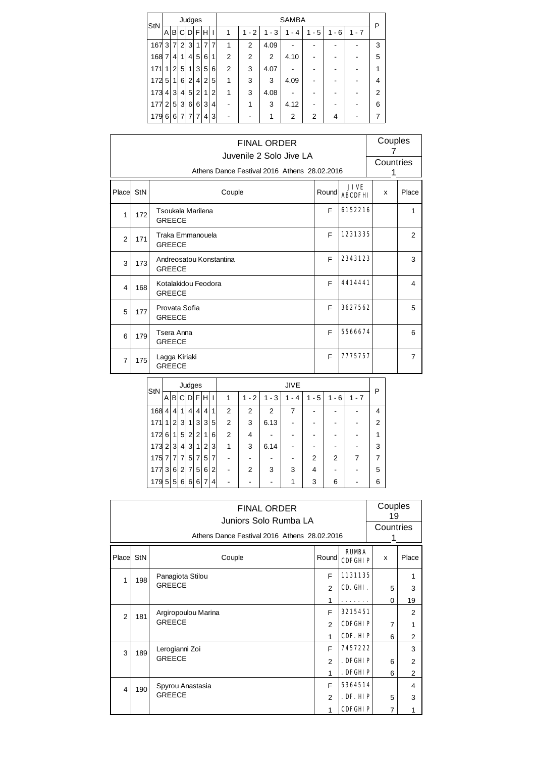| StN |                |                 |                |                  | Judges         |   |                | <b>SAMBA</b>   |           |          |          |           |                          |         |   |  |
|-----|----------------|-----------------|----------------|------------------|----------------|---|----------------|----------------|-----------|----------|----------|-----------|--------------------------|---------|---|--|
|     | A              | B               | C              |                  | $DI$ $F$ $H$   |   | H              | 1              | $-2$<br>1 | - 3<br>1 | 1<br>- 4 | - 5<br>1. | 6<br>1<br>$\blacksquare$ | $1 - 7$ | P |  |
| 167 | 3 <sup>1</sup> | $\overline{7}$  | $\overline{2}$ | 3                | 1 <sup>1</sup> | 7 | 7              | 1              | 2         | 4.09     |          |           |                          |         | 3 |  |
| 168 | $\overline{7}$ | $\vert 4 \vert$ | 1              | 4                | 5              | 6 | 1              | $\overline{2}$ | 2         | 2        | 4.10     |           |                          |         | 5 |  |
| 171 | $\mathbf{1}$   | $\overline{2}$  | 5              | 1                | 3              | 5 | 6              | 2              | 3         | 4.07     |          |           |                          |         | 1 |  |
| 172 | 5 <sup>5</sup> | 1 <sup>1</sup>  | 6              | 2 <sub>1</sub>   | $\overline{4}$ | 2 | 5              | 1              | 3         | 3        | 4.09     |           |                          |         | 4 |  |
| 173 | 4              | 3 <sup>1</sup>  | $\overline{4}$ | $5^{\circ}$      | 2 <sub>1</sub> | 1 | $\overline{2}$ | 1              | 3         | 4.08     |          |           |                          |         | 2 |  |
| 177 | 2 <sub>1</sub> | 5 <sup>1</sup>  | 3              | $6 \overline{6}$ | 6              | 3 | 4              | -              |           | 3        | 4.12     |           |                          |         | 6 |  |
| 179 | 6              | $6 \mid$        | 7              | 7                | $\overline{7}$ | 4 | 3              |                |           | 1        | 2        | 2         | 4                        |         | 7 |  |

|                |     | <b>FINAL ORDER</b><br>Juvenile 2 Solo Jive LA<br>Athens Dance Festival 2016 Athens 28.02.2016 |       |                               | Couples<br>7<br>Countries<br>1 |                |
|----------------|-----|-----------------------------------------------------------------------------------------------|-------|-------------------------------|--------------------------------|----------------|
| Place StN      |     | Couple                                                                                        | Round | <b>JIVE</b><br><b>ABCDFHI</b> | x                              | Place          |
| 1              | 172 | Tsoukala Marilena<br><b>GREECE</b>                                                            | F     | 6152216                       |                                | 1              |
| $\overline{2}$ | 171 | Traka Emmanouela<br><b>GREECE</b>                                                             | F     | 1231335                       |                                | 2              |
| 3              | 173 | Andreosatou Konstantina<br><b>GREECE</b>                                                      | F     | 2343123                       |                                | 3              |
| 4              | 168 | Kotalakidou Feodora<br><b>GREECE</b>                                                          | F     | 4414441                       |                                | 4              |
| 5              | 177 | Provata Sofia<br><b>GREECE</b>                                                                | F     | 3627562                       |                                | 5              |
| 6              | 179 | Tsera Anna<br><b>GREECE</b>                                                                   | F     | 5566674                       |                                | 6              |
| $\overline{7}$ | 175 | Lagga Kiriaki<br><b>GREECE</b>                                                                | F     | 7775757                       |                                | $\overline{7}$ |

| StN |                   |                |                | Judges         |                |                |   |   |           |          | <b>JIVE</b>          |          |                                    |         | Ρ |
|-----|-------------------|----------------|----------------|----------------|----------------|----------------|---|---|-----------|----------|----------------------|----------|------------------------------------|---------|---|
|     | $\mathsf{A}$      |                |                | BCDFHI         |                |                |   |   | $-2$<br>1 | - 3<br>1 | $-4$<br>$\mathbf{1}$ | - 5<br>1 | 6<br>1<br>$\overline{\phantom{a}}$ | $1 - 7$ |   |
| 168 | $\vert$           | 4 <sup>1</sup> | 1              | 4 <sup>1</sup> | 4              | 4              | 1 | 2 | 2         | 2        | 7                    |          |                                    |         | 4 |
| 171 | 1                 | 2 <sup>1</sup> | 3              | 1 <sup>1</sup> | 3              | 3              | 5 | 2 | 3         | 6.13     |                      |          |                                    |         | 2 |
| 172 | 6 <sup>1</sup>    | 1 <sup>1</sup> | 5 <sup>5</sup> | 2 <sup>1</sup> | $\overline{2}$ | $\mathbf{1}$   | 6 | 2 | 4         |          |                      |          |                                    |         |   |
| 173 | $\left 2\right $  | ึ3∣            | $\overline{4}$ | 3 <sup>1</sup> | 1              | 2 <sub>1</sub> | 3 | 1 | 3         | 6.14     |                      |          |                                    |         | 3 |
| 175 |                   | 7 7            | $\overline{7}$ | 5 <sup>1</sup> | 7              | 5              | 7 |   |           |          |                      | 2        | 2                                  | 7       |   |
| 177 | $\lvert 3 \rvert$ | 6 <sup>1</sup> | 2 <sup>1</sup> | $\overline{7}$ | 5              | 6              | 2 |   | 2         | 3        | 3                    | 4        |                                    |         | 5 |
| 179 | 5 <sup>1</sup>    | 5 <sup>1</sup> | $6 \mid$       | 6              | 6              | 7              | 4 |   |           |          |                      | 3        | 6                                  |         | 6 |

|                |     | <b>FINAL ORDER</b><br>Juniors Solo Rumba LA<br>Athens Dance Festival 2016 Athens 28.02.2016 |                |                                | Couples<br>19<br>Countries |                |  |
|----------------|-----|---------------------------------------------------------------------------------------------|----------------|--------------------------------|----------------------------|----------------|--|
| Place          | StN | Couple                                                                                      | Round          | <b>RUMBA</b><br><b>CDFGHIP</b> | X                          | Place          |  |
| 1              | 198 | Panagiota Stilou                                                                            | F              | 1131135                        |                            | 1              |  |
|                |     | <b>GREECE</b>                                                                               | 2              | CD. GHI.                       | 5                          | 3              |  |
|                |     |                                                                                             | 1              |                                | $\Omega$                   | 19             |  |
| $\overline{2}$ | 181 | Argiropoulou Marina                                                                         | F              | 3215451                        |                            | $\overline{2}$ |  |
|                |     | <b>GREECE</b>                                                                               | $\overline{2}$ | <b>CDFGHIP</b>                 | $\overline{7}$             | 1              |  |
|                |     |                                                                                             | 1              | CDF. HIP                       | 6                          | $\overline{2}$ |  |
| 3              | 189 | Lerogianni Zoi                                                                              | F              | 7457222                        |                            | 3              |  |
|                |     | <b>GREECE</b>                                                                               | 2              | . DFGHLP                       | 6                          | $\overline{2}$ |  |
|                |     |                                                                                             | 1              | . DFGHIP                       | 6                          | $\overline{2}$ |  |
| 4              | 190 | Spyrou Anastasia                                                                            | F              | 5364514                        |                            | $\overline{4}$ |  |
|                |     | <b>GREECE</b>                                                                               | $\mathcal{P}$  | . DF. HIP                      | 5                          | 3              |  |
|                |     |                                                                                             | 1              | CDFGHIP                        | $\overline{7}$             | 1              |  |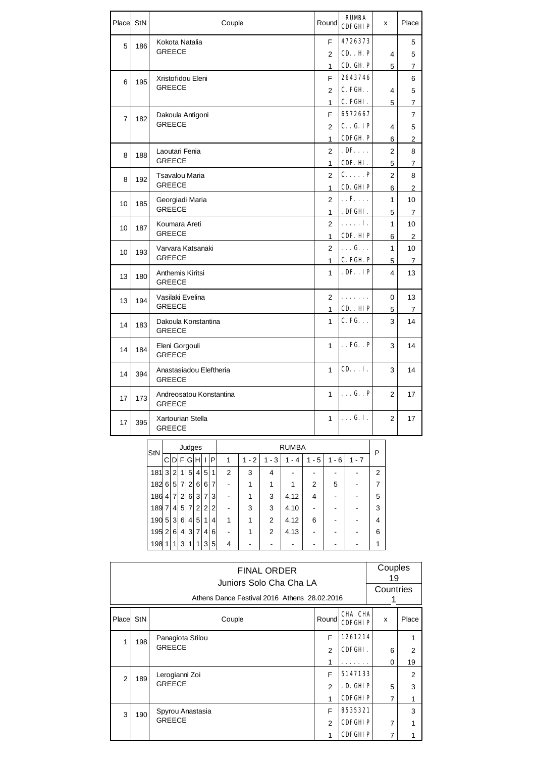| Place StN      |     | Couple                                   | Round          | <b>RUMBA</b><br>CDFGHIP | x              | Place          |
|----------------|-----|------------------------------------------|----------------|-------------------------|----------------|----------------|
| 5              | 186 | Kokota Natalia                           | F              | 4726373                 |                | 5              |
|                |     | <b>GREECE</b>                            | $\overline{2}$ | CD. H P                 | 4              | 5              |
|                |     |                                          | 1              | CD. GH. P               | 5              | 7              |
| 6              | 195 | Xristofidou Eleni                        | F              | 2643746                 |                | 6              |
|                |     | <b>GREECE</b>                            | 2              | C. FGH.                 | 4              | 5              |
|                |     |                                          | 1              | C. FGHI.                | 5              | 7              |
| $\overline{7}$ | 182 | Dakoula Antigoni                         | F              | 6572667                 |                | $\overline{7}$ |
|                |     | <b>GREECE</b>                            | $\overline{2}$ | C. G. IP                | 4              | 5              |
|                |     |                                          | 1              | <b>CDFGH P</b>          | 6              | $\overline{c}$ |
| 8              | 188 | Laoutari Fenia                           | $\overline{2}$ | $.$ DF. $\ldots$        | 2              | 8              |
|                |     | <b>GREECE</b>                            | 1              | CDF. HI.                | 5              | 7              |
| 8              | 192 | Tsavalou Maria                           | $\overline{2}$ | $C.\ldots$ . P          | $\overline{2}$ | 8              |
|                |     | <b>GREECE</b>                            | 1              | CD. GHIP                | 6              | 2              |
| 10             | 185 | Georgiadi Maria                          | $\overline{2}$ | $\ldots$ <b>F</b>       | $\mathbf{1}$   | 10             |
|                |     | <b>GREECE</b>                            | 1              | . DFGHI.                | 5              | $\overline{7}$ |
| 10             | 187 | Koumara Areti                            | $\overline{2}$ | . <b>I</b> .            | $\mathbf{1}$   | 10             |
|                |     | <b>GREECE</b>                            | $\mathbf 1$    | CDF. HIP                | 6              | $\overline{2}$ |
| 10             | 193 | Varvara Katsanaki<br><b>GREECE</b>       | $\overline{2}$ | $\ldots$ G. $\ldots$    | $\mathbf{1}$   | 10             |
|                |     |                                          | 1              | C. FGH P                | 5              | 7              |
| 13             | 180 | Anthemis Kiritsi<br><b>GREECE</b>        | 1              | . DF. . IP              | 4              | 13             |
| 13             | 194 | Vasilaki Evelina                         | $\overline{2}$ | .                       | 0              | 13             |
|                |     | <b>GREECE</b>                            | $\mathbf{1}$   | CD. HIP                 | $\overline{5}$ | $\overline{7}$ |
| 14             | 183 | Dakoula Konstantina<br><b>GREECE</b>     | 1              | $C.$ FG. $\ldots$       | 3              | 14             |
| 14             | 184 | Eleni Gorgouli<br><b>GREECE</b>          | 1              | $\ldots$ FG. $\ldots$ P | 3              | 14             |
| 14             | 394 | Anastasiadou Eleftheria<br><b>GREECE</b> | 1              | CD. I.                  | 3              | 14             |
| 17             | 173 | Andreosatou Konstantina<br><b>GREECE</b> | $\mathbf{1}$   | $\ldots$ G. . P         | $\overline{2}$ | 17             |
| 17             | 395 | Xartourian Stella<br><b>GREECE</b>       | $\mathbf{1}$   | . G. I.                 | $\overline{2}$ | 17             |

| StN |                |                |                |                  | Judges              |              |                |                | <b>RUMBA</b> |                |          |                |           |         |                |  |
|-----|----------------|----------------|----------------|------------------|---------------------|--------------|----------------|----------------|--------------|----------------|----------|----------------|-----------|---------|----------------|--|
|     | C              |                |                |                  | $D$ $F$ $G$ $H$ $H$ | $\mathbf{I}$ | P              | 1              | $-2$<br>1    | $1 - 3$        | - 4<br>1 | - 5<br>1       | $-6$<br>1 | $1 - 7$ | P              |  |
| 181 | $\mathbf{3}$   | 2 <sup>1</sup> | 1              | $5^{\circ}$      | $\vert$             | 5            | 1              | $\overline{2}$ | 3            | 4              |          |                |           |         | $\overline{2}$ |  |
| 182 | 6 <sup>1</sup> | 5 <sup>1</sup> | 7              | 2 <sub>1</sub>   | 6                   | 6            | $\overline{7}$ | -              |              | 1              |          | $\overline{2}$ | 5         |         |                |  |
| 186 | 4 <sup>1</sup> | $\overline{7}$ | 2 <sub>1</sub> | $6 \overline{6}$ | 3                   | 7            | 3              |                |              | 3              | 4.12     | 4              |           |         | 5              |  |
| 189 | $\overline{7}$ | 4 <sup>1</sup> | 5 <sup>5</sup> | $\overline{7}$   | 2                   | 2            | $\overline{2}$ |                | 3            | 3              | 4.10     |                |           |         | 3              |  |
| 190 | 5 <sub>1</sub> | 3 <sup>1</sup> | 6              | 4                | 5                   | 1            | 4              | 1              |              | 2              | 4.12     | 6              |           |         | 4              |  |
| 195 | $\overline{2}$ | 6 <sup>1</sup> | 4              | 3                | $\overline{7}$      | 4            | 6              |                |              | $\overline{2}$ | 4.13     |                |           |         | 6              |  |
| 198 | $\mathbf{1}$   | 1 <sup>1</sup> | 3              | 1                | 1                   | 3            | 5              | 4              |              |                |          |                |           |         | 1              |  |

|   | <b>FINAL ORDER</b><br>Juniors Solo Cha Cha LA<br>Athens Dance Festival 2016 Athens 28.02.2016 |                                   |                                             |                                        |        |                      |  |  |  |  |  |
|---|-----------------------------------------------------------------------------------------------|-----------------------------------|---------------------------------------------|----------------------------------------|--------|----------------------|--|--|--|--|--|
|   | <b>CHA CHA</b><br>Place StN<br>Round<br>Couple<br><b>CDFGHIP</b>                              |                                   |                                             |                                        |        |                      |  |  |  |  |  |
|   | 198                                                                                           | Panagiota Stilou<br><b>GREECE</b> | F<br>$\mathfrak{p}$<br>1                    | 1261214<br>CDFGHI.                     | 6<br>0 | $\overline{2}$<br>19 |  |  |  |  |  |
| 2 | 189                                                                                           | Lerogianni Zoi<br><b>GREECE</b>   | F<br>$\mathfrak{p}$<br>1                    | 5147133<br>. D. GHIP<br><b>CDFGHIP</b> | 5<br>7 | 2<br>3<br>1          |  |  |  |  |  |
| 3 | 190                                                                                           | Spyrou Anastasia<br><b>GREECE</b> | 8535321<br><b>CDFGHIP</b><br><b>CDFGHIP</b> | 7<br>7                                 | 3      |                      |  |  |  |  |  |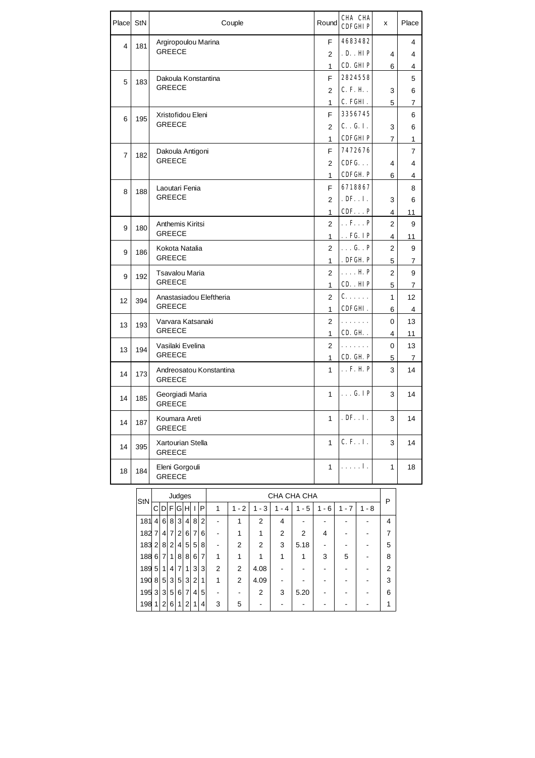| Place          | StN   | Couple                                                                                           | Round                    | CHA CHA<br><b>CDFGHTP</b>            | x              | Place          |
|----------------|-------|--------------------------------------------------------------------------------------------------|--------------------------|--------------------------------------|----------------|----------------|
| 4              | 181   | Argiropoulou Marina                                                                              | F                        | 4683482                              |                | 4              |
|                |       | <b>GREECE</b>                                                                                    | 2                        | .D. III P                            | 4              | 4              |
|                |       |                                                                                                  | 1                        | CD. GHIP                             | 6              | 4              |
| 5              | 183   | Dakoula Konstantina                                                                              | F                        | 2824558                              |                | 5              |
|                |       | <b>GREECE</b>                                                                                    | $\overline{2}$           | C. F. H.                             | 3              | 6              |
|                |       |                                                                                                  | 1                        | C. FGHI.                             | 5              | 7              |
| 6              | 195   | Xristofidou Eleni                                                                                | F                        | 3356745                              |                | 6              |
|                |       | <b>GREECE</b>                                                                                    | 2                        | C. G. I.                             | 3              | 6              |
|                |       |                                                                                                  | 1                        | <b>CDFGHIP</b>                       | 7              | 1              |
| $\overline{7}$ | 182   | Dakoula Antigoni                                                                                 | F                        | 7472676                              |                | $\overline{7}$ |
|                |       | <b>GREECE</b>                                                                                    | $\overline{2}$           | $CDFG. \ldots$                       | 4              | 4              |
|                |       |                                                                                                  | 1                        | CDFGH P                              | 6              | 4              |
| 8              | 188   | Laoutari Fenia                                                                                   | F.                       | 6718867                              |                | 8              |
|                |       | <b>GREECE</b>                                                                                    | 2                        | $. DF$ $I$ .                         | 3              | 6              |
|                |       |                                                                                                  | 1                        | CDFP                                 | 4              | 11             |
| 9              | 180   | Anthemis Kiritsi<br><b>GREECE</b>                                                                | $\overline{2}$           | $\ldots$ F. $\ldots$ P               | $\overline{2}$ | 9              |
|                |       |                                                                                                  | 1                        | $\ldots$ FG. IP                      | 4              | 11             |
| 9              | 186   | Kokota Natalia<br><b>GREECE</b>                                                                  | $\overline{2}$           | $\ldots$ G. . P                      | $\overline{2}$ | 9              |
|                |       |                                                                                                  | 1                        | . DFGH P                             | 5              | 7              |
| 9              | 192   | Tsavalou Maria<br><b>GREECE</b>                                                                  | $\overline{2}$           | $\ldots$ . $\mathbf{H}$ $\mathbf{P}$ | $\overline{2}$ | 9              |
|                |       |                                                                                                  | $\mathbf{1}$             | CD. HIP                              | 5              | 7              |
| 12             | 394   | Anastasiadou Eleftheria<br><b>GREECE</b>                                                         | 2<br>1                   | $c \ldots$<br>CDFGHI.                | 1<br>6         | 12<br>4        |
|                |       | Varvara Katsanaki                                                                                | $\overline{2}$           | .                                    | 0              | 13             |
| 13             | 193   | <b>GREECE</b>                                                                                    | 1                        | CD. GH.                              | 4              | 11             |
| 13             | 194   | Vasilaki Evelina                                                                                 | $\overline{2}$           | .                                    | 0              | 13             |
|                |       | <b>GREECE</b>                                                                                    | 1                        | CD. GH P                             | 5              | 7              |
| 14             | 173   | Andreosatou Konstantina<br><b>GREECE</b>                                                         | 1                        | $\ldots$ F. H P                      | 3              | 14             |
| 14             | 185   | Georgiadi Maria<br><b>GREECE</b>                                                                 | 1                        | $\ldots$ G. IP                       | 3              | 14             |
| 14             | 187   | Koumara Areti<br><b>GREECE</b>                                                                   | 1                        | $.$ DF. $.$ I.                       | 3              | 14             |
| 14             | 395   | Xartourian Stella<br><b>GREECE</b>                                                               | 1                        | C. F. . I.                           | 3              | 14             |
| 18             | 184   | Eleni Gorgouli<br><b>GREECE</b>                                                                  | 1                        | . <b>I</b> .                         | 1              | 18             |
|                |       |                                                                                                  |                          |                                      |                |                |
|                | StN   | CHA CHA CHA<br>Judges                                                                            |                          |                                      | P              |                |
|                |       | C D F G H I P<br>$1 - 3$<br>$1 - 4$<br>1<br>$1 - 2$<br>$1 - 5$                                   | $1 - 6$                  | $1 - 7$<br>$1 - 8$                   |                |                |
|                | 181 4 | 6 8 3 4<br>8 2<br>1<br>$\frac{1}{2}$<br>2<br>4<br>$\blacksquare$                                 |                          | $\blacksquare$                       | 4              |                |
|                | 182 7 | 4 7 2 6<br>$\boldsymbol{7}$<br>6<br>1<br>1<br>2<br>2<br>$\overline{\phantom{a}}$                 | 4                        | $\blacksquare$                       | 7              |                |
|                | 183 2 | 8 2<br>4 5<br>5 8<br>2<br>2<br>3<br>5.18<br>$\overline{\phantom{a}}$                             | $\overline{\phantom{a}}$ | -<br>$\qquad \qquad \blacksquare$    | 5              |                |
|                |       | 188671<br>8<br>1<br>8<br>6 7<br>1<br>1<br>1<br>1                                                 | 3                        | 5<br>$\blacksquare$                  | 8              |                |
|                | 189 5 | 3<br>3<br>1 <sup>1</sup><br>4<br>7<br>$\mathbf{1}$<br>2<br>2<br>4.08<br>$\overline{\phantom{a}}$ |                          | $\qquad \qquad \blacksquare$         | 2              |                |
|                | 190 8 | 535<br>$\mathbf{3}$<br>2<br>1<br>1<br>$\overline{2}$<br>4.09<br>$\overline{\phantom{a}}$<br>۰    | $\blacksquare$           | $\blacksquare$<br>-                  | 3              |                |
|                | 195 3 | 3 5 6 7<br>4 5<br>$\overline{c}$<br>5.20<br>3<br>$\frac{1}{2}$<br>$\qquad \qquad \blacksquare$   | $\blacksquare$           |                                      | 6              |                |
|                | 198 1 | 3<br>5<br>2 6<br>4<br>2<br>1<br>1<br>$\blacksquare$<br>$\blacksquare$                            | $\overline{\phantom{a}}$ |                                      | 1              |                |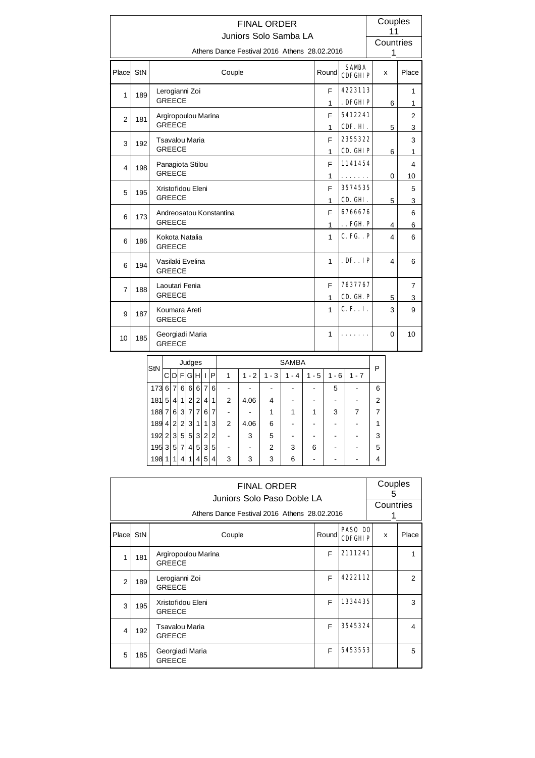|                | <b>FINAL ORDER</b><br>Juniors Solo Samba LA |                                              |                              |                                           |                |                     |  |  |  |  |
|----------------|---------------------------------------------|----------------------------------------------|------------------------------|-------------------------------------------|----------------|---------------------|--|--|--|--|
|                |                                             | Athens Dance Festival 2016 Athens 28,02,2016 |                              |                                           | Countries<br>1 |                     |  |  |  |  |
| Place          | StN                                         | Couple                                       | Round                        | <b>SAMBA</b><br><b>CDFGHIP</b>            | x              | Place               |  |  |  |  |
| 1              | 189                                         | Lerogianni Zoi<br><b>GREECE</b>              | F<br>1                       | 4223113<br>. DFGHIP                       | 6              | 1<br>1              |  |  |  |  |
| $\overline{2}$ | 181                                         | Argiropoulou Marina<br><b>GREECE</b>         | F<br>1                       | 5412241<br>CDF. HI.                       | 5              | $\overline{2}$<br>3 |  |  |  |  |
| 3              | 192                                         | Tsavalou Maria<br><b>GREECE</b>              | F<br>$\mathbf{1}$            | 2355322<br>CD. GHIP                       | 6              | 3<br>1              |  |  |  |  |
| 4              | 198                                         | Panagiota Stilou<br><b>GREECE</b>            | F                            | 1141454                                   |                | 4                   |  |  |  |  |
| 5              | 195                                         | Xristofidou Eleni<br><b>GREECE</b>           | 1<br>F                       | .<br>3574535                              | 0              | 10<br>5             |  |  |  |  |
| 6              | 173                                         | Andreosatou Konstantina<br><b>GREECE</b>     | 1<br>F                       | CD. GHI.<br>6766676                       | 5              | 3<br>6              |  |  |  |  |
| 6              | 186                                         | Kokota Natalia<br><b>GREECE</b>              | $\mathbf{1}$<br>$\mathbf{1}$ | $\ldots$ FGH $\bf P$<br><b>C. FG. . P</b> | 4<br>4         | 6<br>6              |  |  |  |  |
| 6              | 194                                         | Vasilaki Evelina<br><b>GREECE</b>            | 1                            | . DF. . IP                                | 4              | 6                   |  |  |  |  |
| $\overline{7}$ | 188                                         | Laoutari Fenia<br><b>GREECE</b>              | E<br>$\mathbf{1}$            | 7637767<br>CD. GH. P                      | 5              | $\overline{7}$<br>3 |  |  |  |  |
| 9              | 187                                         | Koumara Areti<br><b>GREECE</b>               | 1                            | C. F. . I.                                | 3              | 9                   |  |  |  |  |
| 10             | 185                                         | Georgiadi Maria<br><b>GREECE</b>             |                              | $\Omega$                                  | 10             |                     |  |  |  |  |

| StN   |                  |                 |                | Judges         |                |                |   |   | <b>SAMBA</b> |                |          |         |                                    |         |   |  |
|-------|------------------|-----------------|----------------|----------------|----------------|----------------|---|---|--------------|----------------|----------|---------|------------------------------------|---------|---|--|
|       | СI               |                 |                | $D$ $F$ $G$    | HI             | $\mathbf{I}$   | P | 1 | $1 - 2$      | $1 - 3$        | 1<br>- 4 | $1 - 5$ | 6<br>1<br>$\overline{\phantom{a}}$ | $1 - 7$ | P |  |
| 173 6 |                  | $\overline{7}$  | 6 <sup>1</sup> | 6              | 6 <sup>1</sup> | $\overline{7}$ | 6 |   |              |                |          |         | 5                                  |         | 6 |  |
| 181   | 5                | $\vert 4 \vert$ | 1              | $\overline{2}$ | $\overline{2}$ | 4              | 1 | 2 | 4.06         | 4              |          |         |                                    |         | 2 |  |
| 188   | 7 <sup>1</sup>   | 6               | 3 <sup>1</sup> | $\overline{7}$ | 7              | 6              | 7 |   |              | 1              |          |         | 3                                  | 7       |   |  |
| 189   | $\vert 4 \vert$  | 2 <sup>1</sup>  | 2 <sup>1</sup> | 3              | 1              | 1              | 3 | 2 | 4.06         | 6              |          |         |                                    |         | 1 |  |
| 192   | $\left 2\right $ | 3               | 5 <sup>5</sup> | 5 <sup>5</sup> | 3              | 2 <sub>1</sub> | 2 |   | 3            | 5              |          |         |                                    |         | 3 |  |
| 195   | 3 <sup>1</sup>   | 5 <sup>1</sup>  | 7              | 4              | 5 <sup>1</sup> | 3 <sup>1</sup> | 5 |   |              | $\overline{2}$ | 3        | 6       |                                    |         | 5 |  |
| 198   | 11               | 1               | 41             | 1              | $\overline{4}$ | 5              | 4 | 3 | 3            | 3              | 6        |         |                                    |         | 4 |  |

|                         | <b>FINAL ORDER</b><br>Juniors Solo Paso Doble LA<br>Athens Dance Festival 2016 Athens 28.02.2016 |                                      |       |                                  |   |       |  |  |  |  |
|-------------------------|--------------------------------------------------------------------------------------------------|--------------------------------------|-------|----------------------------------|---|-------|--|--|--|--|
| Place StN               |                                                                                                  | Couple                               | Round | <b>PASO DO</b><br><b>CDFGHIP</b> | x | Place |  |  |  |  |
| 1                       | 181                                                                                              | Argiropoulou Marina<br><b>GREECE</b> | F     | 2111241                          |   | 1     |  |  |  |  |
| $\overline{2}$          | 189                                                                                              | Lerogianni Zoi<br><b>GREECE</b>      | F     | 4222112                          |   | 2     |  |  |  |  |
| 3                       | 195                                                                                              | Xristofidou Eleni<br><b>GREECE</b>   | F     | 1334435                          |   | 3     |  |  |  |  |
| $\overline{\mathbf{4}}$ | 192                                                                                              | Tsavalou Maria<br><b>GREECE</b>      | E     | 3545324                          |   | 4     |  |  |  |  |
| 5                       | 185                                                                                              | Georgiadi Maria<br><b>GREECE</b>     | F     | 5453553                          |   | 5     |  |  |  |  |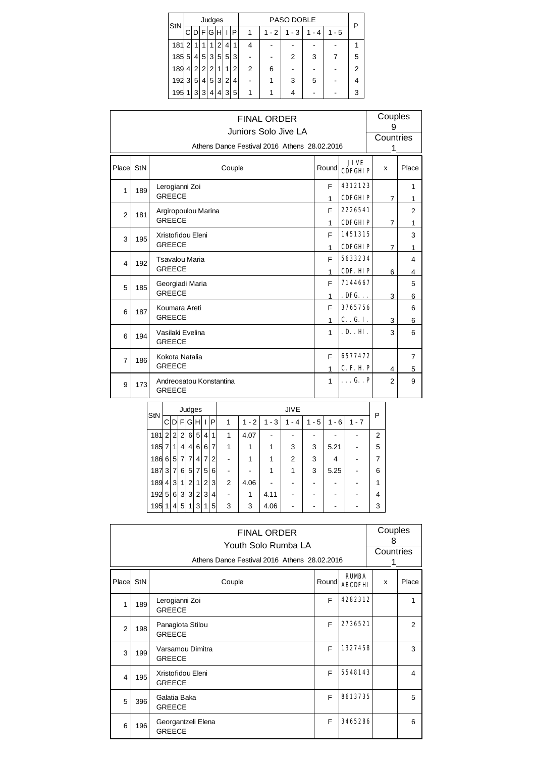|     |                |                |                | Judges         |    |                |   |   |         | PASO DOBLE |       |         |   |  |  |  |
|-----|----------------|----------------|----------------|----------------|----|----------------|---|---|---------|------------|-------|---------|---|--|--|--|
| StN |                |                | ۲              | G              | ΉI |                | P | 1 | $1 - 2$ | $1 - 3$    | 1 - 4 | $1 - 5$ | ₽ |  |  |  |
| 181 | 2              | 1              |                | 1              | 2  | 4              | 1 |   |         |            |       |         |   |  |  |  |
| 185 | 5              | 4              | 5              | $\overline{3}$ | 5  | 5 <sup>1</sup> | 3 |   |         | 2          | 3     |         | 5 |  |  |  |
| 189 | 4 <sup>1</sup> | $\overline{2}$ | $\overline{2}$ | 2              | 1  | 1              | 2 | 2 | 6       |            |       |         | 2 |  |  |  |
| 192 | 3              | 5              | 4              | 5              | 3  | 2              | 4 |   |         | 3          | 5     |         | 4 |  |  |  |
| 195 | 1              | 3              | 3              | 4              | 4  | 3              | 5 |   |         |            |       |         |   |  |  |  |

|                | <b>FINAL ORDER</b><br>Juniors Solo Jive LA<br>Athens Dance Festival 2016 Athens 28.02.2016 |                                          |                   |                               |                |                     |  |  |  |  |  |
|----------------|--------------------------------------------------------------------------------------------|------------------------------------------|-------------------|-------------------------------|----------------|---------------------|--|--|--|--|--|
| Place StN      |                                                                                            | Couple                                   | Round             | <b>JIVE</b><br><b>CDFGHIP</b> | X              | Place               |  |  |  |  |  |
| $\mathbf{1}$   | 189                                                                                        | Lerogianni Zoi<br><b>GREECE</b>          | F<br>1            | 4312123<br><b>CDFGHIP</b>     | $\overline{7}$ | 1<br>1              |  |  |  |  |  |
| $\overline{2}$ | 181                                                                                        | Argiropoulou Marina<br><b>GREECE</b>     | F<br>1            | 2226541<br><b>CDFGHIP</b>     | $\overline{7}$ | $\overline{2}$<br>1 |  |  |  |  |  |
| 3              | 195                                                                                        | Xristofidou Eleni<br><b>GREECE</b>       | F<br>$\mathbf{1}$ | 1451315<br><b>CDFGHIP</b>     | $\overline{7}$ | 3<br>1              |  |  |  |  |  |
| 4              | 192                                                                                        | Tsavalou Maria<br><b>GREECE</b>          | F<br>1            | 5633234<br>CDF. HIP           | 6              | 4<br>4              |  |  |  |  |  |
| 5              | 185                                                                                        | Georgiadi Maria<br><b>GREECE</b>         | F<br>1            | 7144667<br>. <b>DFG.</b>      | 3              | 5<br>6              |  |  |  |  |  |
| 6              | 187                                                                                        | Koumara Areti<br><b>GREECE</b>           | F<br>$\mathbf{1}$ | 3765756<br>C. G. I.           | 3              | 6<br>6              |  |  |  |  |  |
| 6              | 194                                                                                        | Vasilaki Evelina<br><b>GREECE</b>        | $\mathbf{1}$      | .D. . HI.                     | 3              | 6                   |  |  |  |  |  |
| $\overline{7}$ | 186                                                                                        | Kokota Natalia<br><b>GREECE</b>          | F<br>1            | 6577472<br><b>C. F. H. P</b>  | 4              | $\overline{7}$<br>5 |  |  |  |  |  |
| 9              | 173                                                                                        | Andreosatou Konstantina<br><b>GREECE</b> | $\mathbf{1}$      | . G. . P                      | $\overline{2}$ | 9                   |  |  |  |  |  |

| StN |                |                |                 | Judges         |                |                |                |   |           |           | <b>JIVE</b>              |          |                                    |         | Ρ |
|-----|----------------|----------------|-----------------|----------------|----------------|----------------|----------------|---|-----------|-----------|--------------------------|----------|------------------------------------|---------|---|
|     | CI             | DIF            |                 | G              | HH I           |                | ∣P             | 1 | $-2$<br>1 | $-3$<br>1 | 4<br>1<br>$\blacksquare$ | - 5<br>1 | 6<br>1<br>$\overline{\phantom{a}}$ | $1 - 7$ |   |
| 181 | 2 <sup>1</sup> | 2 <sup>1</sup> | 2 <sup>1</sup>  | 6              | 5 <sup>1</sup> | $\vert$        | 1              | 1 | 4.07      |           |                          |          |                                    |         | 2 |
| 185 | 7 <sub>1</sub> | 1              | $\vert 4 \vert$ | 4              | 6              | 6              | 7              |   |           |           | 3                        | 3        | 5.21                               |         | 5 |
| 186 | $6 \mid$       | 5 <sup>5</sup> | $\overline{7}$  | 7              | $\overline{4}$ | $\overline{7}$ | $\overline{2}$ |   |           |           | 2                        | 3        | 4                                  |         | 7 |
| 187 | 3              | 7              | 6               | 5 <sup>5</sup> | 7              | 5 <sup>1</sup> | 6              |   |           |           | 1                        | 3        | 5.25                               |         | 6 |
| 189 | $\vert$        | 3              | 1 <sup>1</sup>  | 2              | 1              | 2 <sub>1</sub> | 3              | 2 | 4.06      |           |                          |          |                                    |         | 1 |
| 192 | 5 <sup>1</sup> | 6              | 3 <sup>1</sup>  | 3              | 2 <sup>1</sup> | 3              | 4              |   |           | 4.11      |                          |          |                                    |         | 4 |
| 195 | 1              | 4              | 5 <sup>1</sup>  | 1              | 3              | 1 <sub>1</sub> | 5              | 3 | 3         | 4.06      |                          |          |                                    |         | 3 |

|                         |            |                                     | <b>FINAL ORDER</b><br>Youth Solo Rumba LA<br>Athens Dance Festival 2016 Athens 28.02.2016 |       |                                | Couples<br>8<br>Countries<br>1 |                |  |
|-------------------------|------------|-------------------------------------|-------------------------------------------------------------------------------------------|-------|--------------------------------|--------------------------------|----------------|--|
| Place                   | <b>StN</b> |                                     | Couple                                                                                    | Round | <b>RUMBA</b><br><b>ABCDFHI</b> | $\mathbf{x}$                   | Place          |  |
| 1                       | 189        | Lerogianni Zoi<br><b>GREECE</b>     |                                                                                           | F     | 4282312                        |                                | 1              |  |
| $\overline{2}$          | 198        | Panagiota Stilou<br><b>GREECE</b>   |                                                                                           | F     | 2736521                        |                                | $\overline{2}$ |  |
| 3                       | 199        | Varsamou Dimitra<br><b>GREECE</b>   |                                                                                           | F     | 1327458                        |                                | 3              |  |
| $\overline{\mathbf{4}}$ | 195        | Xristofidou Eleni<br><b>GREECE</b>  |                                                                                           | E     | 5548143                        |                                | 4              |  |
| 5                       | 396        | Galatia Baka<br><b>GREECE</b>       |                                                                                           | F     | 8613735                        |                                | 5              |  |
| 6                       | 196        | Georgantzeli Elena<br><b>GREECE</b> |                                                                                           | F     | 3465286                        |                                | 6              |  |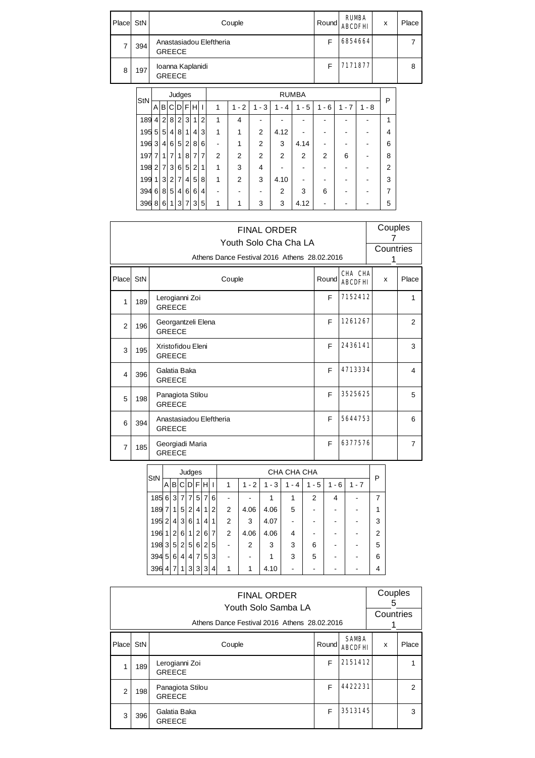| Place | StN |                                          | Couple |              | Round | <b>RUMBA</b><br><b>ABCDFHI</b> | x | Place |
|-------|-----|------------------------------------------|--------|--------------|-------|--------------------------------|---|-------|
|       | 394 | Anastasiadou Eleftheria<br><b>GREECE</b> |        |              | F     | 6854664                        |   |       |
| 8     | 197 | Ioanna Kaplanidi<br><b>GREECE</b>        |        |              | F     | 7171877                        |   | 8     |
|       |     | Judges                                   |        | <b>RUMBA</b> |       |                                |   |       |

| StN       |                |                 |                | <b>Page</b>    |                |                |                | .              |                |                |         |         |                                    |            |         |   |  |
|-----------|----------------|-----------------|----------------|----------------|----------------|----------------|----------------|----------------|----------------|----------------|---------|---------|------------------------------------|------------|---------|---|--|
|           | A              | B               | CI             |                | $DI$ F $H$     |                | $\mathsf{l}$   | 1              | $1 - 2$        | $1 - 3$        | $1 - 4$ | $1 - 5$ | 6<br>1<br>$\overline{\phantom{a}}$ | 7<br>$1 -$ | $1 - 8$ | P |  |
| 189       | 4 <sup>1</sup> | $\overline{2}$  | 8              | $\overline{2}$ | $\mathbf{3}$   | 1 <sub>1</sub> | $\overline{2}$ | 1              | 4              |                |         |         |                                    |            |         | 1 |  |
| 195       | 5 <sup>1</sup> | $5\overline{)}$ | 41             | 8              | 1              | 4              | 3              | 1              | 1              | 2              | 4.12    |         |                                    |            |         | 4 |  |
| 196       | 3 <sup>1</sup> | 4 <sup>1</sup>  | $6 \mid$       | 5 <sup>1</sup> | $\overline{2}$ | 8              | 6              | $\overline{a}$ | 1              | $\overline{2}$ | 3       | 4.14    |                                    |            |         | 6 |  |
| 197       | $\overline{7}$ | 1               | $\overline{7}$ | 1              | 8              | $\overline{7}$ | $\overline{7}$ | 2              | $\overline{2}$ | $\overline{2}$ | 2       | 2       | 2                                  | 6          |         | 8 |  |
| $198$ 2 7 |                |                 | 3 <sup>1</sup> | 6 <sup>1</sup> | 5 <sup>1</sup> | 2              | 1              | 1              | 3              | 4              |         |         |                                    |            |         | 2 |  |
| 199       | $\mathbf{1}$   |                 | 3 2            | $\overline{7}$ | $\vert$        | 5              | 8              | 1              | 2              | 3              | 4.10    |         |                                    |            |         | 3 |  |
| 394685    |                |                 |                |                | 4 6            | $6 \mid$       | 4              |                |                |                | 2       | 3       | 6                                  |            |         | 7 |  |
| 396 8     |                | $6 \mid$        | 11             | 3              | $\overline{7}$ | $\overline{3}$ | 5              | 1              | 1              | 3              | 3       | 4.12    |                                    |            |         | 5 |  |

|                |     | <b>FINAL ORDER</b><br>Youth Solo Cha Cha LA<br>Athens Dance Festival 2016 Athens 28.02.2016 |       |                           | Couples<br>7<br>Countries<br>1 |                |  |
|----------------|-----|---------------------------------------------------------------------------------------------|-------|---------------------------|--------------------------------|----------------|--|
| Place StN      |     | Couple                                                                                      | Round | CHA CHA<br><b>ABCDFHI</b> | x                              | Place          |  |
| 1              | 189 | Lerogianni Zoi<br><b>GREECE</b>                                                             | F     | 7152412                   |                                | 1              |  |
| 2              | 196 | Georgantzeli Elena<br><b>GREECE</b>                                                         | F     | 1261267                   |                                | $\overline{2}$ |  |
| 3              | 195 | Xristofidou Eleni<br><b>GREECE</b>                                                          | F     | 2436141                   |                                | 3              |  |
| 4              | 396 | Galatia Baka<br><b>GREECE</b>                                                               | F     | 4713334                   |                                | 4              |  |
| 5              | 198 | Panagiota Stilou<br><b>GREECE</b>                                                           | F     | 3525625                   |                                | 5              |  |
| 6              | 394 | Anastasiadou Eleftheria<br><b>GREECE</b>                                                    | F     | 5644753                   |                                | 6              |  |
| $\overline{7}$ | 185 | Georgiadi Maria<br><b>GREECE</b>                                                            | F     | 6377576                   |                                | 7              |  |

| StN   |                |                |                | Judges         |                |                |   |                |                |         | CHA CHA CHA |                                     |           |         | P              |  |
|-------|----------------|----------------|----------------|----------------|----------------|----------------|---|----------------|----------------|---------|-------------|-------------------------------------|-----------|---------|----------------|--|
|       | A              | В              |                | $CDI$ $FII$    |                |                |   | 1              | $-2$<br>1      | $1 - 3$ | - 4<br>1    | 5<br>$\mathbf{1}$<br>$\blacksquare$ | $-6$<br>1 | $1 - 7$ |                |  |
| 185 6 |                | 3 <sup>1</sup> | $\overline{7}$ | $\overline{7}$ | 5 <sup>1</sup> | $\overline{7}$ | 6 |                |                |         |             | $\overline{2}$                      | 4         |         |                |  |
| 189   | $\overline{7}$ | 1              | 5              | 2 <sup>1</sup> | $\vert$        | 1              | 2 | $\overline{2}$ | 4.06           | 4.06    | 5           |                                     |           |         |                |  |
| 195 2 |                | $\vert$        | 3 <sup>1</sup> | 6              | 1              | $\vert$        | 1 | 2              | 3              | 4.07    |             |                                     |           |         | 3              |  |
| 196   | 1 <sup>1</sup> | $\overline{2}$ | $6 \mid$       | 1 <sup>1</sup> | 2 <sup>1</sup> | 6              | 7 | 2              | 4.06           | 4.06    | 4           |                                     |           |         | $\overline{2}$ |  |
| 198 3 |                | 5 <sup>1</sup> | 2 <sup>1</sup> | 5 <sup>1</sup> | 6              | 2 <sup>1</sup> | 5 |                | $\overline{2}$ | 3       | 3           | 6                                   |           |         | 5              |  |
| 3945  |                | 6              | 4 <sup>1</sup> | $\vert$        | $\overline{7}$ | 5 <sup>1</sup> | 3 |                |                |         | 3           | 5                                   |           |         | 6              |  |
| 396   | $\vert$        | $\overline{7}$ | 1              | 3              | 3              | $\vert$ 3      | 4 | 1              | 1              | 4.10    |             |                                     |           |         | 4              |  |

|        |     | <b>FINAL ORDER</b><br>Youth Solo Samba LA<br>Athens Dance Festival 2016 Athens 28.02.2016 |         |         | Couples<br>5<br>Countries |   |
|--------|-----|-------------------------------------------------------------------------------------------|---------|---------|---------------------------|---|
| Placel | StN | <b>SAMBA</b><br>Round<br><b>ABCDFHI</b>                                                   | x       | Place   |                           |   |
| 1      | 189 | Lerogianni Zoi<br><b>GREECE</b>                                                           | F       | 2151412 |                           |   |
| 2      | 198 | Panagiota Stilou<br><b>GREECE</b>                                                         | 4422231 |         | 2                         |   |
| 3      | 396 | Galatia Baka<br><b>GREECE</b>                                                             | F       | 3513145 |                           | 3 |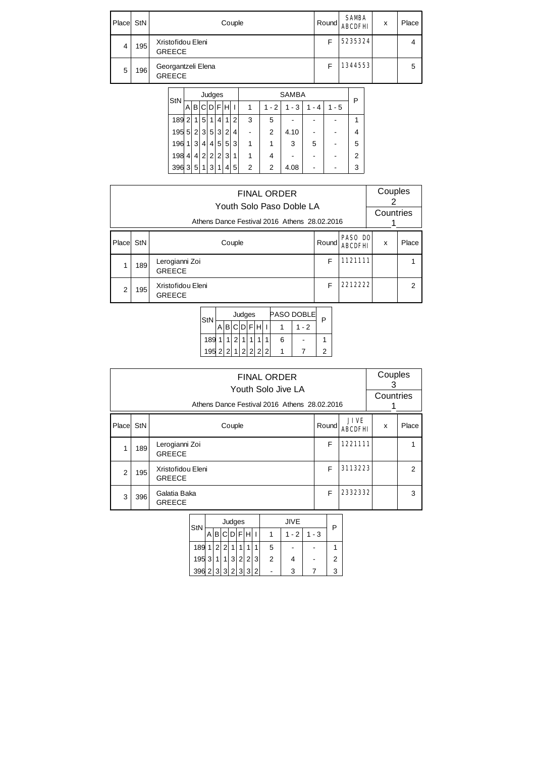| Place | StN | Couple                              | Round | <b>SAMBA</b><br><b>ABCDFHL</b> | x | Place |
|-------|-----|-------------------------------------|-------|--------------------------------|---|-------|
| 4     | 195 | Xristofidou Eleni<br><b>GREECE</b>  |       | 5235324                        |   | 4     |
| 5     | 196 | Georgantzeli Elena<br><b>GREECE</b> |       | 1344553                        |   | 5     |

| StN |                |                |                | Judges           |                |   |   |   |         | Р       |       |         |   |
|-----|----------------|----------------|----------------|------------------|----------------|---|---|---|---------|---------|-------|---------|---|
|     | Α              |                |                | <b>BICIDIFIH</b> |                |   |   | 1 | $1 - 2$ | $1 - 3$ | 1 - 4 | $1 - 5$ |   |
| 189 | $\overline{2}$ | 1              | 5              | 1                | 4              | 1 | 2 | 3 | 5       |         |       |         |   |
| 195 | 5 <sup>1</sup> | $\overline{2}$ | 3              | 5 <sup>1</sup>   | 31             | 2 | 4 |   | 2       | 4.10    |       |         | 4 |
| 196 | 1              | 3              | 4              | $\vert$          | 5 <sup>1</sup> | 5 | 3 | 1 |         | 3       | 5     |         | 5 |
| 198 | 4              | 4 <sup>1</sup> | $\overline{2}$ | $\overline{2}$   | $\overline{2}$ | 3 | 1 |   | 4       |         |       |         | 2 |
| 396 | 3              | 5              | 1              | 3                | 1              | 4 | 5 | 2 | 2       | 4.08    |       |         | 3 |

|                |     | <b>FINAL ORDER</b><br>Youth Solo Paso Doble LA<br>Athens Dance Festival 2016 Athens 28.02.2016 |   |         | Couples<br>Countries |                |
|----------------|-----|------------------------------------------------------------------------------------------------|---|---------|----------------------|----------------|
| Placel         | StN | <b>PASO DO</b><br>Round<br><b>ABCDFHI</b>                                                      | X | Place   |                      |                |
|                | 189 | Lerogianni Zoi<br><b>GREECE</b>                                                                | F | 1121111 |                      |                |
| $\overline{2}$ | 195 | Xristofidou Eleni<br><b>GREECE</b>                                                             | F | 2212222 |                      | $\overline{2}$ |

| StN               |  |   | Judges |  |   | PASO DOBLE | P |  |  |
|-------------------|--|---|--------|--|---|------------|---|--|--|
|                   |  |   |        |  |   | - 2        |   |  |  |
| 189               |  | 2 |        |  | 6 |            |   |  |  |
| 195 2 2 1 2 2 2 2 |  |   |        |  |   |            | 2 |  |  |

|                |     | <b>FINAL ORDER</b><br>Youth Solo Jive LA<br>Athens Dance Festival 2016 Athens 28.02.2016 |                                        |         | Couples<br>3<br>Countries |   |
|----------------|-----|------------------------------------------------------------------------------------------|----------------------------------------|---------|---------------------------|---|
| Placel         | StN | Couple                                                                                   | <b>JIVE</b><br>Round<br><b>ABCDFHI</b> | x       | Place                     |   |
|                | 189 | Lerogianni Zoi<br><b>GREECE</b>                                                          | F                                      | 1221111 |                           |   |
| $\overline{2}$ | 195 | Xristofidou Eleni<br><b>GREECE</b>                                                       | 3113223                                |         | 2                         |   |
| 3              | 396 | Galatia Baka<br><b>GREECE</b>                                                            | F                                      | 2332332 |                           | 3 |

| StN               |   |                |                | Judges |             |               | JIVE    |         | Р |
|-------------------|---|----------------|----------------|--------|-------------|---------------|---------|---------|---|
|                   |   |                |                |        | A B C D F H |               | $1 - 2$ | $1 - 3$ |   |
| 189               | 1 | 2 <sup>1</sup> | $\overline{2}$ |        |             | 5             |         |         |   |
| 195 3             |   |                |                |        | 1 3 2 2 3   | $\mathcal{P}$ |         |         |   |
| 396 2 3 3 2 3 3 2 |   |                |                |        |             |               | 3       |         |   |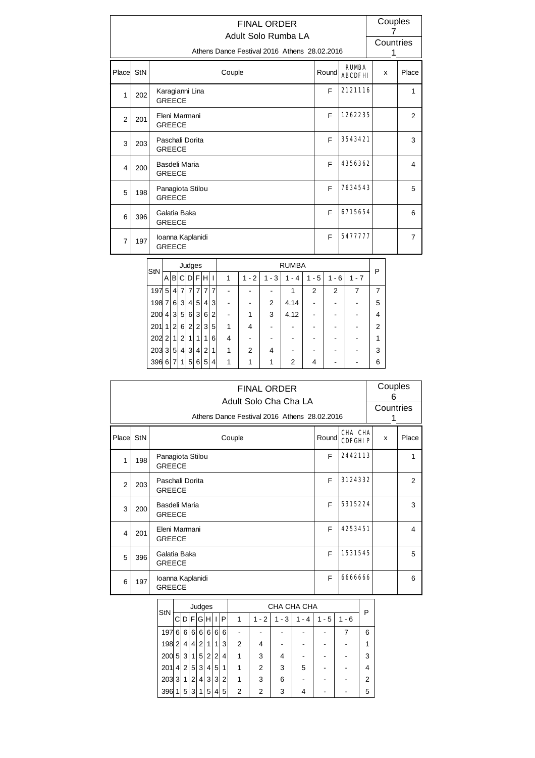|                | Couples<br><b>FINAL ORDER</b>           |                   |                                   |                                   |  |               |  |       |                |        |         |                |                                              |                |                    |  |                                |                |   |                |
|----------------|-----------------------------------------|-------------------|-----------------------------------|-----------------------------------|--|---------------|--|-------|----------------|--------|---------|----------------|----------------------------------------------|----------------|--------------------|--|--------------------------------|----------------|---|----------------|
|                |                                         |                   |                                   |                                   |  |               |  |       |                |        |         |                |                                              |                |                    |  |                                |                | 7 |                |
|                |                                         |                   |                                   |                                   |  |               |  |       |                |        |         |                | Adult Solo Rumba LA                          |                |                    |  |                                |                |   | Countries      |
|                |                                         |                   |                                   |                                   |  |               |  |       |                |        |         |                | Athens Dance Festival 2016 Athens 28.02.2016 |                |                    |  |                                |                | 1 |                |
| Place          | StN                                     |                   |                                   |                                   |  |               |  |       |                | Couple |         |                |                                              |                | Round              |  | <b>RUMBA</b><br><b>ABCDFHI</b> |                | x | Place          |
| 1              | 202                                     |                   |                                   | Karagianni Lina<br><b>GREECE</b>  |  |               |  |       |                |        |         |                |                                              |                | F                  |  | 2121116                        |                |   | $\mathbf{1}$   |
| $\overline{2}$ | 201                                     |                   |                                   | Eleni Marmani<br><b>GREECE</b>    |  |               |  |       |                |        |         |                | F                                            |                | 1262235            |  |                                | $\overline{2}$ |   |                |
| 3              | Paschali Dorita<br>203<br><b>GREECE</b> |                   |                                   |                                   |  |               |  |       |                |        |         |                |                                              |                | F                  |  | 3543421                        |                |   | 3              |
| 4              | 200                                     |                   |                                   | Basdeli Maria<br><b>GREECE</b>    |  |               |  |       |                |        |         |                |                                              |                | F                  |  | 4356362                        |                |   | 4              |
| 5              | 198                                     |                   |                                   | Panagiota Stilou<br><b>GREECE</b> |  |               |  |       |                |        |         |                |                                              |                | F                  |  | 7634543                        |                |   | 5              |
| 6              | 396                                     |                   |                                   | Galatia Baka<br><b>GREECE</b>     |  |               |  |       |                |        |         |                |                                              |                | F                  |  | 6715654                        |                |   | 6              |
| $\overline{7}$ | 197                                     |                   | Ioanna Kaplanidi<br><b>GREECE</b> |                                   |  |               |  |       |                |        |         |                |                                              |                | E                  |  | 5477777                        |                |   | $\overline{7}$ |
|                |                                         |                   |                                   |                                   |  | Judges        |  |       |                |        |         |                | <b>RUMBA</b>                                 |                |                    |  |                                |                |   |                |
|                |                                         | StN               |                                   | Albi                              |  | $ C D F H $ I |  |       |                | 1      | $1 - 2$ | $1 - 3$        | $1 - 4$                                      |                | $1 - 5$<br>$1 - 6$ |  | $1 - 7$                        | P              |   |                |
|                |                                         |                   |                                   |                                   |  |               |  |       |                |        |         |                |                                              |                |                    |  |                                |                |   |                |
|                |                                         | 197 5 4 7         |                                   |                                   |  |               |  | 7 7 7 | $\overline{7}$ |        |         |                | $\mathbf{1}$                                 | $\overline{2}$ | $\overline{2}$     |  | $\overline{7}$                 | $\overline{7}$ |   |                |
|                |                                         | $198$ 7 6 3 4 5 4 |                                   |                                   |  |               |  |       | 3              |        |         | $\overline{2}$ | 4.14                                         |                |                    |  |                                | 5              |   |                |

 $200 \mid 4 \mid 3 \mid 5 \mid 6 \mid 3 \mid 6 \mid 2 \mid$  - 1 3 4.12 - - - 4  $201 \, 1 \, 2 \, 6 \, 2 \, 2 \, 3 \, 5 \, 1 \, 1 \, 4 \, 1 \, - \, 1 \, - \, 1 \, - \, 1 \, - \, 2$ 202|2|1|2|1|1|1|6| 4 | - | - | - | - | - | - | 1  $203 \, 3 \, 5 \, 4 \, 3 \, 4 \, 2 \, 1 \, 1 \, 1 \, 2 \, 1 \, 4 \, 1 \cdot 1 \cdot 1 \cdot 1 \cdot 3$ 396 6 7 1 5 6 5 4 1 1 1 1 2 4 - 6

|                |     |                                   | <b>FINAL ORDER</b><br>Adult Solo Cha Cha LA  |       |                           | Couples<br>6 |       |  |
|----------------|-----|-----------------------------------|----------------------------------------------|-------|---------------------------|--------------|-------|--|
|                |     |                                   |                                              |       |                           | Countries    |       |  |
|                |     |                                   | Athens Dance Festival 2016 Athens 28.02.2016 |       |                           | 1            |       |  |
| Place          | StN |                                   | Couple                                       | Round | CHA CHA<br><b>CDFGHIP</b> | X            | Place |  |
| 1              | 198 | Panagiota Stilou<br><b>GREECE</b> |                                              | F     | 2442113                   |              | 1     |  |
| $\overline{2}$ | 203 | Paschali Dorita<br><b>GREECE</b>  |                                              | F     | 3124332                   |              | 2     |  |
| 3              | 200 | Basdeli Maria<br><b>GREECE</b>    |                                              | F     | 5315224                   |              | 3     |  |
| 4              | 201 | Eleni Marmani<br><b>GREECE</b>    |                                              | F     | 4253451                   |              | 4     |  |
| 5              | 396 | Galatia Baka<br><b>GREECE</b>     |                                              | F     | 1531545                   |              | 5     |  |
| 6              | 197 | Ioanna Kaplanidi<br><b>GREECE</b> |                                              | F     | 6666666                   |              | 6     |  |

| StN   |                |                |                | Judges         |                |                |   |   |                |           | CHA CHA CHA |          |         | Р |
|-------|----------------|----------------|----------------|----------------|----------------|----------------|---|---|----------------|-----------|-------------|----------|---------|---|
|       |                |                |                | DIF G H        |                | I              | P | 1 | $-2$<br>1      | $-3$<br>1 | - 4         | - 5<br>1 | $1 - 6$ |   |
| 197   | 6              | 6              | 6 <sup>1</sup> | 6              | 6 <sup>1</sup> | 6              | 6 |   |                |           |             |          |         | 6 |
| 198   | 2              | 4 <sup>1</sup> | 4              | 2 <sub>1</sub> | 1 <sup>1</sup> | 1              | 3 | 2 | 4              |           |             |          |         | 1 |
| 200   | 5              | 31             | 11             | 5              | 2 <sup>1</sup> | $\overline{2}$ | 4 | 1 | 3              | 4         |             |          |         | 3 |
| 201   | 4 <sup>1</sup> | $\overline{2}$ | 5 <sup>2</sup> | 3              | 4 <sup>1</sup> | 5              | 1 | 1 | $\overline{2}$ | 3         | 5           |          |         | 4 |
| 203 3 |                | 11             | 2 <sub>1</sub> | 4              | 31             | $\mathbf{3}$   | 2 | 1 | 3              | 6         |             |          |         | 2 |
| 396   | 1              | 5 <sup>1</sup> | 3              | 1              | 5 <sup>1</sup> | 4              | 5 | 2 | $\overline{2}$ | 3         | 4           |          |         | 5 |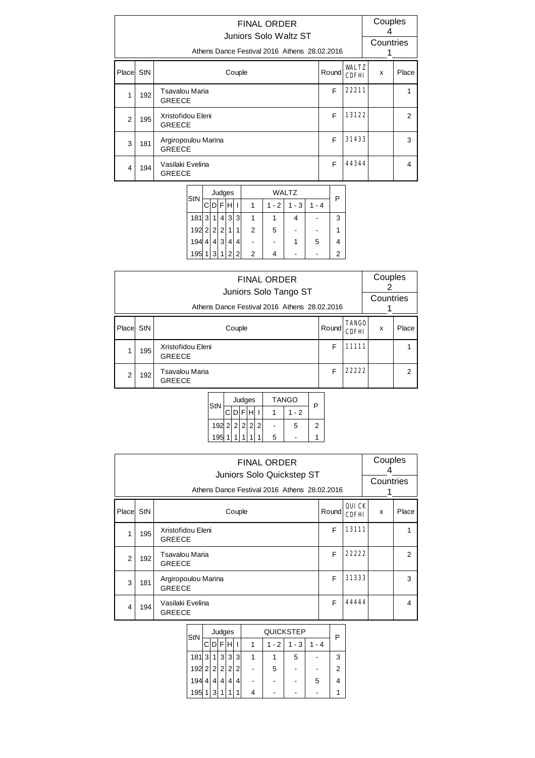|                | <b>FINAL ORDER</b><br>Juniors Solo Waltz ST<br>Athens Dance Festival 2016 Athens 28.02.2016 |                                      |       |                              |   |                |  |  |  |  |
|----------------|---------------------------------------------------------------------------------------------|--------------------------------------|-------|------------------------------|---|----------------|--|--|--|--|
| Place          | StN                                                                                         | Couple                               | Round | <b>WALTZ</b><br><b>CDFHI</b> | x | Place          |  |  |  |  |
| 1              | 192                                                                                         | Tsavalou Maria<br><b>GREECE</b>      | F     | 22211                        |   |                |  |  |  |  |
| $\overline{2}$ | 195                                                                                         | Xristofidou Eleni<br><b>GREECE</b>   | F     | 13122                        |   | $\overline{2}$ |  |  |  |  |
| 3              | 181                                                                                         | Argiropoulou Marina<br><b>GREECE</b> | F     | 31433                        |   | 3              |  |  |  |  |
| 4              | 194                                                                                         | Vasilaki Evelina<br><b>GREECE</b>    | F     | 44344                        |   | 4              |  |  |  |  |

| Judges         |   |             |           |                |                |         | P       |       |   |
|----------------|---|-------------|-----------|----------------|----------------|---------|---------|-------|---|
| C              |   |             |           |                |                | $1 - 2$ | $1 - 3$ | 1 - 4 |   |
| 3              |   |             | 3         | 3              |                |         |         |       | 3 |
|                |   |             | 1         |                | $\overline{2}$ | 5       |         |       |   |
| 4              | 4 | 3           | 4         | 4              |                |         |         | 5     |   |
| 1 <sub>1</sub> | 3 | $\mathbf 1$ |           | $\overline{2}$ | 2              |         |         |       | 2 |
|                |   |             | 192 2 2 2 |                | 2 <sup>1</sup> |         |         | WALTZ |   |

|       | <b>FINAL ORDER</b><br>Juniors Solo Tango ST<br>Athens Dance Festival 2016 Athens 28.02.2016 |                                    |       |                              |   |                |  |  |  |  |
|-------|---------------------------------------------------------------------------------------------|------------------------------------|-------|------------------------------|---|----------------|--|--|--|--|
| Place | StN                                                                                         | Couple                             | Round | <b>TANGO</b><br><b>CDFHI</b> | x | Place          |  |  |  |  |
|       | 195                                                                                         | Xristofidou Eleni<br><b>GREECE</b> | F     | 11111                        |   |                |  |  |  |  |
| 2     | 192                                                                                         | Tsavalou Maria<br><b>GREECE</b>    | F     | 22222                        |   | $\mathfrak{p}$ |  |  |  |  |

| StN           |             | Judges | <b>TANGO</b> | P    |   |
|---------------|-------------|--------|--------------|------|---|
|               | <b>CDFH</b> |        |              | $-2$ |   |
| 192 2 2 2 2 2 |             |        |              | 5    | 2 |
| 195           |             |        | 5            |      |   |

|                | <b>FINAL ORDER</b><br>Juniors Solo Quickstep ST<br>Athens Dance Festival 2016 Athens 28.02.2016 |                                      |       |                |   |                |  |  |  |  |
|----------------|-------------------------------------------------------------------------------------------------|--------------------------------------|-------|----------------|---|----------------|--|--|--|--|
| Place StN      |                                                                                                 | Couple                               | Round | QUICK<br>CDFHI | x | Place          |  |  |  |  |
| 1              | 195                                                                                             | Xristofidou Eleni<br><b>GREECE</b>   | F     | 13111          |   |                |  |  |  |  |
| $\overline{2}$ | 192                                                                                             | Tsavalou Maria<br><b>GREECE</b>      | F     | 22222          |   | $\overline{2}$ |  |  |  |  |
| 3              | 181                                                                                             | Argiropoulou Marina<br><b>GREECE</b> | F     | 31333          |   | 3              |  |  |  |  |
| 4              | 194                                                                                             | Vasilaki Evelina<br><b>GREECE</b>    | F     | 44444          |   | 4              |  |  |  |  |

| StN           |   |   | Judges |   |                |         | <b>QUICKSTEP</b> |       |   |
|---------------|---|---|--------|---|----------------|---------|------------------|-------|---|
|               |   |   |        |   |                | $1 - 2$ | $1 - 3$          | 1 - 4 |   |
| 1813          |   | 1 | 3      | 3 | 3              |         | 5                |       | 3 |
| $192$ 2 2 2 2 |   |   |        |   | 2 <sub>1</sub> | 5       |                  |       | 2 |
| 194           | 4 | 4 |        |   | 4              |         |                  | 5     |   |
| 195           |   | 3 | 4      |   | 1              |         |                  |       |   |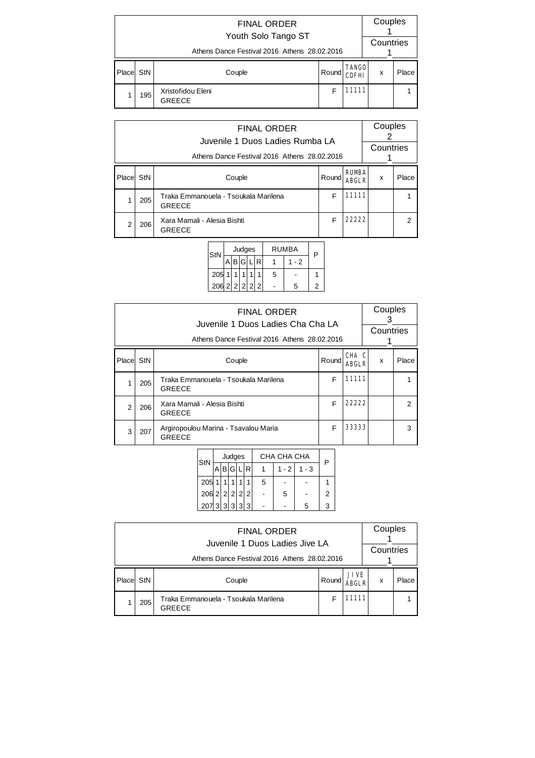|       | <b>FINAL ORDER</b><br>Youth Solo Tango ST    |                                    |       |                              |   |       |  |  |  |  |  |  |
|-------|----------------------------------------------|------------------------------------|-------|------------------------------|---|-------|--|--|--|--|--|--|
|       | Athens Dance Festival 2016 Athens 28.02.2016 | Countries                          |       |                              |   |       |  |  |  |  |  |  |
| Place | StN                                          | Couple                             | Round | <b>TANGO</b><br><b>CDFHI</b> | X | Place |  |  |  |  |  |  |
|       | 195                                          | Xristofidou Eleni<br><b>GREECE</b> | F     | 11111                        |   |       |  |  |  |  |  |  |

|        | <b>FINAL ORDER</b><br>Juvenile 1 Duos Ladies Rumba LA<br>Athens Dance Festival 2016 Athens 28.02.2016 |                                                       |       |                              |   |       |  |  |  |
|--------|-------------------------------------------------------------------------------------------------------|-------------------------------------------------------|-------|------------------------------|---|-------|--|--|--|
| Placel | StN                                                                                                   | Couple                                                | Round | <b>RUMBA</b><br><b>ABGLR</b> | x | Place |  |  |  |
|        | 205                                                                                                   | Traka Emmanouela - Tsoukala Marilena<br><b>GREECE</b> | F     | 11111                        |   |       |  |  |  |
| 2      | 206                                                                                                   | Xara Mamali - Alesia Bishti<br><b>GREECE</b>          | F     | 22222                        |   |       |  |  |  |

| StN           |  | Judges  |  | RUMBA |     |  |
|---------------|--|---------|--|-------|-----|--|
|               |  | IBIGI L |  |       | - 2 |  |
| 205           |  |         |  | 5     |     |  |
| 206 2 2 2 2 2 |  |         |  |       | 5   |  |

|                | <b>FINAL ORDER</b><br>Juvenile 1 Duos Ladies Cha Cha LA<br>Athens Dance Festival 2016 Athens 28,02,2016 |                                                       |       |                       |   |       |  |  |  |
|----------------|---------------------------------------------------------------------------------------------------------|-------------------------------------------------------|-------|-----------------------|---|-------|--|--|--|
| Place StN      |                                                                                                         | Couple                                                | Round | CHA C<br><b>ARGLR</b> | x | Place |  |  |  |
| 1              | 205                                                                                                     | Traka Emmanouela - Tsoukala Marilena<br><b>GREECE</b> | F     | 11111                 |   |       |  |  |  |
| $\overline{2}$ | 206                                                                                                     | Xara Mamali - Alesia Bishti<br><b>GREECE</b>          | F     | 22222                 |   | 2     |  |  |  |
| 3              | 207                                                                                                     | Argiropoulou Marina - Tsavalou Maria<br><b>GREECE</b> | F     | 33333                 |   | 3     |  |  |  |

| StN             |  | Judges |   |   | CHA CHA CHA | P       |   |
|-----------------|--|--------|---|---|-------------|---------|---|
|                 |  | ABGL   | R |   | $1 - 2$     | $1 - 3$ |   |
| $205$ 1         |  | 1      |   | 5 |             |         |   |
| $206$ 2 2 2 2 2 |  |        |   |   | 5           |         | 2 |
| 20733333        |  |        |   |   |             | 5       | 3 |

|        |                                                                                | Couples                                               |       |                             |   |       |  |  |  |  |  |  |  |  |
|--------|--------------------------------------------------------------------------------|-------------------------------------------------------|-------|-----------------------------|---|-------|--|--|--|--|--|--|--|--|
|        | Juvenile 1 Duos Ladies Jive LA<br>Athens Dance Festival 2016 Athens 28.02.2016 |                                                       |       |                             |   |       |  |  |  |  |  |  |  |  |
| Placel | StN                                                                            | Couple                                                | Round | <b>JIVE</b><br><b>ABGLR</b> | x | Place |  |  |  |  |  |  |  |  |
|        | 205                                                                            | Traka Emmanouela - Tsoukala Marilena<br><b>GREECE</b> |       | 11111                       |   |       |  |  |  |  |  |  |  |  |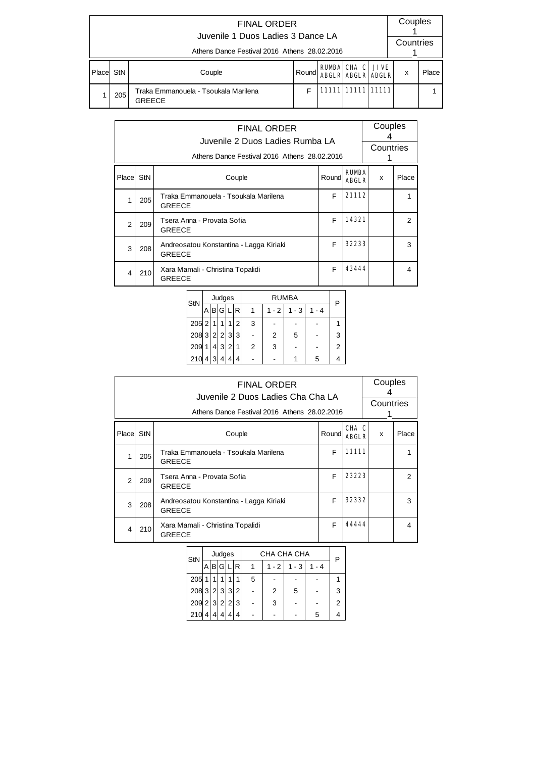|       | <b>FINAL ORDER</b><br>Juvenile 1 Duos Ladies 3 Dance LA<br>Athens Dance Festival 2016 Athens 28.02.2016 |        |       |  |                                                     |  |   |       |  |  |  |  |  |  |
|-------|---------------------------------------------------------------------------------------------------------|--------|-------|--|-----------------------------------------------------|--|---|-------|--|--|--|--|--|--|
| Place | StN                                                                                                     | Couple | Round |  | <b>RUMBA CHA C JIVE</b><br><b>ABGLR ABGLR ABGLR</b> |  | x | Place |  |  |  |  |  |  |
|       | 11111 11111 11111<br>F<br>Traka Emmanouela - Tsoukala Marilena<br>205<br><b>GREECE</b>                  |        |       |  |                                                     |  |   |       |  |  |  |  |  |  |

|                |     | Athens Dance Festival 2016 Athens 28.02.2016             | Couples<br>Countries |                              |   |       |
|----------------|-----|----------------------------------------------------------|----------------------|------------------------------|---|-------|
| Place StN      |     | Couple                                                   | Round                | <b>RUMBA</b><br><b>ABGLR</b> | x | Place |
| 1              | 205 | Traka Emmanouela - Tsoukala Marilena<br><b>GREECE</b>    | F                    | 21112                        |   |       |
| $\overline{2}$ | 209 | Tsera Anna - Provata Sofia<br><b>GREECE</b>              | F                    | 14321                        |   | 2     |
| 3              | 208 | Andreosatou Konstantina - Lagga Kiriaki<br><b>GREECE</b> | F                    | 32233                        |   | 3     |
| 4              | 210 | Xara Mamali - Christina Topalidi<br><b>GREECE</b>        | F                    | 43444                        |   | 4     |

| StN           |   |   | Judges |   |   |   |                | P       |         |   |
|---------------|---|---|--------|---|---|---|----------------|---------|---------|---|
|               |   | В | G      |   | R | 1 | $1 - 2$        | $1 - 3$ | $1 - 4$ |   |
| $205$ 2       |   |   | 1      | 1 | 2 | 3 |                |         |         |   |
| $208$ 3 2 2 3 |   |   |        |   | 3 |   | $\overline{2}$ | 5       |         | 3 |
| 209           |   |   | 3      | 2 |   | 2 | 3              |         |         | 2 |
| 210           | 4 | 3 | 4      | 4 | 4 |   |                |         | 5       |   |

|                |     | Athens Dance Festival 2016 Athens 28.02.2016             |       | Couples<br>Countries  |   |                |
|----------------|-----|----------------------------------------------------------|-------|-----------------------|---|----------------|
| Placel StN     |     | Couple                                                   | Round | CHA C<br><b>ARGLR</b> | x | Place          |
| 1              | 205 | Traka Emmanouela - Tsoukala Marilena<br><b>GREECE</b>    | F     | 11111                 |   |                |
| $\mathfrak{p}$ | 209 | Tsera Anna - Provata Sofia<br><b>GREECE</b>              | F     | 23223                 |   | $\mathfrak{p}$ |
| 3              | 208 | Andreosatou Konstantina - Lagga Kiriaki<br><b>GREECE</b> | F     | 32332                 |   | 3              |
| 4              | 210 | 44444                                                    |       | 4                     |   |                |

| StN                            |   | Judges |   |     |   | CHA CHA CHA | P       |         |   |  |  |
|--------------------------------|---|--------|---|-----|---|-------------|---------|---------|---|--|--|
|                                | A | B G    | L | IR. |   | $1 - 2$     | $1 - 3$ | $1 - 4$ |   |  |  |
| 205                            | 1 |        |   |     | 5 |             |         |         |   |  |  |
| $208 \, 3 \, 2 \, 3 \, 3 \, 2$ |   |        |   |     |   | 2           | 5       |         | 3 |  |  |
| $209$ 2 3 2 2 3                |   |        |   |     |   | 3           |         |         | 2 |  |  |
| 210                            |   | Δ      | Δ | 4   |   |             |         | 5       |   |  |  |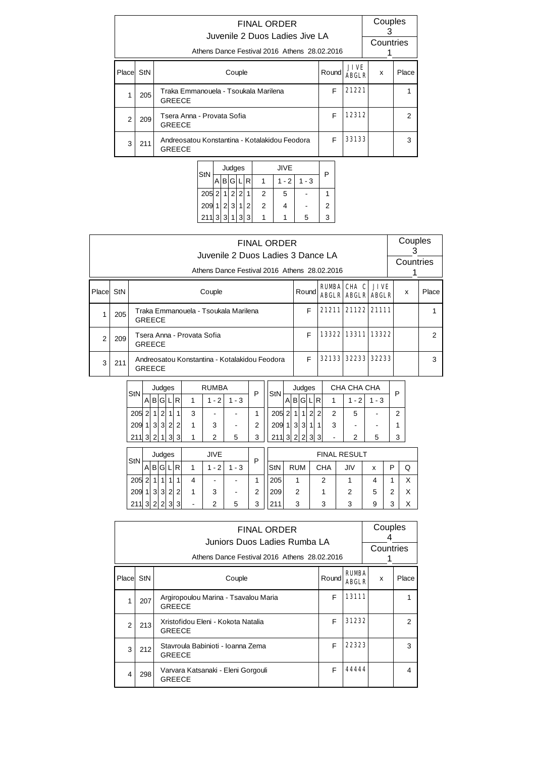|       |     | Athens Dance Festival 2016 Athens 28.02.2016          | Couples<br>З<br>Countries |                      |   |                |
|-------|-----|-------------------------------------------------------|---------------------------|----------------------|---|----------------|
| Place | StN | Couple                                                | Round                     | JIVE<br><b>ARGLR</b> | x | Place          |
|       | 205 | Traka Emmanouela - Tsoukala Marilena<br><b>GREECE</b> | F                         | 21221                |   |                |
| 2     | 209 | Tsera Anna - Provata Sofia<br><b>GREECE</b>           | F                         | 12312                |   | $\overline{2}$ |
| 3     | 211 | 33133                                                 |                           | 3                    |   |                |

|  | StN           |                   | Judges |                |   |   |   |   |   |
|--|---------------|-------------------|--------|----------------|---|---|---|---|---|
|  |               | B G L R <br>1 - 2 |        | $1 - 3$        |   |   |   |   |   |
|  | $205$ 2 1 2 2 |                   |        |                | 1 | 2 | 5 |   |   |
|  | $209$ 1 2 3 1 |                   |        |                | 2 | 2 | 4 |   | 2 |
|  | 211 3         | $\vert$ 3         | 11     | 3 <sup>1</sup> | 3 |   |   | 5 |   |

|                |     |               |                |                                                            |                |                |                |                            |              | Juvenile 2 Duos Ladies 3 Dance LA             | <b>FINAL ORDER</b> |            |              |                |                |                |                   |                |                                   |         |                   |   | 3 | Couples   |
|----------------|-----|---------------|----------------|------------------------------------------------------------|----------------|----------------|----------------|----------------------------|--------------|-----------------------------------------------|--------------------|------------|--------------|----------------|----------------|----------------|-------------------|----------------|-----------------------------------|---------|-------------------|---|---|-----------|
|                |     |               |                |                                                            |                |                |                |                            |              | Athens Dance Festival 2016 Athens 28.02.2016  |                    |            |              |                |                |                |                   |                |                                   |         |                   |   | 1 | Countries |
| Placel         | StN |               |                |                                                            |                |                |                |                            | Couple       |                                               |                    |            |              |                | Round          |                |                   | <b>RUMBA</b>   | CHA C<br><b>ABGLR ABGLR ABGLR</b> |         | <b>JIVE</b>       |   | X | Place     |
| 1              | 205 |               |                | F<br>Traka Emmanouela - Tsoukala Marilena<br><b>GREECE</b> |                |                |                |                            |              |                                               |                    |            |              |                |                |                | 21211 21122 21111 |                |                                   |         |                   | 1 |   |           |
| $\overline{2}$ | 209 | <b>GREECE</b> |                |                                                            |                |                |                | Tsera Anna - Provata Sofia |              |                                               |                    |            |              |                |                | F              |                   |                |                                   |         | 13322 13311 13322 |   |   | 2         |
| 3              | 211 | <b>GREECE</b> |                |                                                            |                |                |                |                            |              | Andreosatou Konstantina - Kotalakidou Feodora |                    |            |              |                |                | F              |                   |                | 32133 32233                       |         | 32233             |   |   | 3         |
|                |     |               |                |                                                            | Judges         |                |                |                            | <b>RUMBA</b> |                                               |                    |            |              |                | Judges         |                |                   |                | CHA CHA CHA                       |         |                   |   |   |           |
|                |     | <b>StN</b>    | $A$ $B$        |                                                            | G L            |                | l R            | 1                          | $1 - 2$      | $1 - 3$                                       | P                  | <b>StN</b> | $\mathsf{A}$ |                | B G            | L R            |                   | $\mathbf{1}$   | $1 - 2$                           | $1 - 3$ |                   | P |   |           |
|                |     | 205           | $\overline{2}$ | 1                                                          | $\overline{2}$ | 1              | $\mathbf{1}$   | 3                          |              |                                               | 1                  | 205        | $\vert$ 2    | $\mathbf{1}$   | $\mathbf{1}$   | $\overline{2}$ | $\overline{2}$    | 2              | 5                                 |         |                   | 2 |   |           |
|                |     | 209           | 1              | $\mathbf{3}$                                               | $\vert$ 3      | 2              | $\overline{2}$ | 1                          | 3            |                                               | 2                  | 209        | 1            | $\vert$ 3      | 3              | 1              | $\mathbf{1}$      | 3              | -                                 |         |                   | 1 |   |           |
|                |     | 211           | 3              | 2                                                          | 1              | $\overline{3}$ | 3              | 1                          | 2            | 5                                             | 3                  | 2113       |              | $\overline{2}$ | $\overline{2}$ | $\vert$ 3      | 3                 | $\blacksquare$ | 2                                 | 5       |                   | 3 |   |           |
|                |     |               |                |                                                            | Judges         |                |                |                            | <b>JIVE</b>  |                                               |                    |            |              |                |                |                |                   |                | <b>FINAL RESULT</b>               |         |                   |   |   |           |
|                |     | <b>StN</b>    | $A$ $B$        |                                                            | G              | $\lfloor$      | l R            | 1                          | $1 - 2$      | $1 - 3$                                       | P                  | StN        |              | <b>RUM</b>     |                |                |                   | <b>CHA</b>     | <b>JIV</b>                        | x       | P                 |   | Q |           |
|                |     | 205           | $\overline{2}$ | 1                                                          | 1              | $\mathbf{1}$   | $\mathbf{1}$   | 4                          |              |                                               | 1                  | 205        |              | 1              |                |                | 2                 |                | 1                                 | 4       |                   | 1 | X |           |

|                |     | Athens Dance Festival 2016 Athens 28.02.2016          | Couples<br>Countries |                              |   |                |
|----------------|-----|-------------------------------------------------------|----------------------|------------------------------|---|----------------|
| Place          | StN | Couple                                                | Round                | <b>RUMBA</b><br><b>ABGLR</b> | x | Place          |
| 1              | 207 | Argiropoulou Marina - Tsavalou Maria<br><b>GREECE</b> | F                    | 13111                        |   |                |
| $\mathfrak{p}$ | 213 | Xristofidou Eleni - Kokota Natalia<br><b>GREECE</b>   | F                    | 31232                        |   | $\mathfrak{p}$ |
| 3              | 212 | Stavroula Babinioti - Ioanna Zema<br><b>GREECE</b>    | F                    | 22323                        |   | 3              |
| $\overline{4}$ | 298 | Varvara Katsanaki - Eleni Gorgouli<br><b>GREECE</b>   | F                    | 44444                        |   | 4              |

209 2 1 2 5  $2 \times$ 211 3 3 3 3 9 3 X

 $209 \; 1 \; | \; 3 \; | \; 2 \; | \; 2 \; | \; 1 \; | \; 3 \; | \; - \; | \; 2$  $211 \, 3 \, 2 \, 2 \, 3 \, 3 \, - \, 2 \, 3 \, 5 \, 3$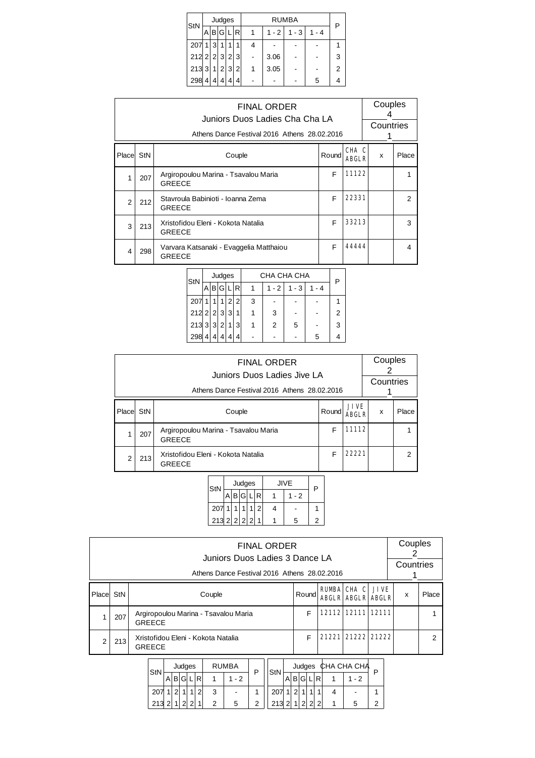| StN                 |   |   | Judges  |   |     |   |         | RUMBA   |         | P              |
|---------------------|---|---|---------|---|-----|---|---------|---------|---------|----------------|
|                     | A |   | B G     |   | 'Ri |   | $1 - 2$ | $1 - 3$ | $1 - 4$ |                |
| 207                 | 1 | 3 |         |   |     |   |         |         |         |                |
| $212$ 2 $2$ 3 $2$ 3 |   |   |         |   |     |   | 3.06    |         |         | 3              |
| 213 3               |   |   | 1 2 3 2 |   |     | 1 | 3.05    |         |         | $\overline{2}$ |
| 298                 | 4 | 4 | Δ       | 4 | 4   |   |         |         | 5       |                |

|        | <b>FINAL ORDER</b><br>Juniors Duos Ladies Cha Cha LA<br>Athens Dance Festival 2016 Athens 28.02.2016 |                                                          |        |                       |   |                |  |  |  |  |  |
|--------|------------------------------------------------------------------------------------------------------|----------------------------------------------------------|--------|-----------------------|---|----------------|--|--|--|--|--|
| Placel | StN                                                                                                  | Couple                                                   | Roundl | CHA C<br><b>ABGLR</b> | x | Place          |  |  |  |  |  |
| 1      | 207                                                                                                  | Argiropoulou Marina - Tsavalou Maria<br><b>GREECE</b>    | F      | 11122                 |   | 1              |  |  |  |  |  |
| 2      | 212                                                                                                  | Stavroula Babinioti - Ioanna Zema<br><b>GREECE</b>       | F      | 22331                 |   | $\mathfrak{p}$ |  |  |  |  |  |
| 3      | 213                                                                                                  | Xristofidou Eleni - Kokota Natalia<br><b>GREECE</b>      | F      | 33213                 |   | 3              |  |  |  |  |  |
| 4      | 298                                                                                                  | Varvara Katsanaki - Evaggelia Matthaiou<br><b>GREECE</b> | F      | 44444                 |   | 4              |  |  |  |  |  |

| StN             |   |   | Judges |   |   |   | CHA CHA CHA |         |       | Р |  |
|-----------------|---|---|--------|---|---|---|-------------|---------|-------|---|--|
|                 |   | В | G      |   | R |   | $1 - 2$     | $1 - 3$ | 1 - 4 |   |  |
| 207             |   |   |        | 2 | 2 | 3 |             |         |       |   |  |
| $212$ 2 $2$ 3 3 |   |   |        |   | 1 |   | 3           |         |       | 2 |  |
| 213 3 3 2       |   |   |        | 1 | 3 |   | 2           | 5       |       | 3 |  |
| 298             | 4 |   |        |   | 4 |   |             |         | 5     |   |  |

|        |     | <b>FINAL ORDER</b><br>Juniors Duos Ladies Jive LA<br>Athens Dance Festival 2016 Athens 28.02.2016 |       |                             | Couples<br>Countries |       |  |
|--------|-----|---------------------------------------------------------------------------------------------------|-------|-----------------------------|----------------------|-------|--|
| Placel | StN | Couple                                                                                            | Round | <b>JIVE</b><br><b>ABGLR</b> | x                    | Place |  |
|        | 207 | Argiropoulou Marina - Tsavalou Maria<br><b>GREECE</b>                                             | F     | 11112                       |                      |       |  |
| 2      | 213 | Xristofidou Eleni - Kokota Natalia<br><b>GREECE</b>                                               | F     | 22221                       |                      | 2     |  |

| Judges<br><b>JIVE</b><br>StN | Ρ |
|------------------------------|---|
| B G <br>$1 - 2$              |   |
| 207<br>1<br>2                |   |
| $2132222$<br>1<br>5          | 2 |

|       |                                                                                      | <b>FINAL ORDER</b><br>Juniors Duos Ladies 3 Dance LA<br>Athens Dance Festival 2016 Athens 28.02.2016 |       |  |                                                     |  | Couples<br>Countries |       |  |  |  |  |  |
|-------|--------------------------------------------------------------------------------------|------------------------------------------------------------------------------------------------------|-------|--|-----------------------------------------------------|--|----------------------|-------|--|--|--|--|--|
| Place | StN                                                                                  | Couple                                                                                               | Round |  | <b>RUMBA CHA C JIVE</b><br><b>ABGLR ABGLR ABGLR</b> |  | x                    | Place |  |  |  |  |  |
|       | 207                                                                                  | Argiropoulou Marina - Tsavalou Maria<br><b>GREECE</b>                                                | F     |  | 12112 12111 12111                                   |  |                      |       |  |  |  |  |  |
|       | 21221 21222 21222<br>F<br>Xristofidou Eleni - Kokota Natalia<br>213<br><b>GREECE</b> |                                                                                                      |       |  |                                                     |  |                      |       |  |  |  |  |  |
|       |                                                                                      |                                                                                                      |       |  |                                                     |  |                      |       |  |  |  |  |  |

| StN |   |   | Judges |   |   | <b>RUMBA</b> | StN |   |  |   | Judges CHA CHA CHA |  |
|-----|---|---|--------|---|---|--------------|-----|---|--|---|--------------------|--|
|     | A | в |        | ח |   | - 2          |     | В |  | R | ◠                  |  |
| 207 |   |   |        |   | າ | ٠            |     |   |  |   |                    |  |
| 213 |   |   | $\sim$ |   |   | 5            | 213 |   |  |   |                    |  |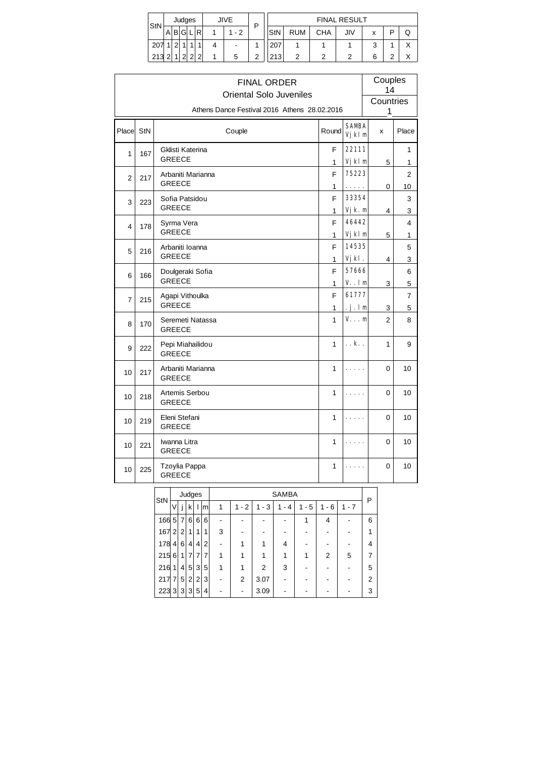| StN | <b>JIVE</b><br>Judges |        |        |  | D          |                          |   |     | <b>FINAL RESULT</b> |     |     |        |   |              |
|-----|-----------------------|--------|--------|--|------------|--------------------------|---|-----|---------------------|-----|-----|--------|---|--------------|
|     |                       | A B G  |        |  | R          | $-2$                     |   | StN | <b>RUM</b>          | CHA | JIV | x      | D | Q            |
| 207 |                       | $\sim$ |        |  |            | $\overline{\phantom{a}}$ |   | 207 |                     |     |     | ว<br>J |   | $\checkmark$ |
| 213 | ົ                     |        | $\sim$ |  | $\sqrt{2}$ | 5                        | っ | 213 | っ                   | ◠   | ◠   | 6      | ົ | v<br>⌒       |

|                |     |                                    | <b>FINAL ORDER</b><br><b>Oriental Solo Juveniles</b> |                         | Couples<br>14           |                |
|----------------|-----|------------------------------------|------------------------------------------------------|-------------------------|-------------------------|----------------|
|                |     |                                    | Athens Dance Festival 2016 Athens 28.02.2016         |                         | Countries<br>1          |                |
| Placel         | StN | Couple                             | Round                                                | <b>SAMBA</b><br>Vj kl m | X                       | Place          |
| 1              | 167 | Gklisti Katerina<br><b>GREECE</b>  | F<br>1                                               | 22111<br>Vj kl m        | 5                       | 1              |
| $\overline{2}$ | 217 | Arbaniti Marianna<br><b>GREECE</b> | F                                                    | 75223                   |                         | 1<br>2         |
| 3              | 223 | Sofia Patsidou<br><b>GREECE</b>    | 1<br>F                                               | .<br>33354              | 0                       | 10<br>3        |
| 4              | 178 | Syrma Vera                         | 1<br>F                                               | Vjk. m<br>46442         | $\overline{\mathbf{4}}$ | 3<br>4         |
| 5              | 216 | <b>GREECE</b><br>Arbaniti Ioanna   | 1<br>F                                               | Vj kl m<br>14535        | 5                       | 1<br>5         |
| 6              |     | <b>GREECE</b><br>Doulgeraki Sofia  | 1<br>F                                               | Vjkl.<br>57666          | 4                       | 3<br>6         |
|                | 166 | <b>GREECE</b>                      | 1                                                    | $V.$ .lm                | 3                       | $\overline{5}$ |
| 7              | 215 | Agapi Vithoulka<br><b>GREECE</b>   | F<br>$\mathbf{1}$                                    | 61777<br>$\cdot$ j.lm   | 3                       | 7<br>5         |
| 8              | 170 | Seremeti Natassa<br><b>GREECE</b>  | $\mathbf{1}$                                         | V. m                    | 2                       | 8              |
| 9              | 222 | Pepi Miahailidou<br><b>GREECE</b>  | $\mathbf{1}$                                         | k                       | $\mathbf{1}$            | 9              |
| 10             | 217 | Arbaniti Marianna<br><b>GREECE</b> | 1                                                    |                         | 0                       | 10             |
| 10             | 218 | Artemis Serbou<br><b>GREECE</b>    | 1                                                    |                         | 0                       | 10             |
| 10             | 219 | Eleni Stefani<br>GREECE            | 1                                                    |                         | 0                       | 10             |
| 10             | 221 | Iwanna Litra<br><b>GREECE</b>      | 1                                                    |                         | 0                       | 10             |
| 10             | 225 | Tzoylia Pappa<br><b>GREECE</b>     | 1                                                    |                         | 0                       | 10             |
|                |     | Judges<br>StN                      | <b>SAMBA</b>                                         |                         | P                       |                |

| StN   |          |                | Judges         |                |                |   |           |           | SAMBA    |         |                                    |       | P |
|-------|----------|----------------|----------------|----------------|----------------|---|-----------|-----------|----------|---------|------------------------------------|-------|---|
|       | V        |                | k١             |                | m              | 1 | $-2$<br>1 | $-3$<br>1 | - 4<br>1 | $1 - 5$ | 6<br>1<br>$\overline{\phantom{a}}$ | 1 - 7 |   |
| 166 5 |          | 7 <sup>1</sup> | 6              | 6 <sup>1</sup> | 6              |   |           |           |          |         | 4                                  |       | 6 |
| 167 2 |          | 2 <sup>1</sup> | 1 <sup>1</sup> | 1              | 1              | 3 |           |           |          |         |                                    |       |   |
| 178   | 4        | 6 <sup>1</sup> | $\overline{4}$ | $\overline{4}$ | $\overline{2}$ |   |           |           | 4        |         |                                    |       | 4 |
| 215   | $6 \mid$ | 1 <sup>1</sup> | $\overline{7}$ | 7              | 7              |   |           |           |          | 1       | 2                                  | 5     | 7 |
| 216   | 1        | 4 <sup>1</sup> | 5 <sup>1</sup> | 3              | 5              | 1 |           | 2         | 3        |         |                                    |       | 5 |
| 217 7 |          | 5 <sup>1</sup> | 2 <sup>1</sup> | $\vert$ 2      | 3              |   | 2         | 3.07      |          |         |                                    |       | 2 |
| 223 3 |          | 3 <sup>1</sup> | 3              | 5 <sup>1</sup> | 4              |   |           | 3.09      |          |         |                                    |       | 3 |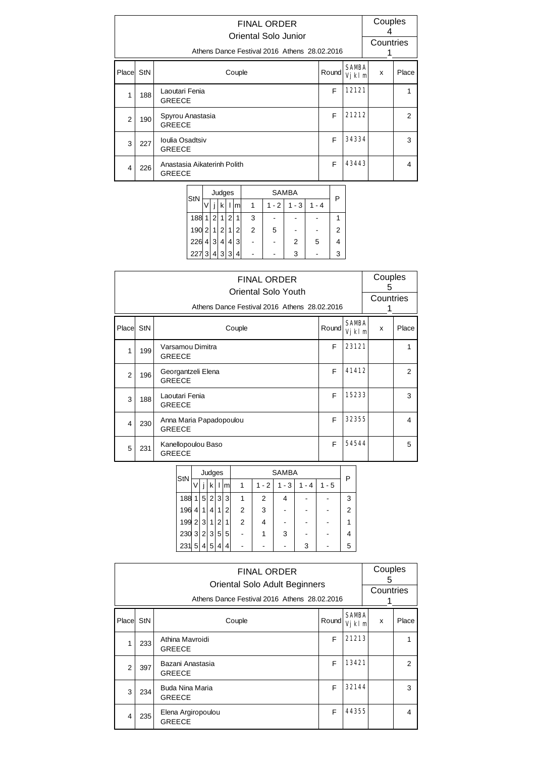|                | <b>FINAL ORDER</b><br>Oriental Solo Junior<br>Athens Dance Festival 2016 Athens 28.02.2016 |                                              |       |                        |   |                |  |  |  |  |  |
|----------------|--------------------------------------------------------------------------------------------|----------------------------------------------|-------|------------------------|---|----------------|--|--|--|--|--|
| Place StN      |                                                                                            | Couple                                       | Round | <b>SAMBA</b><br>Vjkl m | x | Place          |  |  |  |  |  |
| 1              | 188                                                                                        | Laoutari Fenia<br><b>GREECE</b>              | F     | 12121                  |   |                |  |  |  |  |  |
| $\mathfrak{p}$ | 190                                                                                        | Spyrou Anastasia<br><b>GREECE</b>            | F     | 21212                  |   | $\overline{2}$ |  |  |  |  |  |
| 3              | 227                                                                                        | Ioulia Osadtsiv<br><b>GREECE</b>             | F     | 34334                  |   | 3              |  |  |  |  |  |
| 4              | 226                                                                                        | Anastasia Aikaterinh Polith<br><b>GREECE</b> | F     | 43443                  |   | 4              |  |  |  |  |  |

|      |   |                 | Judges      |   |   |                |         | <b>SAMBA</b> |         |   |
|------|---|-----------------|-------------|---|---|----------------|---------|--------------|---------|---|
| StN  |   |                 | k           |   | m |                | $1 - 2$ | $1 - 3$      | $1 - 4$ |   |
| 188  | 1 | $\overline{2}$  | $\mathbf 1$ | 2 | 1 | 3              |         |              |         |   |
| 190  | 2 | $\mathbf 1$     | 2           |   | 2 | $\overline{2}$ | 5       |              |         | 2 |
| 226  | 4 | 3               | 4           | 4 | 3 |                |         | 2            | 5       |   |
| 2273 |   | $\vert 4 \vert$ | 3 3         |   | 4 |                |         | 3            |         | 3 |

|                | <b>FINAL ORDER</b><br>Oriental Solo Youth<br>Athens Dance Festival 2016 Athens 28.02.2016 |                                          |       |                        |   |       |  |  |  |  |
|----------------|-------------------------------------------------------------------------------------------|------------------------------------------|-------|------------------------|---|-------|--|--|--|--|
| Place StN      |                                                                                           | Couple                                   | Round | <b>SAMBA</b><br>Vjkl m | X | Place |  |  |  |  |
| 1              | 199                                                                                       | Varsamou Dimitra<br><b>GREECE</b>        | F     | 23121                  |   | 1     |  |  |  |  |
| $\overline{2}$ | 196                                                                                       | Georgantzeli Elena<br><b>GREECE</b>      | F     | 41412                  |   | 2     |  |  |  |  |
| 3              | 188                                                                                       | Laoutari Fenia<br><b>GREECE</b>          | F     | 15233                  |   | 3     |  |  |  |  |
| 4              | 230                                                                                       | Anna Maria Papadopoulou<br><b>GREECE</b> | F     | 32355                  |   | 4     |  |  |  |  |
| 5              | 231                                                                                       | Kanellopoulou Baso<br><b>GREECE</b>      | F     | 54544                  |   | 5     |  |  |  |  |

| StN               |                |   | Judges         |   |   |   | <b>SAMBA</b> |     |     |         |   |  |  |
|-------------------|----------------|---|----------------|---|---|---|--------------|-----|-----|---------|---|--|--|
|                   |                |   | k              |   | m |   | $1 - 2$      | - 3 | - 4 | $1 - 5$ |   |  |  |
| 188               | 1 <sub>1</sub> | 5 | $\overline{2}$ | 3 | 3 |   | 2            | 4   |     |         | 3 |  |  |
| 196               | $\overline{4}$ | 1 | 4'             | 1 | 2 | 2 | 3            |     |     |         | 2 |  |  |
| $199$ 2 3         |                |   | 11             | 2 | 1 | 2 | 4            |     |     |         |   |  |  |
| $230 \ 3 \ 2 \ 3$ |                |   |                | 5 | 5 |   |              | -3  |     |         |   |  |  |
| 231               | 5              | 4 | 5              | 4 | 4 |   |              |     | 3   |         | 5 |  |  |

|                | <b>FINAL ORDER</b><br>Oriental Solo Adult Beginners<br>Athens Dance Festival 2016 Athens 28.02.2016 |                                     |        |       |                        |  |   |                |
|----------------|-----------------------------------------------------------------------------------------------------|-------------------------------------|--------|-------|------------------------|--|---|----------------|
| Place          | StN                                                                                                 |                                     | Couple | Round | <b>SAMBA</b><br>Vjkl m |  | X | Place          |
| 1              | 233                                                                                                 | Athina Mavroidi<br><b>GREECE</b>    |        | F     | 21213                  |  |   | 1              |
| $\mathfrak{p}$ | 397                                                                                                 | Bazani Anastasia<br><b>GREECE</b>   |        | F     | 13421                  |  |   | $\overline{2}$ |
| 3              | 234                                                                                                 | Buda Nina Maria<br><b>GREECE</b>    |        | F     | 32144                  |  |   | 3              |
| 4              | 235                                                                                                 | Elena Argiropoulou<br><b>GREECE</b> |        | F     | 44355                  |  |   | 4              |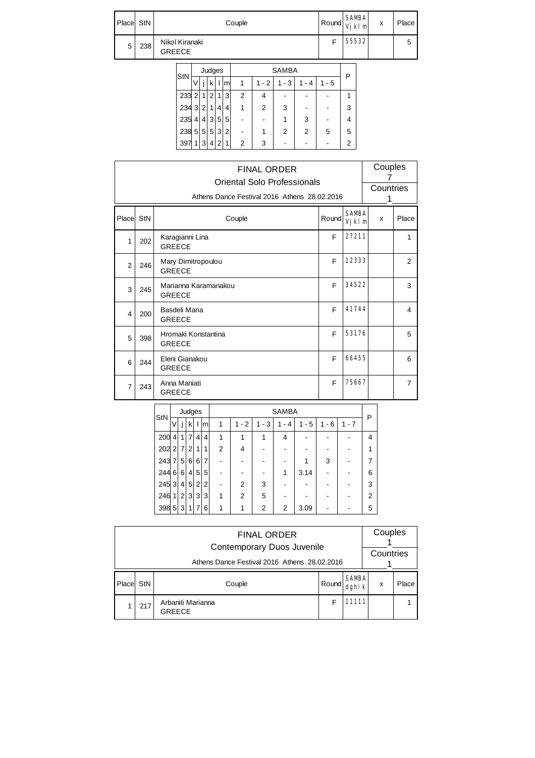| Place StN |     | Couple                          | <b>SAMBA</b><br>$Round$ $Vjklm$ | x | Place |
|-----------|-----|---------------------------------|---------------------------------|---|-------|
| 5         | 238 | Nikol Kiranaki<br><b>GREECE</b> | 55532                           |   |       |

| StN   |             |                | Judges |   |   | <b>SAMBA</b> |         |         |      |         |   |
|-------|-------------|----------------|--------|---|---|--------------|---------|---------|------|---------|---|
|       |             |                | k      |   | m |              | $1 - 2$ | $1 - 3$ | $-4$ | $1 - 5$ |   |
| 233 2 |             | $\overline{1}$ | 2      | 1 | 3 | 2            |         |         |      |         |   |
| 234 3 |             | 2 <sub>1</sub> | 1      | 4 | 4 |              | 2       | 3       |      |         | 3 |
| 235   | 4           | 4              | 3      | 5 | 5 |              |         |         | 3    |         |   |
| 238   | 5           | 5              | 5      | 3 | 2 |              |         | 2       | 2    | 5       | 5 |
| 397   | $\mathbf 1$ | 3              | 4      | 2 | 1 | 2            | 3       |         |      |         | 2 |

|                | <b>FINAL ORDER</b><br>Oriental Solo Professionals<br>Athens Dance Festival 2016 Athens 28.02.2016 |                                       |       |                        |   |                |  |  |  |
|----------------|---------------------------------------------------------------------------------------------------|---------------------------------------|-------|------------------------|---|----------------|--|--|--|
|                |                                                                                                   |                                       |       |                        | 1 |                |  |  |  |
| Place StN      |                                                                                                   | Couple                                | Round | <b>SAMBA</b><br>Vjkl m | x | Place          |  |  |  |
| $\mathbf{1}$   | 202                                                                                               | Karagianni Lina<br><b>GREECE</b>      | F     | 27211                  |   | 1              |  |  |  |
| $\overline{2}$ | 246                                                                                               | Mary Dimitropoulou<br><b>GREECE</b>   | F     | 12333                  |   | 2              |  |  |  |
| 3              | 245                                                                                               | Marianna Karamanakou<br><b>GREECE</b> | F     | 34522                  |   | 3              |  |  |  |
| 4              | 200                                                                                               | Basdeli Maria<br><b>GREECE</b>        | F     | 41744                  |   | 4              |  |  |  |
| 5              | 398                                                                                               | Hromaki Konstantina<br><b>GREECE</b>  | F     | 53176                  |   | 5              |  |  |  |
| 6              | 244                                                                                               | Eleni Gianakou<br><b>GREECE</b>       | F     | 66455                  |   | 6              |  |  |  |
| $\overline{7}$ | 243                                                                                               | Anna Maniati<br><b>GREECE</b>         | F     | 75667                  |   | $\overline{7}$ |  |  |  |

| StN   |                |                 | Judges         |                |   |                | <b>SAMBA</b> |         |                |         |           |         | P              |
|-------|----------------|-----------------|----------------|----------------|---|----------------|--------------|---------|----------------|---------|-----------|---------|----------------|
|       | V              |                 | $\mathsf{k}$   |                | m | 1              | $-2$<br>1    | $1 - 3$ | $-4$<br>1      | $1 - 5$ | $-6$<br>1 | $1 - 7$ |                |
| 200   | $\vert$        | 1 <sup>1</sup>  | $\overline{7}$ | $\overline{4}$ | 4 | 1              |              |         | 4              |         |           |         | 4              |
| 202   | 2 <sup>1</sup> | $\overline{7}$  | 2 <sub>1</sub> | 1              | 1 | $\overline{2}$ | 4            |         |                |         |           |         |                |
| 243   | 7              | $5\overline{)}$ | 6              | 6              | 7 |                |              |         |                |         | 3         |         |                |
| 244   | 6 <sup>1</sup> | 6 <sup>1</sup>  |                | 4 5            | 5 |                |              |         | 1              | 3.14    |           |         | 6              |
| 245   | 3              | $\vert$         | 5 <sup>1</sup> | $\overline{2}$ | 2 |                | 2            | 3       |                |         |           |         | 3              |
| 246   | 1              | 2               |                | 3 3            | 3 | 1              | 2            | 5       |                |         |           |         | $\overline{2}$ |
| 398 5 |                | 3               | 11             | 7              | 6 | 1              |              | 2       | $\overline{2}$ | 3.09    |           |         | 5              |

|       | <b>FINAL ORDER</b><br>Contemporary Duos Juvenile |                                    |       |                        |   |       |  |  |  |  |  |
|-------|--------------------------------------------------|------------------------------------|-------|------------------------|---|-------|--|--|--|--|--|
|       | Athens Dance Festival 2016 Athens 28.02.2016     |                                    |       |                        |   |       |  |  |  |  |  |
| Place | StN                                              | Couple                             | Round | <b>SAMBA</b><br>dghi k | x | Place |  |  |  |  |  |
|       | 217                                              | Arbaniti Marianna<br><b>GREECE</b> | F     | 11111                  |   |       |  |  |  |  |  |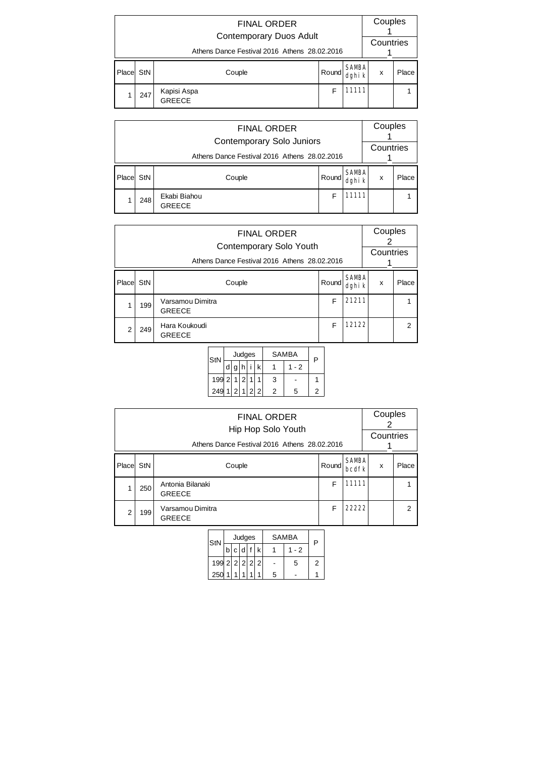|        | <b>FINAL ORDER</b><br><b>Contemporary Duos Adult</b> |                              |                                 |       |  |  |  |  |  |  |  |
|--------|------------------------------------------------------|------------------------------|---------------------------------|-------|--|--|--|--|--|--|--|
|        | Athens Dance Festival 2016 Athens 28.02.2016         |                              |                                 |       |  |  |  |  |  |  |  |
| Placel | StN                                                  | Couple                       | <b>SAMBA</b><br>Round<br>dghi k |       |  |  |  |  |  |  |  |
|        | 247                                                  | Kapisi Aspa<br><b>GREECE</b> | F                               | 11111 |  |  |  |  |  |  |  |

|       | <b>FINAL ORDER</b><br><b>Contemporary Solo Juniors</b> |                               |       |                        |   |       |  |  |  |  |
|-------|--------------------------------------------------------|-------------------------------|-------|------------------------|---|-------|--|--|--|--|
|       | Athens Dance Festival 2016 Athens 28.02.2016           |                               |       |                        |   |       |  |  |  |  |
| Place | StN                                                    | Couple                        | Round | <b>SAMBA</b><br>dghi k | x | Place |  |  |  |  |
|       | 248                                                    | Ekabi Biahou<br><b>GREECE</b> | F     | 1111                   |   |       |  |  |  |  |

|       | <b>FINAL ORDER</b><br>Contemporary Solo Youth<br>Athens Dance Festival 2016 Athens 28.02.2016 |                                   |       |                        |   |                |  |  |
|-------|-----------------------------------------------------------------------------------------------|-----------------------------------|-------|------------------------|---|----------------|--|--|
| Place | StN                                                                                           | Couple                            | Round | <b>SAMBA</b><br>dghi k | x | Place          |  |  |
|       | 199                                                                                           | Varsamou Dimitra<br><b>GREECE</b> | F     | 21211                  |   |                |  |  |
| 2     | 249                                                                                           | Hara Koukoudi<br><b>GREECE</b>    | F     | 12122                  |   | $\overline{2}$ |  |  |

| StN   |   |           | Judges  | <b>SAMBA</b> | P   |  |
|-------|---|-----------|---------|--------------|-----|--|
|       | d |           |         |              | - 2 |  |
| 199 2 |   | $\vert$ 2 |         | 3            |     |  |
| 249   |   |           | 2 1 2 2 | 2            | 5   |  |

|                | <b>FINAL ORDER</b><br>Hip Hop Solo Youth<br>Athens Dance Festival 2016 Athens 28.02.2016 |                                   |                              |   |       |  |   |
|----------------|------------------------------------------------------------------------------------------|-----------------------------------|------------------------------|---|-------|--|---|
| Place          | StN                                                                                      | Couple                            | <b>SAMBA</b><br><b>bcdfk</b> | x | Place |  |   |
|                | 250                                                                                      | Antonia Bilanaki<br><b>GREECE</b> |                              | F | 11111 |  |   |
| $\overline{2}$ | 199                                                                                      | Varsamou Dimitra<br><b>GREECE</b> |                              | F | 22222 |  | 2 |

| StN           |  | Judges  |   | SAMBA |      |   |
|---------------|--|---------|---|-------|------|---|
|               |  | b c d f | k |       | $-2$ |   |
| 199 2 2 2 2 2 |  |         |   |       | 5    | ン |
| 250           |  |         |   | 5     |      |   |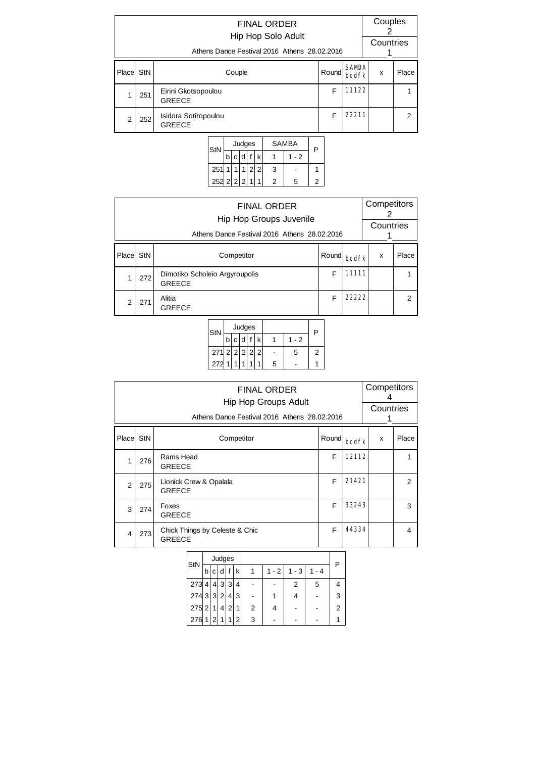|       | <b>FINAL ORDER</b><br>Hip Hop Solo Adult<br>Athens Dance Festival 2016 Athens 28.02.2016 |                                       |                                   |       |                |   |  |  |  |
|-------|------------------------------------------------------------------------------------------|---------------------------------------|-----------------------------------|-------|----------------|---|--|--|--|
| Place | StN                                                                                      | Couple                                | <b>SAMBA</b><br>x<br><b>bcdfk</b> | Place |                |   |  |  |  |
|       | 251                                                                                      | Eirini Gkotsopoulou<br><b>GREECE</b>  | F                                 | 11122 |                | 1 |  |  |  |
| 2     | 252                                                                                      | Isidora Sotiropoulou<br><b>GREECE</b> | 22211                             |       | $\overline{2}$ |   |  |  |  |



|                | <b>FINAL ORDER</b><br>Hip Hop Groups Juvenile<br>Athens Dance Festival 2016 Athens 28.02.2016 |                                                 |       |              |   |               |  |  |
|----------------|-----------------------------------------------------------------------------------------------|-------------------------------------------------|-------|--------------|---|---------------|--|--|
| Placel         | StN                                                                                           | Competitor                                      | Round | <b>bedfk</b> | X | Place         |  |  |
|                | 272                                                                                           | Dimotiko Scholeio Argyroupolis<br><b>GREECE</b> | F     | 11111        |   |               |  |  |
| $\overline{2}$ | 271                                                                                           | Alitia<br><b>GREECE</b>                         | F     | 22222        |   | $\mathcal{P}$ |  |  |



|                | <b>FINAL ORDER</b><br><b>Hip Hop Groups Adult</b><br>Athens Dance Festival 2016 Athens 28.02.2016 |                                                 |       |       |   |       |  |  |
|----------------|---------------------------------------------------------------------------------------------------|-------------------------------------------------|-------|-------|---|-------|--|--|
| Place StN      |                                                                                                   | Competitor                                      | Round | bedfk | x | Place |  |  |
| 1              | 276                                                                                               | Rams Head<br><b>GREECE</b>                      | F     | 12112 |   |       |  |  |
| $\overline{2}$ | 275                                                                                               | Lionick Crew & Opalala<br><b>GREECE</b>         | F     | 21421 |   | 2     |  |  |
| 3              | 274                                                                                               | Foxes<br><b>GREECE</b>                          | F     | 33243 |   | 3     |  |  |
| $\overline{4}$ | 273                                                                                               | Chick Things by Celeste & Chic<br><b>GREECE</b> | F     | 44334 |   | 4     |  |  |

| StN    |                |                           | Judges |                |   |   |         |         |          | P |
|--------|----------------|---------------------------|--------|----------------|---|---|---------|---------|----------|---|
|        | b              | с                         | d      |                | k |   | $1 - 2$ | $1 - 3$ | - 4<br>1 |   |
| 273    | 4              | $\mathbf{4}^{\mathsf{T}}$ | 3      | 3              | 4 |   |         | 2       | 5        | 4 |
| 274332 |                |                           |        | 4              | 3 |   |         |         |          | 3 |
| 275 2  |                | 1                         | 4      | $\overline{2}$ | 1 | 2 |         |         |          | 2 |
| 276    | 1 <sup>1</sup> | 2 <sup>1</sup>            | 1      | 1              | 2 | 3 |         |         |          |   |